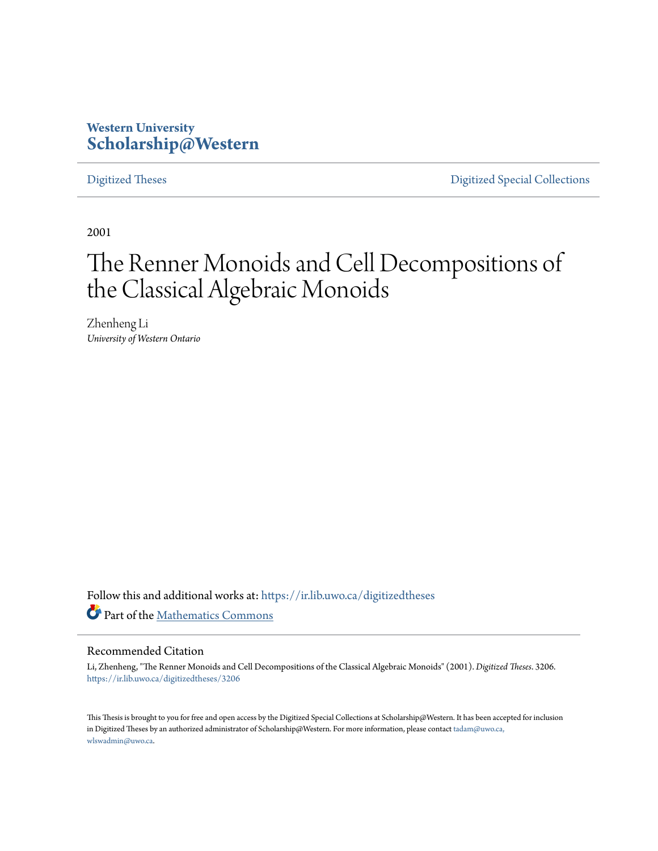# **Western University [Scholarship@Western](https://ir.lib.uwo.ca?utm_source=ir.lib.uwo.ca%2Fdigitizedtheses%2F3206&utm_medium=PDF&utm_campaign=PDFCoverPages)**

[Digitized Theses](https://ir.lib.uwo.ca/digitizedtheses?utm_source=ir.lib.uwo.ca%2Fdigitizedtheses%2F3206&utm_medium=PDF&utm_campaign=PDFCoverPages) [Digitized Special Collections](https://ir.lib.uwo.ca/disc?utm_source=ir.lib.uwo.ca%2Fdigitizedtheses%2F3206&utm_medium=PDF&utm_campaign=PDFCoverPages)

2001

# The Renner Monoids and Cell Decompositions of the Classical Algebraic Monoids

Zhenheng Li *University of Western Ontario*

Follow this and additional works at: [https://ir.lib.uwo.ca/digitizedtheses](https://ir.lib.uwo.ca/digitizedtheses?utm_source=ir.lib.uwo.ca%2Fdigitizedtheses%2F3206&utm_medium=PDF&utm_campaign=PDFCoverPages) Part of the [Mathematics Commons](http://network.bepress.com/hgg/discipline/174?utm_source=ir.lib.uwo.ca%2Fdigitizedtheses%2F3206&utm_medium=PDF&utm_campaign=PDFCoverPages)

#### Recommended Citation

Li, Zhenheng, "The Renner Monoids and Cell Decompositions of the Classical Algebraic Monoids" (2001). *Digitized Theses*. 3206. [https://ir.lib.uwo.ca/digitizedtheses/3206](https://ir.lib.uwo.ca/digitizedtheses/3206?utm_source=ir.lib.uwo.ca%2Fdigitizedtheses%2F3206&utm_medium=PDF&utm_campaign=PDFCoverPages)

This Thesis is brought to you for free and open access by the Digitized Special Collections at Scholarship@Western. It has been accepted for inclusion in Digitized Theses by an authorized administrator of Scholarship@Western. For more information, please contact [tadam@uwo.ca,](mailto:tadam@uwo.ca,%20wlswadmin@uwo.ca) [wlswadmin@uwo.ca](mailto:tadam@uwo.ca,%20wlswadmin@uwo.ca).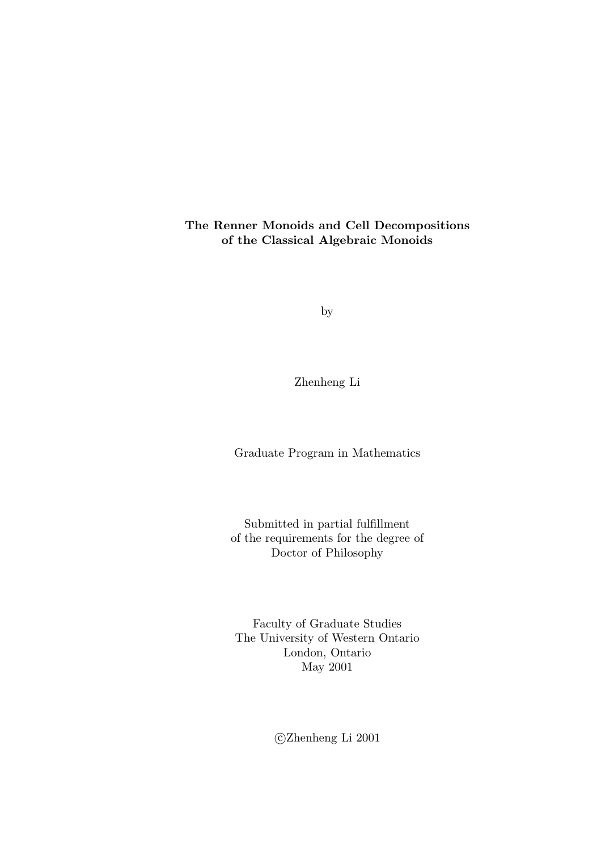#### The Renner Monoids and Cell Decompositions of the Classical Algebraic Monoids

by

Zhenheng Li

Graduate Program in Mathematics

Submitted in partial fulfillment of the requirements for the degree of Doctor of Philosophy

Faculty of Graduate Studies The University of Western Ontario London, Ontario May 2001

c Zhenheng Li 2001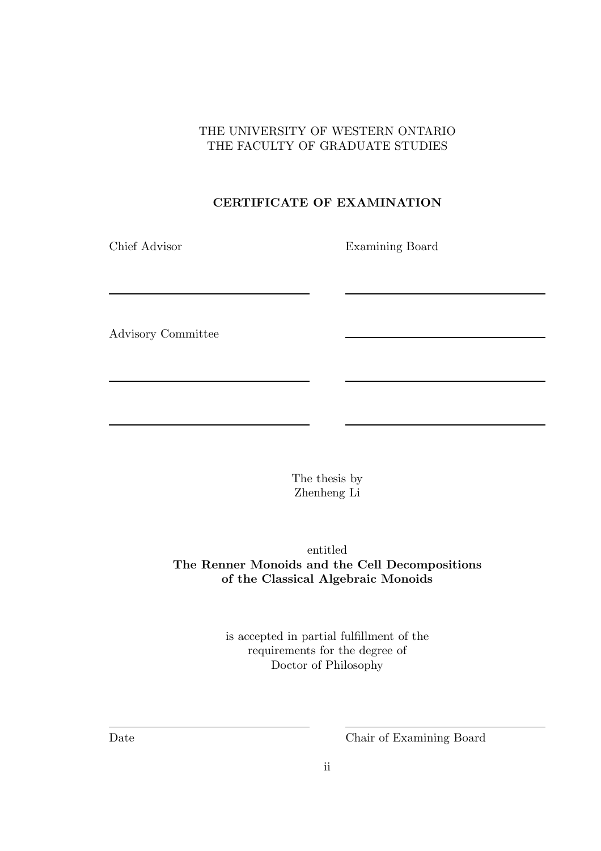## THE UNIVERSITY OF WESTERN ONTARIO THE FACULTY OF GRADUATE STUDIES

# CERTIFICATE OF EXAMINATION

Chief Advisor Examining Board

Advisory Committee

The thesis by Zhenheng Li

entitled The Renner Monoids and the Cell Decompositions of the Classical Algebraic Monoids

> is accepted in partial fulfillment of the requirements for the degree of Doctor of Philosophy

Date Chair of Examining Board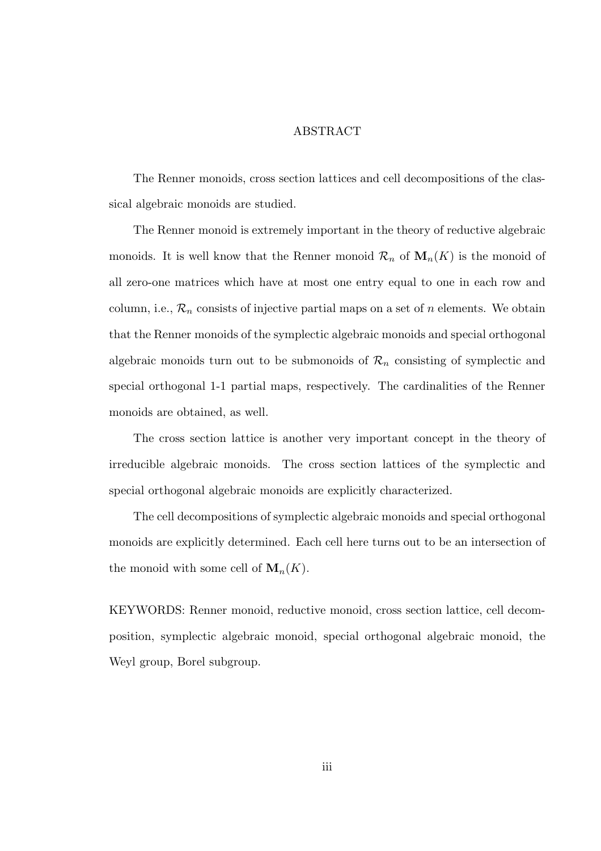#### ABSTRACT

The Renner monoids, cross section lattices and cell decompositions of the classical algebraic monoids are studied.

The Renner monoid is extremely important in the theory of reductive algebraic monoids. It is well know that the Renner monoid  $\mathcal{R}_n$  of  $\mathbf{M}_n(K)$  is the monoid of all zero-one matrices which have at most one entry equal to one in each row and column, i.e.,  $\mathcal{R}_n$  consists of injective partial maps on a set of n elements. We obtain that the Renner monoids of the symplectic algebraic monoids and special orthogonal algebraic monoids turn out to be submonoids of  $\mathcal{R}_n$  consisting of symplectic and special orthogonal 1-1 partial maps, respectively. The cardinalities of the Renner monoids are obtained, as well.

The cross section lattice is another very important concept in the theory of irreducible algebraic monoids. The cross section lattices of the symplectic and special orthogonal algebraic monoids are explicitly characterized.

The cell decompositions of symplectic algebraic monoids and special orthogonal monoids are explicitly determined. Each cell here turns out to be an intersection of the monoid with some cell of  $\mathbf{M}_n(K)$ .

KEYWORDS: Renner monoid, reductive monoid, cross section lattice, cell decomposition, symplectic algebraic monoid, special orthogonal algebraic monoid, the Weyl group, Borel subgroup.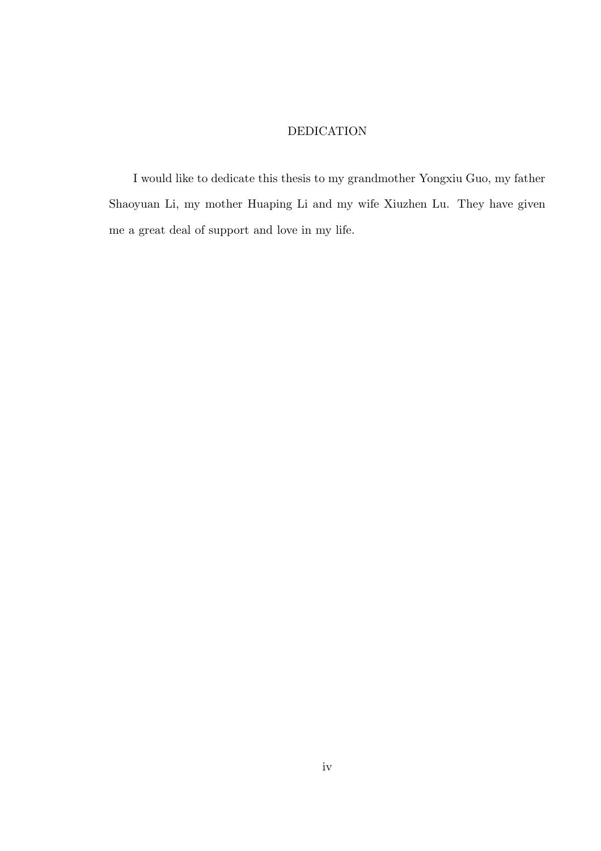### DEDICATION

I would like to dedicate this thesis to my grandmother Yongxiu Guo, my father Shaoyuan Li, my mother Huaping Li and my wife Xiuzhen Lu. They have given me a great deal of support and love in my life.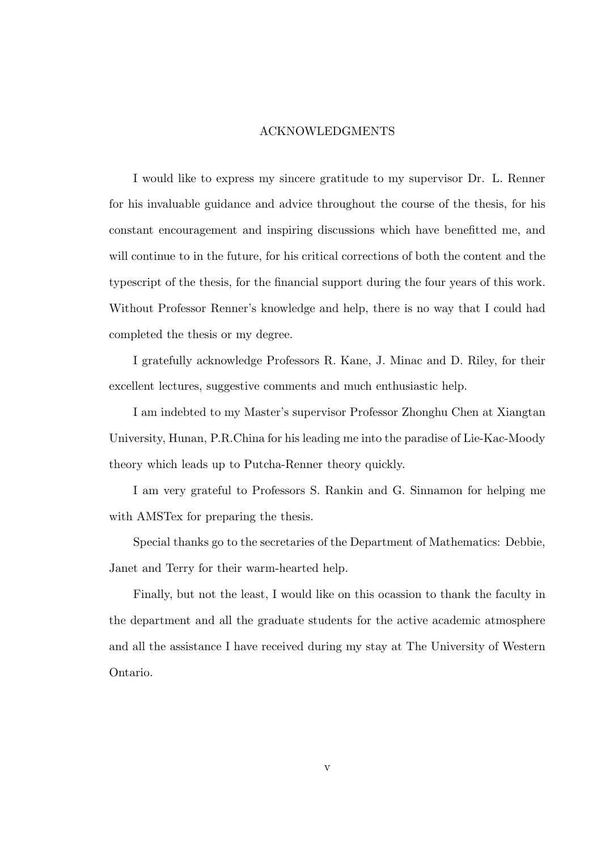#### ACKNOWLEDGMENTS

I would like to express my sincere gratitude to my supervisor Dr. L. Renner for his invaluable guidance and advice throughout the course of the thesis, for his constant encouragement and inspiring discussions which have benefitted me, and will continue to in the future, for his critical corrections of both the content and the typescript of the thesis, for the financial support during the four years of this work. Without Professor Renner's knowledge and help, there is no way that I could had completed the thesis or my degree.

I gratefully acknowledge Professors R. Kane, J. Minac and D. Riley, for their excellent lectures, suggestive comments and much enthusiastic help.

I am indebted to my Master's supervisor Professor Zhonghu Chen at Xiangtan University, Hunan, P.R.China for his leading me into the paradise of Lie-Kac-Moody theory which leads up to Putcha-Renner theory quickly.

I am very grateful to Professors S. Rankin and G. Sinnamon for helping me with AMSTex for preparing the thesis.

Special thanks go to the secretaries of the Department of Mathematics: Debbie, Janet and Terry for their warm-hearted help.

Finally, but not the least, I would like on this ocassion to thank the faculty in the department and all the graduate students for the active academic atmosphere and all the assistance I have received during my stay at The University of Western Ontario.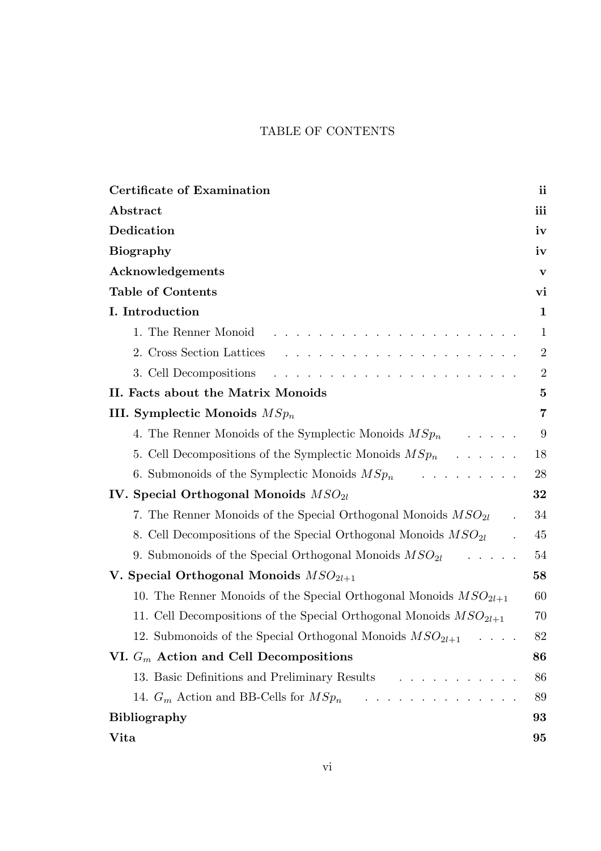# TABLE OF CONTENTS

| Certificate of Examination                                                                                                                                                                                                                                  | ii               |
|-------------------------------------------------------------------------------------------------------------------------------------------------------------------------------------------------------------------------------------------------------------|------------------|
| Abstract                                                                                                                                                                                                                                                    | iii              |
| Dedication                                                                                                                                                                                                                                                  | iv               |
| <b>Biography</b>                                                                                                                                                                                                                                            | iv               |
| Acknowledgements                                                                                                                                                                                                                                            | V                |
| <b>Table of Contents</b>                                                                                                                                                                                                                                    | vi               |
| I. Introduction                                                                                                                                                                                                                                             | $\mathbf{1}$     |
| 1. The Renner Monoid<br>and the contract of the contract of the contract of the contract of the contract of the contract of the contract of the contract of the contract of the contract of the contract of the contract of the contract of the contra      | $\mathbf{1}$     |
| 2. Cross Section Lattices<br>and the contract of the contract of the contract of the contract of the contract of the contract of the contract of the contract of the contract of the contract of the contract of the contract of the contract of the contra | $\overline{2}$   |
| 3. Cell Decompositions                                                                                                                                                                                                                                      | $\boldsymbol{2}$ |
| II. Facts about the Matrix Monoids                                                                                                                                                                                                                          | $\bf{5}$         |
| III. Symplectic Monoids $MSp_n$                                                                                                                                                                                                                             | 7                |
| 4. The Renner Monoids of the Symplectic Monoids $MSp_n$<br>$\mathcal{L} = \mathcal{L} \times \mathcal{L} \times \mathcal{L} \times \mathcal{L}$                                                                                                             | 9                |
| 5. Cell Decompositions of the Symplectic Monoids $MSp_n$ ,                                                                                                                                                                                                  | 18               |
| 6. Submonoids of the Symplectic Monoids $MSp_n$<br><u>and the second contract of the second second</u>                                                                                                                                                      | 28               |
| IV. Special Orthogonal Monoids $MSO_{2l}$                                                                                                                                                                                                                   | 32               |
| 7. The Renner Monoids of the Special Orthogonal Monoids $MSO_{2l}$                                                                                                                                                                                          | 34               |
| 8. Cell Decompositions of the Special Orthogonal Monoids $MSO_{2l}$                                                                                                                                                                                         | 45               |
| 9. Submonoids of the Special Orthogonal Monoids $MSO_{2l}$<br>$\cdots$                                                                                                                                                                                      | 54               |
| V. Special Orthogonal Monoids $MSO_{2l+1}$                                                                                                                                                                                                                  | 58               |
| 10. The Renner Monoids of the Special Orthogonal Monoids $MSO_{2l+1}$                                                                                                                                                                                       | 60               |
| 11. Cell Decompositions of the Special Orthogonal Monoids $MSO_{2l+1}$                                                                                                                                                                                      | 70               |
| 12. Submonoids of the Special Orthogonal Monoids $MSO_{2l+1}$                                                                                                                                                                                               | 82               |
| VI. $G_m$ Action and Cell Decompositions                                                                                                                                                                                                                    | 86               |
| 13. Basic Definitions and Preliminary Results                                                                                                                                                                                                               | 86               |
| 14. $G_m$ Action and BB-Cells for $MSp_n$                                                                                                                                                                                                                   | 89               |
| <b>Bibliography</b>                                                                                                                                                                                                                                         | 93               |
| Vita                                                                                                                                                                                                                                                        | 95               |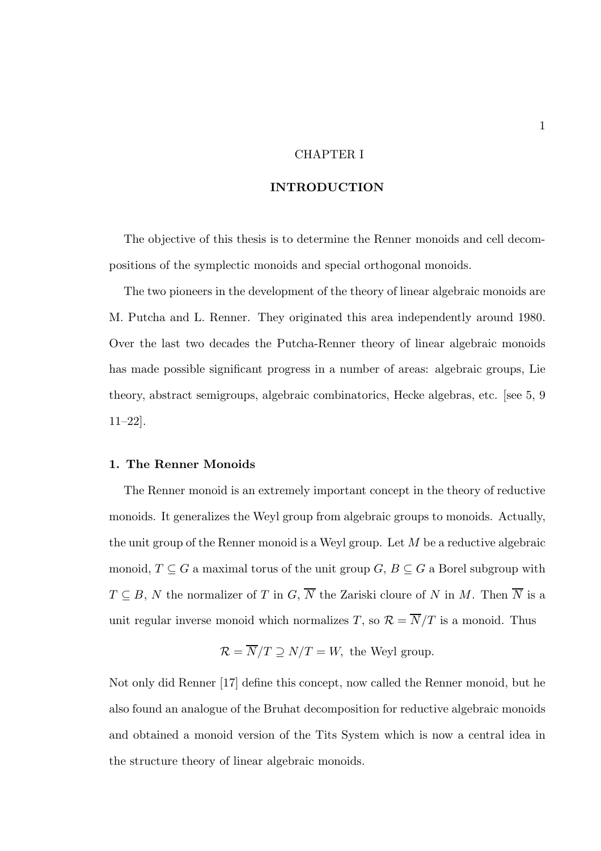#### CHAPTER I

#### INTRODUCTION

The objective of this thesis is to determine the Renner monoids and cell decompositions of the symplectic monoids and special orthogonal monoids.

The two pioneers in the development of the theory of linear algebraic monoids are M. Putcha and L. Renner. They originated this area independently around 1980. Over the last two decades the Putcha-Renner theory of linear algebraic monoids has made possible significant progress in a number of areas: algebraic groups, Lie theory, abstract semigroups, algebraic combinatorics, Hecke algebras, etc. [see 5, 9 11–22].

#### 1. The Renner Monoids

The Renner monoid is an extremely important concept in the theory of reductive monoids. It generalizes the Weyl group from algebraic groups to monoids. Actually, the unit group of the Renner monoid is a Weyl group. Let M be a reductive algebraic monoid,  $T \subseteq G$  a maximal torus of the unit group  $G, B \subseteq G$  a Borel subgroup with  $T \subseteq B$ , N the normalizer of T in G,  $\overline{N}$  the Zariski cloure of N in M. Then  $\overline{N}$  is a unit regular inverse monoid which normalizes T, so  $\mathcal{R} = \overline{N}/T$  is a monoid. Thus

$$
\mathcal{R} = \overline{N}/T \supseteq N/T = W
$$
, the Weyl group.

Not only did Renner [17] define this concept, now called the Renner monoid, but he also found an analogue of the Bruhat decomposition for reductive algebraic monoids and obtained a monoid version of the Tits System which is now a central idea in the structure theory of linear algebraic monoids.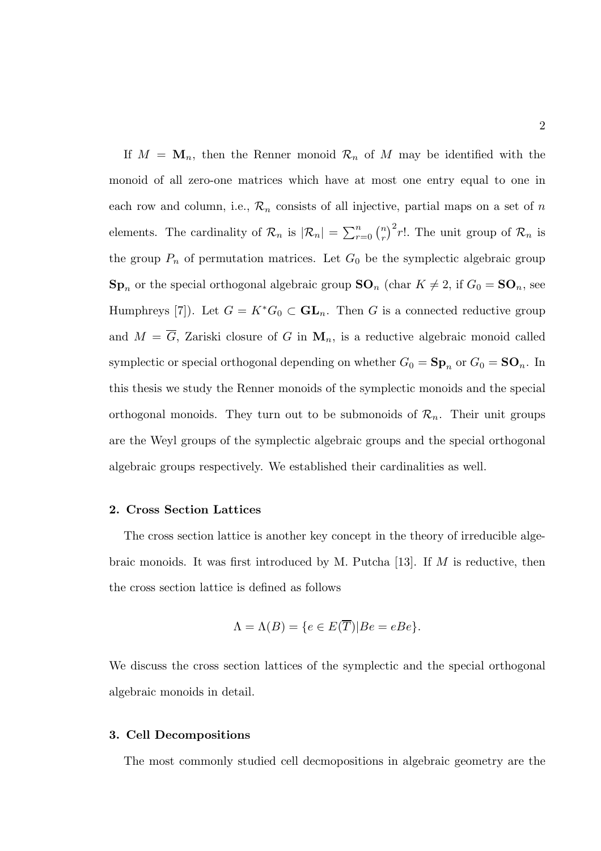If  $M = \mathbf{M}_n$ , then the Renner monoid  $\mathcal{R}_n$  of M may be identified with the monoid of all zero-one matrices which have at most one entry equal to one in each row and column, i.e.,  $\mathcal{R}_n$  consists of all injective, partial maps on a set of n elements. The cardinality of  $\mathcal{R}_n$  is  $|\mathcal{R}_n| = \sum_{r=0}^n \binom{n}{r}^2 r!$ . The unit group of  $\mathcal{R}_n$  is the group  $P_n$  of permutation matrices. Let  $G_0$  be the symplectic algebraic group  $\mathbf{Sp}_n$  or the special orthogonal algebraic group  $\mathbf{SO}_n$  (char  $K \neq 2$ , if  $G_0 = \mathbf{SO}_n$ , see Humphreys [7]). Let  $G = K^*G_0 \subset \mathbf{GL}_n$ . Then G is a connected reductive group and  $M = \overline{G}$ , Zariski closure of G in  $M_n$ , is a reductive algebraic monoid called symplectic or special orthogonal depending on whether  $G_0 = \mathbf{Sp}_n$  or  $G_0 = \mathbf{SO}_n$ . In this thesis we study the Renner monoids of the symplectic monoids and the special orthogonal monoids. They turn out to be submonoids of  $\mathcal{R}_n$ . Their unit groups are the Weyl groups of the symplectic algebraic groups and the special orthogonal algebraic groups respectively. We established their cardinalities as well.

#### 2. Cross Section Lattices

The cross section lattice is another key concept in the theory of irreducible algebraic monoids. It was first introduced by M. Putcha [13]. If  $M$  is reductive, then the cross section lattice is defined as follows

$$
\Lambda = \Lambda(B) = \{ e \in E(\overline{T}) | Be = eBe \}.
$$

We discuss the cross section lattices of the symplectic and the special orthogonal algebraic monoids in detail.

#### 3. Cell Decompositions

The most commonly studied cell decmopositions in algebraic geometry are the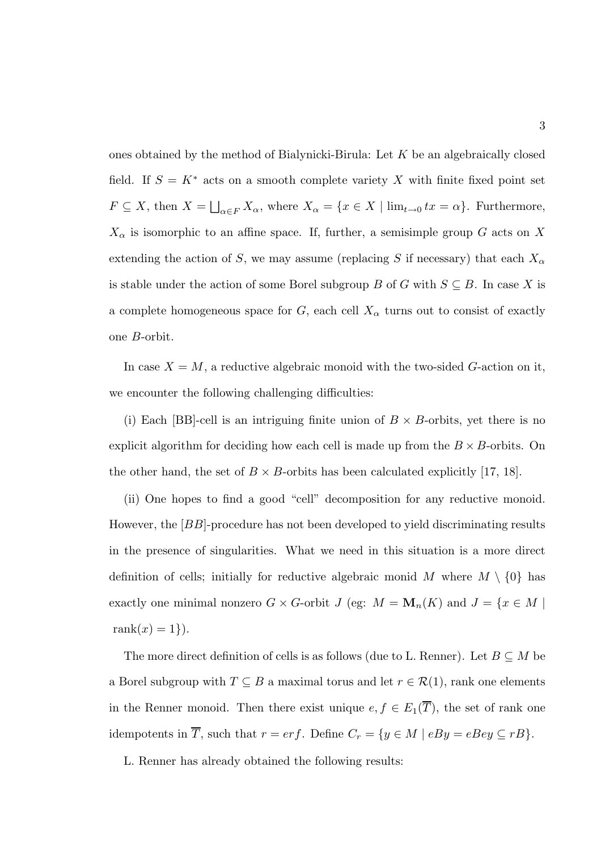ones obtained by the method of Bialynicki-Birula: Let  $K$  be an algebraically closed field. If  $S = K^*$  acts on a smooth complete variety X with finite fixed point set  $F \subseteq X$ , then  $X = \bigsqcup_{\alpha \in F} X_{\alpha}$ , where  $X_{\alpha} = \{x \in X \mid \lim_{t \to 0} tx = \alpha\}$ . Furthermore,  $X_{\alpha}$  is isomorphic to an affine space. If, further, a semisimple group G acts on X extending the action of S, we may assume (replacing S if necessary) that each  $X_{\alpha}$ is stable under the action of some Borel subgroup B of G with  $S \subseteq B$ . In case X is a complete homogeneous space for  $G$ , each cell  $X_{\alpha}$  turns out to consist of exactly one B-orbit.

In case  $X = M$ , a reductive algebraic monoid with the two-sided G-action on it, we encounter the following challenging difficulties:

(i) Each [BB]-cell is an intriguing finite union of  $B \times B$ -orbits, yet there is no explicit algorithm for deciding how each cell is made up from the  $B \times B$ -orbits. On the other hand, the set of  $B \times B$ -orbits has been calculated explicitly [17, 18].

(ii) One hopes to find a good "cell" decomposition for any reductive monoid. However, the  $[BB]$ -procedure has not been developed to yield discriminating results in the presence of singularities. What we need in this situation is a more direct definition of cells; initially for reductive algebraic monid M where  $M \setminus \{0\}$  has exactly one minimal nonzero  $G \times G$ -orbit  $J$  (eg:  $M = \mathbf{M}_n(K)$  and  $J = \{x \in M \mid$ rank $(x) = 1$ .

The more direct definition of cells is as follows (due to L. Renner). Let  $B \subseteq M$  be a Borel subgroup with  $T \subseteq B$  a maximal torus and let  $r \in \mathcal{R}(1)$ , rank one elements in the Renner monoid. Then there exist unique  $e, f \in E_1(\overline{T})$ , the set of rank one idempotents in  $\overline{T}$ , such that  $r = erf$ . Define  $C_r = \{y \in M \mid eBy = eBey \subseteq rB\}$ .

L. Renner has already obtained the following results: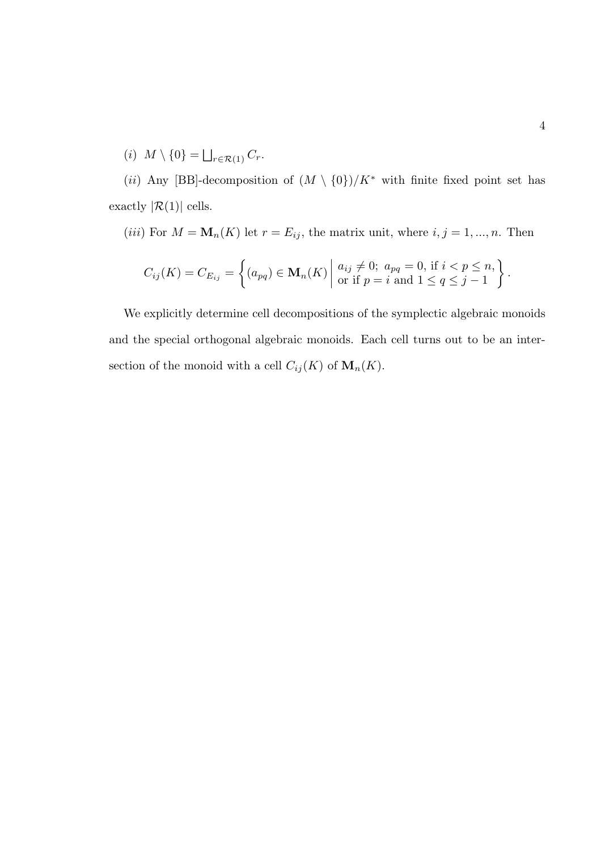$(i)$   $M \setminus \{0\} = \bigsqcup_{r \in \mathcal{R}(1)} C_r.$ 

(*ii*) Any [BB]-decomposition of  $(M \setminus \{0\})/K^*$  with finite fixed point set has exactly  $|\mathcal{R}(1)|$  cells.

(iii) For  $M = \mathbf{M}_n(K)$  let  $r = E_{ij}$ , the matrix unit, where  $i, j = 1, ..., n$ . Then

$$
C_{ij}(K) = C_{E_{ij}} = \left\{ (a_{pq}) \in \mathbf{M}_n(K) \mid \begin{aligned} a_{ij} \neq 0; & a_{pq} = 0, \text{ if } i < p \leq n, \\ \text{or if } p = i \text{ and } 1 < q \leq j - 1 \end{aligned} \right\}
$$

We explicitly determine cell decompositions of the symplectic algebraic monoids and the special orthogonal algebraic monoids. Each cell turns out to be an intersection of the monoid with a cell  $C_{ij}(K)$  of  $\mathbf{M}_{n}(K)$ .

.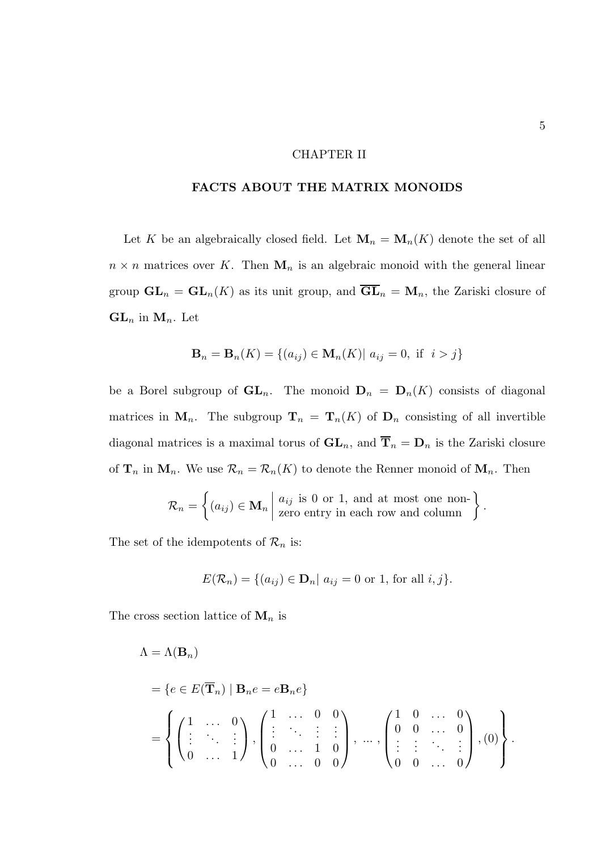#### CHAPTER II

#### FACTS ABOUT THE MATRIX MONOIDS

Let K be an algebraically closed field. Let  $\mathbf{M}_n = \mathbf{M}_n(K)$  denote the set of all  $n \times n$  matrices over K. Then  $\mathbf{M}_n$  is an algebraic monoid with the general linear group  $GL_n = GL_n(K)$  as its unit group, and  $\overline{GL}_n = M_n$ , the Zariski closure of  $GL_n$  in  $M_n$ . Let

$$
\mathbf{B}_n = \mathbf{B}_n(K) = \{(a_{ij}) \in \mathbf{M}_n(K) | a_{ij} = 0, \text{ if } i > j\}
$$

be a Borel subgroup of  $GL_n$ . The monoid  $D_n = D_n(K)$  consists of diagonal matrices in  $\mathbf{M}_n$ . The subgroup  $\mathbf{T}_n = \mathbf{T}_n(K)$  of  $\mathbf{D}_n$  consisting of all invertible diagonal matrices is a maximal torus of  $\mathbf{GL}_n$ , and  $\overline{\mathbf{T}}_n = \mathbf{D}_n$  is the Zariski closure of  $\mathbf{T}_n$  in  $\mathbf{M}_n$ . We use  $\mathcal{R}_n = \mathcal{R}_n(K)$  to denote the Renner monoid of  $\mathbf{M}_n$ . Then

$$
\mathcal{R}_n = \left\{ (a_{ij}) \in \mathbf{M}_n \middle| \begin{array}{l} a_{ij} \text{ is 0 or 1, and at most one non-} \\ \text{zero entry in each row and column} \end{array} \right\}.
$$

The set of the idempotents of  $\mathcal{R}_n$  is:

$$
E(\mathcal{R}_n) = \{ (a_{ij}) \in \mathbf{D}_n \mid a_{ij} = 0 \text{ or } 1 \text{, for all } i, j \}.
$$

The cross section lattice of  $\mathbf{M}_n$  is

$$
\Lambda = \Lambda(\mathbf{B}_n)
$$
  
=  $\{e \in E(\overline{\mathbf{T}}_n) | \mathbf{B}_n e = e \mathbf{B}_n e\}$   
=  $\left\{ \begin{pmatrix} 1 & \cdots & 0 \\ \vdots & \ddots & \vdots \\ 0 & \cdots & 1 \end{pmatrix}, \begin{pmatrix} 1 & \cdots & 0 & 0 \\ \vdots & \ddots & \vdots & \vdots \\ 0 & \cdots & 1 & 0 \\ 0 & \cdots & 0 & 0 \end{pmatrix}, \dots, \begin{pmatrix} 1 & 0 & \cdots & 0 \\ 0 & 0 & \cdots & 0 \\ \vdots & \vdots & \ddots & \vdots \\ 0 & 0 & \cdots & 0 \end{pmatrix}, (0) \right\}.$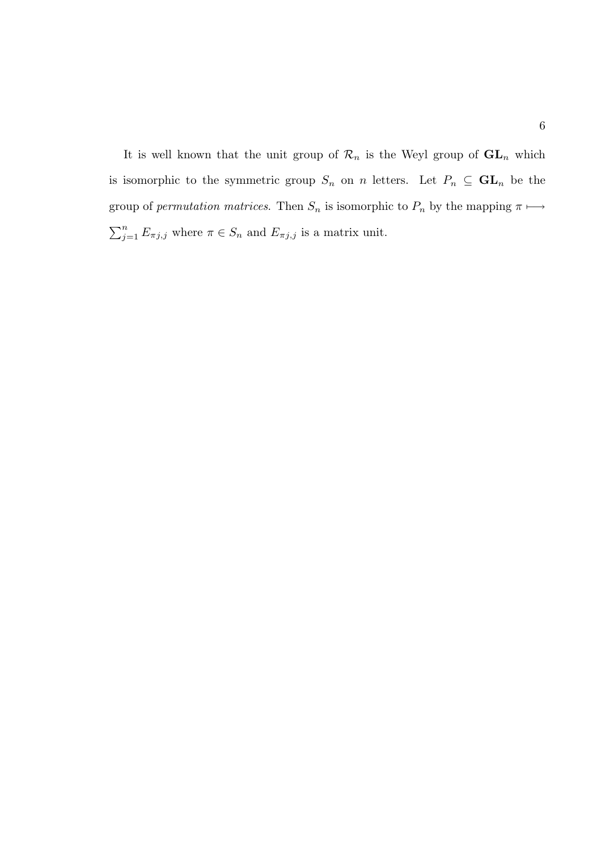It is well known that the unit group of  $\mathcal{R}_n$  is the Weyl group of  $\mathbf{GL}_n$  which is isomorphic to the symmetric group  $S_n$  on n letters. Let  $P_n \subseteq GL_n$  be the group of *permutation matrices*. Then  $S_n$  is isomorphic to  $P_n$  by the mapping  $\pi \mapsto$  $\sum_{j=1}^{n} E_{\pi j,j}$  where  $\pi \in S_n$  and  $E_{\pi j,j}$  is a matrix unit.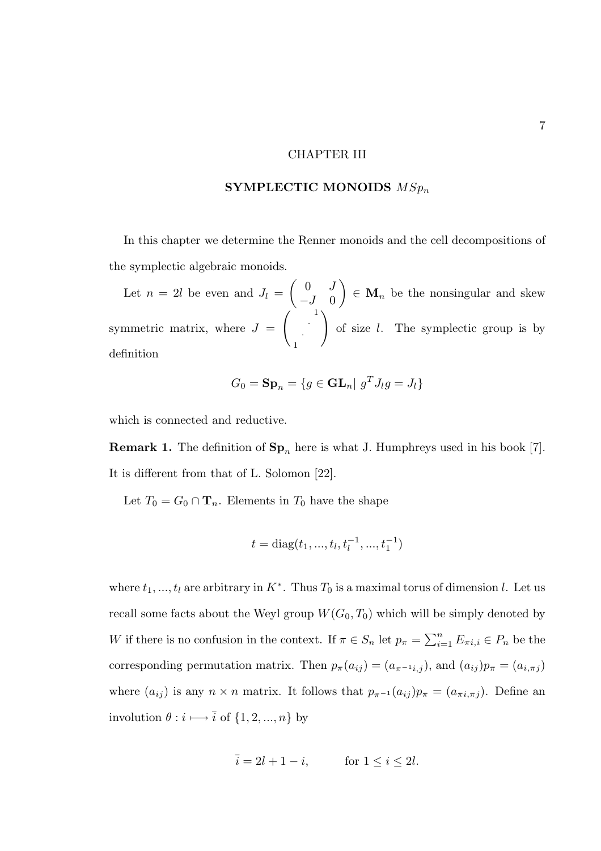#### CHAPTER III

#### SYMPLECTIC MONOIDS  $MSp_n$

In this chapter we determine the Renner monoids and the cell decompositions of the symplectic algebraic monoids.

Let  $n = 2l$  be even and  $J_l =$  $\begin{pmatrix} 0 & J \end{pmatrix}$  $-J \quad 0$  $\setminus$  $\in \mathbf{M}_n$  be the nonsingular and skew symmetric matrix, where  $J =$  $\begin{pmatrix} 1 & 1 \\ 1 & 1 \end{pmatrix}$ · 1  $\setminus$ of size l. The symplectic group is by definition

$$
G_0 = \mathbf{Sp}_n = \{ g \in \mathbf{GL}_n | g^T J_l g = J_l \}
$$

which is connected and reductive.

**Remark 1.** The definition of  $\mathbf{Sp}_n$  here is what J. Humphreys used in his book [7]. It is different from that of L. Solomon [22].

Let  $T_0 = G_0 \cap \mathbf{T}_n$ . Elements in  $T_0$  have the shape

$$
t = diag(t_1, ..., t_l, t_l^{-1}, ..., t_1^{-1})
$$

where  $t_1, ..., t_l$  are arbitrary in  $K^*$ . Thus  $T_0$  is a maximal torus of dimension l. Let us recall some facts about the Weyl group  $W(G_0, T_0)$  which will be simply denoted by W if there is no confusion in the context. If  $\pi \in S_n$  let  $p_{\pi} = \sum_{i=1}^n E_{\pi i, i} \in P_n$  be the corresponding permutation matrix. Then  $p_{\pi}(a_{ij}) = (a_{\pi^{-1}i,j})$ , and  $(a_{ij})p_{\pi} = (a_{i,\pi j})$ where  $(a_{ij})$  is any  $n \times n$  matrix. It follows that  $p_{\pi^{-1}}(a_{ij})p_{\pi} = (a_{\pi i, \pi j})$ . Define an involution  $\theta:i\longmapsto\overline{i}$  of  $\{1,2,...,n\}$  by

$$
\overline{i} = 2l + 1 - i, \qquad \text{for } 1 \le i \le 2l.
$$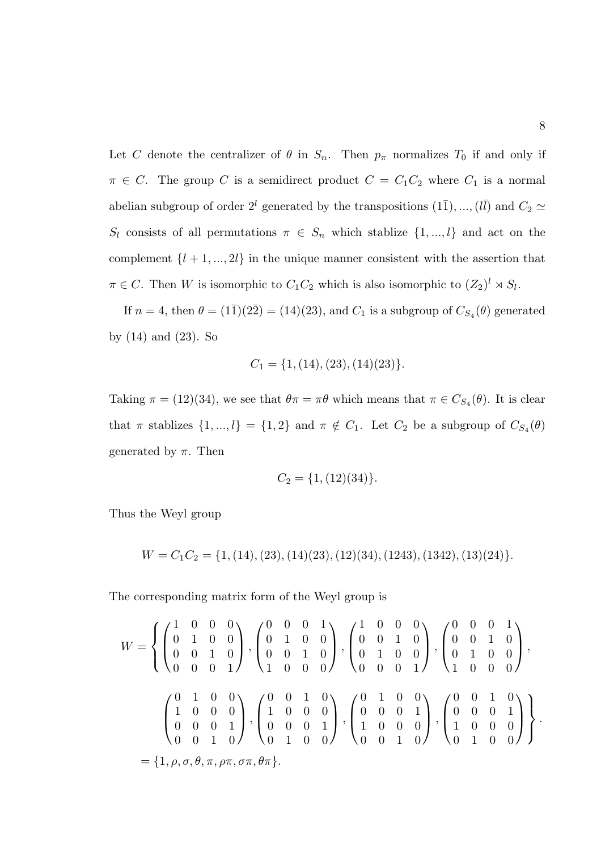Let C denote the centralizer of  $\theta$  in  $S_n$ . Then  $p_\pi$  normalizes  $T_0$  if and only if  $\pi \in C$ . The group C is a semidirect product  $C = C_1C_2$  where  $C_1$  is a normal abelian subgroup of order  $2^{l}$  generated by the transpositions  $(1\overline{1}), ..., (l\overline{l})$  and  $C_2 \simeq$  $S_l$  consists of all permutations  $\pi \in S_n$  which stablize  $\{1, ..., l\}$  and act on the complement  $\{l + 1, ..., 2l\}$  in the unique manner consistent with the assertion that  $\pi \in C$ . Then W is isomorphic to  $C_1C_2$  which is also isomorphic to  $(Z_2)^l \rtimes S_l$ .

If  $n = 4$ , then  $\theta = (1\bar{1})(2\bar{2}) = (14)(23)$ , and  $C_1$  is a subgroup of  $C_{S_4}(\theta)$  generated by (14) and (23). So

$$
C_1 = \{1, (14), (23), (14)(23)\}.
$$

Taking  $\pi = (12)(34)$ , we see that  $\theta \pi = \pi \theta$  which means that  $\pi \in C_{S_4}(\theta)$ . It is clear that  $\pi$  stablizes  $\{1, ..., l\} = \{1, 2\}$  and  $\pi \notin C_1$ . Let  $C_2$  be a subgroup of  $C_{S_4}(\theta)$ generated by  $\pi$ . Then

$$
C_2 = \{1, (12)(34)\}.
$$

Thus the Weyl group

$$
W = C_1 C_2 = \{1, (14), (23), (14)(23), (12)(34), (1243), (1342), (13)(24)\}.
$$

The corresponding matrix form of the Weyl group is

$$
W = \left\{ \begin{pmatrix} 1 & 0 & 0 & 0 \\ 0 & 1 & 0 & 0 \\ 0 & 0 & 1 & 0 \\ 0 & 0 & 0 & 1 \end{pmatrix}, \begin{pmatrix} 0 & 0 & 0 & 1 \\ 0 & 1 & 0 & 0 \\ 0 & 0 & 1 & 0 \\ 1 & 0 & 0 & 0 \end{pmatrix}, \begin{pmatrix} 1 & 0 & 0 & 0 \\ 0 & 0 & 1 & 0 \\ 0 & 1 & 0 & 0 \\ 0 & 0 & 0 & 1 \end{pmatrix}, \begin{pmatrix} 0 & 0 & 1 \\ 0 & 1 & 0 \\ 0 & 0 & 0 & 1 \\ 0 & 0 & 0 & 1 \end{pmatrix}, \begin{pmatrix} 0 & 0 & 1 & 0 \\ 0 & 1 & 0 & 0 \\ 0 & 0 & 0 & 1 \\ 1 & 0 & 0 & 0 \end{pmatrix}, \begin{pmatrix} 0 & 1 & 0 & 0 \\ 0 & 0 & 0 & 1 \\ 1 & 0 & 0 & 0 \\ 0 & 0 & 1 & 0 \end{pmatrix}, \begin{pmatrix} 0 & 0 & 1 & 0 \\ 0 & 0 & 0 & 1 \\ 1 & 0 & 0 & 0 \\ 0 & 0 & 1 & 0 \end{pmatrix}, \begin{pmatrix} 0 & 0 & 1 & 0 \\ 0 & 0 & 0 & 1 \\ 1 & 0 & 0 & 0 \\ 0 & 1 & 0 & 0 \end{pmatrix} \right\}.
$$
  
= {1,  $\rho$ ,  $\sigma$ ,  $\theta$ ,  $\pi$ ,  $\rho$  $\pi$ ,  $\sigma$  $\pi$ ,  $\theta$  $\pi$ }.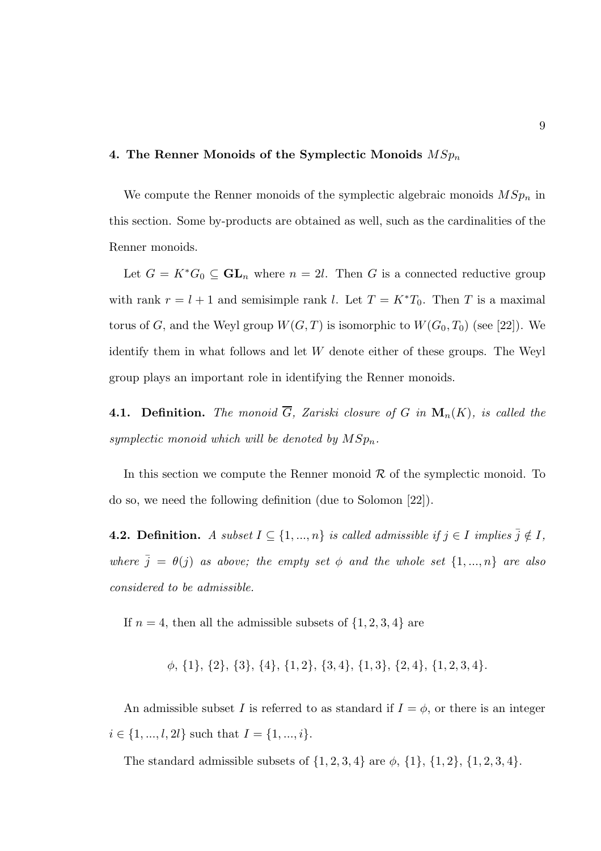#### 4. The Renner Monoids of the Symplectic Monoids  $MSp_n$

We compute the Renner monoids of the symplectic algebraic monoids  $MSp_n$  in this section. Some by-products are obtained as well, such as the cardinalities of the Renner monoids.

Let  $G = K^*G_0 \subseteq GL_n$  where  $n = 2l$ . Then G is a connected reductive group with rank  $r = l + 1$  and semisimple rank l. Let  $T = K^*T_0$ . Then T is a maximal torus of G, and the Weyl group  $W(G, T)$  is isomorphic to  $W(G_0, T_0)$  (see [22]). We identify them in what follows and let W denote either of these groups. The Weyl group plays an important role in identifying the Renner monoids.

**4.1. Definition.** The monoid  $\overline{G}$ , Zariski closure of G in  $\mathbf{M}_n(K)$ , is called the symplectic monoid which will be denoted by  $MSp_n$ .

In this section we compute the Renner monoid  $R$  of the symplectic monoid. To do so, we need the following definition (due to Solomon [22]).

**4.2. Definition.** A subset  $I \subseteq \{1, ..., n\}$  is called admissible if  $j \in I$  implies  $\overline{j} \notin I$ , where  $\bar{j} = \theta(j)$  as above; the empty set  $\phi$  and the whole set  $\{1, ..., n\}$  are also considered to be admissible.

If  $n = 4$ , then all the admissible subsets of  $\{1, 2, 3, 4\}$  are

φ, {1}, {2}, {3}, {4}, {1, 2}, {3, 4}, {1, 3}, {2, 4}, {1, 2, 3, 4}.

An admissible subset I is referred to as standard if  $I = \phi$ , or there is an integer  $i \in \{1, ..., l, 2l\}$  such that  $I = \{1, ..., i\}.$ 

The standard admissible subsets of  $\{1, 2, 3, 4\}$  are  $\phi$ ,  $\{1\}$ ,  $\{1, 2\}$ ,  $\{1, 2, 3, 4\}$ .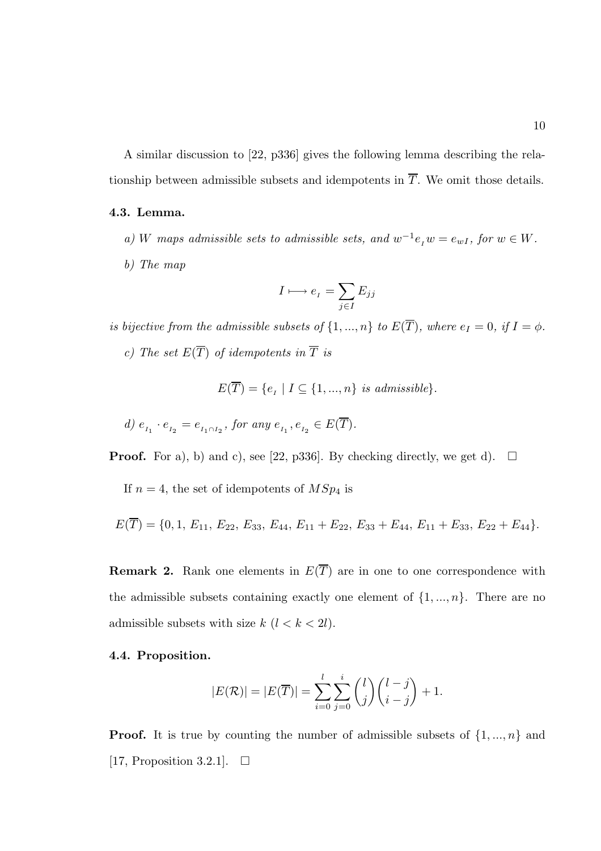A similar discussion to [22, p336] gives the following lemma describing the relationship between admissible subsets and idempotents in  $\overline{T}$ . We omit those details.

#### 4.3. Lemma.

- a) W maps admissible sets to admissible sets, and  $w^{-1}e_i w = e_{wI}$ , for  $w \in W$ .
- b) The map

$$
I \longmapsto e_{I} = \sum_{j \in I} E_{jj}
$$

is bijective from the admissible subsets of  $\{1, ..., n\}$  to  $E(\overline{T})$ , where  $e_I = 0$ , if  $I = \phi$ .

c) The set  $E(\overline{T})$  of idempotents in  $\overline{T}$  is

$$
E(T) = \{e_I \mid I \subseteq \{1, ..., n\} \text{ is admissible}\}.
$$

d) 
$$
e_{I_1} \cdot e_{I_2} = e_{I_1 \cap I_2}
$$
, for any  $e_{I_1}, e_{I_2} \in E(\overline{T})$ .

**Proof.** For a), b) and c), see [22, p336]. By checking directly, we get d).  $\Box$ 

If  $n = 4$ , the set of idempotents of  $MSp<sub>4</sub>$  is

$$
E(T) = \{0, 1, E_{11}, E_{22}, E_{33}, E_{44}, E_{11} + E_{22}, E_{33} + E_{44}, E_{11} + E_{33}, E_{22} + E_{44}\}.
$$

**Remark 2.** Rank one elements in  $E(\overline{T})$  are in one to one correspondence with the admissible subsets containing exactly one element of  $\{1, ..., n\}$ . There are no admissible subsets with size  $k$   $(l < k < 2l)$ .

#### 4.4. Proposition.

$$
|E(\mathcal{R})| = |E(\overline{T})| = \sum_{i=0}^{l} \sum_{j=0}^{i} {l \choose j} {l-j \choose i-j} + 1.
$$

**Proof.** It is true by counting the number of admissible subsets of  $\{1, ..., n\}$  and [17, Proposition 3.2.1].  $\Box$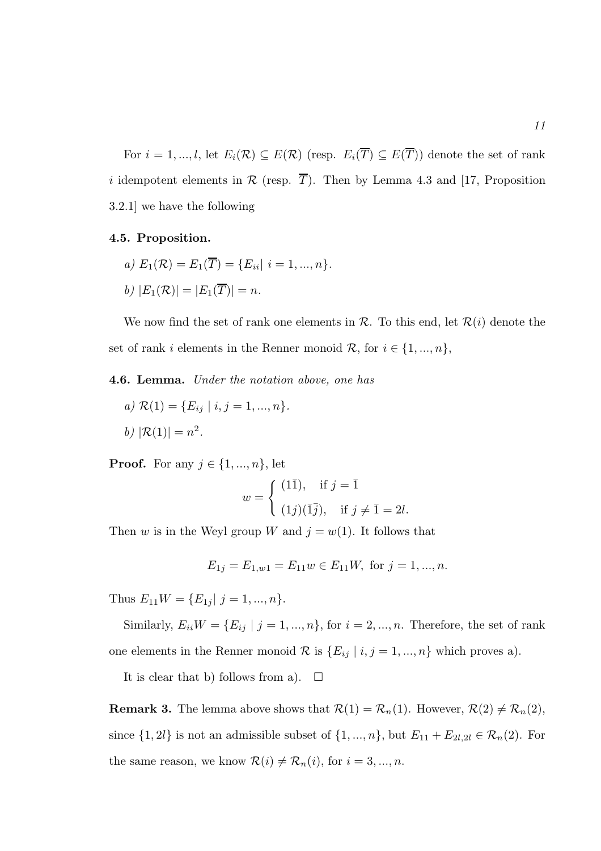For  $i = 1, ..., l$ , let  $E_i(\mathcal{R}) \subseteq E(\mathcal{R})$  (resp.  $E_i(\overline{T}) \subseteq E(\overline{T})$ ) denote the set of rank i idempotent elements in  $\mathcal R$  (resp.  $\overline{T}$ ). Then by Lemma 4.3 and [17, Proposition 3.2.1] we have the following

#### 4.5. Proposition.

a)  $E_1(\mathcal{R}) = E_1(\overline{T}) = \{E_{ii} | i = 1, ..., n\}.$ b)  $|E_1(\mathcal{R})| = |E_1(\overline{T})| = n$ .

We now find the set of rank one elements in  $\mathcal{R}$ . To this end, let  $\mathcal{R}(i)$  denote the set of rank i elements in the Renner monoid  $\mathcal{R}$ , for  $i \in \{1, ..., n\}$ ,

4.6. Lemma. Under the notation above, one has

a)  $\mathcal{R}(1) = \{E_{ij} | i, j = 1, ..., n\}.$ b)  $|\mathcal{R}(1)| = n^2$ .

**Proof.** For any  $j \in \{1, ..., n\}$ , let

$$
w = \begin{cases} (1\overline{1}), & \text{if } j = \overline{1} \\ (1j)(\overline{1}\overline{j}), & \text{if } j \neq \overline{1} = 2l. \end{cases}
$$

Then w is in the Weyl group W and  $j = w(1)$ . It follows that

$$
E_{1j} = E_{1,w1} = E_{11}w \in E_{11}W, \text{ for } j = 1, ..., n.
$$

Thus  $E_{11}W = \{E_{1j} | j = 1, ..., n\}.$ 

Similarly,  $E_{ii}W = \{E_{ij} | j = 1, ..., n\}$ , for  $i = 2, ..., n$ . Therefore, the set of rank one elements in the Renner monoid  $\mathcal R$  is  $\{E_{ij} | i, j = 1, ..., n\}$  which proves a).

It is clear that b) follows from a).  $\Box$ 

**Remark 3.** The lemma above shows that  $\mathcal{R}(1) = \mathcal{R}_n(1)$ . However,  $\mathcal{R}(2) \neq \mathcal{R}_n(2)$ , since  $\{1, 2l\}$  is not an admissible subset of  $\{1, ..., n\}$ , but  $E_{11} + E_{2l,2l} \in \mathcal{R}_n(2)$ . For the same reason, we know  $\mathcal{R}(i) \neq \mathcal{R}_n(i)$ , for  $i = 3, ..., n$ .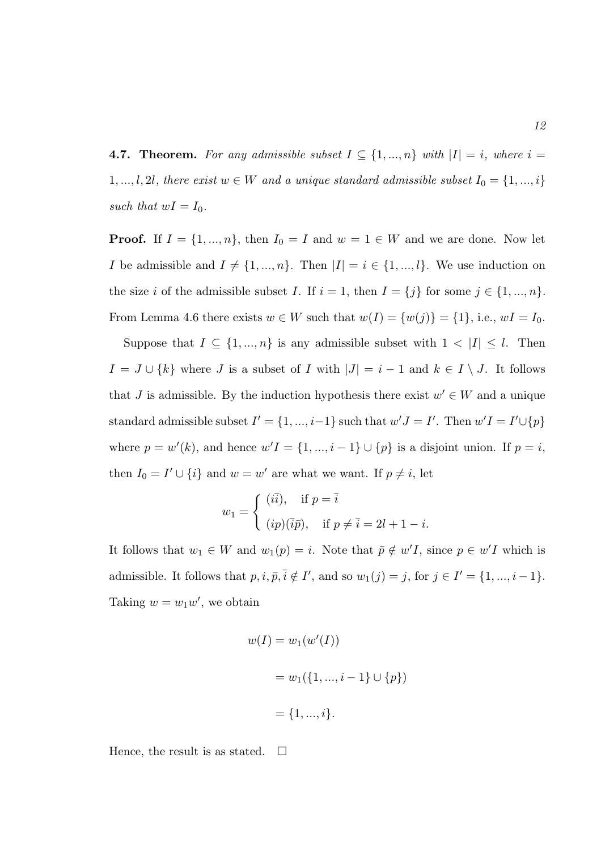**4.7. Theorem.** For any admissible subset  $I \subseteq \{1, ..., n\}$  with  $|I| = i$ , where  $i =$ 1, ..., l, 2l, there exist  $w \in W$  and a unique standard admissible subset  $I_0 = \{1, ..., i\}$ such that  $wI = I_0$ .

**Proof.** If  $I = \{1, ..., n\}$ , then  $I_0 = I$  and  $w = 1 \in W$  and we are done. Now let I be admissible and  $I \neq \{1, ..., n\}$ . Then  $|I| = i \in \{1, ..., l\}$ . We use induction on the size i of the admissible subset I. If  $i = 1$ , then  $I = \{j\}$  for some  $j \in \{1, ..., n\}$ . From Lemma 4.6 there exists  $w \in W$  such that  $w(I) = \{w(j)\} = \{1\}$ , i.e.,  $wI = I_0$ .

Suppose that  $I \subseteq \{1, ..., n\}$  is any admissible subset with  $1 < |I| \leq l$ . Then  $I = J \cup \{k\}$  where J is a subset of I with  $|J| = i - 1$  and  $k \in I \setminus J$ . It follows that J is admissible. By the induction hypothesis there exist  $w' \in W$  and a unique standard admissible subset  $I' = \{1, ..., i-1\}$  such that  $w'J = I'$ . Then  $w'I = I' \cup \{p\}$ where  $p = w'(k)$ , and hence  $w'I = \{1, ..., i-1\} \cup \{p\}$  is a disjoint union. If  $p = i$ , then  $I_0 = I' \cup \{i\}$  and  $w = w'$  are what we want. If  $p \neq i$ , let

$$
w_1 = \begin{cases} (i\overline{i}), & \text{if } p = \overline{i} \\ (ip)(\overline{i}p), & \text{if } p \neq \overline{i} = 2l + 1 - i. \end{cases}
$$

It follows that  $w_1 \in W$  and  $w_1(p) = i$ . Note that  $\overline{p} \notin w'I$ , since  $p \in w'I$  which is admissible. It follows that  $p, i, \bar{p}, \bar{i} \notin I'$ , and so  $w_1(j) = j$ , for  $j \in I' = \{1, ..., i-1\}$ . Taking  $w = w_1 w'$ , we obtain

$$
w(I) = w_1(w'(I))
$$
  
=  $w_1(\{1, ..., i - 1\} \cup \{p\})$   
=  $\{1, ..., i\}.$ 

Hence, the result is as stated.  $\square$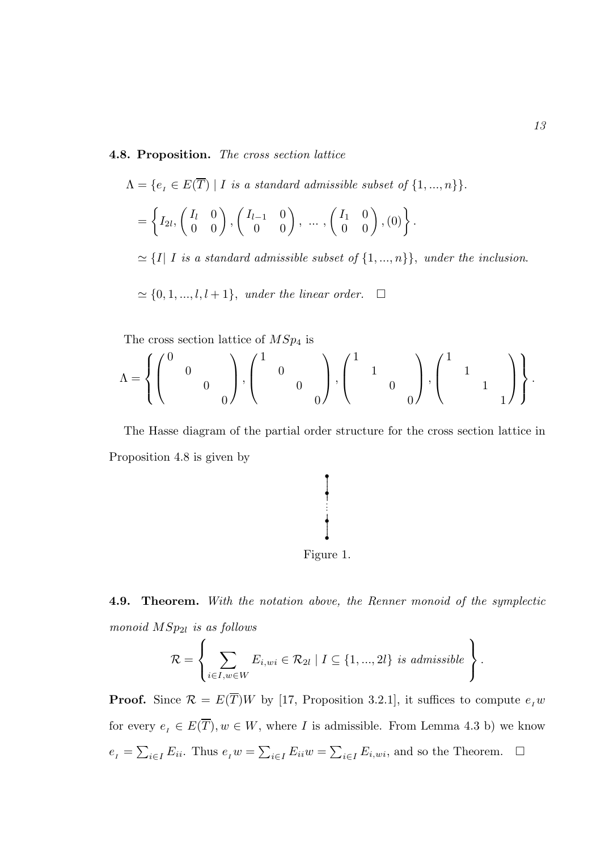#### 4.8. Proposition. The cross section lattice

$$
\Lambda = \{e_I \in E(\overline{T}) \mid I \text{ is a standard admissible subset of } \{1, ..., n\} \}.
$$
  
=  $\left\{ I_{2l}, \begin{pmatrix} I_l & 0 \\ 0 & 0 \end{pmatrix}, \begin{pmatrix} I_{l-1} & 0 \\ 0 & 0 \end{pmatrix}, ..., \begin{pmatrix} I_1 & 0 \\ 0 & 0 \end{pmatrix}, (0) \right\}.$   
 $\simeq \{I \mid I \text{ is a standard admissible subset of } \{1, ..., n\} \}, \text{ under the inclusion.}$ 

 $\alpha \simeq \{0, 1, ..., l, l + 1\},$  under the linear order.  $\square$ 

The cross section lattice of  $MSp_4$  is

$$
\Lambda = \left\{ \begin{pmatrix} 0 & & & \\ & 0 & & \\ & & 0 & \\ & & & 0 \end{pmatrix}, \begin{pmatrix} 1 & & & \\ & 0 & & \\ & & 0 & \\ & & & 0 \end{pmatrix}, \begin{pmatrix} 1 & & & \\ & 1 & & \\ & & 0 & \\ & & & 0 \end{pmatrix}, \begin{pmatrix} 1 & & & \\ & 1 & & \\ & & 1 & \\ & & & 1 \end{pmatrix} \right\}.
$$

The Hasse diagram of the partial order structure for the cross section lattice in Proposition 4.8 is given by



4.9. Theorem. With the notation above, the Renner monoid of the symplectic monoid  $MSp_{2l}$  is as follows

$$
\mathcal{R} = \left\{ \sum_{i \in I, w \in W} E_{i,wi} \in \mathcal{R}_{2l} \mid I \subseteq \{1, ..., 2l\} \text{ is admissible} \right\}.
$$

**Proof.** Since  $\mathcal{R} = E(\overline{T})W$  by [17, Proposition 3.2.1], it suffices to compute  $e_I w$ for every  $e_I \in E(\overline{T}), w \in W$ , where I is admissible. From Lemma 4.3 b) we know  $e_{I} = \sum_{i \in I} E_{ii}$ . Thus  $e_{I} w = \sum_{i \in I} E_{ii} w = \sum_{i \in I} E_{i,wi}$ , and so the Theorem.  $\Box$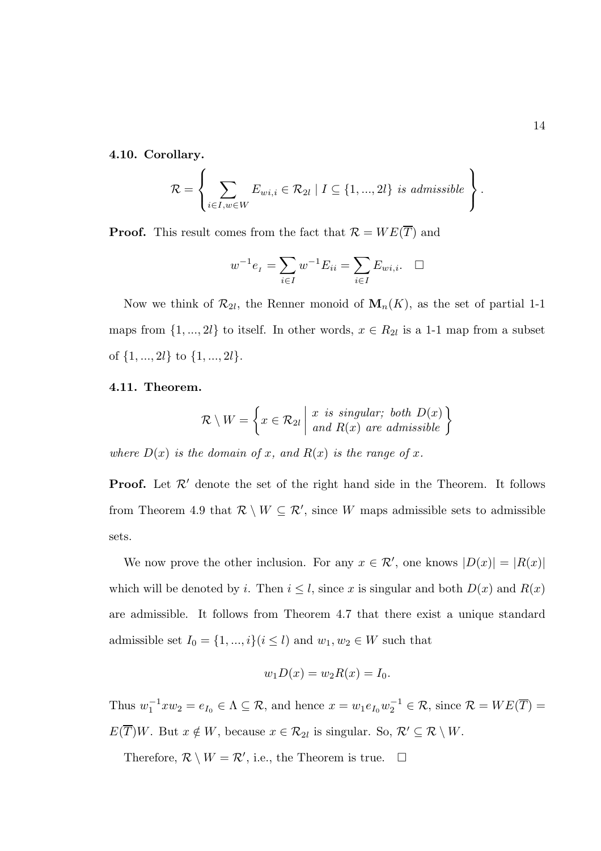4.10. Corollary.

$$
\mathcal{R} = \left\{ \sum_{i \in I, w \in W} E_{wi,i} \in \mathcal{R}_{2l} \mid I \subseteq \{1, ..., 2l\} \text{ is admissible} \right\}.
$$

**Proof.** This result comes from the fact that  $\mathcal{R} = WE(\overline{T})$  and

$$
w^{-1}e_{I} = \sum_{i \in I} w^{-1} E_{ii} = \sum_{i \in I} E_{wi,i}. \quad \Box
$$

Now we think of  $\mathcal{R}_{2l}$ , the Renner monoid of  $\mathbf{M}_n(K)$ , as the set of partial 1-1 maps from  $\{1, ..., 2l\}$  to itself. In other words,  $x \in R_{2l}$  is a 1-1 map from a subset of  $\{1, ..., 2l\}$  to  $\{1, ..., 2l\}$ .

#### 4.11. Theorem.

$$
\mathcal{R} \setminus W = \left\{ x \in \mathcal{R}_{2l} \middle| \begin{array}{l} x \text{ is singular; both } D(x) \\ \text{and } R(x) \text{ are admissible} \end{array} \right\}
$$

where  $D(x)$  is the domain of x, and  $R(x)$  is the range of x.

**Proof.** Let  $\mathcal{R}'$  denote the set of the right hand side in the Theorem. It follows from Theorem 4.9 that  $\mathcal{R} \setminus W \subseteq \mathcal{R}'$ , since W maps admissible sets to admissible sets.

We now prove the other inclusion. For any  $x \in \mathcal{R}'$ , one knows  $|D(x)| = |R(x)|$ which will be denoted by i. Then  $i \leq l$ , since x is singular and both  $D(x)$  and  $R(x)$ are admissible. It follows from Theorem 4.7 that there exist a unique standard admissible set  $I_0 = \{1, ..., i\} (i \leq l)$  and  $w_1, w_2 \in W$  such that

$$
w_1 D(x) = w_2 R(x) = I_0.
$$

Thus  $w_1^{-1} x w_2 = e_{I_0} \in \Lambda \subseteq \mathcal{R}$ , and hence  $x = w_1 e_{I_0} w_2^{-1} \in \mathcal{R}$ , since  $\mathcal{R} = WE(\overline{T})$  $E(\overline{T})W$ . But  $x \notin W$ , because  $x \in \mathcal{R}_{2l}$  is singular. So,  $\mathcal{R}' \subseteq \mathcal{R} \setminus W$ .

Therefore,  $\mathcal{R} \setminus W = \mathcal{R}'$ , i.e., the Theorem is true.  $\Box$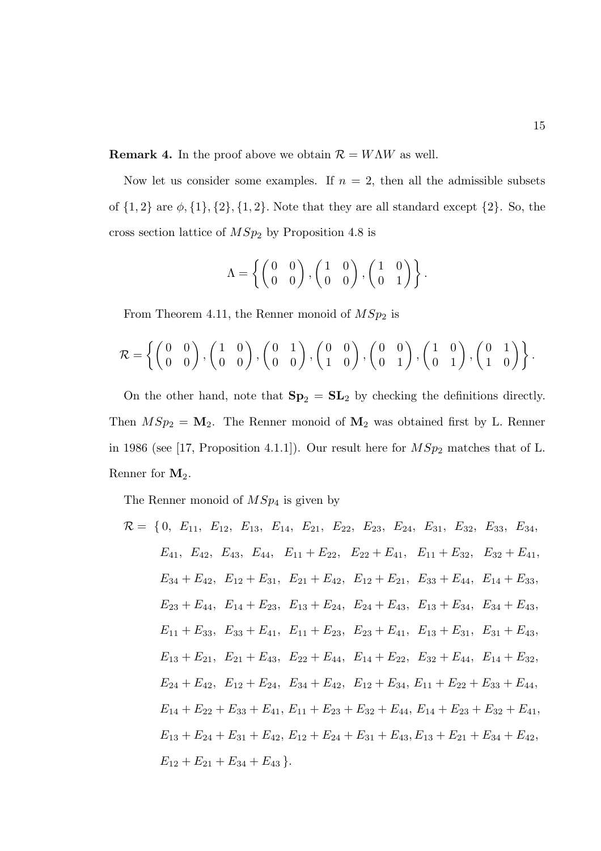**Remark 4.** In the proof above we obtain  $\mathcal{R} = W\Lambda W$  as well.

Now let us consider some examples. If  $n = 2$ , then all the admissible subsets of  $\{1, 2\}$  are  $\phi$ ,  $\{1\}$ ,  $\{2\}$ ,  $\{1, 2\}$ . Note that they are all standard except  $\{2\}$ . So, the cross section lattice of  $MSp<sub>2</sub>$  by Proposition 4.8 is

$$
\Lambda = \left\{ \begin{pmatrix} 0 & 0 \\ 0 & 0 \end{pmatrix}, \begin{pmatrix} 1 & 0 \\ 0 & 0 \end{pmatrix}, \begin{pmatrix} 1 & 0 \\ 0 & 1 \end{pmatrix} \right\}.
$$

From Theorem 4.11, the Renner monoid of  $MSp_2$  is

$$
\mathcal{R} = \left\{ \begin{pmatrix} 0 & 0 \\ 0 & 0 \end{pmatrix}, \begin{pmatrix} 1 & 0 \\ 0 & 0 \end{pmatrix}, \begin{pmatrix} 0 & 1 \\ 0 & 0 \end{pmatrix}, \begin{pmatrix} 0 & 0 \\ 1 & 0 \end{pmatrix}, \begin{pmatrix} 0 & 0 \\ 0 & 1 \end{pmatrix}, \begin{pmatrix} 1 & 0 \\ 0 & 1 \end{pmatrix}, \begin{pmatrix} 0 & 1 \\ 1 & 0 \end{pmatrix} \right\}.
$$

On the other hand, note that  $Sp_2 = SL_2$  by checking the definitions directly. Then  $MSp_2 = M_2$ . The Renner monoid of  $M_2$  was obtained first by L. Renner in 1986 (see [17, Proposition 4.1.1]). Our result here for  $MSp_2$  matches that of L. Renner for  $M_2$ .

The Renner monoid of  $MSp<sub>4</sub>$  is given by

$$
\mathcal{R} = \{0, E_{11}, E_{12}, E_{13}, E_{14}, E_{21}, E_{22}, E_{23}, E_{24}, E_{31}, E_{32}, E_{33}, E_{34},\nE_{41}, E_{42}, E_{43}, E_{44}, E_{11} + E_{22}, E_{22} + E_{41}, E_{11} + E_{32}, E_{32} + E_{41},\nE_{34} + E_{42}, E_{12} + E_{31}, E_{21} + E_{42}, E_{12} + E_{21}, E_{33} + E_{44}, E_{14} + E_{33},\nE_{23} + E_{44}, E_{14} + E_{23}, E_{13} + E_{24}, E_{24} + E_{43}, E_{13} + E_{34}, E_{34} + E_{43},\nE_{11} + E_{33}, E_{33} + E_{41}, E_{11} + E_{23}, E_{23} + E_{41}, E_{13} + E_{31}, E_{31} + E_{43},\nE_{13} + E_{21}, E_{21} + E_{43}, E_{22} + E_{44}, E_{14} + E_{22}, E_{32} + E_{44}, E_{14} + E_{32},\nE_{24} + E_{42}, E_{12} + E_{24}, E_{34} + E_{42}, E_{12} + E_{34}, E_{11} + E_{22} + E_{33} + E_{44},\nE_{14} + E_{22} + E_{33} + E_{41}, E_{11} + E_{23} + E_{32} + E_{44}, E_{14} + E_{23} + E_{32} + E_{41},\nE_{13} + E_{24} + E_{31} + E_{42}, E_{12} + E_{24} + E_{31} + E_{43}, E_{13} + E_{21} + E_{34} + E_{42},\nE_{12} + E_{21} + E_{34} + E_{43}.
$$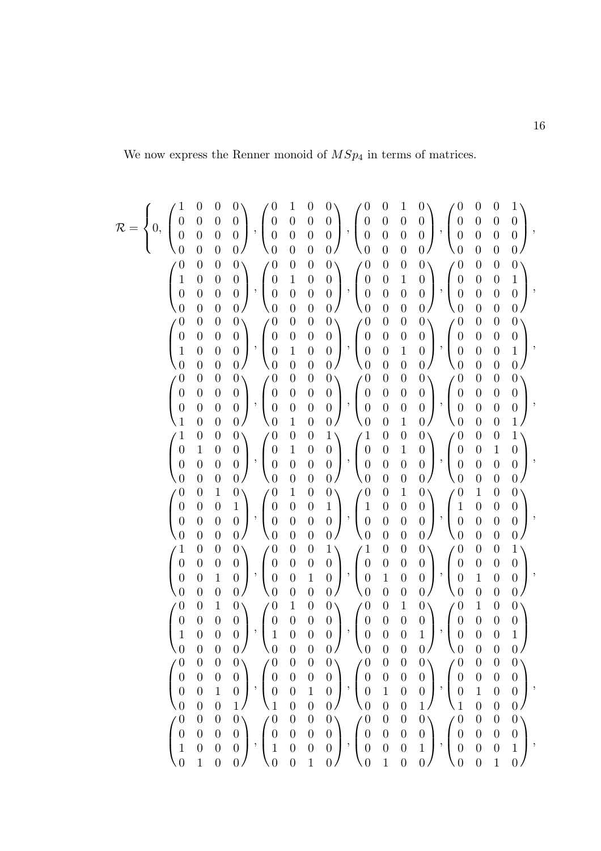We now express the Renner monoid of  $MSp_4$  in terms of matrices.

$$
\mathcal{R} = \left\{ 0, \begin{pmatrix} 1 & 0 & 0 & 0 \\ 0 & 0 & 0 & 0 \\ 0 & 0 & 0 & 0 \\ 0 & 0 & 0 & 0 \\ 0 & 0 & 0 & 0 \\ 0 & 0 & 0 & 0 \\ 0 & 0 & 0 & 0 \\ 0 & 0 & 0 & 0 \\ 0 & 0 & 0 & 0 \\ 0 & 0 & 0 & 0 \\ 0 & 0 & 0 & 0 \\ 0 & 0 & 0 & 0 \\ 0 & 0 & 0 & 0 \\ 0 & 0 & 0 & 0 \\ 0 & 0 & 0 & 0 \\ 0 & 0 & 0 & 0 \\ 0 & 0 & 0 & 0 \\ 0 & 0 & 0 & 0 \\ 0 & 0 & 0 & 0 \\ 0 & 0 & 0 & 0 \\ 0 & 0 & 0 & 0 \\ 0 & 0 & 0 & 0 \\ 0 & 0 & 0 & 0 \\ 0 & 0 & 0 & 0 \\ 0 & 0 & 0 & 0 \\ 0 & 0 & 0 & 0 \\ 0 & 0 & 0 & 0 \\ 0 & 0 & 0 & 0 \\ 0 & 0 & 0 & 0 \\ 0 & 0 & 0 & 0 \\ 0 & 0 & 0 & 0 \\ 0 & 0 & 0 & 0 \\ 0 & 0 & 0 & 0 \\ 0 & 0 & 0 & 0 \\ 0 & 0 & 0 & 0 \\ 0 & 0 & 0 & 0 \\ 0 & 0 & 0 & 0 \\ 0 & 0 & 0 & 0 \\ 0 & 0 & 0 & 0 \\ 0 & 0 & 0 & 0 \\ 0 & 0 & 0 & 0 \\ 0 & 0 & 0 & 0 \\ 0 & 0 & 0 & 0 \\ 0 & 0 & 0 & 0 \\ 0 & 0 & 0 & 0 \\ 0 & 0 & 0 & 0 \\ 0 & 0 & 0 & 0 \\ 0 & 0 & 0 & 0 \\ 0 & 0 & 0 & 0 \\ 0 & 0 & 0 & 0 \\ 0 & 0 & 0 & 0 \\ 0 & 0 & 0 & 0 \\ 0 & 0 & 0 & 0 \\ 0 & 0 & 0 & 0 \\ 0 & 0 & 0 & 0 \\ 0 & 0 & 0 & 0 \\ 0 & 0 & 0 & 0 \\ 0 & 0 & 0 & 0 \\ 0 & 0 & 0 & 0 \\ 0 & 0 & 0 & 0 \\ 0 & 0 & 0 & 0 \\ 0 & 0 & 0
$$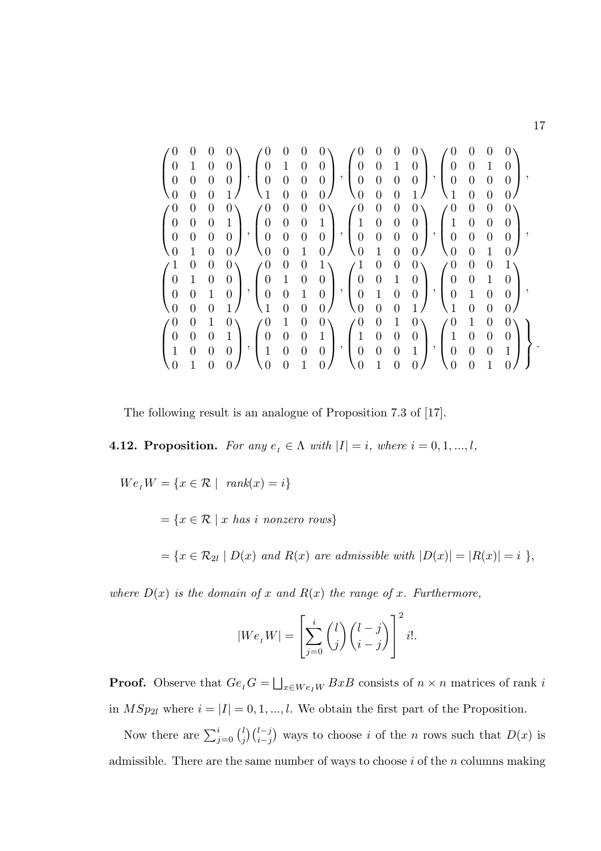|                                                                                                  |                                                          |                  | $\begin{bmatrix} 0 \end{bmatrix}$                                                                                                                                                                                                                                                                                                                 |  | $\Bigg) \ , \begin{pmatrix} 0 & 0 & 0 & 0 \\ 0 & 1 & 0 & 0 \\ 0 & 0 & 0 & 0 \\ 1 & 0 & 0 & 0 \end{pmatrix} \ , \begin{pmatrix} 0 & 0 & 0 & 0 \\ 0 & 0 & 1 & 0 \\ 0 & 0 & 0 & 0 \\ 0 & 0 & 0 & 1 \end{pmatrix} \ , \begin{pmatrix} 0 & 0 & 0 & 0 \\ 0 & 0 & 1 & 0 \\ 0 & 0 & 0 & 0 \\ 1 & 0 & 0 & 0 \end{pmatrix} \ ,$ |                |  |  |                                                                                                                                                              |  |
|--------------------------------------------------------------------------------------------------|----------------------------------------------------------|------------------|---------------------------------------------------------------------------------------------------------------------------------------------------------------------------------------------------------------------------------------------------------------------------------------------------------------------------------------------------|--|-----------------------------------------------------------------------------------------------------------------------------------------------------------------------------------------------------------------------------------------------------------------------------------------------------------------------|----------------|--|--|--------------------------------------------------------------------------------------------------------------------------------------------------------------|--|
| $\left(\begin{matrix} 0 & 0 & 0 \\ 0 & 1 & 0 \\ 0 & 0 & 0 \end{matrix}\right)$                   |                                                          |                  | $\boldsymbol{0}$                                                                                                                                                                                                                                                                                                                                  |  |                                                                                                                                                                                                                                                                                                                       |                |  |  |                                                                                                                                                              |  |
| $\setminus 0$                                                                                    | $\overline{0}$                                           | $\overline{0}$   | $\mathbf{1}$                                                                                                                                                                                                                                                                                                                                      |  |                                                                                                                                                                                                                                                                                                                       | $\overline{0}$ |  |  |                                                                                                                                                              |  |
| $\left(\begin{matrix} 0\\0\\0\\0\\0 \end{matrix}\right)$                                         | $\boldsymbol{0}$                                         | $\boldsymbol{0}$ | $\begin{pmatrix} 0 \\ 1 \\ 0 \\ 0 \end{pmatrix}, \begin{pmatrix} 0 & 0 & 0 & 0 \\ 0 & 0 & 0 & 1 \\ 0 & 0 & 0 & 0 \\ 0 & 0 & 1 & 0 \end{pmatrix}, \begin{pmatrix} 0 & 0 & 0 & 0 \\ 1 & 0 & 0 & 0 \\ 0 & 0 & 0 & 0 \\ 0 & 1 & 0 & 0 \end{pmatrix}, \begin{pmatrix} 0 & 0 & 0 & 0 \\ 1 & 0 & 0 & 0 \\ 0 & 0 & 0 & 0 \\ 0 & 0 & 1 & 0 \end{pmatrix},$ |  |                                                                                                                                                                                                                                                                                                                       |                |  |  |                                                                                                                                                              |  |
|                                                                                                  | $\begin{array}{ccc} 0 & 0 \\ 0 & 0 \\ 1 & 0 \end{array}$ |                  | $\left(1\right)$                                                                                                                                                                                                                                                                                                                                  |  |                                                                                                                                                                                                                                                                                                                       |                |  |  |                                                                                                                                                              |  |
|                                                                                                  |                                                          |                  |                                                                                                                                                                                                                                                                                                                                                   |  |                                                                                                                                                                                                                                                                                                                       |                |  |  |                                                                                                                                                              |  |
|                                                                                                  |                                                          |                  |                                                                                                                                                                                                                                                                                                                                                   |  |                                                                                                                                                                                                                                                                                                                       |                |  |  | 0/                                                                                                                                                           |  |
| $\left( \begin{matrix} 1 & 0 & 0 \\ 0 & 1 & 0 \\ 0 & 0 & 1 \\ 0 & 0 & 0 \\ \end{matrix} \right)$ |                                                          |                  | $\begin{pmatrix} 0 \\ 0 \\ 0 \\ 1 \end{pmatrix}, \begin{pmatrix} 0 & 0 & 0 & 1 \\ 0 & 1 & 0 & 0 \\ 0 & 0 & 1 & 0 \\ 1 & 0 & 0 & 0 \end{pmatrix}, \begin{pmatrix} 1 & 0 & 0 & 0 \\ 0 & 0 & 1 & 0 \\ 0 & 1 & 0 & 0 \\ 0 & 0 & 0 & 1 \end{pmatrix}, \begin{pmatrix} 0 & 0 & 0 & 1 \\ 0 & 0 & 1 & 0 \\ 0 & 1 & 0 & 0 \\ 1 & 0 & 0 & 0 \end{pmatrix},$ |  |                                                                                                                                                                                                                                                                                                                       |                |  |  |                                                                                                                                                              |  |
|                                                                                                  |                                                          |                  |                                                                                                                                                                                                                                                                                                                                                   |  |                                                                                                                                                                                                                                                                                                                       |                |  |  |                                                                                                                                                              |  |
|                                                                                                  |                                                          |                  |                                                                                                                                                                                                                                                                                                                                                   |  |                                                                                                                                                                                                                                                                                                                       |                |  |  |                                                                                                                                                              |  |
|                                                                                                  |                                                          |                  | $\frac{1}{1}$                                                                                                                                                                                                                                                                                                                                     |  | 0/                                                                                                                                                                                                                                                                                                                    |                |  |  | $\frac{1}{2}$                                                                                                                                                |  |
|                                                                                                  | $\boldsymbol{0}$                                         |                  |                                                                                                                                                                                                                                                                                                                                                   |  |                                                                                                                                                                                                                                                                                                                       |                |  |  |                                                                                                                                                              |  |
| $\left(\begin{matrix} 0\\0\\1 \end{matrix}\right)$                                               | $\begin{matrix} 0 & 0 \\ 0 & 0 \end{matrix}$             |                  |                                                                                                                                                                                                                                                                                                                                                   |  |                                                                                                                                                                                                                                                                                                                       |                |  |  |                                                                                                                                                              |  |
|                                                                                                  |                                                          |                  |                                                                                                                                                                                                                                                                                                                                                   |  |                                                                                                                                                                                                                                                                                                                       |                |  |  |                                                                                                                                                              |  |
| $\overline{0}$                                                                                   | $\mathbf{1}$                                             |                  | $\begin{pmatrix} 1 & 0 \\ 0 & 1 \\ 0 & 0 \\ 0 & 0 \end{pmatrix}, \begin{pmatrix} 0 & 1 & 0 & 0 \\ 0 & 0 & 0 & 1 \\ 1 & 0 & 0 & 0 \\ 0 & 0 & 1 & 0 \end{pmatrix}, \begin{pmatrix} 0 & 0 & 1 & 0 \\ 1 & 0 & 0 & 0 \\ 0 & 0 & 0 & 1 \\ 0 & 1 & 0 & 0 \end{pmatrix},$                                                                                 |  |                                                                                                                                                                                                                                                                                                                       |                |  |  | $\left.\left.\rule{0cm}{0cm}\right), \left(\begin{array}{cccc} 0 & 1 & 0 & 0 \\ 1 & 0 & 0 & 0 \\ 0 & 0 & 0 & 1 \\ 0 & 0 & 1 & 0 \end{array}\right)\right\}.$ |  |

The following result is an analogue of Proposition 7.3 of [17].

# **4.12. Proposition.** For any  $e_i \in \Lambda$  with  $|I| = i$ , where  $i = 0, 1, ..., l$ ,

 $We_{i}W = \{x \in \mathcal{R} \mid \text{rank}(x) = i\}$ 

 $=\{x \in \mathcal{R} \mid x \text{ has } i \text{ nonzero rows}\}\$ 

 $=\{x\in \mathcal{R}_{2l}\mid D(x) \text{ and } R(x) \text{ are admissible with } |D(x)|=|R(x)|=i \ \},$ 

where  $D(x)$  is the domain of x and  $R(x)$  the range of x. Furthermore,

$$
|We_{t}W| = \left[\sum_{j=0}^{i} {l \choose j} {l-j \choose i-j}\right]^{2} i!.
$$

**Proof.** Observe that  $Ge_{I}G = \bigsqcup_{x \in We_{I}W} BxB$  consists of  $n \times n$  matrices of rank i in  $MSp_{2l}$  where  $i = |I| = 0, 1, ..., l$ . We obtain the first part of the Proposition.

Now there are  $\sum_{j=0}^{i} {l \choose j}$  $j \binom{l-j}{i-j}$  ways to choose i of the n rows such that  $D(x)$  is admissible. There are the same number of ways to choose  $i$  of the  $n$  columns making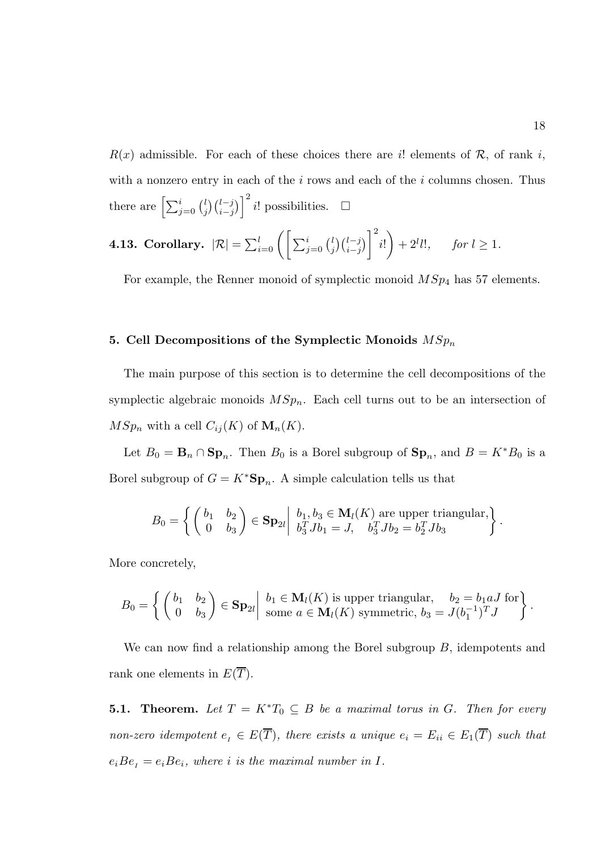$R(x)$  admissible. For each of these choices there are i! elements of R, of rank i, with a nonzero entry in each of the  $i$  rows and each of the  $i$  columns chosen. Thus there are  $\left[\sum_{j=0}^i \binom{l}{j}\right]$  $\binom{l}{j}\binom{l-j}{i-j}$ <sup>2</sup> i! possibilities. □

**4.13. Corollary.** 
$$
|\mathcal{R}| = \sum_{i=0}^{l} \left( \left[ \sum_{j=0}^{i} {l \choose j} {l-j \choose i-j} \right]^{2} i! \right) + 2^{l} l!, \quad \text{for } l \geq 1.
$$

For example, the Renner monoid of symplectic monoid  $MSp<sub>4</sub>$  has 57 elements.

#### 5. Cell Decompositions of the Symplectic Monoids  $MSp_n$

The main purpose of this section is to determine the cell decompositions of the symplectic algebraic monoids  $MSp_n$ . Each cell turns out to be an intersection of  $MSp_n$  with a cell  $C_{ij}(K)$  of  $\mathbf{M}_n(K)$ .

Let  $B_0 = \mathbf{B}_n \cap \mathbf{Sp}_n$ . Then  $B_0$  is a Borel subgroup of  $\mathbf{Sp}_n$ , and  $B = K^*B_0$  is a Borel subgroup of  $G = K^* \mathbf{Sp}_n$ . A simple calculation tells us that

$$
B_0 = \left\{ \begin{pmatrix} b_1 & b_2 \\ 0 & b_3 \end{pmatrix} \in \mathbf{Sp}_{2l} \middle| \begin{array}{l} b_1, b_3 \in \mathbf{M}_l(K) \text{ are upper triangular,} \\ b_3^T J b_1 = J, \quad b_3^T J b_2 = b_2^T J b_3 \end{array} \right\}.
$$

More concretely,

$$
B_0 = \left\{ \begin{pmatrix} b_1 & b_2 \\ 0 & b_3 \end{pmatrix} \in \mathbf{Sp}_{2l} \middle| \begin{array}{l} b_1 \in \mathbf{M}_l(K) \text{ is upper triangular}, & b_2 = b_1 a J \text{ for} \\ \text{some } a \in \mathbf{M}_l(K) \text{ symmetric}, b_3 = J(b_1^{-1})^T J \end{array} \right\}.
$$

We can now find a relationship among the Borel subgroup  $B$ , idempotents and rank one elements in  $E(\overline{T})$ .

**5.1. Theorem.** Let  $T = K^*T_0 \subseteq B$  be a maximal torus in G. Then for every non-zero idempotent  $e_i \in E(\overline{T})$ , there exists a unique  $e_i = E_{ii} \in E_1(\overline{T})$  such that  $e_iBe_i = e_iBe_i$ , where i is the maximal number in I.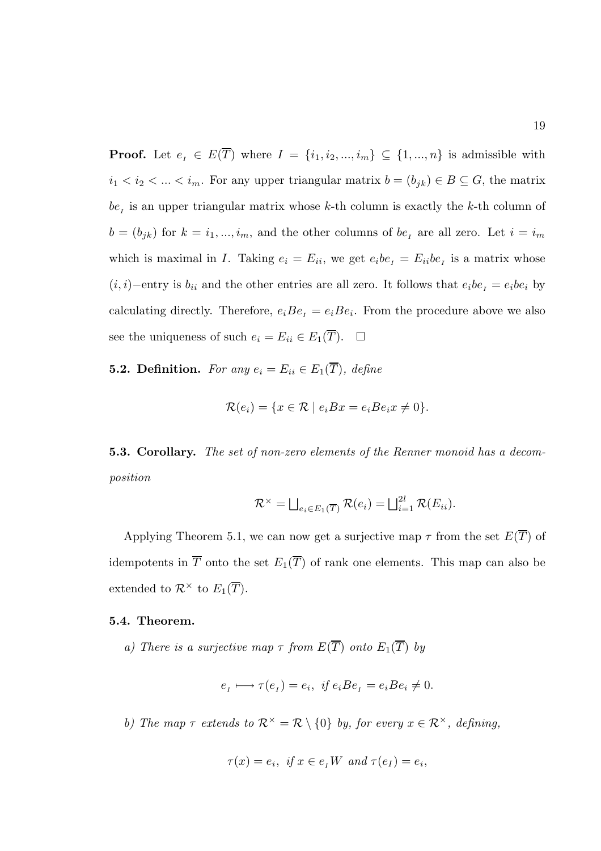**Proof.** Let  $e_i \in E(\overline{T})$  where  $I = \{i_1, i_2, ..., i_m\} \subseteq \{1, ..., n\}$  is admissible with  $i_1 < i_2 < \ldots < i_m$ . For any upper triangular matrix  $b = (b_{jk}) \in B \subseteq G$ , the matrix  $be<sub>I</sub>$  is an upper triangular matrix whose k-th column is exactly the k-th column of  $b = (b_{jk})$  for  $k = i_1, ..., i_m$ , and the other columns of  $be_i$  are all zero. Let  $i = i_m$ which is maximal in I. Taking  $e_i = E_{ii}$ , we get  $e_i b e_i = E_{ii} b e_i$  is a matrix whose  $(i, i)$ −entry is  $b_{ii}$  and the other entries are all zero. It follows that  $e_i b e_i = e_i b e_i$  by calculating directly. Therefore,  $e_iBe_i = e_iBe_i$ . From the procedure above we also see the uniqueness of such  $e_i = E_{ii} \in E_1(\overline{T})$ .  $\Box$ 

**5.2. Definition.** For any  $e_i = E_{ii} \in E_1(\overline{T})$ , define

$$
\mathcal{R}(e_i) = \{ x \in \mathcal{R} \mid e_i B x = e_i B e_i x \neq 0 \}.
$$

5.3. Corollary. The set of non-zero elements of the Renner monoid has a decomposition

$$
\mathcal{R}^{\times} = \bigsqcup_{e_i \in E_1(\overline{T})} \mathcal{R}(e_i) = \bigsqcup_{i=1}^{2l} \mathcal{R}(E_{ii}).
$$

Applying Theorem 5.1, we can now get a surjective map  $\tau$  from the set  $E(\overline{T})$  of idempotents in  $\overline{T}$  onto the set  $E_1(\overline{T})$  of rank one elements. This map can also be extended to  $\mathcal{R}^{\times}$  to  $E_1(\overline{T})$ .

#### 5.4. Theorem.

a) There is a surjective map  $\tau$  from  $E(\overline{T})$  onto  $E_1(\overline{T})$  by

$$
e_i \longmapsto \tau(e_i) = e_i, \ \text{if } e_i B e_i = e_i B e_i \neq 0.
$$

b) The map  $\tau$  extends to  $\mathcal{R}^{\times} = \mathcal{R} \setminus \{0\}$  by, for every  $x \in \mathcal{R}^{\times}$ , defining,

$$
\tau(x) = e_i, \text{ if } x \in e_I W \text{ and } \tau(e_I) = e_i,
$$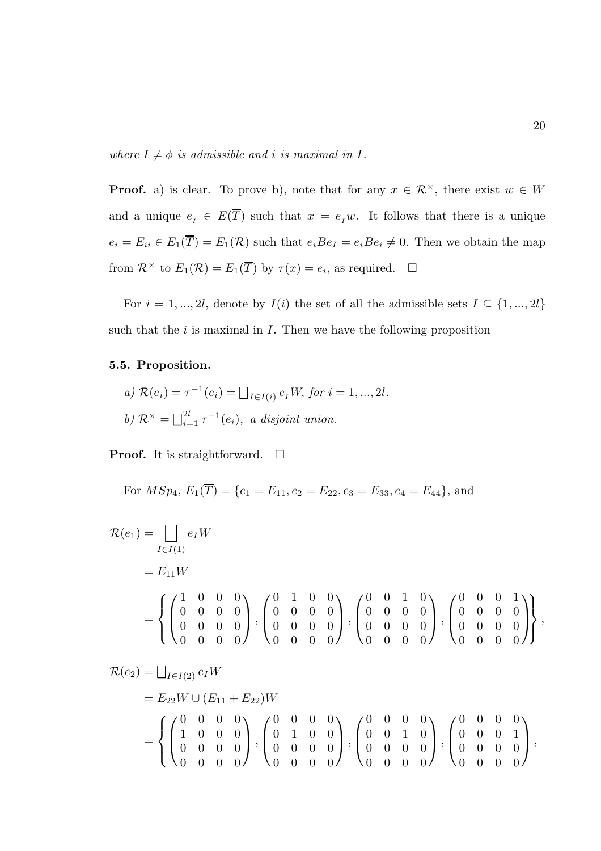where  $I \neq \phi$  is admissible and i is maximal in I.

**Proof.** a) is clear. To prove b), note that for any  $x \in \mathbb{R}^{\times}$ , there exist  $w \in W$ and a unique  $e_i \in E(\overline{T})$  such that  $x = e_i w$ . It follows that there is a unique  $e_i = E_{ii} \in E_1(\overline{T}) = E_1(\mathcal{R})$  such that  $e_i Be_I = e_i Be_i \neq 0$ . Then we obtain the map from  $\mathcal{R}^{\times}$  to  $E_1(\mathcal{R}) = E_1(\overline{T})$  by  $\tau(x) = e_i$ , as required.  $\Box$ 

For  $i = 1, ..., 2l$ , denote by  $I(i)$  the set of all the admissible sets  $I \subseteq \{1, ..., 2l\}$ such that the  $i$  is maximal in  $I$ . Then we have the following proposition

#### 5.5. Proposition.

a) 
$$
\mathcal{R}(e_i) = \tau^{-1}(e_i) = \bigsqcup_{I \in I(i)} e_I W
$$
, for  $i = 1, ..., 2l$ .  
b)  $\mathcal{R}^{\times} = \bigsqcup_{i=1}^{2l} \tau^{-1}(e_i)$ , a disjoint union.

**Proof.** It is straightforward.  $\Box$ 

For 
$$
MSp_4
$$
,  $E_1(\overline{T}) = \{e_1 = E_{11}, e_2 = E_{22}, e_3 = E_{33}, e_4 = E_{44}\}$ , and

$$
\mathcal{R}(e_1) = \bigsqcup_{I \in I(1)} e_I W
$$
  
=  $E_{11}W$   
=  $\begin{Bmatrix} \begin{pmatrix} 1 & 0 & 0 & 0 \\ 0 & 0 & 0 & 0 \\ 0 & 0 & 0 & 0 \\ 0 & 0 & 0 & 0 \end{pmatrix}, \begin{pmatrix} 0 & 1 & 0 & 0 \\ 0 & 0 & 0 & 0 \\ 0 & 0 & 0 & 0 \\ 0 & 0 & 0 & 0 \end{pmatrix}, \begin{pmatrix} 0 & 0 & 1 & 0 \\ 0 & 0 & 0 & 0 \\ 0 & 0 & 0 & 0 \\ 0 & 0 & 0 & 0 \end{pmatrix}, \begin{pmatrix} 0 & 0 & 0 & 1 \\ 0 & 0 & 0 & 0 \\ 0 & 0 & 0 & 0 \\ 0 & 0 & 0 & 0 \end{pmatrix},$ 

$$
\mathcal{R}(e_2) = \bigsqcup_{I \in I(2)} e_I W
$$
  
=  $E_{22} W \cup (E_{11} + E_{22}) W$   
=  $\begin{cases} \begin{pmatrix} 0 & 0 & 0 & 0 \\ 1 & 0 & 0 & 0 \\ 0 & 0 & 0 & 0 \\ 0 & 0 & 0 & 0 \end{pmatrix}, \begin{pmatrix} 0 & 0 & 0 & 0 & 0 \\ 0 & 1 & 0 & 0 \\ 0 & 0 & 0 & 0 & 0 \\ 0 & 0 & 0 & 0 & 0 \end{pmatrix}, \begin{pmatrix} 0 & 0 & 0 & 0 & 0 \\ 0 & 0 & 1 & 0 \\ 0 & 0 & 0 & 0 & 0 \\ 0 & 0 & 0 & 0 & 0 \end{pmatrix}, \begin{pmatrix} 0 & 0 & 0 & 0 & 0 \\ 0 & 0 & 0 & 1 \\ 0 & 0 & 0 & 0 & 0 \\ 0 & 0 & 0 & 0 & 0 \end{pmatrix},$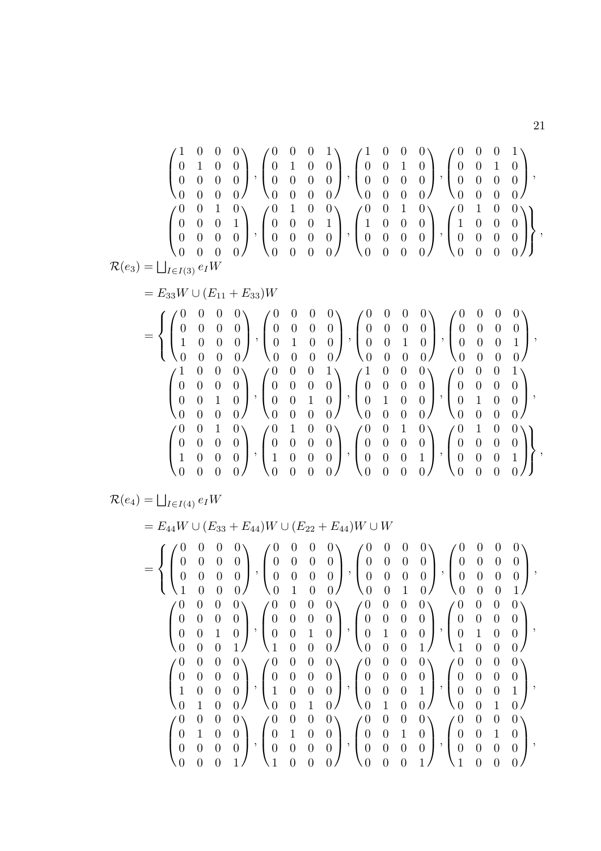$$
\mathcal{R}(e_3)=\bigsqcup_{\begin{array}{c}f\in\{0,1\}\end{array}}\begin{pmatrix}0&0&0&0&1\\0&1&0&0&0\\0&0&0&0&0\\0&0&0&0&0\end{pmatrix},\begin{pmatrix}0&0&0&1&0\\0&0&1&0&0\\0&0&0&0&0\\0&0&0&0&0\end{pmatrix},\begin{pmatrix}0&0&0&0&1\\0&0&0&0&0\\0&0&0&0&0\\0&0&0&0&0\end{pmatrix},\begin{pmatrix}0&0&0&0&0\\0&0&1&0&0\\0&0&0&0&0\\0&0&0&0&0\end{pmatrix},\begin{pmatrix}0&1&0&0&0\\0&0&1&0&0\\0&0&0&0&0\\0&0&0&0&0\end{pmatrix},\begin{pmatrix}0&1&0&0&0\\0&0&1&0&0\\0&0&0&0&0\\0&0&0&0&0\end{pmatrix},\begin{pmatrix}0&1&0&0&0\\0&0&0&0&0\\0&0&0&0&0\end{pmatrix},\begin{pmatrix}0&0&0&0&0\\0&0&0&0&0\\0&0&0&0&0\end{pmatrix},\begin{pmatrix}0&0&0&0&0\\0&0&0&0&0\\0&0&0&0&0\end{pmatrix},\begin{pmatrix}0&0&0&0&0\\0&0&0&0&0\\0&0&0&0&0\end{pmatrix},\begin{pmatrix}0&0&0&0&0\\0&0&0&0&0\\0&0&0&0&0\end{pmatrix},\begin{pmatrix}0&0&0&0&0\\0&0&0&0&0\\0&0&0&0&0\end{pmatrix},\begin{pmatrix}0&0&0&0&0\\0&0&0&0&0\\0&0&0&0&0\end{pmatrix},\begin{pmatrix}0&0&0&0&0\\0&0&0&0&0\\0&0&0&0&0\end{pmatrix},\begin{pmatrix}0&0&0&0&0\\0&0&0&0&0\\0&0&0&0&0\end{pmatrix},\begin{pmatrix}0&0&0&0&0\\0&0&0&0&0\\0&0&0&0&0\end{pmatrix},\begin{pmatrix}0
$$

21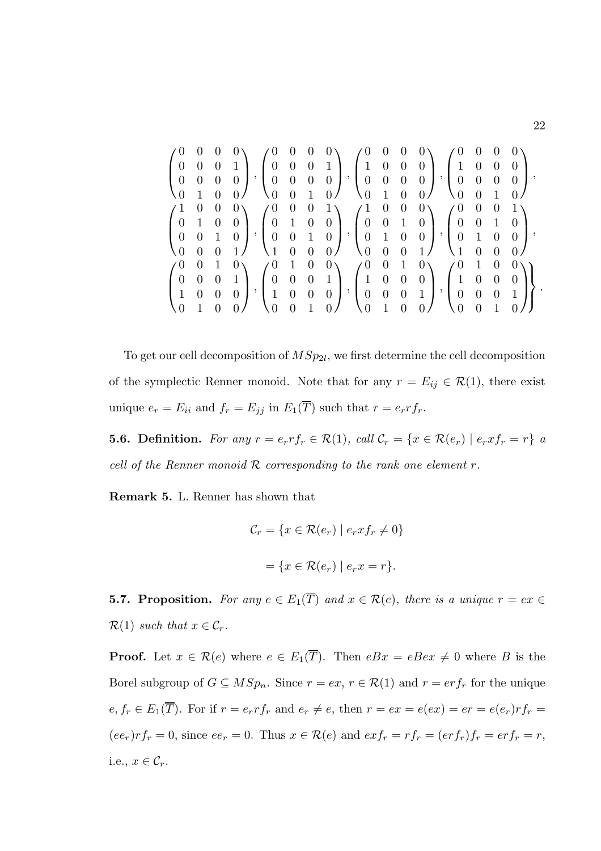|                  |                  |                |                                               | $\theta$                                                                      |                |                |                                       |                                                                                | U                                            |                |                                   |                                   | $\cup$           |                  |                |
|------------------|------------------|----------------|-----------------------------------------------|-------------------------------------------------------------------------------|----------------|----------------|---------------------------------------|--------------------------------------------------------------------------------|----------------------------------------------|----------------|-----------------------------------|-----------------------------------|------------------|------------------|----------------|
| $\overline{0}$   | $\overline{0}$   | $\overline{0}$ |                                               | $\begin{pmatrix} 0 & 0 & 0 & 1 \end{pmatrix}$                                 |                |                |                                       | $\begin{pmatrix} 1 \end{pmatrix}$                                              | $\overline{0}$                               | $\overline{0}$ | $\overline{0}$                    | $\begin{pmatrix} 1 \end{pmatrix}$ | $\overline{0}$   | $\overline{0}$   | $\overline{0}$ |
| $\boldsymbol{0}$ | $\overline{0}$   | $\overline{0}$ | $\rightarrow$ $\rightarrow$<br>$\overline{0}$ | $0\quad 0\quad 0\quad 0$                                                      |                |                |                                       | $\vert \cdot \vert$                                                            | $\begin{matrix}0&0&0&0\\0&0&0&0\end{matrix}$ |                |                                   | $\mathcal{L}$   0 0               |                  | $\overline{0}$   | $\overline{0}$ |
| $\overline{0}$   | $\mathbf{1}$     | $\overline{0}$ |                                               | $\sqrt{0}$                                                                    | $\overline{0}$ | 1              |                                       |                                                                                | $\overline{1}$                               | $\overline{0}$ | 0 <sub>1</sub>                    | $\overline{0}$                    | $\overline{0}$   | $\overline{1}$   |                |
| $\mathbf{1}$     | $\boldsymbol{0}$ | $\theta$       | $0\setminus$                                  | $\angle 0$                                                                    | $\overline{0}$ | $\theta$       | $1 \setminus$                         | $\angle$ 1                                                                     | $\overline{\phantom{0}}$                     | $\overline{0}$ | $0\setminus$                      | $\angle 0$                        | $\overline{0}$   | $\boldsymbol{0}$ |                |
| $\overline{0}$   | $\overline{1}$   | $\overline{0}$ | $\overline{0}$                                |                                                                               |                |                |                                       |                                                                                |                                              |                |                                   | $\begin{bmatrix} 0 \end{bmatrix}$ | $\overline{0}$   | $\overline{1}$   | $\overline{0}$ |
| $\overline{0}$   | $\theta$         | $\overline{1}$ | $\vert$ , $\vert$<br>$\overline{0}$           | $\left[\begin{array}{cccc} 0 & 1 & 0 & 0 \\ 0 & 0 & 1 & 0 \end{array}\right]$ |                |                | $\begin{pmatrix} 1 & 0 \end{pmatrix}$ | $\frac{1}{1}$ , $\begin{pmatrix} 0 & 0 & 1 & 0 \\ 0 & 1 & 0 & 0 \end{pmatrix}$ |                                              |                |                                   | $\vert \ \vert \ \ 0 \ \ \ 1$     |                  | $\overline{0}$   | $\overline{0}$ |
|                  | $\overline{0}$   |                |                                               | $\backslash$ 1                                                                | $\overline{0}$ | $\overline{0}$ | 0/                                    | $\overline{0}$                                                                 | $\boldsymbol{0}$                             | $\overline{0}$ | 1                                 |                                   | $\overline{0}$   | $\overline{0}$   |                |
| $\angle 0$       | $\theta$         | $\mathbf 1$    | $\mathbf{0}$                                  | $\angle 0$                                                                    | $\mathbf{1}$   | $\theta$       | $0\setminus$                          | $\angle 0$                                                                     | $\overline{0}$                               | $\mathbf{1}$   | $0\setminus$                      | $\angle 0$                        | $\mathbf{1}$     | $\theta$         | $\theta$       |
| $\boldsymbol{0}$ | $\overline{0}$   | $\theta$       |                                               | $\overline{0}$                                                                | $\overline{0}$ | $\overline{0}$ | 1                                     |                                                                                | $0 \quad 0$                                  |                | $\begin{bmatrix} 0 \end{bmatrix}$ | $\left(1\right)$                  | $\boldsymbol{0}$ | $\overline{0}$   | $\overline{0}$ |
|                  | $\boldsymbol{0}$ | $\overline{0}$ | $\overline{0}$                                | $\vert 1 \vert 0 \vert 0 \vert 0$                                             |                |                |                                       | $\frac{1}{0}$ , $\begin{pmatrix} 1 & 0 \\ 0 & 0 \end{pmatrix}$                 |                                              | $0\quad 1$     |                                   | $\,$ , $\,$<br>$\overline{0}$     | $\overline{0}$   | $\overline{0}$   | $\overline{1}$ |
|                  |                  |                |                                               | $\sim 0$                                                                      | $\overline{0}$ |                |                                       |                                                                                |                                              |                |                                   | $\overline{0}$                    | $\theta$         |                  |                |

To get our cell decomposition of  $MSp_{2l}$ , we first determine the cell decomposition of the symplectic Renner monoid. Note that for any  $r = E_{ij} \in \mathcal{R}(1)$ , there exist unique  $e_r = E_{ii}$  and  $f_r = E_{jj}$  in  $E_1(\overline{T})$  such that  $r = e_r r f_r$ .

**5.6. Definition.** For any  $r = e_r r f_r \in \mathcal{R}(1)$ , call  $\mathcal{C}_r = \{x \in \mathcal{R}(e_r) \mid e_r x f_r = r\}$  a cell of the Renner monoid  $R$  corresponding to the rank one element  $r$ .

Remark 5. L. Renner has shown that

$$
\mathcal{C}_r = \{ x \in \mathcal{R}(e_r) \mid e_r x f_r \neq 0 \}
$$

$$
= \{ x \in \mathcal{R}(e_r) \mid e_r x = r \}.
$$

**5.7. Proposition.** For any  $e \in E_1(\overline{T})$  and  $x \in \mathcal{R}(e)$ , there is a unique  $r = ex \in$  $\mathcal{R}(1)$  such that  $x \in \mathcal{C}_r$ .

**Proof.** Let  $x \in \mathcal{R}(e)$  where  $e \in E_1(\overline{T})$ . Then  $eBx = eBex \neq 0$  where B is the Borel subgroup of  $G \subseteq MSp_n$ . Since  $r = ex, r \in \mathcal{R}(1)$  and  $r = erf_r$  for the unique  $e, f_r \in E_1(\overline{T})$ . For if  $r = e_r r f_r$  and  $e_r \neq e$ , then  $r = e x = e(ex) = er = e(e_r)r f_r =$  $(ee_r)r f_r = 0$ , since  $ee_r = 0$ . Thus  $x \in \mathcal{R}(e)$  and  $ex f_r = rf_r = (er f_r) f_r = erf_r = r$ , i.e.,  $x \in \mathcal{C}_r$ .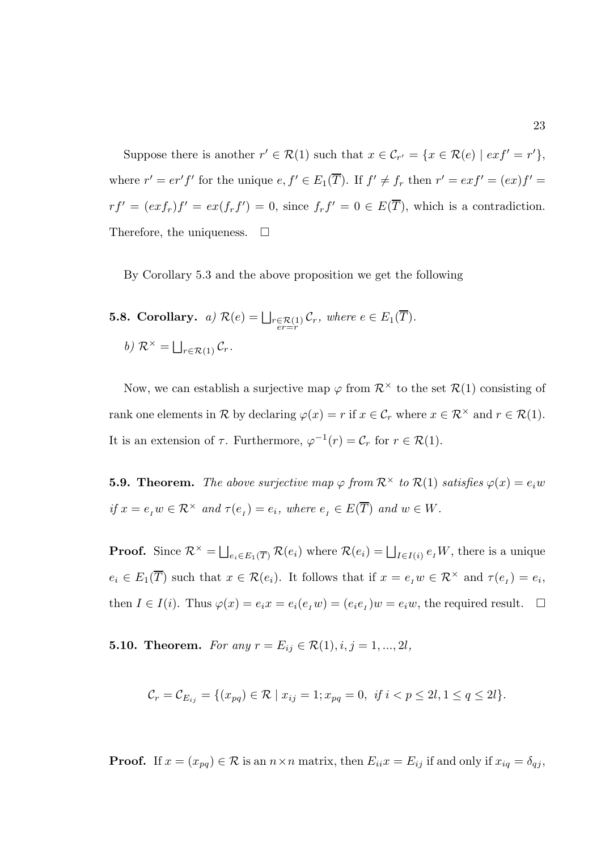Suppose there is another  $r' \in \mathcal{R}(1)$  such that  $x \in \mathcal{C}_{r'} = \{x \in \mathcal{R}(e) \mid ext' = r'\},\$ where  $r' = er' f'$  for the unique  $e, f' \in E_1(\overline{T})$ . If  $f' \neq f_r$  then  $r' = exf' = (ex)f' =$  $rf' = (exf_r)f' = ex(f_rf') = 0$ , since  $f_rf' = 0 \in E(\overline{T})$ , which is a contradiction. Therefore, the uniqueness.  $\Box$ 

By Corollary 5.3 and the above proposition we get the following

**5.8. Corollary.** a)  $\mathcal{R}(e) = \bigsqcup_{\substack{r \in \mathcal{R}(1) \\ er = r}} \mathcal{C}_r$ , where  $e \in E_1(T)$ . b)  $\mathcal{R}^{\times} = \bigsqcup_{r \in \mathcal{R}(1)} \mathcal{C}_r.$ 

Now, we can establish a surjective map  $\varphi$  from  $\mathcal{R}^{\times}$  to the set  $\mathcal{R}(1)$  consisting of rank one elements in R by declaring  $\varphi(x) = r$  if  $x \in \mathcal{C}_r$  where  $x \in \mathcal{R}^\times$  and  $r \in \mathcal{R}(1)$ . It is an extension of  $\tau$ . Furthermore,  $\varphi^{-1}(r) = \mathcal{C}_r$  for  $r \in \mathcal{R}(1)$ .

**5.9. Theorem.** The above surjective map  $\varphi$  from  $\mathcal{R}^{\times}$  to  $\mathcal{R}(1)$  satisfies  $\varphi(x) = e_i w$ if  $x = e_I w \in \mathcal{R}^\times$  and  $\tau(e_I) = e_i$ , where  $e_I \in E(\overline{T})$  and  $w \in W$ .

**Proof.** Since  $\mathcal{R}^{\times} = \bigsqcup_{e_i \in E_1(\overline{T})} \mathcal{R}(e_i)$  where  $\mathcal{R}(e_i) = \bigsqcup_{I \in I(i)} e_I W$ , there is a unique  $e_i \in E_1(\overline{T})$  such that  $x \in \mathcal{R}(e_i)$ . It follows that if  $x = e_i w \in \mathcal{R}^\times$  and  $\tau(e_i) = e_i$ , then  $I \in I(i)$ . Thus  $\varphi(x) = e_i x = e_i(e_i w) = (e_i e_i) w = e_i w$ , the required result.  $\Box$ 

**5.10. Theorem.** For any  $r = E_{ij} \in \mathcal{R}(1), i, j = 1, ..., 2l$ ,

$$
\mathcal{C}_r = \mathcal{C}_{E_{ij}} = \{ (x_{pq}) \in \mathcal{R} \mid x_{ij} = 1; x_{pq} = 0, \text{ if } i < p \le 2l, 1 \le q \le 2l \}.
$$

**Proof.** If  $x = (x_{pq}) \in \mathcal{R}$  is an  $n \times n$  matrix, then  $E_{ii}x = E_{ij}$  if and only if  $x_{iq} = \delta_{qj}$ ,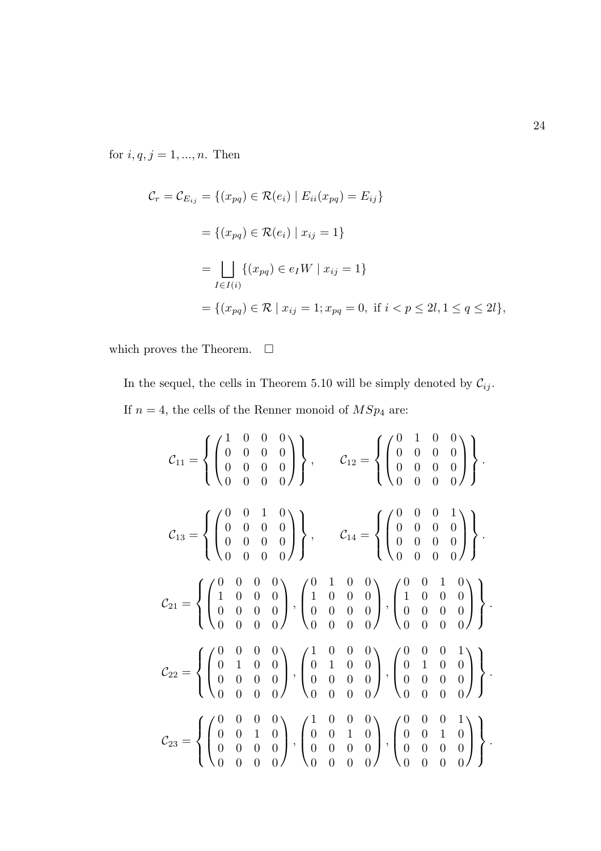for  $i, q, j = 1, ..., n$ . Then

$$
C_r = C_{E_{ij}} = \{(x_{pq}) \in \mathcal{R}(e_i) | E_{ii}(x_{pq}) = E_{ij}\}\
$$
  
=  $\{(x_{pq}) \in \mathcal{R}(e_i) | x_{ij} = 1\}$   
= 
$$
\bigsqcup_{I \in I(i)} \{(x_{pq}) \in e_I W | x_{ij} = 1\}
$$
  
=  $\{(x_{pq}) \in \mathcal{R} | x_{ij} = 1; x_{pq} = 0, \text{ if } i < p \le 2l, 1 \le q \le 2l\},$ 

which proves the Theorem.  $\quad \Box$ 

In the sequel, the cells in Theorem 5.10 will be simply denoted by  $\mathcal{C}_{ij}.$ If  $n=4$ , the cells of the Renner monoid of  $MSp_4$  are:

$$
\mathcal{C}_{11} = \left\{ \begin{pmatrix} 1 & 0 & 0 & 0 \\ 0 & 0 & 0 & 0 \\ 0 & 0 & 0 & 0 \\ 0 & 0 & 0 & 0 \end{pmatrix} \right\}, \qquad \mathcal{C}_{12} = \left\{ \begin{pmatrix} 0 & 1 & 0 & 0 \\ 0 & 0 & 0 & 0 \\ 0 & 0 & 0 & 0 \\ 0 & 0 & 0 & 0 \end{pmatrix} \right\}.
$$

$$
\mathcal{C}_{13} = \left\{ \begin{pmatrix} 0 & 0 & 1 & 0 \\ 0 & 0 & 0 & 0 \\ 0 & 0 & 0 & 0 \\ 0 & 0 & 0 & 0 \end{pmatrix} \right\}, \qquad \mathcal{C}_{14} = \left\{ \begin{pmatrix} 0 & 0 & 0 & 1 \\ 0 & 0 & 0 & 0 \\ 0 & 0 & 0 & 0 \\ 0 & 0 & 0 & 0 \end{pmatrix} \right\}.
$$

$$
\mathcal{C}_{21} = \left\{ \begin{pmatrix} 0 & 0 & 0 & 0 \\ 1 & 0 & 0 & 0 \\ 0 & 0 & 0 & 0 \\ 0 & 0 & 0 & 0 \end{pmatrix}, \begin{pmatrix} 0 & 1 & 0 & 0 \\ 1 & 0 & 0 & 0 \\ 0 & 0 & 0 & 0 \\ 0 & 0 & 0 & 0 \end{pmatrix}, \begin{pmatrix} 0 & 0 & 1 & 0 \\ 1 & 0 & 0 & 0 \\ 0 & 0 & 0 & 0 \\ 0 & 0 & 0 & 0 \end{pmatrix}, \begin{pmatrix} 0 & 0 & 1 & 0 \\ 0 & 1 & 0 & 0 \\ 0 & 0 & 0 & 0 \\ 0 & 0 & 0 & 0 \end{pmatrix} \right\}.
$$

$$
\mathcal{C}_{22} = \left\{ \begin{pmatrix} 0 & 0 & 0 & 0 \\ 0 & 1 & 0 & 0 \\ 0 & 0 & 0 & 0 \end{pmatrix}, \begin{pmatrix} 1 & 0 & 0 & 0 \\ 0 & 1 & 0 & 0 \\ 0 & 0 & 0 & 0 \end{pmatrix}, \begin{pmatrix} 0 & 0 & 0 & 1 \\ 0 & 1 & 0 & 0 \\ 0 & 0 & 0 & 0 \end{pmatrix} \right\}.
$$

$$
\mathcal{C
$$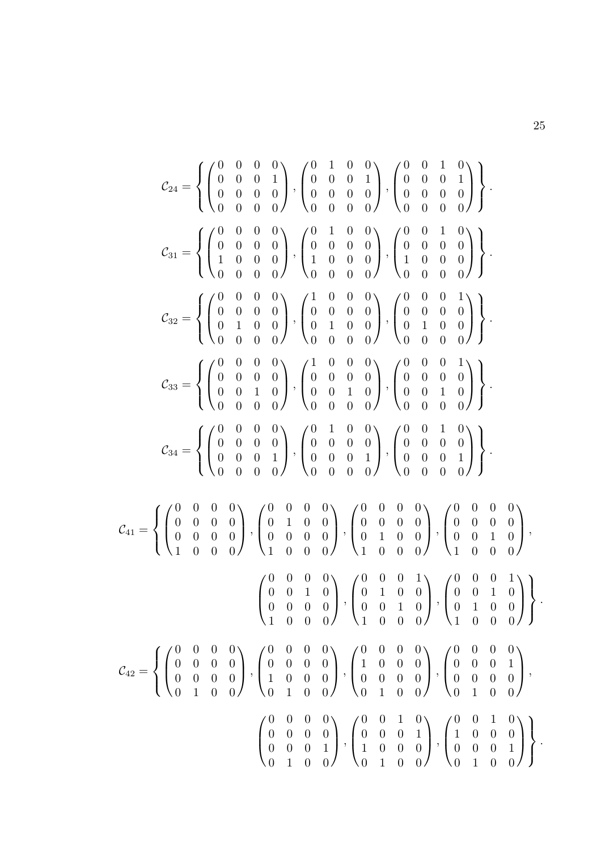$$
\mathcal{C}_{24} = \left\{ \begin{pmatrix} 0 & 0 & 0 & 0 \\ 0 & 0 & 0 & 1 \\ 0 & 0 & 0 & 0 \\ 0 & 0 & 0 & 0 \end{pmatrix}, \begin{pmatrix} 0 & 1 & 0 & 0 \\ 0 & 0 & 0 & 1 \\ 0 & 0 & 0 & 0 \\ 0 & 0 & 0 & 0 \end{pmatrix}, \begin{pmatrix} 0 & 0 & 1 & 0 \\ 0 & 0 & 0 & 0 \\ 0 & 0 & 0 & 0 \\ 0 & 0 & 0 & 0 \end{pmatrix}, \begin{pmatrix} 0 & 1 & 0 & 0 \\ 0 & 0 & 0 & 0 \\ 1 & 0 & 0 & 0 \\ 0 & 0 & 0 & 0 \end{pmatrix}, \begin{pmatrix} 0 & 1 & 0 & 0 \\ 0 & 0 & 0 & 0 \\ 1 & 0 & 0 & 0 \\ 0 & 0 & 0 & 0 \end{pmatrix}, \begin{pmatrix} 0 & 0 & 1 & 0 \\ 0 & 0 & 0 & 0 \\ 1 & 0 & 0 & 0 \\ 0 & 0 & 0 & 0 \end{pmatrix} \right\}.
$$

$$
\mathcal{C}_{32} = \left\{ \begin{pmatrix} 0 & 0 & 0 & 0 \\ 0 & 0 & 0 & 0 \\ 0 & 1 & 0 & 0 \\ 0 & 0 & 0 & 0 \end{pmatrix}, \begin{pmatrix} 1 & 0 & 0 & 0 \\ 0 & 0 & 0 & 0 \\ 0 & 1 & 0 & 0 \\ 0 & 0 & 0 & 0 \end{pmatrix}, \begin{pmatrix} 0 & 0 & 0 & 1 \\ 0 & 0 & 0 & 0 \\ 0 & 0 & 0 & 0 \\ 0 & 0 & 0 & 0 \end{pmatrix}, \begin{pmatrix} 0 & 0 & 0 & 1 \\ 0 & 0 & 0 & 0 \\ 0 & 0 & 0 & 0 \\ 0 & 0 & 0 & 0 \end{pmatrix} \right\}.
$$

$$
\mathcal{C}_{34} = \left\{ \begin{pmatrix} 0 & 0 & 0 & 0 \\ 0 & 0 & 0 & 0 \\ 0 & 0 & 0 & 1 \\ 0 & 0 & 0 & 0 \end{pmatrix}, \begin{pmatrix} 0 & 1 & 0 & 0 \\ 0 & 0 & 0 & 0 \\ 0 & 0 & 0 & 0 \\ 0 & 0
$$

$$
\mathcal{C}_{41} = \left\{ \begin{pmatrix} 0 & 0 & 0 & 0 \\ 0 & 0 & 0 & 0 \\ 0 & 0 & 0 & 0 \\ 1 & 0 & 0 & 0 \end{pmatrix}, \begin{pmatrix} 0 & 0 & 0 & 0 \\ 0 & 1 & 0 & 0 \\ 0 & 0 & 0 & 0 \\ 1 & 0 & 0 & 0 \end{pmatrix}, \begin{pmatrix} 0 & 0 & 0 & 0 \\ 0 & 0 & 0 & 0 \\ 0 & 1 & 0 & 0 \\ 1 & 0 & 0 & 0 \end{pmatrix}, \begin{pmatrix} 0 & 0 & 0 & 0 \\ 0 & 0 & 0 & 0 \\ 1 & 0 & 0 & 0 \\ 1 & 0 & 0 & 0 \end{pmatrix}, \begin{pmatrix} 0 & 0 & 0 & 0 \\ 0 & 1 & 0 & 0 \\ 0 & 0 & 1 & 0 \\ 1 & 0 & 0 & 0 \end{pmatrix}, \begin{pmatrix} 0 & 0 & 0 & 1 \\ 0 & 1 & 0 & 0 \\ 0 & 0 & 1 & 0 \\ 1 & 0 & 0 & 0 \end{pmatrix} \right\}.
$$

$$
\mathcal{C}_{42} = \left\{ \begin{pmatrix} 0 & 0 & 0 & 0 \\ 0 & 0 & 0 & 0 \\ 0 & 0 & 0 & 0 \\ 0 & 1 & 0 & 0 \end{pmatrix}, \begin{pmatrix} 0 & 0 & 0 & 0 \\ 0 & 0 & 0 & 0 \\ 1 & 0 & 0 & 0 \\ 0 & 1 & 0 & 0 \end{pmatrix}, \begin{pmatrix} 0 & 0 & 0 & 0 \\ 1 & 0 & 0 & 0 \\ 0 & 0 & 0 & 0 \\ 0 & 1 & 0 & 0 \end{pmatrix}, \begin{pmatrix} 0 & 0 & 0 & 0 \\ 0 & 0 & 0 & 0 \\ 0 & 0 & 0 & 0 \\ 0 & 1 & 0 & 0 \end{pmatrix}, \begin{pmatrix} 0 & 0 & 0 & 0 \\ 0 & 0 & 0 & 1 \\ 0 & 1 & 0 & 0 \end{pmatrix}, \begin{pmatrix} 0 & 0 & 0 & 0 \\ 0 & 0 & 0 & 1 \\ 0 & 1 & 0 & 0 \end{pmatrix} \right\}.
$$

$$
\mathcal{C}_{42} = \left\{ \begin{pmatrix} 0 & 0 &
$$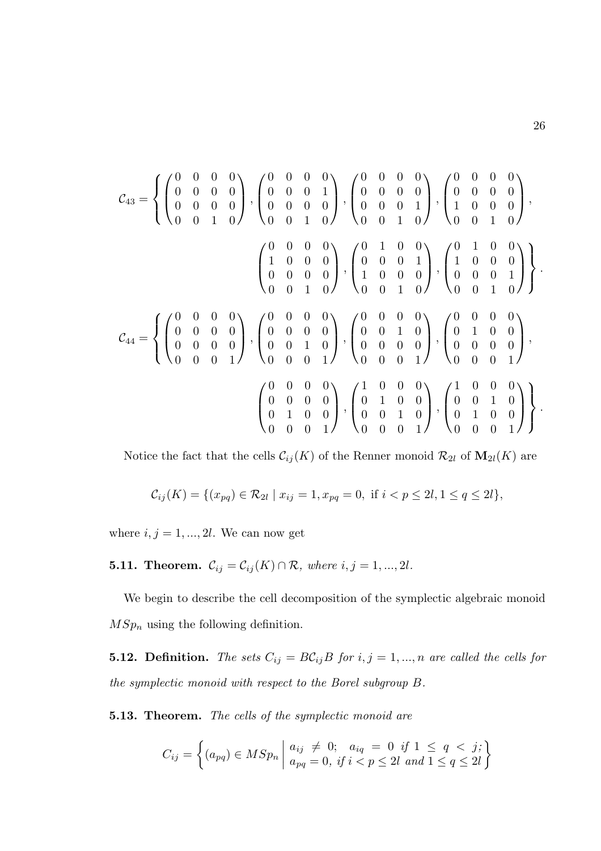$$
\mathcal{C}_{43} = \left\{ \begin{pmatrix} 0 & 0 & 0 & 0 \\ 0 & 0 & 0 & 0 \\ 0 & 0 & 0 & 0 \\ 0 & 0 & 1 & 0 \end{pmatrix}, \begin{pmatrix} 0 & 0 & 0 & 0 \\ 0 & 0 & 0 & 1 \\ 0 & 0 & 0 & 0 \\ 0 & 0 & 1 & 0 \end{pmatrix}, \begin{pmatrix} 0 & 0 & 0 & 0 \\ 0 & 0 & 0 & 0 \\ 0 & 0 & 0 & 1 \\ 0 & 0 & 1 & 0 \end{pmatrix}, \begin{pmatrix} 0 & 0 & 0 & 0 \\ 0 & 0 & 0 & 0 \\ 0 & 0 & 1 & 0 \\ 0 & 0 & 1 & 0 \end{pmatrix}, \begin{pmatrix} 0 & 0 & 0 & 0 \\ 1 & 0 & 0 & 0 \\ 0 & 0 & 0 & 1 \\ 0 & 0 & 1 & 0 \end{pmatrix}, \begin{pmatrix} 0 & 1 & 0 & 0 \\ 0 & 0 & 0 & 1 \\ 1 & 0 & 0 & 0 \\ 0 & 0 & 1 & 0 \end{pmatrix}, \begin{pmatrix} 0 & 1 & 0 & 0 \\ 1 & 0 & 0 & 0 \\ 0 & 0 & 0 & 1 \\ 0 & 0 & 1 & 0 \end{pmatrix} \right\}.
$$

$$
\mathcal{C}_{44} = \left\{ \begin{pmatrix} 0 & 0 & 0 & 0 \\ 0 & 0 & 0 & 0 \\ 0 & 0 & 0 & 0 \\ 0 & 0 & 0 & 1 \end{pmatrix}, \begin{pmatrix} 0 & 0 & 0 & 0 \\ 0 & 0 & 0 & 0 \\ 0 & 0 & 1 & 0 \\ 0 & 0 & 0 & 1 \end{pmatrix}, \begin{pmatrix} 0 & 0 & 0 & 0 \\ 0 & 0 & 1 & 0 \\ 0 & 0 & 0 & 0 \\ 0 & 0 & 0 & 1 \end{pmatrix}, \begin{pmatrix} 0 & 0 & 0 & 0 \\ 0 & 1 & 0 & 0 \\ 0 & 0 & 0 & 1 \\ 0 & 0 & 0 & 1 \end{pmatrix}, \begin{pmatrix} 1 & 0 & 0 & 0 \\ 0 & 1 & 0 & 0 \\ 0 & 0 & 0 & 1 \\ 0 & 0 & 0 & 1 \end{pmatrix} \right\}.
$$

Notice the fact that the cells  $\mathcal{C}_{ij}(K)$  of the Renner monoid  $\mathcal{R}_{2l}$  of  $\mathbf{M}_{2l}(K)$  are

$$
\mathcal{C}_{ij}(K) = \{ (x_{pq}) \in \mathcal{R}_{2l} \mid x_{ij} = 1, x_{pq} = 0, \text{ if } i < p \le 2l, 1 \le q \le 2l \},
$$

where  $i, j = 1, ..., 2l$ . We can now get

**5.11. Theorem.**  $C_{ij} = C_{ij}(K) \cap \mathcal{R}$ , where  $i, j = 1, ..., 2l$ .

We begin to describe the cell decomposition of the symplectic algebraic monoid  $MSp_n$  using the following definition.

**5.12. Definition.** The sets  $C_{ij} = BC_{ij}B$  for  $i, j = 1, ..., n$  are called the cells for the symplectic monoid with respect to the Borel subgroup B.

5.13. Theorem. The cells of the symplectic monoid are

$$
C_{ij} = \left\{ (a_{pq}) \in MSp_n \mid \begin{aligned} a_{ij} &\neq 0; \quad a_{iq} = 0 \quad \text{if } 1 \leq q < j; \\ a_{pq} = 0, \quad \text{if } i < p \leq 2l \quad \text{and } 1 \leq q \leq 2l \end{aligned} \right\}
$$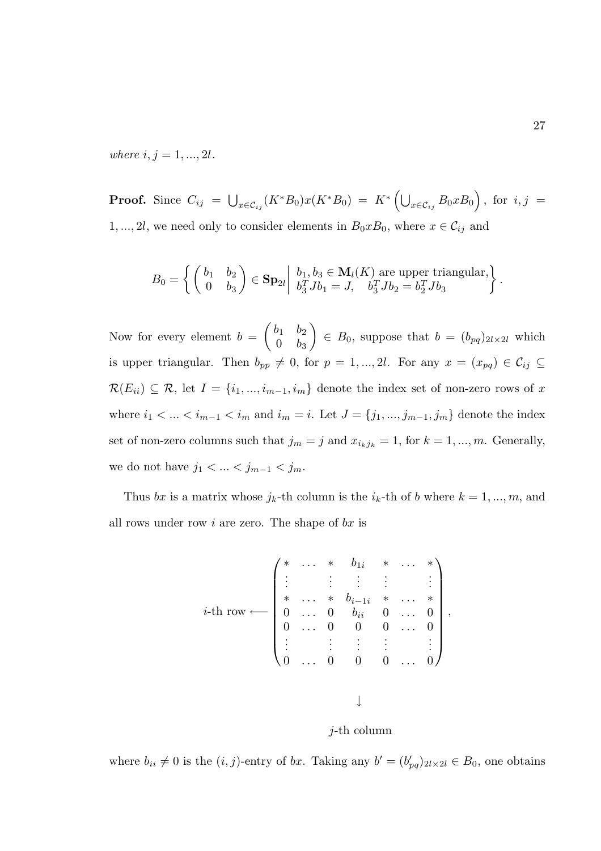where  $i, j = 1, ..., 2l$ .

**Proof.** Since  $C_{ij}$  =  $\bigcup_{x \in {\cal C}_{ij}} (K^*B_0)x(K^*B_0)$  =  $K^* \left( \bigcup_{x \in {\cal C}_{ij}} B_0xB_0 \right)$ , for  $i,j$  = 1, ..., 2l, we need only to consider elements in  $B_0xB_0$ , where  $x \in \mathcal{C}_{ij}$  and

$$
B_0 = \left\{ \begin{pmatrix} b_1 & b_2 \\ 0 & b_3 \end{pmatrix} \in \mathbf{Sp}_{2l} \middle| \begin{array}{l} b_1, b_3 \in \mathbf{M}_l(K) \text{ are upper triangular,} \\ b_3^T J b_1 = J, \quad b_3^T J b_2 = b_2^T J b_3 \end{array} \right\}
$$

Now for every element  $b =$  $\begin{pmatrix} b_1 & b_2 \end{pmatrix}$  $0 \quad b_3$  $\setminus$  $\in B_0$ , suppose that  $b = (b_{pq})_{2l \times 2l}$  which is upper triangular. Then  $b_{pp} \neq 0$ , for  $p = 1, ..., 2l$ . For any  $x = (x_{pq}) \in C_{ij} \subseteq$  $\mathcal{R}(E_{ii}) \subseteq \mathcal{R}$ , let  $I = \{i_1, ..., i_{m-1}, i_m\}$  denote the index set of non-zero rows of x where  $i_1 < ... < i_{m-1} < i_m$  and  $i_m = i$ . Let  $J = \{j_1, ..., j_{m-1}, j_m\}$  denote the index set of non-zero columns such that  $j_m = j$  and  $x_{i_kj_k} = 1$ , for  $k = 1, ..., m$ . Generally, we do not have  $j_1 < ... < j_{m-1} < j_m$ .

Thus bx is a matrix whose  $j_k$ -th column is the  $i_k$ -th of b where  $k = 1, ..., m$ , and all rows under row  $i$  are zero. The shape of  $bx$  is

$$
i\text{-th row} \longleftarrow \begin{pmatrix} * & \dots & * & b_{1i} & * & \dots & * \\ \vdots & & \vdots & & \vdots & & \vdots \\ * & \dots & * & b_{i-1i} & * & \dots & * \\ 0 & \dots & 0 & b_{ii} & 0 & \dots & 0 \\ 0 & \dots & 0 & 0 & 0 & \dots & 0 \\ \vdots & & \vdots & & \vdots & & \vdots \\ 0 & \dots & 0 & 0 & 0 & \dots & 0 \end{pmatrix},
$$

j-th column

where  $b_{ii} \neq 0$  is the  $(i, j)$ -entry of bx. Taking any  $b' = (b'_{pq})_{2l \times 2l} \in B_0$ , one obtains

.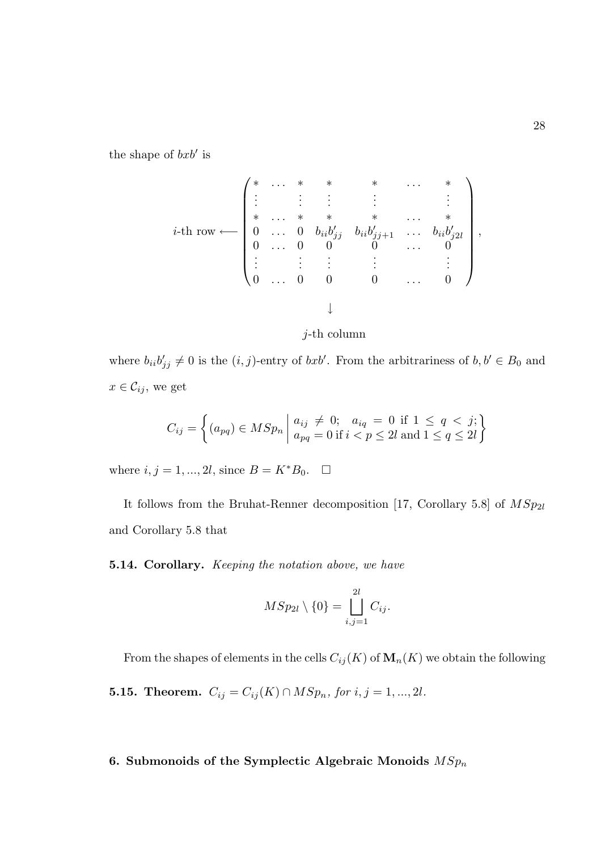the shape of  $bxb'$  is

$$
i\text{-th row} \longleftarrow \left( \begin{matrix} * & \ldots & * & * & * & \ldots & * \\ \vdots & \vdots & \vdots & & \vdots & & \vdots \\ * & \ldots & * & * & * & \ldots & * \\ 0 & \ldots & 0 & b_{ii}b'_{jj} & b_{ii}b'_{jj+1} & \ldots & b_{ii}b'_{j2l} \\ 0 & \ldots & 0 & 0 & 0 & \ldots & 0 \\ \vdots & \vdots & \vdots & & \vdots & & \vdots \\ 0 & \ldots & 0 & 0 & 0 & \ldots & 0 \end{matrix} \right),
$$



where  $b_{ii}b'_{jj} \neq 0$  is the  $(i, j)$ -entry of  $bxb'$ . From the arbitrariness of  $b, b' \in B_0$  and  $x \in \mathcal{C}_{ij}$ , we get

$$
C_{ij} = \left\{ (a_{pq}) \in MSp_n \mid \begin{aligned} a_{ij} &\neq 0; & a_{iq} &= 0 \text{ if } 1 \leq q < j; \\ a_{pq} &= 0 \text{ if } i < p \leq 2l \text{ and } 1 \leq q \leq 2l \end{aligned} \right\}
$$

where  $i, j = 1, ..., 2l$ , since  $B = K^*B_0$ .  $\Box$ 

It follows from the Bruhat-Renner decomposition [17, Corollary 5.8] of  $MSp_{2l}$ and Corollary 5.8 that

5.14. Corollary. Keeping the notation above, we have

$$
MSp_{2l} \setminus \{0\} = \bigsqcup_{i,j=1}^{2l} C_{ij}.
$$

From the shapes of elements in the cells  $C_{ij}(K)$  of  $\mathbf{M}_n(K)$  we obtain the following

**5.15. Theorem.**  $C_{ij} = C_{ij}(K) \cap MSp_n$ , for  $i, j = 1, ..., 2l$ .

# 6. Submonoids of the Symplectic Algebraic Monoids  $\mathcal{MSp}_n$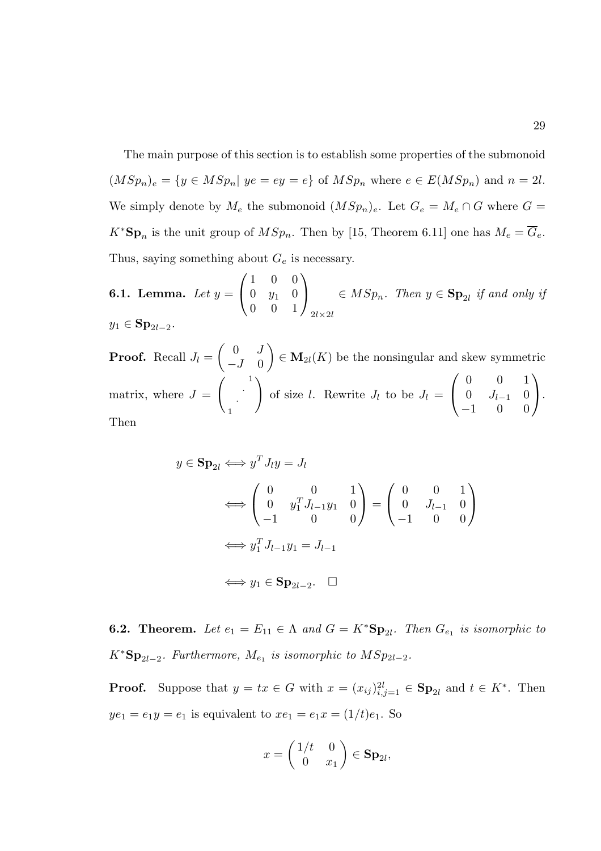The main purpose of this section is to establish some properties of the submonoid  $(MSp_n)_e = \{y \in MSp_n | ye = ey = e\}$  of  $MSp_n$  where  $e \in E(MSp_n)$  and  $n = 2l$ . We simply denote by  $M_e$  the submonoid  $(MSp_n)_e$ . Let  $G_e = M_e \cap G$  where  $G =$  $K^*{\bf Sp}_n$  is the unit group of  $MSp_n$ . Then by [15, Theorem 6.11] one has  $M_e = \overline{G}_e$ . Thus, saying something about  $G_e$  is necessary.

 $6.1.$  Lemma.  $Let y =$  $\sqrt{ }$  $\mathcal{L}$ 1 0 0  $0 \t y_1 \t 0$ 0 0 1  $\setminus$  $\overline{1}$  $2l\times2l$  $\in MSp_n$ . Then  $y \in \mathbf{Sp}_{2l}$  if and only if  $y_1 \in \mathbf{Sp}_{2l-2}$ .

**Proof.** Recall  $J_l =$  $\begin{pmatrix} 0 & J \end{pmatrix}$  $-J \quad 0$  $\setminus$  $\in \mathbf{M}_{2l}(K)$  be the nonsingular and skew symmetric matrix, where  $J =$  $\begin{pmatrix} 1 \\ 1 \end{pmatrix}$ · 1  $\setminus$ of size l. Rewrite  $J_l$  to be  $J_l =$  $\sqrt{ }$  $\overline{1}$ 0 0 1 0  $J_{l-1}$  0 −1 0 0  $\setminus$  $\cdot$ Then

$$
y \in \mathbf{Sp}_{2l} \Longleftrightarrow y^T J_l y = J_l
$$
  
\n
$$
\Longleftrightarrow \begin{pmatrix} 0 & 0 & 1 \\ 0 & y_1^T J_{l-1} y_1 & 0 \\ -1 & 0 & 0 \end{pmatrix} = \begin{pmatrix} 0 & 0 & 1 \\ 0 & J_{l-1} & 0 \\ -1 & 0 & 0 \end{pmatrix}
$$
  
\n
$$
\Longleftrightarrow y_1^T J_{l-1} y_1 = J_{l-1}
$$
  
\n
$$
\Longleftrightarrow y_1 \in \mathbf{Sp}_{2l-2}. \quad \Box
$$

**6.2.** Theorem. Let  $e_1 = E_{11} \in \Lambda$  and  $G = K^* \mathbf{Sp}_{2l}$ . Then  $G_{e_1}$  is isomorphic to  $K^*{\bf Sp}_{2l-2}$ . Furthermore,  $M_{e_1}$  is isomorphic to  $MSp_{2l-2}$ .

**Proof.** Suppose that  $y = tx \in G$  with  $x = (x_{ij})_{i,j=1}^{2l} \in \mathbf{Sp}_{2l}$  and  $t \in K^*$ . Then  $ye_1 = e_1y = e_1$  is equivalent to  $xe_1 = e_1x = (1/t)e_1$ . So

$$
x = \begin{pmatrix} 1/t & 0 \\ 0 & x_1 \end{pmatrix} \in \mathbf{Sp}_{2l},
$$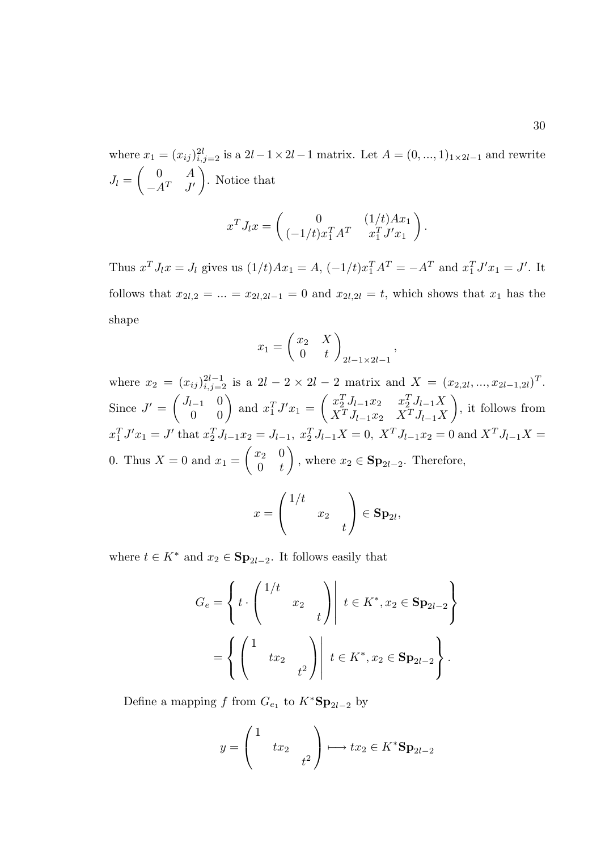where  $x_1 = (x_{ij})_{i,j=2}^{2l}$  is a  $2l-1 \times 2l-1$  matrix. Let  $A = (0, ..., 1)_{1 \times 2l-1}$  and rewrite  $J_l =$  $\begin{pmatrix} 0 & A \end{pmatrix}$  $-A^T$   $J'$  $\setminus$ . Notice that

$$
x^T J_l x = \begin{pmatrix} 0 & (1/t)Ax_1 \\ (-1/t)x_1^T A^T & x_1^T J' x_1 \end{pmatrix}.
$$

Thus  $x^T J_l x = J_l$  gives us  $(1/t)Ax_1 = A$ ,  $(-1/t)x_1^T A^T = -A^T$  and  $x_1^T J' x_1 = J'$ . It follows that  $x_{2l,2} = ... = x_{2l,2l-1} = 0$  and  $x_{2l,2l} = t$ , which shows that  $x_1$  has the shape

$$
x_1 = \begin{pmatrix} x_2 & X \\ 0 & t \end{pmatrix} \Big|_{2l-1 \times 2l-1}
$$

,

where  $x_2 = (x_{ij})_{i,j=2}^{2l-1}$  is a  $2l-2 \times 2l-2$  matrix and  $X = (x_{2,2l},...,x_{2l-1,2l})^T$ . Since  $J' = \begin{pmatrix} J_{l-1} & 0 \ 0 & 0 \end{pmatrix}$  and  $x_1^T J' x_1 = \begin{pmatrix} x_2^T J_{l-1} x_2 & x_2^T J_{l-1} X \ X^T J_{l-1} x_2 & X^T J_{l-1} X \end{pmatrix}$  $X^T J_{l-1} x_2$   $X^T J_{l-1} X$  $\setminus$ , it follows from  $x_1^T J' x_1 = J'$  that  $x_2^T J_{l-1} x_2 = J_{l-1}, x_2^T J_{l-1} X = 0, X^T J_{l-1} x_2 = 0$  and  $X^T J_{l-1} X =$ 0. Thus  $X = 0$  and  $x_1 =$  $\begin{pmatrix} x_2 & 0 \end{pmatrix}$  $0 \quad t$  $\setminus$ , where  $x_2 \in \mathbf{Sp}_{2l-2}$ . Therefore,

$$
x = \begin{pmatrix} 1/t & & \\ & x_2 & \\ & & t \end{pmatrix} \in \mathbf{Sp}_{2l},
$$

where  $t \in K^*$  and  $x_2 \in \mathbf{Sp}_{2l-2}$ . It follows easily that

$$
G_e = \left\{ t \cdot \begin{pmatrix} 1/t & & \\ & x_2 & \\ & & t \end{pmatrix} \middle| t \in K^*, x_2 \in \mathbf{Sp}_{2l-2} \right\}
$$

$$
= \left\{ \begin{pmatrix} 1 & & \\ & tx_2 & \\ & & t^2 \end{pmatrix} \middle| t \in K^*, x_2 \in \mathbf{Sp}_{2l-2} \right\}.
$$

Define a mapping f from  $G_{e_1}$  to  $K^*{\bf Sp}_{2l-2}$  by

$$
y = \begin{pmatrix} 1 & & \\ & tx_2 & \\ & & t^2 \end{pmatrix} \longmapsto tx_2 \in K^* \mathbf{Sp}_{2l-2}
$$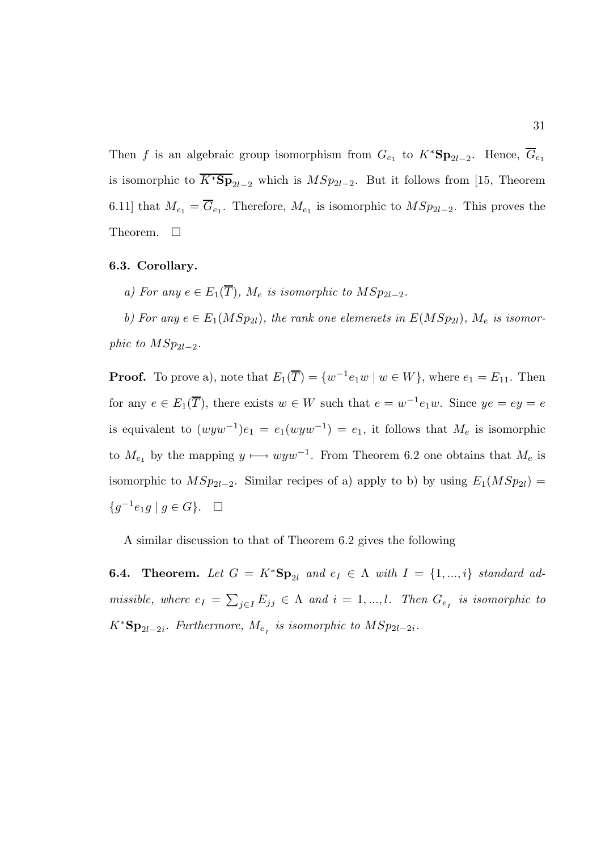Then f is an algebraic group isomorphism from  $G_{e_1}$  to  $K^*{\bf Sp}_{2l-2}$ . Hence,  $\overline{G}_{e_1}$ is isomorphic to  $\overline{K^*Sp}_{2l-2}$  which is  $MSp_{2l-2}$ . But it follows from [15, Theorem 6.11] that  $M_{e_1} = G_{e_1}$ . Therefore,  $M_{e_1}$  is isomorphic to  $MSp_{2l-2}$ . This proves the Theorem.  $\Box$ 

#### 6.3. Corollary.

a) For any  $e \in E_1(\overline{T})$ ,  $M_e$  is isomorphic to  $MSp_{2l-2}$ .

b) For any  $e \in E_1(MSp_{2l})$ , the rank one elemenets in  $E(MSp_{2l})$ ,  $M_e$  is isomorphic to  $MSp_{2l-2}$ .

**Proof.** To prove a), note that  $E_1(\overline{T}) = \{w^{-1}e_1w \mid w \in W\}$ , where  $e_1 = E_{11}$ . Then for any  $e \in E_1(\overline{T})$ , there exists  $w \in W$  such that  $e = w^{-1}e_1w$ . Since  $ye = ey = e$ is equivalent to  $(wyw^{-1})e_1 = e_1(wyw^{-1}) = e_1$ , it follows that  $M_e$  is isomorphic to  $M_{e_1}$  by the mapping  $y \mapsto wyw^{-1}$ . From Theorem 6.2 one obtains that  $M_e$  is isomorphic to  $MSp_{2l-2}$ . Similar recipes of a) apply to b) by using  $E_1(MSp_{2l}) =$ { $g^{-1}e_1g \mid g \in G$ }. □

A similar discussion to that of Theorem 6.2 gives the following

**6.4.** Theorem. Let  $G = K^*Sp_{2l}$  and  $e_I \in \Lambda$  with  $I = \{1, ..., i\}$  standard admissible, where  $e_I = \sum_{j \in I} E_{jj} \in \Lambda$  and  $i = 1, ..., l$ . Then  $G_{e_I}$  is isomorphic to  $K^*{\bf Sp}_{2l-2i}$ . Furthermore,  $M_{e_I}$  is isomorphic to  $MSp_{2l-2i}$ .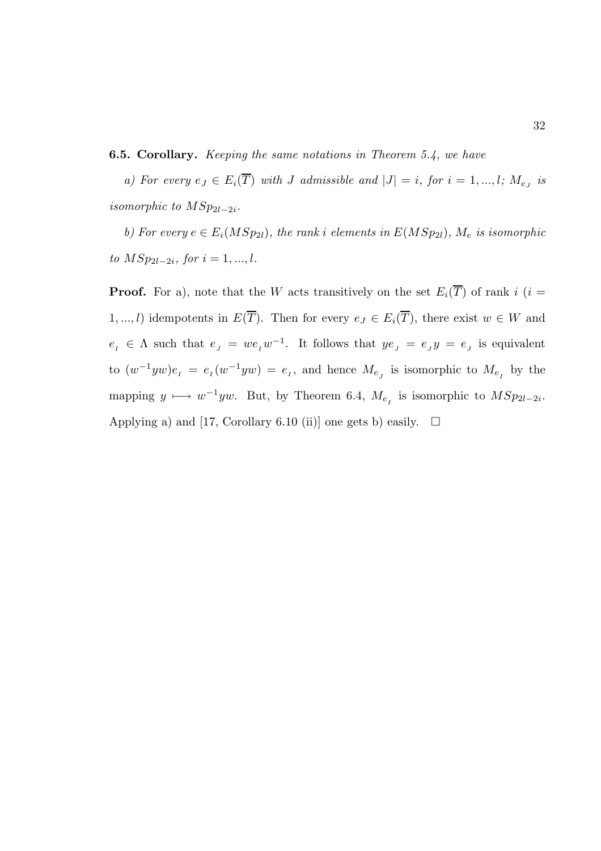6.5. Corollary. Keeping the same notations in Theorem 5.4, we have

a) For every  $e_J \in E_i(T)$  with J admissible and  $|J| = i$ , for  $i = 1, ..., l$ ;  $M_{e_J}$  is isomorphic to  $MSp_{2l-2i}$ .

b) For every  $e \in E_i(MSp_{2l})$ , the rank i elements in  $E(MSp_{2l})$ ,  $M_e$  is isomorphic to  $MSp_{2l-2i}$ , for  $i = 1, ..., l$ .

**Proof.** For a), note that the W acts transitively on the set  $E_i(\overline{T})$  of rank i (i = 1, ..., l) idempotents in  $E(\overline{T})$ . Then for every  $e_J \in E_i(\overline{T})$ , there exist  $w \in W$  and  $e_1 \in \Lambda$  such that  $e_j = we_iw^{-1}$ . It follows that  $ye_j = e_jy = e_j$  is equivalent to  $(w^{-1}yw)e_i = e_i(w^{-1}yw) = e_i$ , and hence  $M_{e_j}$  is isomorphic to  $M_{e_j}$  by the mapping  $y \mapsto w^{-1}yw$ . But, by Theorem 6.4,  $M_{e_I}$  is isomorphic to  $MSp_{2l-2i}$ . Applying a) and [17, Corollary 6.10 (ii)] one gets b) easily.  $\Box$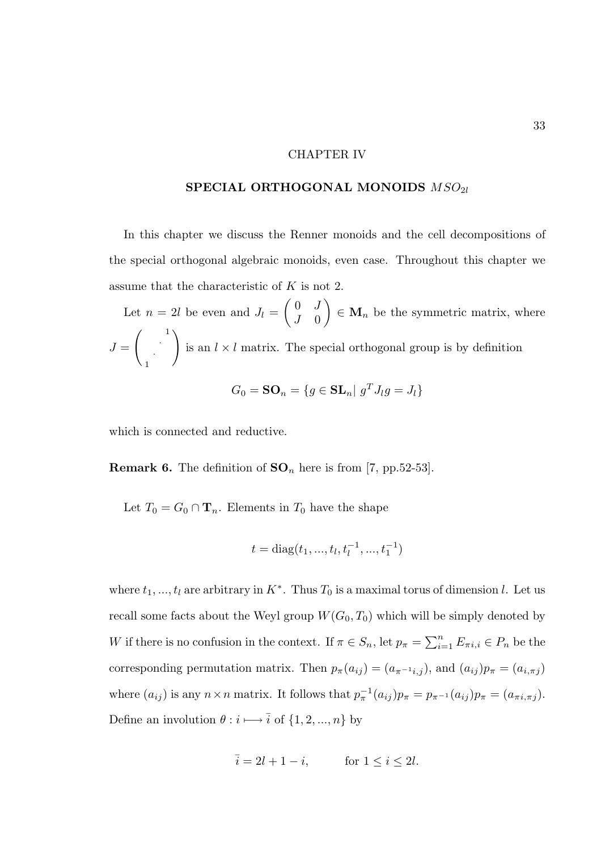## CHAPTER IV

# SPECIAL ORTHOGONAL MONOIDS  $\mathit{MSO}_{2l}$

In this chapter we discuss the Renner monoids and the cell decompositions of the special orthogonal algebraic monoids, even case. Throughout this chapter we assume that the characteristic of K is not 2.

Let  $n = 2l$  be even and  $J_l =$  $\begin{pmatrix} 0 & J \end{pmatrix}$  $J \quad 0$  $\setminus$  $\in \mathbf{M}_n$  be the symmetric matrix, where  $J =$  $\begin{pmatrix} 1 \\ 1 \end{pmatrix}$ · 1  $\setminus$ is an  $l \times l$  matrix. The special orthogonal group is by definition

$$
G_0 = \mathbf{SO}_n = \{ g \in \mathbf{SL}_n \mid g^T J_l g = J_l \}
$$

which is connected and reductive.

**Remark 6.** The definition of  $SO_n$  here is from [7, pp.52-53].

Let  $T_0 = G_0 \cap \mathbf{T}_n$ . Elements in  $T_0$  have the shape

$$
t = diag(t_1, ..., t_l, t_l^{-1}, ..., t_1^{-1})
$$

where  $t_1, ..., t_l$  are arbitrary in  $K^*$ . Thus  $T_0$  is a maximal torus of dimension l. Let us recall some facts about the Weyl group  $W(G_0, T_0)$  which will be simply denoted by W if there is no confusion in the context. If  $\pi \in S_n$ , let  $p_{\pi} = \sum_{i=1}^n E_{\pi i, i} \in P_n$  be the corresponding permutation matrix. Then  $p_{\pi}(a_{ij}) = (a_{\pi^{-1}i,j})$ , and  $(a_{ij})p_{\pi} = (a_{i,\pi j})$ where  $(a_{ij})$  is any  $n \times n$  matrix. It follows that  $p_{\pi}^{-1}(a_{ij})p_{\pi} = p_{\pi^{-1}}(a_{ij})p_{\pi} = (a_{\pi i, \pi j}).$ Define an involution  $\theta:i\longmapsto\overline{i}$  of  $\{1,2,...,n\}$  by

$$
\overline{i} = 2l + 1 - i, \qquad \text{for } 1 \le i \le 2l.
$$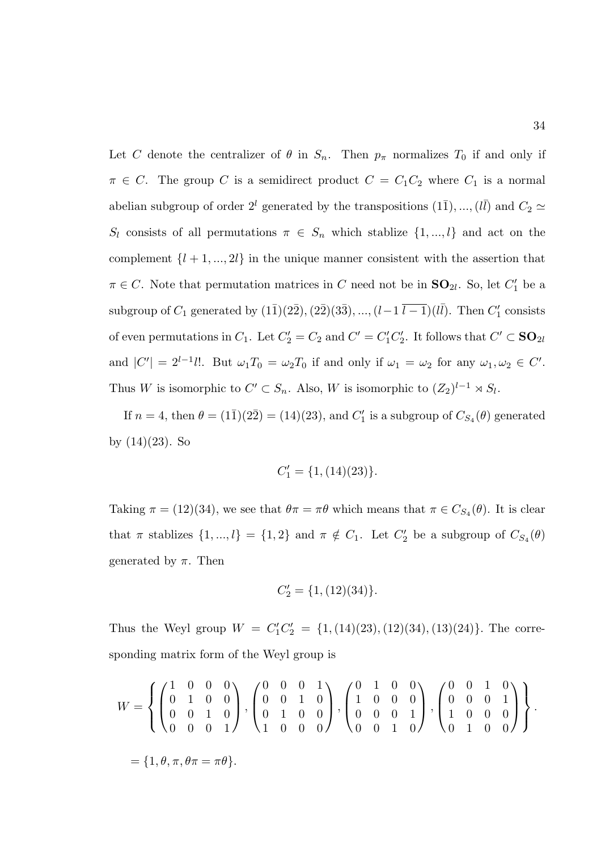Let C denote the centralizer of  $\theta$  in  $S_n$ . Then  $p_\pi$  normalizes  $T_0$  if and only if  $\pi \in C$ . The group C is a semidirect product  $C = C_1C_2$  where  $C_1$  is a normal abelian subgroup of order  $2^{l}$  generated by the transpositions  $(1\overline{1}), ..., (l\overline{l})$  and  $C_2 \simeq$  $S_l$  consists of all permutations  $\pi \in S_n$  which stablize  $\{1, ..., l\}$  and act on the complement  $\{l + 1, ..., 2l\}$  in the unique manner consistent with the assertion that  $\pi \in C$ . Note that permutation matrices in C need not be in  $SO_{2l}$ . So, let  $C'_{1}$  be a subgroup of  $C_1$  generated by  $(1\overline{1})(2\overline{2}), (2\overline{2})(3\overline{3}), ..., (l-1\overline{l-1})(l\overline{l}).$  Then  $C'_1$  consists of even permutations in  $C_1$ . Let  $C_2' = C_2$  and  $C' = C_1'C_2'$ . It follows that  $C' \subset \mathbf{SO}_{2l}$ and  $|C'| = 2^{l-1}l!$ . But  $\omega_1 T_0 = \omega_2 T_0$  if and only if  $\omega_1 = \omega_2$  for any  $\omega_1, \omega_2 \in C'$ . Thus W is isomorphic to  $C' \subset S_n$ . Also, W is isomorphic to  $(Z_2)^{l-1} \rtimes S_l$ .

If  $n = 4$ , then  $\theta = (1\bar{1})(2\bar{2}) = (14)(23)$ , and  $C'_1$  is a subgroup of  $C_{S_4}(\theta)$  generated by  $(14)(23)$ . So

$$
C_1' = \{1, (14)(23)\}.
$$

Taking  $\pi = (12)(34)$ , we see that  $\theta \pi = \pi \theta$  which means that  $\pi \in C_{S_4}(\theta)$ . It is clear that  $\pi$  stablizes  $\{1, ..., l\} = \{1, 2\}$  and  $\pi \notin C_1$ . Let  $C'_2$  be a subgroup of  $C_{S_4}(\theta)$ generated by  $\pi$ . Then

$$
C_2' = \{1, (12)(34)\}.
$$

Thus the Weyl group  $W = C_1'C_2' = \{1, (14)(23), (12)(34), (13)(24)\}.$  The corresponding matrix form of the Weyl group is

$$
W = \left\{ \begin{pmatrix} 1 & 0 & 0 & 0 \\ 0 & 1 & 0 & 0 \\ 0 & 0 & 1 & 0 \\ 0 & 0 & 0 & 1 \end{pmatrix}, \begin{pmatrix} 0 & 0 & 0 & 1 \\ 0 & 0 & 1 & 0 \\ 0 & 1 & 0 & 0 \\ 1 & 0 & 0 & 0 \end{pmatrix}, \begin{pmatrix} 0 & 1 & 0 & 0 \\ 1 & 0 & 0 & 0 \\ 0 & 0 & 0 & 1 \\ 0 & 0 & 1 & 0 \end{pmatrix}, \begin{pmatrix} 0 & 0 & 1 & 0 \\ 0 & 0 & 0 & 1 \\ 1 & 0 & 0 & 0 \\ 0 & 1 & 0 & 0 \end{pmatrix} \right\}.
$$
  
=  $\{1, \theta, \pi, \theta\pi = \pi\theta\}.$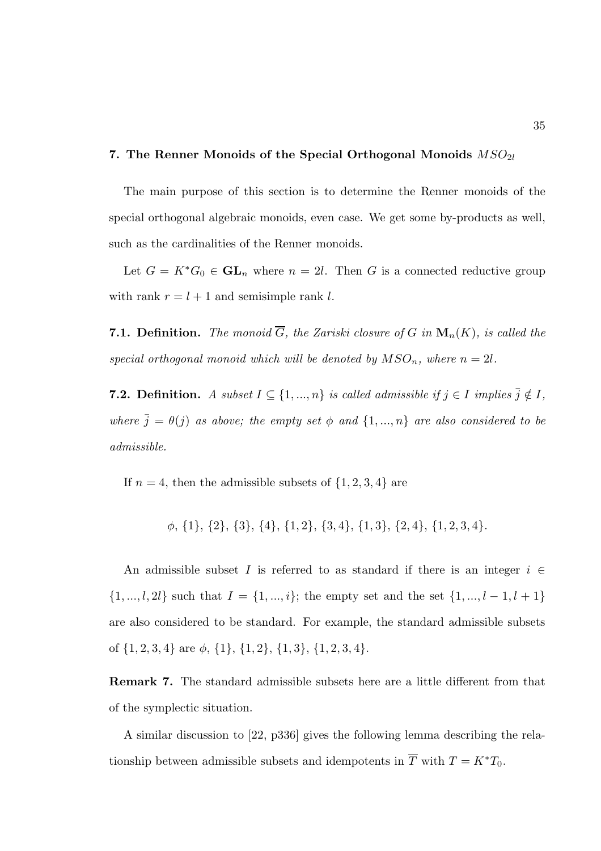#### 7. The Renner Monoids of the Special Orthogonal Monoids  $MSO_{2l}$

The main purpose of this section is to determine the Renner monoids of the special orthogonal algebraic monoids, even case. We get some by-products as well, such as the cardinalities of the Renner monoids.

Let  $G = K^*G_0 \in GL_n$  where  $n = 2l$ . Then G is a connected reductive group with rank  $r = l + 1$  and semisimple rank l.

**7.1. Definition.** The monoid  $\overline{G}$ , the Zariski closure of G in  $\mathbf{M}_n(K)$ , is called the special orthogonal monoid which will be denoted by  $MSO_n$ , where  $n = 2l$ .

**7.2. Definition.** A subset  $I \subseteq \{1, ..., n\}$  is called admissible if  $j \in I$  implies  $\overline{j} \notin I$ , where  $\bar{j} = \theta(j)$  as above; the empty set  $\phi$  and  $\{1, ..., n\}$  are also considered to be admissible.

If  $n = 4$ , then the admissible subsets of  $\{1, 2, 3, 4\}$  are

φ, {1}, {2}, {3}, {4}, {1, 2}, {3, 4}, {1, 3}, {2, 4}, {1, 2, 3, 4}.

An admissible subset I is referred to as standard if there is an integer  $i \in$  $\{1, ..., l, 2l\}$  such that  $I = \{1, ..., i\}$ ; the empty set and the set  $\{1, ..., l - 1, l + 1\}$ are also considered to be standard. For example, the standard admissible subsets of  $\{1, 2, 3, 4\}$  are  $\phi$ ,  $\{1\}$ ,  $\{1, 2\}$ ,  $\{1, 3\}$ ,  $\{1, 2, 3, 4\}$ .

Remark 7. The standard admissible subsets here are a little different from that of the symplectic situation.

A similar discussion to [22, p336] gives the following lemma describing the relationship between admissible subsets and idempotents in  $\overline{T}$  with  $T = K^*T_0$ .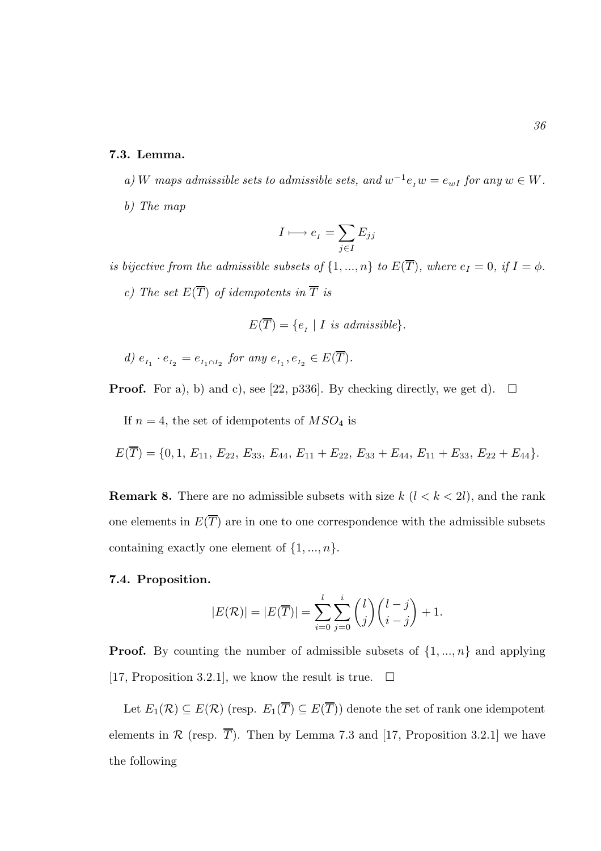## 7.3. Lemma.

a) W maps admissible sets to admissible sets, and  $w^{-1}e_iw = e_{wI}$  for any  $w \in W$ . b) The map

$$
I \longmapsto e_{I} = \sum_{j \in I} E_{jj}
$$

is bijective from the admissible subsets of  $\{1, ..., n\}$  to  $E(\overline{T})$ , where  $e_I = 0$ , if  $I = \phi$ . c) The set  $E(\overline{T})$  of idempotents in  $\overline{T}$  is

$$
E(\overline{T}) = \{e_I \mid I \text{ is admissible}\}.
$$

$$
d) \ e_{\scriptscriptstyle I_1} \cdot e_{\scriptscriptstyle I_2} = e_{\scriptscriptstyle I_1 \cap I_2} \ \text{for any} \ e_{\scriptscriptstyle I_1}, e_{\scriptscriptstyle I_2} \in E(\overline{T}).
$$

**Proof.** For a), b) and c), see [22, p336]. By checking directly, we get d).  $\Box$ 

If  $n = 4$ , the set of idempotents of  $MSO<sub>4</sub>$  is

$$
E(\overline{T}) = \{0, 1, E_{11}, E_{22}, E_{33}, E_{44}, E_{11} + E_{22}, E_{33} + E_{44}, E_{11} + E_{33}, E_{22} + E_{44}\}.
$$

**Remark 8.** There are no admissible subsets with size  $k$  ( $l < k < 2l$ ), and the rank one elements in  $E(\overline{T})$  are in one to one correspondence with the admissible subsets containing exactly one element of  $\{1, ..., n\}$ .

## 7.4. Proposition.

$$
|E(\mathcal{R})| = |E(\overline{T})| = \sum_{i=0}^{l} \sum_{j=0}^{i} {l \choose j} {l-j \choose i-j} + 1.
$$

**Proof.** By counting the number of admissible subsets of  $\{1, ..., n\}$  and applying [17, Proposition 3.2.1], we know the result is true.  $\Box$ 

Let  $E_1(\mathcal{R}) \subseteq E(\mathcal{R})$  (resp.  $E_1(\overline{T}) \subseteq E(\overline{T})$ ) denote the set of rank one idempotent elements in  $\mathcal R$  (resp.  $\overline{T}$ ). Then by Lemma 7.3 and [17, Proposition 3.2.1] we have the following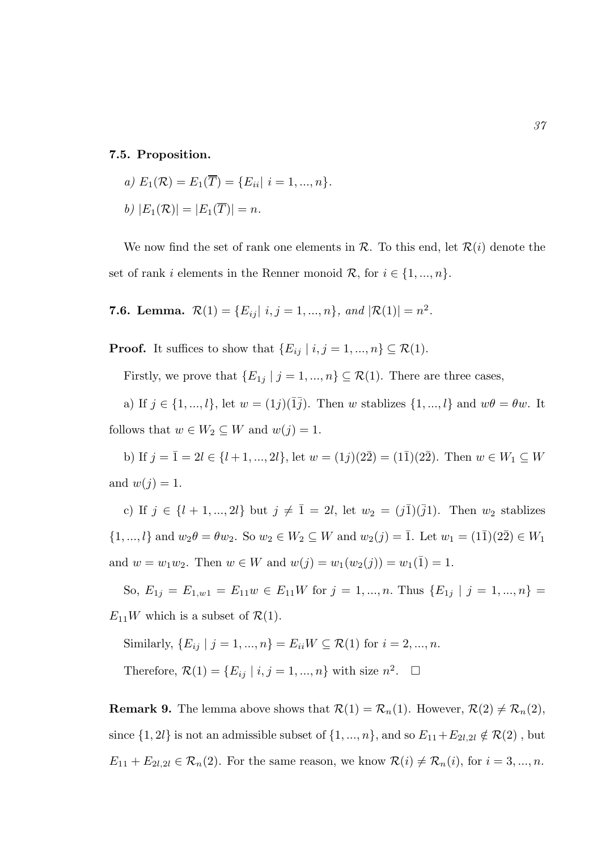## 7.5. Proposition.

a) 
$$
E_1(\mathcal{R}) = E_1(\overline{T}) = \{E_{ii} | i = 1, ..., n\}.
$$
  
b)  $|E_1(\mathcal{R})| = |E_1(\overline{T})| = n.$ 

We now find the set of rank one elements in  $\mathcal{R}$ . To this end, let  $\mathcal{R}(i)$  denote the set of rank i elements in the Renner monoid  $\mathcal{R}$ , for  $i \in \{1, ..., n\}$ .

**7.6. Lemma.**  $\mathcal{R}(1) = \{E_{ij} | i, j = 1, ..., n\}$ , and  $|\mathcal{R}(1)| = n^2$ .

**Proof.** It suffices to show that  $\{E_{ij} | i, j = 1, ..., n\} \subseteq \mathcal{R}(1)$ .

Firstly, we prove that  $\{E_{1j} | j = 1, ..., n\} \subseteq \mathcal{R}(1)$ . There are three cases,

a) If  $j \in \{1, ..., l\}$ , let  $w = (1j)(\overline{1}\overline{j})$ . Then w stablizes  $\{1, ..., l\}$  and  $w\theta = \theta w$ . It follows that  $w \in W_2 \subseteq W$  and  $w(j) = 1$ .

b) If  $j = \overline{1} = 2l \in \{l + 1, ..., 2l\}$ , let  $w = (1j)(2\overline{2}) = (1\overline{1})(2\overline{2})$ . Then  $w \in W_1 \subseteq W$ and  $w(j) = 1$ .

c) If  $j \in \{l + 1, ..., 2l\}$  but  $j \neq \overline{1} = 2l$ , let  $w_2 = (j\overline{1})(\overline{j}1)$ . Then  $w_2$  stablizes  $\{1, ..., l\}$  and  $w_2\theta = \theta w_2$ . So  $w_2 \in W_2 \subseteq W$  and  $w_2(j) = \overline{1}$ . Let  $w_1 = (1\overline{1})(2\overline{2}) \in W_1$ and  $w = w_1w_2$ . Then  $w \in W$  and  $w(j) = w_1(w_2(j)) = w_1(\overline{1}) = 1$ .

So,  $E_{1j} = E_{1,w1} = E_{11}w \in E_{11}W$  for  $j = 1, ..., n$ . Thus  $\{E_{1j} | j = 1, ..., n\}$  $E_{11}W$  which is a subset of  $\mathcal{R}(1)$ .

Similarly,  $\{E_{ij} | j = 1, ..., n\} = E_{ii}W \subseteq \mathcal{R}(1)$  for  $i = 2, ..., n$ .

Therefore,  $\mathcal{R}(1) = \{E_{ij} \mid i, j = 1, ..., n\}$  with size  $n^2$ .  $\Box$ 

**Remark 9.** The lemma above shows that  $\mathcal{R}(1) = \mathcal{R}_n(1)$ . However,  $\mathcal{R}(2) \neq \mathcal{R}_n(2)$ , since  $\{1, 2l\}$  is not an admissible subset of  $\{1, ..., n\}$ , and so  $E_{11} + E_{2l,2l} \notin \mathcal{R}(2)$ , but  $E_{11} + E_{2l,2l} \in \mathcal{R}_n(2)$ . For the same reason, we know  $\mathcal{R}(i) \neq \mathcal{R}_n(i)$ , for  $i = 3, ..., n$ .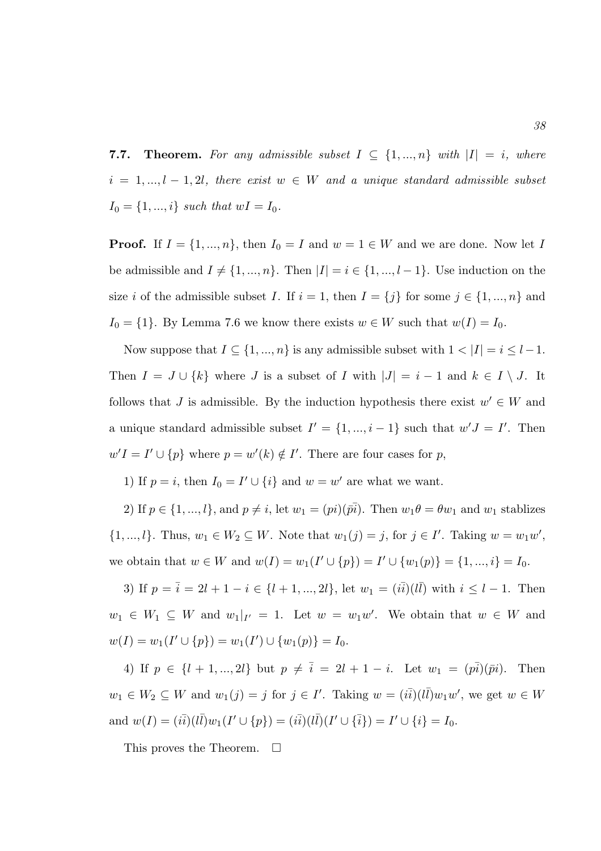**7.7.** Theorem. For any admissible subset  $I \subseteq \{1, ..., n\}$  with  $|I| = i$ , where  $i = 1, ..., l - 1, 2l$ , there exist  $w \in W$  and a unique standard admissible subset  $I_0 = \{1, ..., i\}$  such that  $wI = I_0$ .

**Proof.** If  $I = \{1, ..., n\}$ , then  $I_0 = I$  and  $w = 1 \in W$  and we are done. Now let I be admissible and  $I \neq \{1, ..., n\}$ . Then  $|I| = i \in \{1, ..., l - 1\}$ . Use induction on the size i of the admissible subset I. If  $i = 1$ , then  $I = \{j\}$  for some  $j \in \{1, ..., n\}$  and  $I_0 = \{1\}$ . By Lemma 7.6 we know there exists  $w \in W$  such that  $w(I) = I_0$ .

Now suppose that  $I \subseteq \{1, ..., n\}$  is any admissible subset with  $1 < |I| = i \leq l-1$ . Then  $I = J \cup \{k\}$  where J is a subset of I with  $|J| = i - 1$  and  $k \in I \setminus J$ . It follows that J is admissible. By the induction hypothesis there exist  $w' \in W$  and a unique standard admissible subset  $I' = \{1, ..., i-1\}$  such that  $w'J = I'$ . Then  $w'I = I' \cup \{p\}$  where  $p = w'(k) \notin I'$ . There are four cases for p,

1) If  $p = i$ , then  $I_0 = I' \cup \{i\}$  and  $w = w'$  are what we want.

2) If  $p \in \{1, ..., l\}$ , and  $p \neq i$ , let  $w_1 = (pi)(\bar{pi})$ . Then  $w_1 \theta = \theta w_1$  and  $w_1$  stablizes  $\{1, ..., l\}$ . Thus,  $w_1 \in W_2 \subseteq W$ . Note that  $w_1(j) = j$ , for  $j \in I'$ . Taking  $w = w_1w'$ , we obtain that  $w \in W$  and  $w(I) = w_1(I' \cup \{p\}) = I' \cup \{w_1(p)\} = \{1, ..., i\} = I_0$ .

3) If  $p = \bar{i} = 2l + 1 - i \in \{l + 1, ..., 2l\}$ , let  $w_1 = (i\bar{i})(l\bar{l})$  with  $i \leq l - 1$ . Then  $w_1 \in W_1 \subseteq W$  and  $w_1|_{I'} = 1$ . Let  $w = w_1w'$ . We obtain that  $w \in W$  and  $w(I) = w_1(I' \cup \{p\}) = w_1(I') \cup \{w_1(p)\} = I_0.$ 

4) If  $p \in \{l + 1, ..., 2l\}$  but  $p \neq \overline{i} = 2l + 1 - i$ . Let  $w_1 = (p\overline{i})(\overline{pi})$ . Then  $w_1 \in W_2 \subseteq W$  and  $w_1(j) = j$  for  $j \in I'$ . Taking  $w = (i\overline{i})(l\overline{l})w_1w'$ , we get  $w \in W$ and  $w(I) = (i\bar{i})(l\bar{l})w_1(I' \cup \{p\}) = (i\bar{i})(l\bar{l})(I' \cup \{\bar{i}\}) = I' \cup \{i\} = I_0.$ 

This proves the Theorem.  $\square$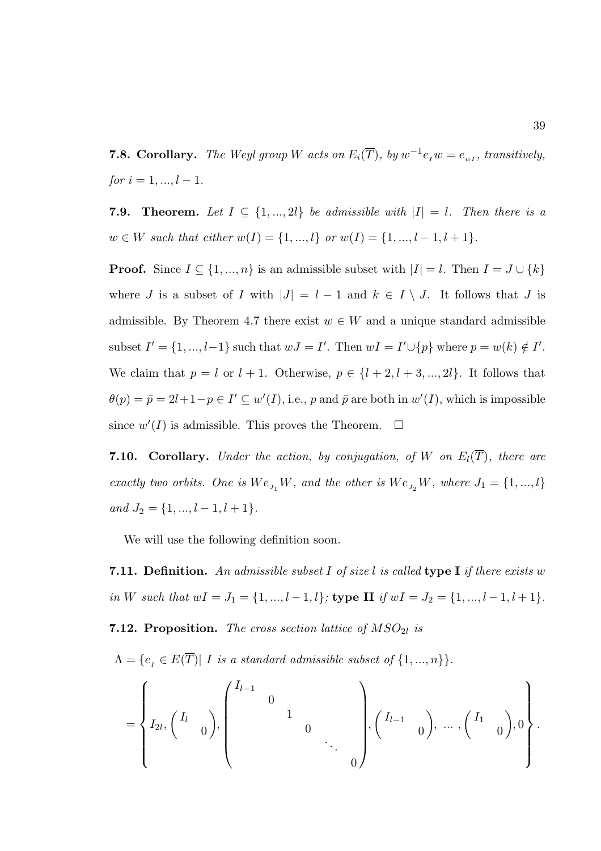**7.8. Corollary.** The Weyl group W acts on  $E_i(\overline{T})$ , by  $w^{-1}e_iw = e_{wI}$ , transitively,  $for i = 1, ..., l - 1.$ 

**Theorem.** Let  $I \subseteq \{1, ..., 2l\}$  be admissible with  $|I| = l$ . Then there is a  $w \in W$  such that either  $w(I) = \{1, ..., l\}$  or  $w(I) = \{1, ..., l-1, l+1\}.$ 

**Proof.** Since  $I \subseteq \{1, ..., n\}$  is an admissible subset with  $|I| = l$ . Then  $I = J \cup \{k\}$ where J is a subset of I with  $|J| = l - 1$  and  $k \in I \setminus J$ . It follows that J is admissible. By Theorem 4.7 there exist  $w \in W$  and a unique standard admissible subset  $I' = \{1, ..., l-1\}$  such that  $wJ = I'$ . Then  $wI = I' \cup \{p\}$  where  $p = w(k) \notin I'$ . We claim that  $p = l$  or  $l + 1$ . Otherwise,  $p \in \{l + 2, l + 3, ..., 2l\}$ . It follows that  $\theta(p) = \bar{p} = 2l + 1 - p \in I' \subseteq w'(I),$  i.e., p and  $\bar{p}$  are both in  $w'(I)$ , which is impossible since  $w'(I)$  is admissible. This proves the Theorem.  $\Box$ 

**7.10. Corollary.** Under the action, by conjugation, of W on  $E_l(\overline{T})$ , there are exactly two orbits. One is  $We_{J_1}W$ , and the other is  $We_{J_2}W$ , where  $J_1 = \{1, ..., l\}$ and  $J_2 = \{1, ..., l-1, l+1\}.$ 

We will use the following definition soon.

**7.11. Definition.** An admissible subset I of size l is called **type I** if there exists w in W such that  $wI = J_1 = \{1, ..., l-1, l\}$ ; type II if  $wI = J_2 = \{1, ..., l-1, l+1\}$ . **7.12. Proposition.** The cross section lattice of  $MSO_{2l}$  is

 $\Lambda = \{e_i \in E(\overline{T}) | I$  is a standard admissible subset of  $\{1, ..., n\} \}.$ 

$$
= \left\{ I_{2l}, \begin{pmatrix} I_l & & \\ & 0 & \end{pmatrix}, \begin{pmatrix} I_{l-1} & & & \\ & 0 & & \\ & & 1 & \\ & & & \ddots & \\ & & & & 0 \end{pmatrix}, \begin{pmatrix} I_{l-1} & & \\ & 0 & \end{pmatrix}, \dots, \begin{pmatrix} I_1 & & \\ & 0 & \end{pmatrix}, 0 \right\}.
$$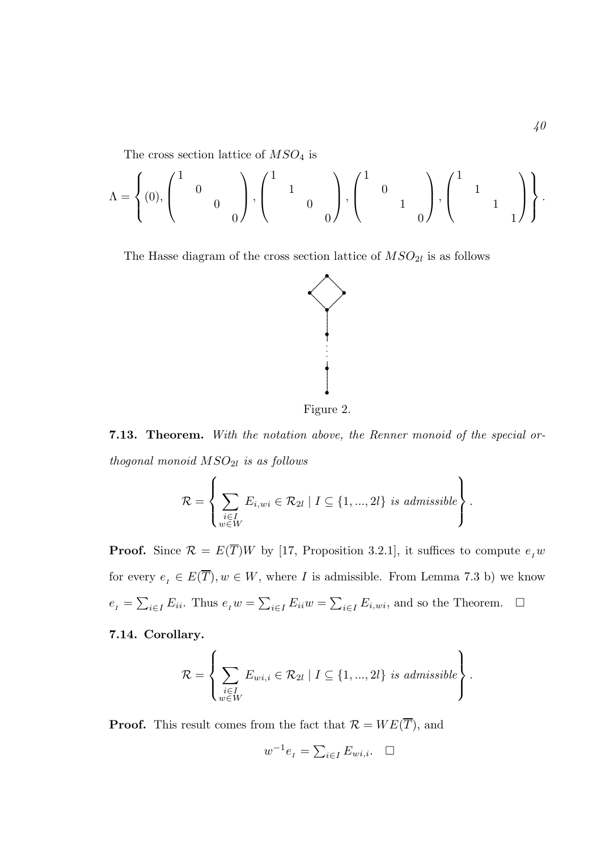The cross section lattice of  $MSO<sub>4</sub>$  is

$$
\Lambda = \left\{ (0), \begin{pmatrix} 1 & & & \\ & 0 & & \\ & & 0 & \\ & & & 0 \end{pmatrix}, \begin{pmatrix} 1 & & & \\ & 1 & & \\ & & 0 & \\ & & & 0 \end{pmatrix}, \begin{pmatrix} 1 & & & \\ & 0 & & \\ & & 1 & \\ & & & 0 \end{pmatrix}, \begin{pmatrix} 1 & & & \\ & 1 & & \\ & & 1 & \\ & & & 1 \end{pmatrix} \right\}.
$$

The Hasse diagram of the cross section lattice of  $MSO_{2l}$  is as follows



Figure 2.

**7.13. Theorem.** With the notation above, the Renner monoid of the special orthogonal monoid  $MSO_{2l}$  is as follows

$$
\mathcal{R} = \left\{ \sum_{\substack{i \in I \\ w \in W}} E_{i,wi} \in \mathcal{R}_{2l} \mid I \subseteq \{1, ..., 2l\} \text{ is admissible} \right\}.
$$

**Proof.** Since  $\mathcal{R} = E(\overline{T})W$  by [17, Proposition 3.2.1], it suffices to compute  $e_I w$ for every  $e_I \in E(\overline{T}), w \in W$ , where I is admissible. From Lemma 7.3 b) we know  $e_{I} = \sum_{i \in I} E_{ii}$ . Thus  $e_{I} w = \sum_{i \in I} E_{ii} w = \sum_{i \in I} E_{i,wi}$ , and so the Theorem.  $\Box$ 

7.14. Corollary.

$$
\mathcal{R} = \left\{ \sum_{\substack{i \in I \\ w \in W}} E_{wi,i} \in \mathcal{R}_{2l} \mid I \subseteq \{1, ..., 2l\} \text{ is admissible} \right\}.
$$

**Proof.** This result comes from the fact that  $\mathcal{R} = WE(\overline{T})$ , and

$$
w^{-1}e_{I} = \sum_{i \in I} E_{wi,i}.\quad \Box
$$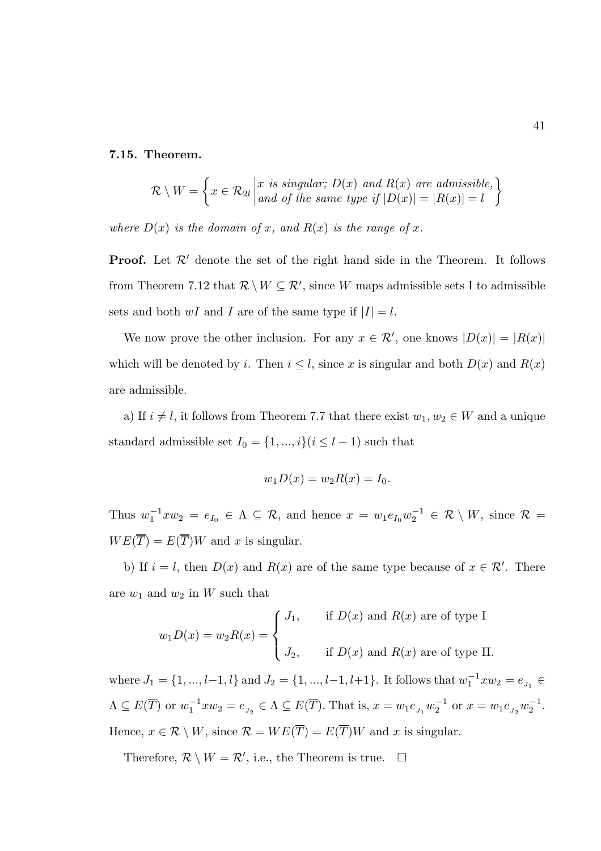#### 7.15. Theorem.

$$
\mathcal{R} \setminus W = \left\{ x \in \mathcal{R}_{2l} \middle| \begin{matrix} x \text{ is singular; } D(x) \text{ and } R(x) \text{ are admissible,} \\ and \text{ of the same type if } |D(x)| = |R(x)| = l \end{matrix} \right\}
$$

where  $D(x)$  is the domain of x, and  $R(x)$  is the range of x.

**Proof.** Let  $\mathcal{R}'$  denote the set of the right hand side in the Theorem. It follows from Theorem 7.12 that  $\mathcal{R} \setminus W \subseteq \mathcal{R}'$ , since W maps admissible sets I to admissible sets and both  $wI$  and I are of the same type if  $|I| = l$ .

We now prove the other inclusion. For any  $x \in \mathcal{R}'$ , one knows  $|D(x)| = |R(x)|$ which will be denoted by i. Then  $i \leq l$ , since x is singular and both  $D(x)$  and  $R(x)$ are admissible.

a) If  $i \neq l$ , it follows from Theorem 7.7 that there exist  $w_1, w_2 \in W$  and a unique standard admissible set  $I_0 = \{1,...,i\} (i \leq l-1)$  such that

$$
w_1 D(x) = w_2 R(x) = I_0.
$$

Thus  $w_1^{-1} x w_2 = e_{I_0} \in \Lambda \subseteq \mathcal{R}$ , and hence  $x = w_1 e_{I_0} w_2^{-1} \in \mathcal{R} \setminus W$ , since  $\mathcal{R} =$  $WE(\overline{T}) = E(\overline{T})W$  and x is singular.

b) If  $i = l$ , then  $D(x)$  and  $R(x)$  are of the same type because of  $x \in \mathcal{R}'$ . There are  $w_1$  and  $w_2$  in W such that

$$
w_1 D(x) = w_2 R(x) =
$$
\n
$$
\begin{cases}\nJ_1, & \text{if } D(x) \text{ and } R(x) \text{ are of type I} \\
J_2, & \text{if } D(x) \text{ and } R(x) \text{ are of type II.} \n\end{cases}
$$

where  $J_1 = \{1, ..., l-1, l\}$  and  $J_2 = \{1, ..., l-1, l+1\}$ . It follows that  $w_1^{-1} x w_2 = e_{J_1}$  $\Lambda \subseteq E(\overline{T})$  or  $w_1^{-1} x w_2 = e_{J_2} \in \Lambda \subseteq E(\overline{T})$ . That is,  $x = w_1 e_{J_1} w_2^{-1}$  $_2^{-1}$  or  $x = w_1 e_{J_2} w_2^{-1}$  $\frac{-1}{2}$ . Hence,  $x \in \mathcal{R} \setminus W$ , since  $\mathcal{R} = WE(\overline{T}) = E(\overline{T})W$  and x is singular.

Therefore,  $\mathcal{R} \setminus W = \mathcal{R}'$ , i.e., the Theorem is true.  $\Box$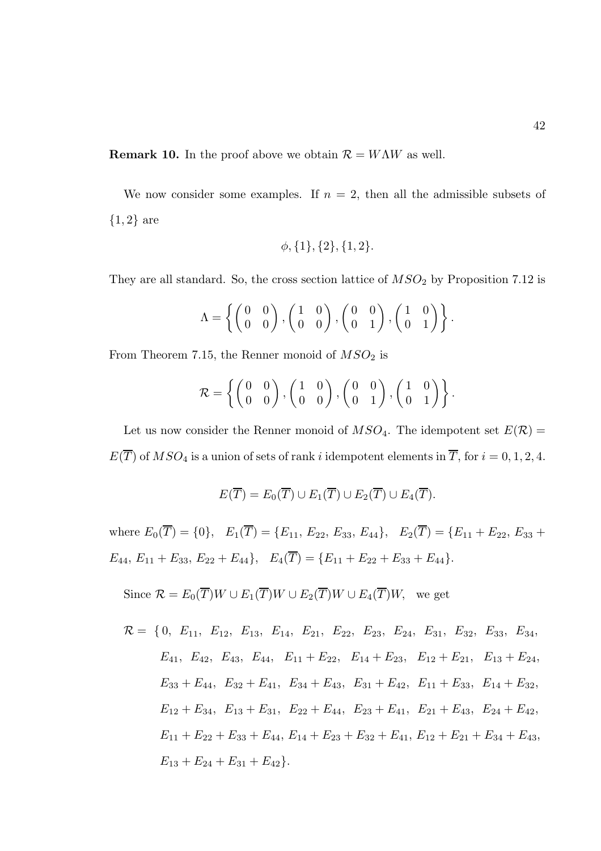**Remark 10.** In the proof above we obtain  $\mathcal{R} = W\Lambda W$  as well.

We now consider some examples. If  $n = 2$ , then all the admissible subsets of  $\{1,2\}$  are

$$
\phi
$$
,  $\{1\}$ ,  $\{2\}$ ,  $\{1,2\}$ .

They are all standard. So, the cross section lattice of  $MSO<sub>2</sub>$  by Proposition 7.12 is

$$
\Lambda = \left\{ \begin{pmatrix} 0 & 0 \\ 0 & 0 \end{pmatrix}, \begin{pmatrix} 1 & 0 \\ 0 & 0 \end{pmatrix}, \begin{pmatrix} 0 & 0 \\ 0 & 1 \end{pmatrix}, \begin{pmatrix} 1 & 0 \\ 0 & 1 \end{pmatrix} \right\}.
$$

From Theorem 7.15, the Renner monoid of  $MSO<sub>2</sub>$  is

$$
\mathcal{R} = \left\{ \begin{pmatrix} 0 & 0 \\ 0 & 0 \end{pmatrix}, \begin{pmatrix} 1 & 0 \\ 0 & 0 \end{pmatrix}, \begin{pmatrix} 0 & 0 \\ 0 & 1 \end{pmatrix}, \begin{pmatrix} 1 & 0 \\ 0 & 1 \end{pmatrix} \right\}.
$$

Let us now consider the Renner monoid of  $MSO_4$ . The idempotent set  $E(\mathcal{R}) =$  $E(\overline{T})$  of  $MSO_4$  is a union of sets of rank i idempotent elements in  $\overline{T}$ , for  $i = 0, 1, 2, 4$ .

$$
E(\overline{T}) = E_0(\overline{T}) \cup E_1(\overline{T}) \cup E_2(\overline{T}) \cup E_4(\overline{T}).
$$

where  $E_0(\overline{T}) = \{0\}, E_1(\overline{T}) = \{E_{11}, E_{22}, E_{33}, E_{44}\}, E_2(\overline{T}) = \{E_{11} + E_{22}, E_{33} + E_{44}\}$  $E_{44}, E_{11} + E_{33}, E_{22} + E_{44}$ ,  $E_4(\overline{T}) = \{E_{11} + E_{22} + E_{33} + E_{44}\}.$ 

Since  $\mathcal{R} = E_0(\overline{T})W \cup E_1(\overline{T})W \cup E_2(\overline{T})W \cup E_4(\overline{T})W$ , we get

$$
\mathcal{R} = \{0, E_{11}, E_{12}, E_{13}, E_{14}, E_{21}, E_{22}, E_{23}, E_{24}, E_{31}, E_{32}, E_{33}, E_{34},\nE_{41}, E_{42}, E_{43}, E_{44}, E_{11} + E_{22}, E_{14} + E_{23}, E_{12} + E_{21}, E_{13} + E_{24},\nE_{33} + E_{44}, E_{32} + E_{41}, E_{34} + E_{43}, E_{31} + E_{42}, E_{11} + E_{33}, E_{14} + E_{32},\nE_{12} + E_{34}, E_{13} + E_{31}, E_{22} + E_{44}, E_{23} + E_{41}, E_{21} + E_{43}, E_{24} + E_{42},\nE_{11} + E_{22} + E_{33} + E_{44}, E_{14} + E_{23} + E_{32} + E_{41}, E_{12} + E_{21} + E_{34} + E_{43},\nE_{13} + E_{24} + E_{31} + E_{42}.
$$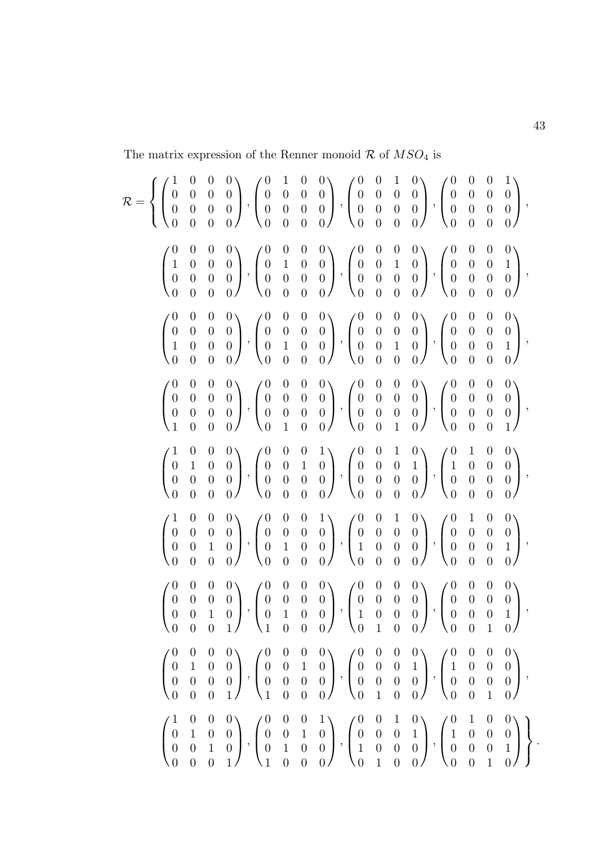The matrix expression of the Renner monoid  $\mathcal R$  of  $MSO_4$  is

$$
\mathcal{R} = \left\{ \begin{pmatrix} 1 & 0 & 0 & 0 \\ 0 & 0 & 0 & 0 \\ 0 & 0 & 0 & 0 \\ 0 & 0 & 0 & 0 \\ 0 & 0 & 0 & 0 \\ 0 & 0 & 0 & 0 \\ 0 & 0 & 0 & 0 \\ 0 & 0 & 0 & 0 \\ 0 & 0 & 0 & 0 \\ 0 & 0 & 0 & 0 \\ 0 & 0 & 0 & 0 \\ 0 & 0 & 0 & 0 \\ 0 & 0 & 0 & 0 \\ 0 & 0 & 0 & 0 \\ 0 & 0 & 0 & 0 \\ 0 & 0 & 0 & 0 \\ 0 & 0 & 0 & 0 \\ 0 & 0 & 0 & 0 \\ 0 & 0 & 0 & 0 \\ 0 & 0 & 0 & 0 \\ 0 & 0 & 0 & 0 \\ 0 & 0 & 0 & 0 \\ 0 & 0 & 0 & 0 \\ 0 & 0 & 0 & 0 \\ 0 & 0 & 0 & 0 \\ 0 & 0 & 0 & 0 \\ 0 & 0 & 0 & 0 \\ 0 & 0 & 0 & 0 \\ 0 & 0 & 0 & 0 \\ 0 & 0 & 0 & 0 \\ 0 & 0 & 0 & 0 \\ 0 & 0 & 0 & 0 \\ 0 & 0 & 0 & 0 \\ 0 & 0 & 0 & 0 \\ 0 & 0 & 0 & 0 \\ 0 & 0 & 0 & 0 \\ 0 & 0 & 0 & 0 \\ 0 & 0 & 0 & 0 \\ 0 & 0 & 0 & 0 \\ 0 & 0 & 0 & 0 \\ 0 & 0 & 0 & 0 \\ 0 & 0 & 0 & 0 \\ 0 & 0 & 0 & 0 \\ 0 & 0 & 0 & 0 \\ 0 & 0 & 0 & 0 \\ 0 & 0 & 0 & 0 \\ 0 & 0 & 0 & 0 \\ 0 & 0 & 0 & 0 \\ 0 & 0 & 0 & 0 \\ 0 & 0 & 0 & 0 \\ 0 & 0 & 0 & 0 \\ 0 & 0 & 0 & 0 \\ 0 & 0 & 0 & 0 \\ 0 & 0 & 0 & 0 \\ 0 & 0 & 0 & 0 \\ 0 & 0 & 0 & 0 \\ 0 & 0 & 0 & 0 \\ 0 & 0 & 0 & 0 \\ 0 & 0 & 0 & 0 \\ 0 & 0 & 0 & 0 \\ 0 & 0 & 0 & 0 \\ 0 & 0 & 0 & 0
$$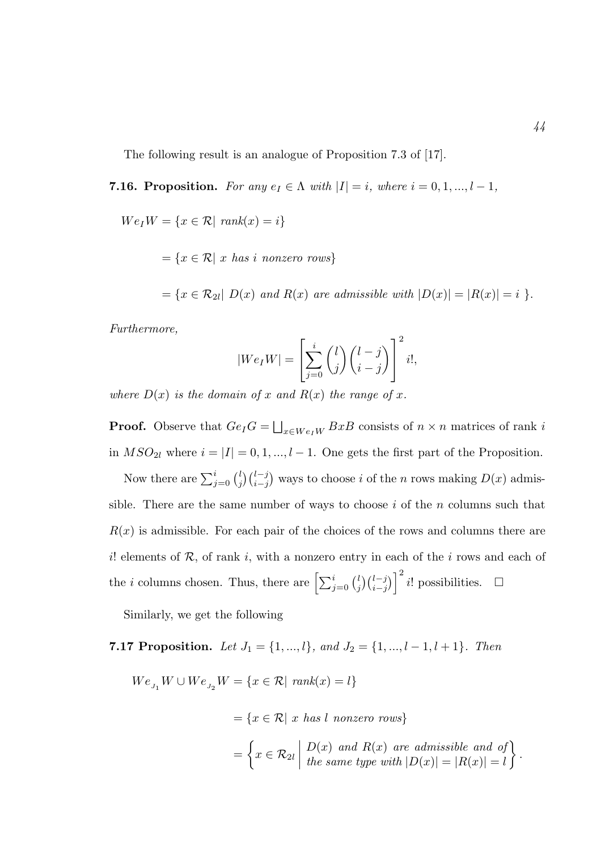The following result is an analogue of Proposition 7.3 of [17].

- **7.16. Proposition.** For any  $e_I \in \Lambda$  with  $|I| = i$ , where  $i = 0, 1, ..., l 1$ ,
	- $We_I W = \{x \in \mathcal{R} \mid \text{rank}(x) = i\}$ 
		- $=\{x \in \mathcal{R} \mid x \text{ has } i \text{ nonzero rows}\}\$

 $=\{x\in\mathcal{R}_{2l}|\ D(x)\ and\ R(x)\ are\ admissible\ with\ |D(x)|=|R(x)|=i\ \}.$ 

Furthermore,

$$
|We_I W| = \left[\sum_{j=0}^i \binom{l}{j} \binom{l-j}{i-j}\right]^2 i!,
$$

where  $D(x)$  is the domain of x and  $R(x)$  the range of x.

**Proof.** Observe that  $Ge_{I}G = \bigsqcup_{x \in W e_{I}W} BxB$  consists of  $n \times n$  matrices of rank i in  $MSO_{2l}$  where  $i = |I| = 0, 1, ..., l - 1$ . One gets the first part of the Proposition.

Now there are  $\sum_{j=0}^{i} {l \choose j}$  $j \binom{l-j}{i-j}$  ways to choose i of the n rows making  $D(x)$  admissible. There are the same number of ways to choose  $i$  of the n columns such that  $R(x)$  is admissible. For each pair of the choices of the rows and columns there are i. elements of  $R$ , of rank i, with a nonzero entry in each of the i rows and each of the *i* columns chosen. Thus, there are  $\left[\sum_{j=0}^{i} {l \choose j} \right]$  $\binom{l}{j}\binom{l-j}{i-j}$ <sup>2</sup> i! possibilities. □

Similarly, we get the following

# 7.17 Proposition. Let  $J_1 = \{1, ..., l\}$ , and  $J_2 = \{1, ..., l-1, l+1\}$ . Then

 $We_{J_1} W \cup We_{J_2} W = \{x \in \mathcal{R} | \text{ rank}(x) = l\}$ 

 $=\{x \in \mathcal{R} \mid x \text{ has } l \text{ nonzero rows}\}\$ 

$$
= \left\{ x \in \mathcal{R}_{2l} \middle| \begin{array}{c} D(x) \text{ and } R(x) \text{ are admissible and of} \\ \text{the same type with } |D(x)| = |R(x)| = l \end{array} \right\}.
$$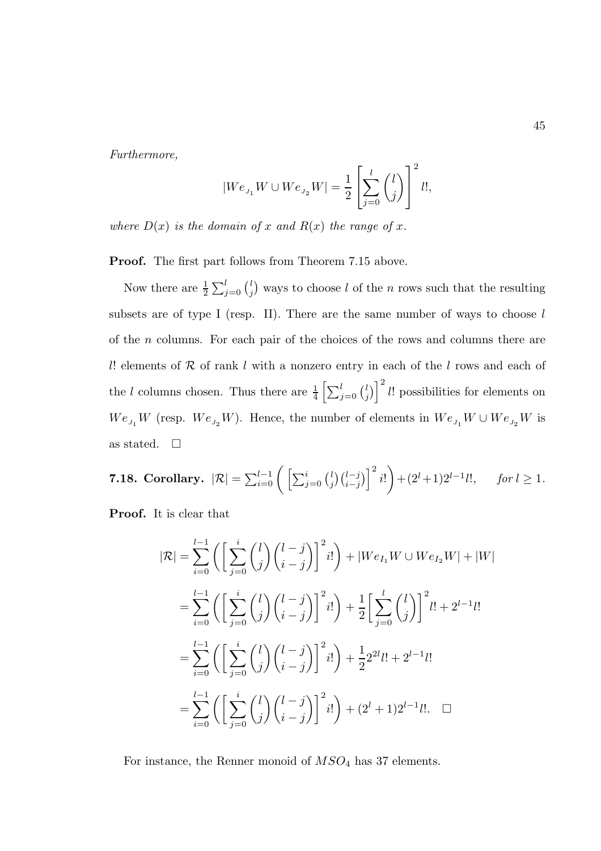Furthermore,

$$
|W e_{\scriptscriptstyle J_1} W \cup W e_{\scriptscriptstyle J_2} W| = \frac{1}{2} \left[ \sum_{j=0}^l \binom{l}{j} \right]^2 l!,
$$

where  $D(x)$  is the domain of x and  $R(x)$  the range of x.

Proof. The first part follows from Theorem 7.15 above.

Now there are  $\frac{1}{2} \sum_{j=0}^{l} {l \choose j}$  $\binom{l}{j}$  ways to choose l of the n rows such that the resulting subsets are of type I (resp. II). There are the same number of ways to choose  $l$ of the n columns. For each pair of the choices of the rows and columns there are l! elements of  $R$  of rank l with a nonzero entry in each of the l rows and each of the l columns chosen. Thus there are  $\frac{1}{4} \left[ \sum_{j=0}^{l} {l \choose j} \right]$  $\binom{l}{j}$   $\binom{l}{l}$  possibilities for elements on  $We_{_{J_1}}W$  (resp.  $We_{_{J_2}}W$ ). Hence, the number of elements in  $We_{_{J_1}}W\cup We_{_{J_2}}W$  is as stated.  $\square$ 

**7.18. Corollary.** 
$$
|\mathcal{R}| = \sum_{i=0}^{l-1} \left( \left[ \sum_{j=0}^{i} {l \choose j} {l-j \choose i-j} \right]^2 i! \right) + (2^l+1)2^{l-1}l!, \quad \text{for } l \geq 1.
$$

Proof. It is clear that

$$
|\mathcal{R}| = \sum_{i=0}^{l-1} \left( \left[ \sum_{j=0}^{i} {l \choose j} {l-j \choose i-j} \right]^{2} i! \right) + |We_{I_1}W \cup We_{I_2}W| + |W|
$$
  

$$
= \sum_{i=0}^{l-1} \left( \left[ \sum_{j=0}^{i} {l \choose j} {l-j \choose i-j} \right]^{2} i! \right) + \frac{1}{2} \left[ \sum_{j=0}^{l} {l \choose j} \right]^{2} i! + 2^{l-1} i!
$$
  

$$
= \sum_{i=0}^{l-1} \left( \left[ \sum_{j=0}^{i} {l \choose j} {l-j \choose i-j} \right]^{2} i! \right) + \frac{1}{2} 2^{2l} i! + 2^{l-1} i!
$$
  

$$
= \sum_{i=0}^{l-1} \left( \left[ \sum_{j=0}^{i} {l \choose j} {l-j \choose i-j} \right]^{2} i! \right) + (2^{l}+1) 2^{l-1} i!.
$$

For instance, the Renner monoid of  $MSO<sub>4</sub>$  has 37 elements.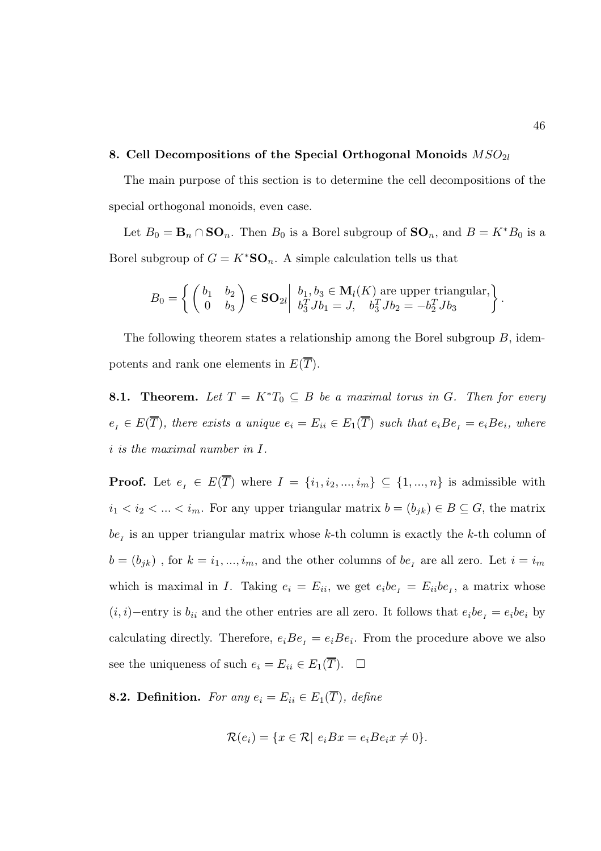## 8. Cell Decompositions of the Special Orthogonal Monoids  $MSO_{2l}$

The main purpose of this section is to determine the cell decompositions of the special orthogonal monoids, even case.

Let  $B_0 = \mathbf{B}_n \cap \mathbf{SO}_n$ . Then  $B_0$  is a Borel subgroup of  $\mathbf{SO}_n$ , and  $B = K^*B_0$  is a Borel subgroup of  $G = K^*S\mathbf{O}_n$ . A simple calculation tells us that

$$
B_0 = \left\{ \begin{pmatrix} b_1 & b_2 \\ 0 & b_3 \end{pmatrix} \in \mathbf{SO}_{2l} \middle| \begin{array}{l} b_1, b_3 \in \mathbf{M}_l(K) \text{ are upper triangular,} \\ b_3^T J b_1 = J, \quad b_3^T J b_2 = -b_2^T J b_3 \end{array} \right\}.
$$

The following theorem states a relationship among the Borel subgroup  $B$ , idempotents and rank one elements in  $E(\overline{T})$ .

**8.1. Theorem.** Let  $T = K^*T_0 \subseteq B$  be a maximal torus in G. Then for every  $e_i \in E(\overline{T})$ , there exists a unique  $e_i = E_{ii} \in E_1(\overline{T})$  such that  $e_i Be_i = e_i Be_i$ , where i is the maximal number in I.

**Proof.** Let  $e_i \in E(\overline{T})$  where  $I = \{i_1, i_2, ..., i_m\} \subseteq \{1, ..., n\}$  is admissible with  $i_1 < i_2 < ... < i_m$ . For any upper triangular matrix  $b = (b_{jk}) \in B \subseteq G$ , the matrix  $be<sub>I</sub>$  is an upper triangular matrix whose k-th column is exactly the k-th column of  $b = (b_{jk})$ , for  $k = i_1, ..., i_m$ , and the other columns of  $be_i$  are all zero. Let  $i = i_m$ which is maximal in I. Taking  $e_i = E_{ii}$ , we get  $e_i b e_i = E_{ii} b e_i$ , a matrix whose  $(i, i)$ −entry is  $b_{ii}$  and the other entries are all zero. It follows that  $e_i b e_i = e_i b e_i$  by calculating directly. Therefore,  $e_iBe_i = e_iBe_i$ . From the procedure above we also see the uniqueness of such  $e_i = E_{ii} \in E_1(\overline{T})$ .  $\Box$ 

**8.2. Definition.** For any  $e_i = E_{ii} \in E_1(\overline{T})$ , define

$$
\mathcal{R}(e_i) = \{x \in \mathcal{R} | e_i B x = e_i B e_i x \neq 0\}.
$$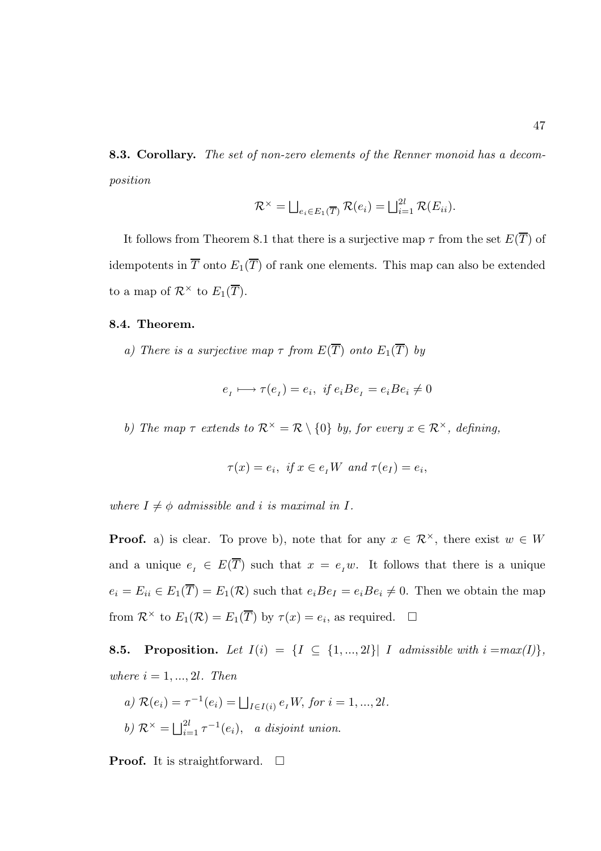8.3. Corollary. The set of non-zero elements of the Renner monoid has a decomposition

$$
\mathcal{R}^{\times} = \bigsqcup_{e_i \in E_1(\overline{T})} \mathcal{R}(e_i) = \bigsqcup_{i=1}^{2l} \mathcal{R}(E_{ii}).
$$

It follows from Theorem 8.1 that there is a surjective map  $\tau$  from the set  $E(\overline{T})$  of idempotents in  $\overline{T}$  onto  $E_1(\overline{T})$  of rank one elements. This map can also be extended to a map of  $\mathcal{R}^{\times}$  to  $E_1(\overline{T})$ .

#### 8.4. Theorem.

a) There is a surjective map  $\tau$  from  $E(\overline{T})$  onto  $E_1(\overline{T})$  by

$$
e_{I} \longmapsto \tau(e_{I}) = e_{i}, \ \text{if } e_{i}Be_{I} = e_{i}Be_{i} \neq 0
$$

b) The map  $\tau$  extends to  $\mathcal{R}^{\times} = \mathcal{R} \setminus \{0\}$  by, for every  $x \in \mathcal{R}^{\times}$ , defining,

$$
\tau(x) = e_i, \text{ if } x \in e_I W \text{ and } \tau(e_I) = e_i,
$$

where  $I \neq \phi$  admissible and i is maximal in I.

**Proof.** a) is clear. To prove b), note that for any  $x \in \mathbb{R}^{\times}$ , there exist  $w \in W$ and a unique  $e_i \in E(\overline{T})$  such that  $x = e_i w$ . It follows that there is a unique  $e_i = E_{ii} \in E_1(\overline{T}) = E_1(\mathcal{R})$  such that  $e_i Be_I = e_i Be_i \neq 0$ . Then we obtain the map from  $\mathcal{R}^{\times}$  to  $E_1(\mathcal{R}) = E_1(\overline{T})$  by  $\tau(x) = e_i$ , as required.  $\Box$ 

**8.5. Proposition.** Let  $I(i) = \{I \subseteq \{1, ..., 2l\} | I \text{ admissible with } i = max(I)\},$ where  $i = 1, ..., 2l$ . Then

a) 
$$
\mathcal{R}(e_i) = \tau^{-1}(e_i) = \bigsqcup_{I \in I(i)} e_I W
$$
, for  $i = 1, ..., 2l$ .  
b)  $\mathcal{R}^{\times} = \bigsqcup_{i=1}^{2l} \tau^{-1}(e_i)$ , a disjoint union.

**Proof.** It is straightforward.  $\Box$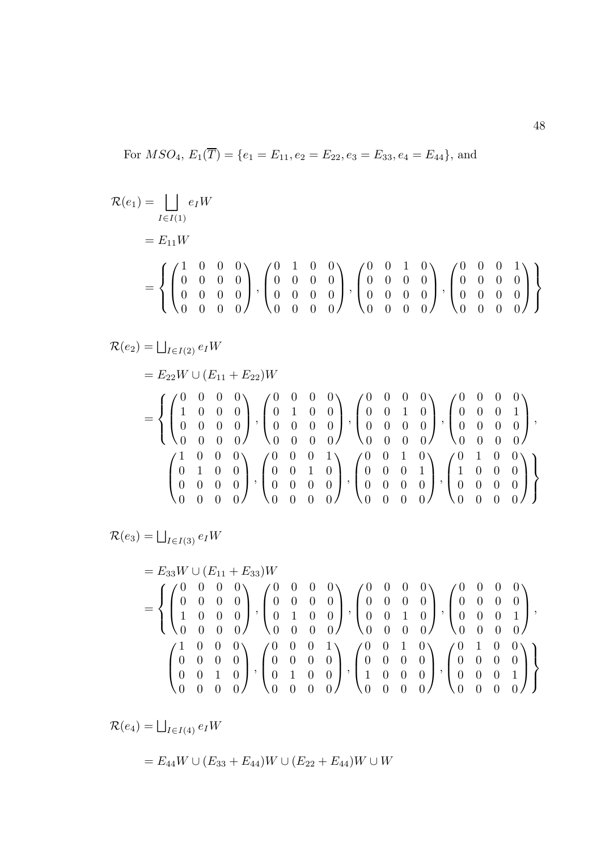For  $MSO_4$ ,  $E_1(\overline{T}) = \{e_1 = E_{11}, e_2 = E_{22}, e_3 = E_{33}, e_4 = E_{44}\}$ , and

$$
\mathcal{R}(e_1) = \bigsqcup_{I \in I(1)} e_I W
$$
  
=  $E_{11}W$   
=  $\left\{ \begin{pmatrix} 1 & 0 & 0 & 0 \\ 0 & 0 & 0 & 0 \\ 0 & 0 & 0 & 0 \\ 0 & 0 & 0 & 0 \end{pmatrix}, \begin{pmatrix} 0 & 1 & 0 & 0 \\ 0 & 0 & 0 & 0 \\ 0 & 0 & 0 & 0 \\ 0 & 0 & 0 & 0 \end{pmatrix}, \begin{pmatrix} 0 & 0 & 1 & 0 \\ 0 & 0 & 0 & 0 \\ 0 & 0 & 0 & 0 \\ 0 & 0 & 0 & 0 \end{pmatrix}, \begin{pmatrix} 0 & 0 & 0 & 1 \\ 0 & 0 & 0 & 0 \\ 0 & 0 & 0 & 0 \\ 0 & 0 & 0 & 0 \end{pmatrix} \right\}$ 

$$
\mathcal{R}(e_2) = \bigsqcup_{I \in I(2)} e_I W
$$
\n
$$
= E_{22} W \cup (E_{11} + E_{22}) W
$$
\n
$$
= \left\{ \begin{pmatrix} 0 & 0 & 0 & 0 \\ 1 & 0 & 0 & 0 \\ 0 & 0 & 0 & 0 \\ 0 & 0 & 0 & 0 \end{pmatrix}, \begin{pmatrix} 0 & 0 & 0 & 0 \\ 0 & 1 & 0 & 0 \\ 0 & 0 & 0 & 0 \\ 0 & 0 & 0 & 0 \end{pmatrix}, \begin{pmatrix} 0 & 0 & 0 & 0 \\ 0 & 0 & 1 & 0 \\ 0 & 0 & 0 & 0 \\ 0 & 0 & 0 & 0 \end{pmatrix}, \begin{pmatrix} 0 & 0 & 0 & 0 \\ 0 & 0 & 1 & 0 \\ 0 & 0 & 0 & 0 \\ 0 & 0 & 0 & 0 \end{pmatrix}, \begin{pmatrix} 0 & 0 & 1 & 0 \\ 0 & 0 & 0 & 0 \\ 0 & 0 & 0 & 0 \\ 0 & 0 & 0 & 0 \end{pmatrix}, \begin{pmatrix} 0 & 1 & 0 & 0 \\ 0 & 0 & 0 & 0 \\ 0 & 0 & 0 & 0 \\ 0 & 0 & 0 & 0 \end{pmatrix} \right\}
$$

 $\mathcal{R}(e_3) = \bigsqcup_{I \in I(3)} e_I W$ 

$$
= E_{33}W \cup (E_{11} + E_{33})W
$$
  
= 
$$
\left\{ \begin{pmatrix} 0 & 0 & 0 & 0 \\ 0 & 0 & 0 & 0 \\ 1 & 0 & 0 & 0 \\ 0 & 0 & 0 & 0 \end{pmatrix}, \begin{pmatrix} 0 & 0 & 0 & 0 \\ 0 & 0 & 0 & 0 \\ 0 & 1 & 0 & 0 \\ 0 & 0 & 0 & 0 \end{pmatrix}, \begin{pmatrix} 0 & 0 & 0 & 0 \\ 0 & 0 & 0 & 0 \\ 0 & 0 & 1 & 0 \\ 0 & 0 & 0 & 0 \end{pmatrix}, \begin{pmatrix} 0 & 0 & 0 & 0 \\ 0 & 0 & 0 & 0 \\ 0 & 0 & 0 & 0 \end{pmatrix}, \begin{pmatrix} 0 & 0 & 0 & 0 \\ 0 & 0 & 0 & 1 \\ 0 & 0 & 0 & 0 \end{pmatrix}, \begin{pmatrix} 0 & 0 & 1 & 0 \\ 0 & 0 & 0 & 0 \\ 1 & 0 & 0 & 0 \end{pmatrix}, \begin{pmatrix} 0 & 1 & 0 & 0 \\ 0 & 0 & 0 & 0 \\ 0 & 0 & 0 & 1 \\ 0 & 0 & 0 & 0 \end{pmatrix} \right\}
$$

 $\mathcal{R}(e_4) = \bigsqcup_{I \in I(4)} e_I W$ 

 $E = E_{44}W \cup (E_{33} + E_{44})W \cup (E_{22} + E_{44})W \cup W$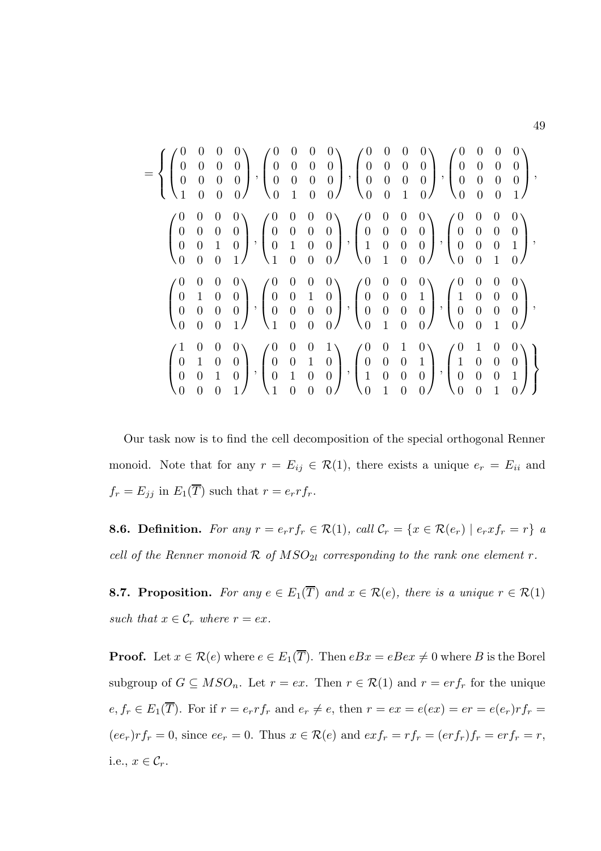$$
= \left\{\begin{pmatrix} 0 & 0 & 0 & 0 \\ 0 & 0 & 0 & 0 \\ 0 & 0 & 0 & 0 \\ 1 & 0 & 0 & 0 \end{pmatrix}, \begin{pmatrix} 0 & 0 & 0 & 0 \\ 0 & 0 & 0 & 0 \\ 0 & 0 & 0 & 0 \\ 0 & 1 & 0 & 0 \end{pmatrix}, \begin{pmatrix} 0 & 0 & 0 & 0 \\ 0 & 0 & 0 & 0 \\ 0 & 0 & 0 & 0 \\ 0 & 0 & 1 & 0 \end{pmatrix}, \begin{pmatrix} 0 & 0 & 0 & 0 \\ 0 & 0 & 0 & 0 \\ 0 & 0 & 1 & 0 \\ 0 & 0 & 0 & 1 \end{pmatrix}, \begin{pmatrix} 0 & 0 & 0 & 0 \\ 0 & 0 & 0 & 0 \\ 0 & 1 & 0 & 0 \\ 1 & 0 & 0 & 0 \end{pmatrix}, \begin{pmatrix} 0 & 0 & 0 & 0 \\ 0 & 0 & 0 & 0 \\ 1 & 0 & 0 & 0 \\ 0 & 1 & 0 & 0 \end{pmatrix}, \begin{pmatrix} 0 & 0 & 0 & 0 \\ 0 & 0 & 0 & 0 \\ 1 & 0 & 0 & 0 \\ 0 & 1 & 0 & 0 \end{pmatrix}, \begin{pmatrix} 0 & 0 & 0 & 0 \\ 0 & 0 & 0 & 0 \\ 0 & 1 & 0 & 0 \\ 0 & 0 & 0 & 1 \end{pmatrix}, \begin{pmatrix} 0 & 0 & 0 & 0 \\ 0 & 0 & 0 & 1 \\ 0 & 0 & 0 & 0 \\ 0 & 0 & 0 & 0 \end{pmatrix}, \begin{pmatrix} 0 & 0 & 0 & 0 \\ 0 & 0 & 0 & 1 \\ 0 & 0 & 0 & 0 \\ 0 & 1 & 0 & 0 \end{pmatrix}, \begin{pmatrix} 0 & 0 & 0 & 0 \\ 0 & 0 & 0 & 1 \\ 0 & 0 & 0 & 1 \\ 0 & 0 & 0 & 1 \end{pmatrix}, \begin{pmatrix} 0 & 0 & 0 & 1 \\ 0 & 0 & 0 & 1 \\ 1 & 0 & 0 & 0 \\ 0 & 1 & 0 & 0 \end{pmatrix}, \begin{pmatrix} 0 & 0 & 1 & 0 \\ 0 & 0 & 0 & 1 \\ 1 & 0 & 0 & 0 \\ 0 & 1
$$

Our task now is to find the cell decomposition of the special orthogonal Renner monoid. Note that for any  $r = E_{ij} \in \mathcal{R}(1)$ , there exists a unique  $e_r = E_{ii}$  and  $f_r = E_{jj}$  in  $E_1(\overline{T})$  such that  $r = e_r r f_r$ .

**8.6. Definition.** For any  $r = e_r r f_r \in \mathcal{R}(1)$ , call  $\mathcal{C}_r = \{x \in \mathcal{R}(e_r) \mid e_r x f_r = r\}$  a cell of the Renner monoid  $R$  of  $MSO_{2l}$  corresponding to the rank one element r.

**8.7. Proposition.** For any  $e \in E_1(\overline{T})$  and  $x \in \mathcal{R}(e)$ , there is a unique  $r \in \mathcal{R}(1)$ such that  $x \in \mathcal{C}_r$  where  $r = ex$ .

**Proof.** Let  $x \in \mathcal{R}(e)$  where  $e \in E_1(\overline{T})$ . Then  $eBx = eBex \neq 0$  where B is the Borel subgroup of  $G \subseteq MSO_n$ . Let  $r = ex$ . Then  $r \in \mathcal{R}(1)$  and  $r = erf_r$  for the unique  $e, f_r \in E_1(\overline{T})$ . For if  $r = e_r r f_r$  and  $e_r \neq e$ , then  $r = e x = e(ex) = er = e(e_r)r f_r =$  $(ee_r)r f_r = 0$ , since  $ee_r = 0$ . Thus  $x \in \mathcal{R}(e)$  and  $ex f_r = rf_r = (er f_r) f_r = erf_r = r$ , i.e.,  $x \in \mathcal{C}_r$ .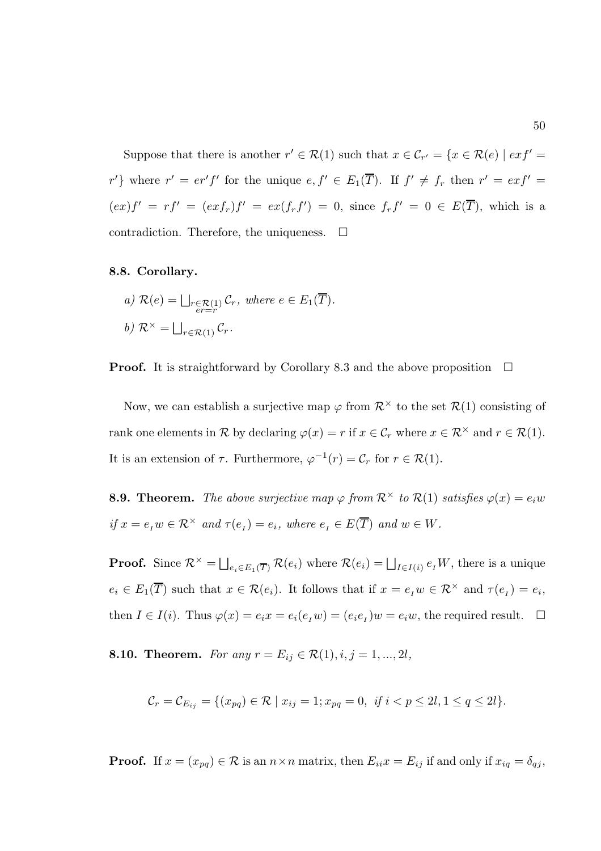Suppose that there is another  $r' \in \mathcal{R}(1)$  such that  $x \in \mathcal{C}_{r'} = \{x \in \mathcal{R}(e) \mid ext' = 0\}$ r'} where  $r' = er' f'$  for the unique  $e, f' \in E_1(\overline{T})$ . If  $f' \neq f_r$  then  $r' = ex f' =$  $(ex)f' = rf' = (exf_r)f' = ex(f_rf') = 0$ , since  $f_rf' = 0 \in E(\overline{T})$ , which is a contradiction. Therefore, the uniqueness.  $\Box$ 

## 8.8. Corollary.

a) 
$$
\mathcal{R}(e) = \bigsqcup_{\substack{r \in \mathcal{R}(1) \\ er = r}} \mathcal{C}_r
$$
, where  $e \in E_1(\overline{T})$ .  
b)  $\mathcal{R}^{\times} = \bigsqcup_{r \in \mathcal{R}(1)} \mathcal{C}_r$ .

**Proof.** It is straightforward by Corollary 8.3 and the above proposition  $\Box$ 

Now, we can establish a surjective map  $\varphi$  from  $\mathcal{R}^{\times}$  to the set  $\mathcal{R}(1)$  consisting of rank one elements in R by declaring  $\varphi(x) = r$  if  $x \in \mathcal{C}_r$  where  $x \in \mathcal{R}^\times$  and  $r \in \mathcal{R}(1)$ . It is an extension of  $\tau$ . Furthermore,  $\varphi^{-1}(r) = \mathcal{C}_r$  for  $r \in \mathcal{R}(1)$ .

**8.9. Theorem.** The above surjective map  $\varphi$  from  $\mathcal{R}^{\times}$  to  $\mathcal{R}(1)$  satisfies  $\varphi(x) = e_i w$ if  $x = e_I w \in \mathcal{R}^\times$  and  $\tau(e_I) = e_i$ , where  $e_I \in E(\overline{T})$  and  $w \in W$ .

**Proof.** Since  $\mathcal{R}^{\times} = \bigsqcup_{e_i \in E_1(\overline{T})} \mathcal{R}(e_i)$  where  $\mathcal{R}(e_i) = \bigsqcup_{I \in I(i)} e_i W$ , there is a unique  $e_i \in E_1(\overline{T})$  such that  $x \in \mathcal{R}(e_i)$ . It follows that if  $x = e_i w \in \mathcal{R}^\times$  and  $\tau(e_i) = e_i$ , then  $I \in I(i)$ . Thus  $\varphi(x) = e_i x = e_i(e_i w) = (e_i e_i) w = e_i w$ , the required result.  $\Box$ 

8.10. Theorem. For any  $r = E_{ij} \in \mathcal{R}(1), i, j = 1, ..., 2l$ ,

$$
\mathcal{C}_r = \mathcal{C}_{E_{ij}} = \{ (x_{pq}) \in \mathcal{R} \mid x_{ij} = 1; x_{pq} = 0, \text{ if } i < p \le 2l, 1 \le q \le 2l \}.
$$

**Proof.** If  $x = (x_{pq}) \in \mathcal{R}$  is an  $n \times n$  matrix, then  $E_{ii}x = E_{ij}$  if and only if  $x_{iq} = \delta_{qj}$ ,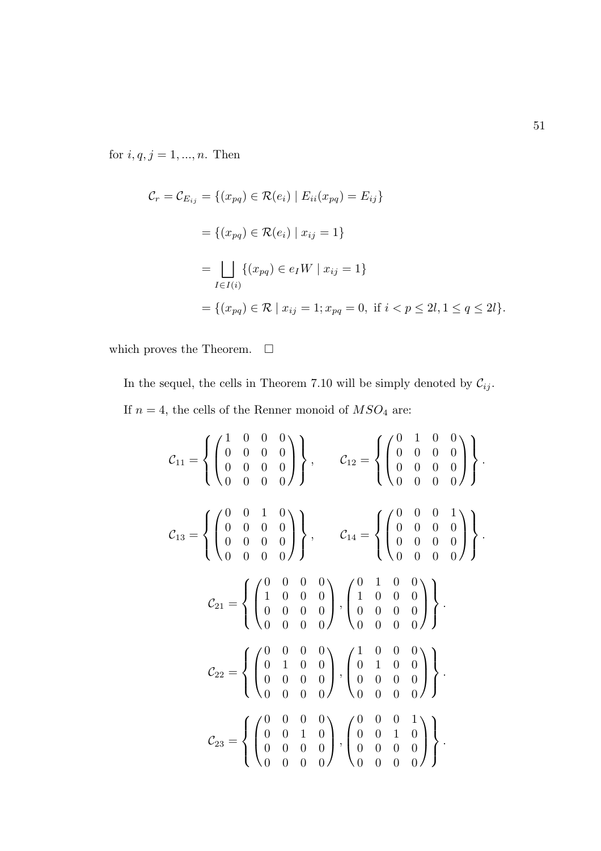for  $i, q, j = 1, ..., n$ . Then

$$
C_r = C_{E_{ij}} = \{(x_{pq}) \in \mathcal{R}(e_i) | E_{ii}(x_{pq}) = E_{ij}\}\
$$
  
=  $\{(x_{pq}) \in \mathcal{R}(e_i) | x_{ij} = 1\}$   
= 
$$
\bigsqcup_{I \in I(i)} \{(x_{pq}) \in e_I W | x_{ij} = 1\}
$$
  
=  $\{(x_{pq}) \in \mathcal{R} | x_{ij} = 1; x_{pq} = 0, \text{ if } i < p \le 2l, 1 \le q \le 2l\}.$ 

which proves the Theorem.  $\quad \Box$ 

In the sequel, the cells in Theorem 7.10 will be simply denoted by  $\mathcal{C}_{ij}.$ If  $n = 4$ , the cells of the Renner monoid of  $MSO_4$  are:

$$
C_{11} = \left\{ \begin{pmatrix} 1 & 0 & 0 & 0 \\ 0 & 0 & 0 & 0 \\ 0 & 0 & 0 & 0 \\ 0 & 0 & 0 & 0 \end{pmatrix} \right\}, \qquad C_{12} = \left\{ \begin{pmatrix} 0 & 1 & 0 & 0 \\ 0 & 0 & 0 & 0 \\ 0 & 0 & 0 & 0 \\ 0 & 0 & 0 & 0 \end{pmatrix} \right\}.
$$

$$
C_{13} = \left\{ \begin{pmatrix} 0 & 0 & 1 & 0 \\ 0 & 0 & 0 & 0 \\ 0 & 0 & 0 & 0 \end{pmatrix} \right\}, \qquad C_{14} = \left\{ \begin{pmatrix} 0 & 0 & 0 & 1 \\ 0 & 0 & 0 & 0 \\ 0 & 0 & 0 & 0 \\ 0 & 0 & 0 & 0 \end{pmatrix} \right\}.
$$

$$
C_{21} = \left\{ \begin{pmatrix} 0 & 0 & 0 & 0 \\ 1 & 0 & 0 & 0 \\ 0 & 0 & 0 & 0 \end{pmatrix}, \begin{pmatrix} 0 & 1 & 0 & 0 \\ 1 & 0 & 0 & 0 \\ 0 & 0 & 0 & 0 \end{pmatrix} \right\}.
$$

$$
C_{22} = \left\{ \begin{pmatrix} 0 & 0 & 0 & 0 \\ 0 & 1 & 0 & 0 \\ 0 & 0 & 0 & 0 \end{pmatrix}, \begin{pmatrix} 1 & 0 & 0 & 0 \\ 0 & 1 & 0 & 0 \\ 0 & 0 & 0 & 0 \end{pmatrix} \right\}.
$$

$$
C_{23} = \left\{ \begin{pmatrix} 0 & 0 & 0 & 0 \\ 0 & 0 & 1 & 0 \\ 0 & 0 & 0 & 0 \end{pmatrix}, \begin{pmatrix} 0 & 0 & 0 & 1 \\ 0 & 0 & 1 & 0 \\ 0 & 0 & 0 & 0 \end{pmatrix} \right\}.
$$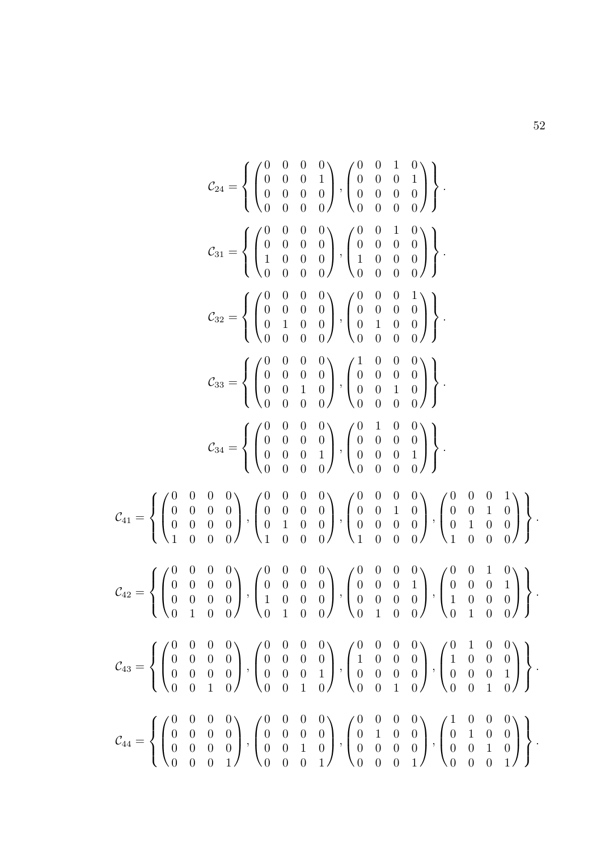$$
\mathcal{C}_{24} = \left\{ \begin{pmatrix} 0 & 0 & 0 & 0 \\ 0 & 0 & 0 & 1 \\ 0 & 0 & 0 & 0 \\ 0 & 0 & 0 & 0 \end{pmatrix}, \begin{pmatrix} 0 & 0 & 1 & 0 \\ 0 & 0 & 0 & 1 \\ 0 & 0 & 0 & 0 \\ 0 & 0 & 0 & 0 \end{pmatrix} \right\}.
$$

$$
\mathcal{C}_{31} = \left\{ \begin{pmatrix} 0 & 0 & 0 & 0 \\ 0 & 0 & 0 & 0 \\ 1 & 0 & 0 & 0 \\ 0 & 0 & 0 & 0 \end{pmatrix}, \begin{pmatrix} 0 & 0 & 1 & 0 \\ 0 & 0 & 0 & 0 \\ 1 & 0 & 0 & 0 \\ 0 & 0 & 0 & 0 \end{pmatrix} \right\}.
$$

$$
\mathcal{C}_{32} = \left\{ \begin{pmatrix} 0 & 0 & 0 & 0 \\ 0 & 0 & 0 & 0 \\ 0 & 1 & 0 & 0 \\ 0 & 0 & 0 & 0 \end{pmatrix}, \begin{pmatrix} 0 & 0 & 0 & 1 \\ 0 & 0 & 0 & 0 \\ 0 & 1 & 0 & 0 \\ 0 & 0 & 0 & 0 \end{pmatrix} \right\}.
$$

$$
\mathcal{C}_{34} = \left\{ \begin{pmatrix} 0 & 0 & 0 & 0 \\ 0 & 0 & 0 & 0 \\ 0 & 0 & 0 & 0 \\ 0 & 0 & 0 & 0 \end{pmatrix}, \begin{pmatrix} 1 & 0 & 0 & 0 \\ 0 & 0 & 0 & 0 \\ 0 & 0 & 0 & 0 \\ 0 & 0 & 0 & 0 \end{pmatrix} \right\}.
$$

$$
\mathcal{C}_{41} = \left\{ \begin{pmatrix} 0 & 0 & 0 & 0 \\ 0 & 0 & 0 & 0 \\ 0 & 0 & 0 & 0 \\ 1 & 0 & 0 & 0 \end{pmatrix}, \begin{pmatrix} 0 & 0 & 1 & 0 \\ 0 & 0 & 0 & 0 \\ 0 & 0 & 0 & 0 \\ 0 & 0 & 0 & 0 \end{pmatrix}, \begin{pmatrix} 0 & 1 & 0 & 0 \\ 0 & 0 & 0 & 0 \\ 0 & 0 & 0 & 0 \\ 0 & 0 & 0 & 0 \end{
$$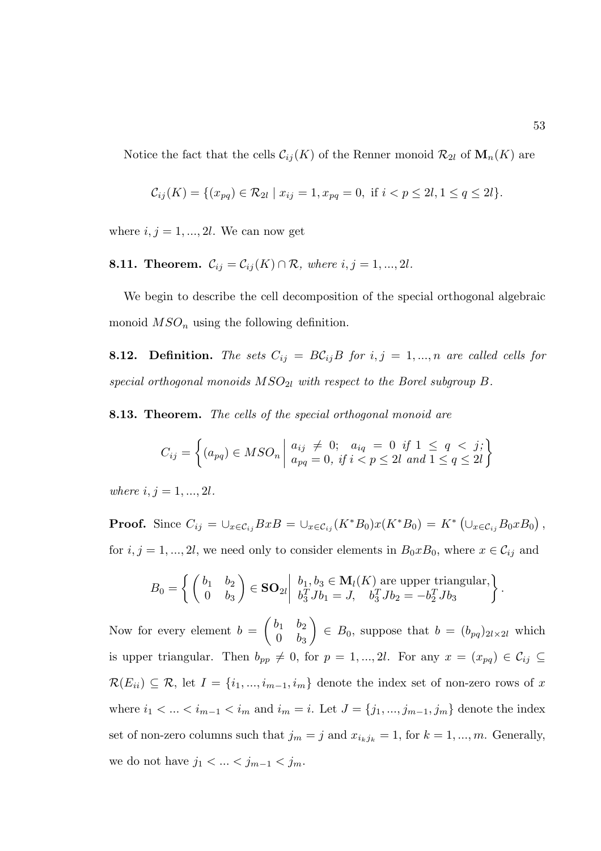Notice the fact that the cells  $\mathcal{C}_{ij}(K)$  of the Renner monoid  $\mathcal{R}_{2l}$  of  $\mathbf{M}_n(K)$  are

$$
\mathcal{C}_{ij}(K) = \{ (x_{pq}) \in \mathcal{R}_{2l} \mid x_{ij} = 1, x_{pq} = 0, \text{ if } i < p \leq 2l, 1 \leq q \leq 2l \}.
$$

where  $i, j = 1, ..., 2l$ . We can now get

**8.11. Theorem.** 
$$
\mathcal{C}_{ij} = \mathcal{C}_{ij}(K) \cap \mathcal{R}
$$
, where  $i, j = 1, \ldots, 2l$ .

We begin to describe the cell decomposition of the special orthogonal algebraic monoid  $MSO_n$  using the following definition.

**8.12. Definition.** The sets  $C_{ij} = BC_{ij}B$  for  $i, j = 1, ..., n$  are called cells for special orthogonal monoids  $MSO_{2l}$  with respect to the Borel subgroup B.

8.13. Theorem. The cells of the special orthogonal monoid are

$$
C_{ij} = \left\{ (a_{pq}) \in MSO_n \mid \begin{aligned} a_{ij} &\neq 0; \quad a_{iq} = 0 \quad \text{if } 1 \leq q < j; \\ a_{pq} = 0, \quad \text{if } i < p \leq 2l \quad \text{and } 1 \leq q \leq 2l \end{aligned} \right\}
$$

where  $i, j = 1, ..., 2l$ .

**Proof.** Since  $C_{ij} = \bigcup_{x \in \mathcal{C}_{ij}} BxB = \bigcup_{x \in \mathcal{C}_{ij}} (K^*B_0)x(K^*B_0) = K^* \left( \bigcup_{x \in \mathcal{C}_{ij}} B_0xB_0 \right),$ for  $i, j = 1, ..., 2l$ , we need only to consider elements in  $B_0 x B_0$ , where  $x \in \mathcal{C}_{ij}$  and

$$
B_0 = \left\{ \begin{pmatrix} b_1 & b_2 \\ 0 & b_3 \end{pmatrix} \in \mathbf{SO}_{2l} \middle| \begin{array}{l} b_1, b_3 \in \mathbf{M}_l(K) \text{ are upper triangular,} \\ b_3^T J b_1 = J, \quad b_3^T J b_2 = -b_2^T J b_3 \end{array} \right\}.
$$

Now for every element  $b =$  $\begin{pmatrix} b_1 & b_2 \end{pmatrix}$  $0 \quad b_3$  $\setminus$  $\in B_0$ , suppose that  $b = (b_{pq})_{2l \times 2l}$  which is upper triangular. Then  $b_{pp} \neq 0$ , for  $p = 1, ..., 2l$ . For any  $x = (x_{pq}) \in C_{ij} \subseteq$  $\mathcal{R}(E_{ii}) \subseteq \mathcal{R}$ , let  $I = \{i_1, ..., i_{m-1}, i_m\}$  denote the index set of non-zero rows of x where  $i_1 < ... < i_{m-1} < i_m$  and  $i_m = i$ . Let  $J = \{j_1, ..., j_{m-1}, j_m\}$  denote the index set of non-zero columns such that  $j_m = j$  and  $x_{i_kj_k} = 1$ , for  $k = 1, ..., m$ . Generally, we do not have  $j_1 < \ldots < j_{m-1} < j_m$ .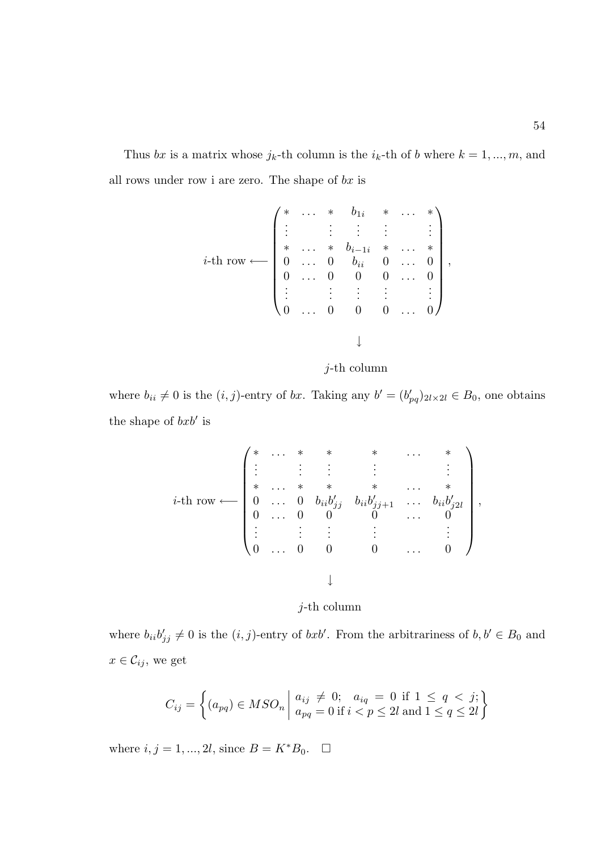Thus bx is a matrix whose  $j_k$ -th column is the  $i_k$ -th of b where  $k = 1, ..., m$ , and all rows under row i are zero. The shape of  $bx$  is

$$
i\text{-th row} \longleftarrow \begin{pmatrix} * & \dots & * & b_{1i} & * & \dots & * \\ \vdots & & \vdots & & \vdots & & \vdots \\ * & \dots & * & b_{i-1i} & * & \dots & * \\ 0 & \dots & 0 & b_{ii} & 0 & \dots & 0 \\ 0 & \dots & 0 & 0 & 0 & \dots & 0 \\ \vdots & & \vdots & & \vdots & & \vdots \\ 0 & \dots & 0 & 0 & 0 & \dots & 0 \end{pmatrix},
$$



where  $b_{ii} \neq 0$  is the  $(i, j)$ -entry of bx. Taking any  $b' = (b'_{pq})_{2l \times 2l} \in B_0$ , one obtains the shape of  $bxb'$  is

$$
i\text{-th row} \longleftarrow \left( \begin{matrix} * & \ldots & * & * & * & \ldots & * \\ \vdots & \vdots & \vdots & & \vdots & & \vdots \\ * & \ldots & * & * & * & \ldots & * \\ 0 & \ldots & 0 & b_{ii}b'_{jj} & b_{ii}b'_{j+1} & \ldots & b_{ii}b'_{j2l} \\ 0 & \ldots & 0 & 0 & 0 & \ldots & 0 \\ \vdots & \vdots & \vdots & & \vdots & & \vdots \\ 0 & \ldots & 0 & 0 & 0 & \ldots & 0 \end{matrix} \right),
$$

j-th column

where  $b_{ii}b'_{jj} \neq 0$  is the  $(i, j)$ -entry of  $bxb'$ . From the arbitrariness of  $b, b' \in B_0$  and  $x \in \mathcal{C}_{ij},$  we get

$$
C_{ij} = \left\{ (a_{pq}) \in MSO_n \mid \begin{aligned} a_{ij} &\neq 0; & a_{iq} &= 0 \text{ if } 1 \leq q < j; \\ a_{pq} &= 0 \text{ if } i < p \leq 2l \text{ and } 1 \leq q \leq 2l \end{aligned} \right\}
$$

where  $i, j = 1, ..., 2l$ , since  $B = K^*B_0$ .  $\Box$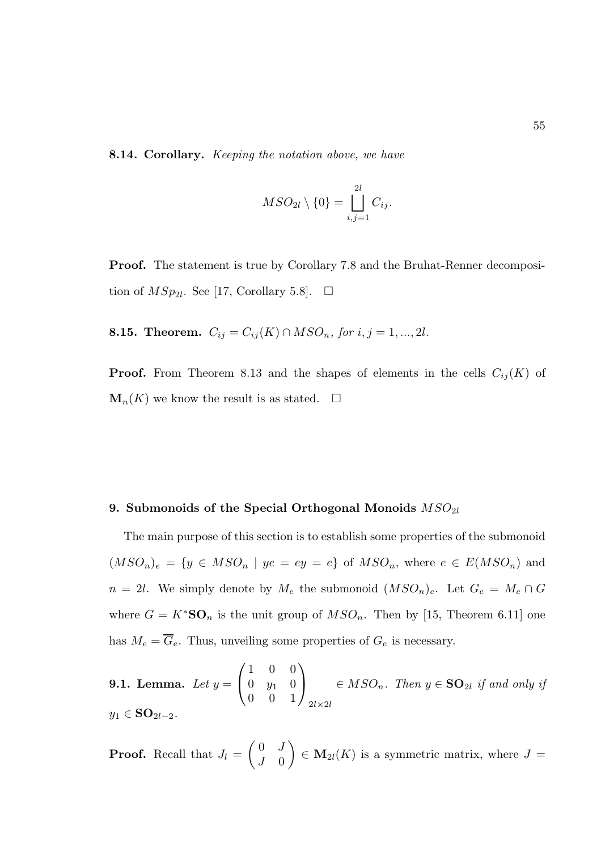8.14. Corollary. *Keeping the notation above, we have* 

$$
MSO_{2l}\setminus\{0\}=\bigsqcup_{i,j=1}^{2l}C_{ij}.
$$

Proof. The statement is true by Corollary 7.8 and the Bruhat-Renner decomposition of  $MSp_{2l}$ . See [17, Corollary 5.8].  $\Box$ 

8.15. Theorem.  $C_{ij} = C_{ij}(K) \cap MSO_n$ , for  $i, j = 1, ..., 2l$ .

**Proof.** From Theorem 8.13 and the shapes of elements in the cells  $C_{ij}(K)$  of  $\mathbf{M}_n(K)$  we know the result is as stated.  $\Box$ 

#### 9. Submonoids of the Special Orthogonal Monoids  $MSO_{2l}$

The main purpose of this section is to establish some properties of the submonoid  $(MSO_n)_e = \{y \in MSO_n \mid ye = ey = e\}$  of  $MSO_n$ , where  $e \in E(MSO_n)$  and  $n = 2l$ . We simply denote by  $M_e$  the submonoid  $(MSO_n)_e$ . Let  $G_e = M_e \cap G$ where  $G = K^*S\mathbf{O}_n$  is the unit group of  $MSO_n$ . Then by [15, Theorem 6.11] one has  $M_e = \overline{G}_e$ . Thus, unveiling some properties of  $G_e$  is necessary.

**9.1. Lemma.** Let 
$$
y = \begin{pmatrix} 1 & 0 & 0 \\ 0 & y_1 & 0 \\ 0 & 0 & 1 \end{pmatrix}_{2l \times 2l} \in MSO_n
$$
. Then  $y \in SO_{2l}$  if and only if  $y_1 \in SO_{2l-2}$ .

**Proof.** Recall that  $J_l =$  $\begin{pmatrix} 0 & J \end{pmatrix}$  $J \quad 0$  $\setminus$  $\in \mathbf{M}_{2l}(K)$  is a symmetric matrix, where  $J =$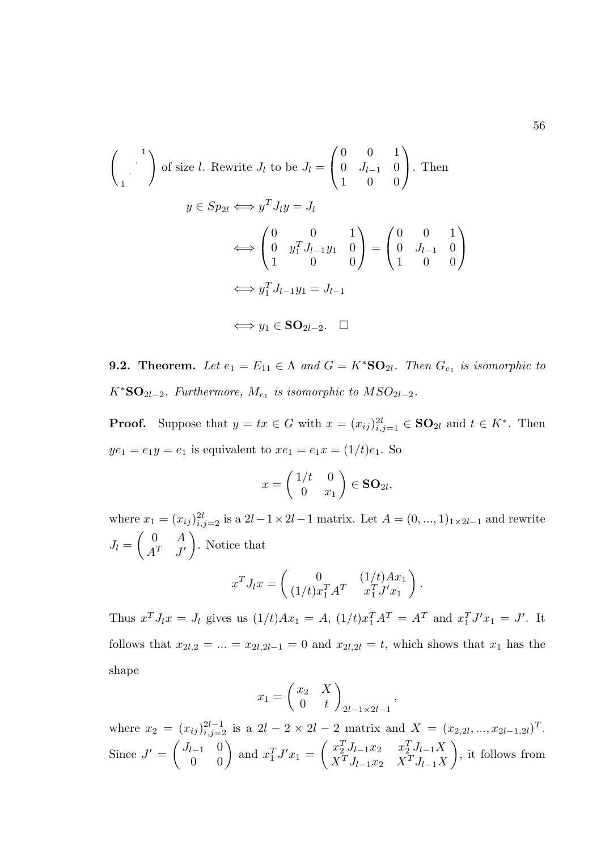$$
\begin{pmatrix}\n1 \\
\cdot \\
1\n\end{pmatrix} \text{ of size } l. \text{ Rewrite } J_l \text{ to be } J_l = \begin{pmatrix} 0 & 0 & 1 \\
0 & J_{l-1} & 0 \\
1 & 0 & 0 \end{pmatrix}. \text{ Then}
$$
\n
$$
y \in Sp_{2l} \iff y^T J_l y = J_l
$$
\n
$$
\iff \begin{pmatrix} 0 & 0 & 1 \\
0 & y_1^T J_{l-1} y_1 & 0 \\
1 & 0 & 0 \end{pmatrix} = \begin{pmatrix} 0 & 0 & 1 \\
0 & J_{l-1} & 0 \\
1 & 0 & 0 \end{pmatrix}
$$
\n
$$
\iff y_1^T J_{l-1} y_1 = J_{l-1}
$$
\n
$$
\iff y_1 \in SO_{2l-2}. \quad \Box
$$

**9.2. Theorem.** Let  $e_1 = E_{11} \in \Lambda$  and  $G = K^*SO_{2l}$ . Then  $G_{e_1}$  is isomorphic to  $K^*S\mathbf{O}_{2l-2}$ . Furthermore,  $M_{e_1}$  is isomorphic to  $MSO_{2l-2}$ .

**Proof.** Suppose that  $y = tx \in G$  with  $x = (x_{ij})_{i,j=1}^{2l} \in SO_{2l}$  and  $t \in K^*$ . Then  $ye_1 = e_1y = e_1$  is equivalent to  $xe_1 = e_1x = (1/t)e_1$ . So

$$
x = \begin{pmatrix} 1/t & 0 \\ 0 & x_1 \end{pmatrix} \in SO_{2l},
$$

where  $x_1 = (x_{ij})_{i,j=2}^{2l}$  is a  $2l-1 \times 2l-1$  matrix. Let  $A = (0, ..., 1)_{1 \times 2l-1}$  and rewrite  $J_l =$  $\begin{pmatrix} 0 & A \end{pmatrix}$  $A^T$   $J'$  $\setminus$ . Notice that

$$
x^T J_l x = \begin{pmatrix} 0 & (1/t)Ax_1 \\ (1/t)x_1^T A^T & x_1^T J' x_1 \end{pmatrix}.
$$

Thus  $x^T J_l x = J_l$  gives us  $(1/t)Ax_1 = A$ ,  $(1/t)x_1^T A^T = A^T$  and  $x_1^T J' x_1 = J'$ . It follows that  $x_{2l,2} = ... = x_{2l,2l-1} = 0$  and  $x_{2l,2l} = t$ , which shows that  $x_1$  has the shape

$$
x_1 = \begin{pmatrix} x_2 & X \\ 0 & t \end{pmatrix} \Big|_{2l-1 \times 2l-1}
$$

,

where  $x_2 = (x_{ij})_{i,j=2}^{2l-1}$  is a  $2l-2 \times 2l-2$  matrix and  $X = (x_{2,2l},...,x_{2l-1,2l})^T$ . Since  $J' = \begin{pmatrix} J_{l-1} & 0 \ 0 & 0 \end{pmatrix}$  and  $x_1^T J' x_1 = \begin{pmatrix} x_2^T J_{l-1} x_2 & x_2^T J_{l-1} X \ X^T J_{l-1} x_2 & X^T J_{l-1} X \end{pmatrix}$  $X^T J_{l-1} x_2$   $X^T J_{l-1} X$  $\setminus$ , it follows from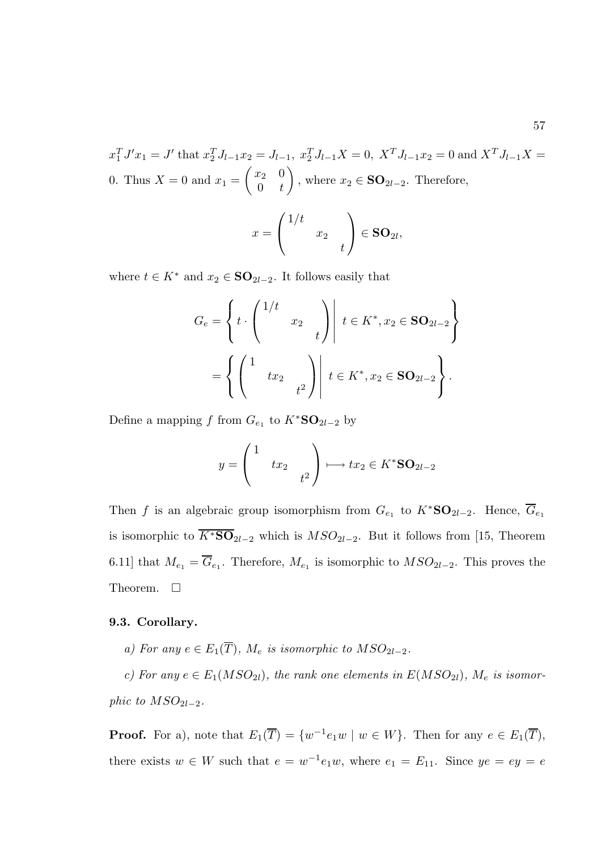$x_1^T J' x_1 = J'$  that  $x_2^T J_{l-1} x_2 = J_{l-1}, x_2^T J_{l-1} X = 0, X^T J_{l-1} x_2 = 0$  and  $X^T J_{l-1} X =$ 0. Thus  $X = 0$  and  $x_1 =$  $\begin{pmatrix} x_2 & 0 \end{pmatrix}$  $0 \quad t$  $\setminus$ , where  $x_2 \in \mathbf{SO}_{2l-2}$ . Therefore,

$$
x = \begin{pmatrix} 1/t & & \\ & x_2 & \\ & & t \end{pmatrix} \in SO_{2l},
$$

where  $t \in K^*$  and  $x_2 \in \mathbf{SO}_{2l-2}$ . It follows easily that

$$
G_e = \left\{ t \cdot \begin{pmatrix} 1/t & & \\ & x_2 & \\ & & t \end{pmatrix} \middle| t \in K^*, x_2 \in SO_{2l-2} \right\}
$$

$$
= \left\{ \begin{pmatrix} 1 & & \\ & tx_2 & \\ & & t^2 \end{pmatrix} \middle| t \in K^*, x_2 \in SO_{2l-2} \right\}.
$$

Define a mapping f from  $G_{e_1}$  to  $K^*S\mathbf{O}_{2l-2}$  by

$$
y = \begin{pmatrix} 1 & & \\ & tx_2 & \\ & & t^2 \end{pmatrix} \longmapsto tx_2 \in K^* \mathbf{SO}_{2l-2}
$$

Then f is an algebraic group isomorphism from  $G_{e_1}$  to  $K^*S\mathbf{O}_{2l-2}$ . Hence,  $\overline{G}_{e_1}$ is isomorphic to  $\overline{K^*S\mathbf{O}}_{2l-2}$  which is  $MSO_{2l-2}$ . But it follows from [15, Theorem 6.11] that  $M_{e_1} = G_{e_1}$ . Therefore,  $M_{e_1}$  is isomorphic to  $MSO_{2l-2}$ . This proves the Theorem.  $\square$ 

#### 9.3. Corollary.

a) For any  $e \in E_1(\overline{T})$ ,  $M_e$  is isomorphic to  $MSO_{2l-2}$ .

c) For any  $e \in E_1(MSO_{2l})$ , the rank one elements in  $E(MSO_{2l})$ ,  $M_e$  is isomorphic to  $MSO_{2l-2}$ .

**Proof.** For a), note that  $E_1(\overline{T}) = \{w^{-1}e_1w \mid w \in W\}$ . Then for any  $e \in E_1(\overline{T})$ , there exists  $w \in W$  such that  $e = w^{-1}e_1w$ , where  $e_1 = E_{11}$ . Since  $ye = ey = e$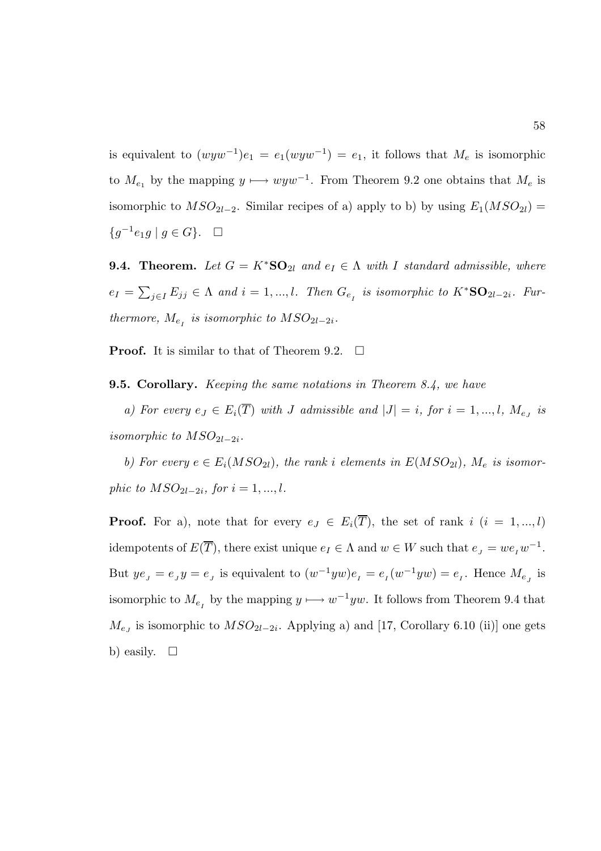is equivalent to  $(wyw^{-1})e_1 = e_1(wyw^{-1}) = e_1$ , it follows that  $M_e$  is isomorphic to  $M_{e_1}$  by the mapping  $y \mapsto wyw^{-1}$ . From Theorem 9.2 one obtains that  $M_e$  is isomorphic to  $MSO_{2l-2}$ . Similar recipes of a) apply to b) by using  $E_1(MSO_{2l}) =$ { $g^{-1}e_1g \mid g \in G$ }. □

**9.4. Theorem.** Let  $G = K^*S\mathbf{O}_{2l}$  and  $e_I \in \Lambda$  with I standard admissible, where  $e_I = \sum_{j \in I} E_{jj} \in \Lambda$  and  $i = 1, ..., l$ . Then  $G_{e_I}$  is isomorphic to  $K^*{\bf SO}_{2l-2i}$ . Furthermore,  $M_{e_I}$  is isomorphic to  $MSO_{2l-2i}$ .

**Proof.** It is similar to that of Theorem 9.2.  $\Box$ 

**9.5. Corollary.** *Keeping the same notations in Theorem 8.4, we have* 

a) For every  $e_J \in E_i(T)$  with J admissible and  $|J| = i$ , for  $i = 1, ..., l$ ,  $M_{e_J}$  is isomorphic to  $MSO_{2l-2i}$ .

b) For every  $e \in E_i(MSO_{2l})$ , the rank i elements in  $E(MSO_{2l})$ ,  $M_e$  is isomorphic to  $MSO_{2l-2i}$ , for  $i = 1, ..., l$ .

**Proof.** For a), note that for every  $e_j \in E_i(\overline{T})$ , the set of rank i  $(i = 1, ..., l)$ idempotents of  $E(\overline{T})$ , there exist unique  $e_I \in \Lambda$  and  $w \in W$  such that  $e_J = w e_I w^{-1}$ . But  $ye_j = e_j y = e_j$  is equivalent to  $(w^{-1}yw)e_i = e_i(w^{-1}yw) = e_i$ . Hence  $M_{e_j}$  is isomorphic to  $M_{e_I}$  by the mapping  $y \longmapsto w^{-1}yw$ . It follows from Theorem 9.4 that  $M_{e_J}$  is isomorphic to  $MSO_{2l-2i}$ . Applying a) and [17, Corollary 6.10 (ii)] one gets b) easily.  $\square$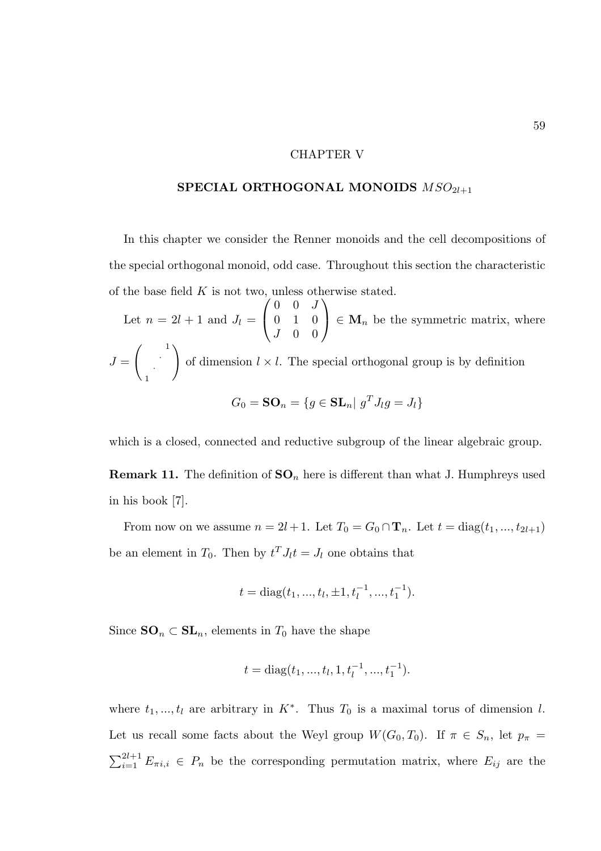## CHAPTER V

# SPECIAL ORTHOGONAL MONOIDS  $\mathit{MSO}_{2l+1}$

In this chapter we consider the Renner monoids and the cell decompositions of the special orthogonal monoid, odd case. Throughout this section the characteristic of the base field  $K$  is not two, unless otherwise stated.

Let  $n = 2l + 1$  and  $J_l =$  $\sqrt{ }$  $\mathcal{L}$  $0 \quad 0 \quad J$ 0 1 0  $J \quad 0 \quad 0$  $\setminus$  $\Big\} \in \mathbf{M}_n$  be the symmetric matrix, where  $J =$  $\begin{pmatrix} 1 \\ 1 \end{pmatrix}$ · 1  $\setminus$ of dimension  $l \times l$ . The special orthogonal group is by definition  $G_0 = \mathbf{SO}_n = \{g \in \mathbf{SL}_n | g^T J_l g = J_l\}$ 

which is a closed, connected and reductive subgroup of the linear algebraic group.

**Remark 11.** The definition of  $SO_n$  here is different than what J. Humphreys used in his book [7].

From now on we assume  $n = 2l + 1$ . Let  $T_0 = G_0 \cap \mathbf{T}_n$ . Let  $t = \text{diag}(t_1, ..., t_{2l+1})$ be an element in  $T_0$ . Then by  $t^T J_l t = J_l$  one obtains that

$$
t = diag(t_1, ..., t_l, \pm 1, t_l^{-1}, ..., t_1^{-1}).
$$

Since  $SO_n \subset SL_n$ , elements in  $T_0$  have the shape

$$
t = diag(t_1, ..., t_l, 1, t_l^{-1}, ..., t_1^{-1}).
$$

where  $t_1, ..., t_l$  are arbitrary in  $K^*$ . Thus  $T_0$  is a maximal torus of dimension l. Let us recall some facts about the Weyl group  $W(G_0, T_0)$ . If  $\pi \in S_n$ , let  $p_{\pi} =$  $\sum_{i=1}^{2l+1} E_{\pi i,i} \in P_n$  be the corresponding permutation matrix, where  $E_{ij}$  are the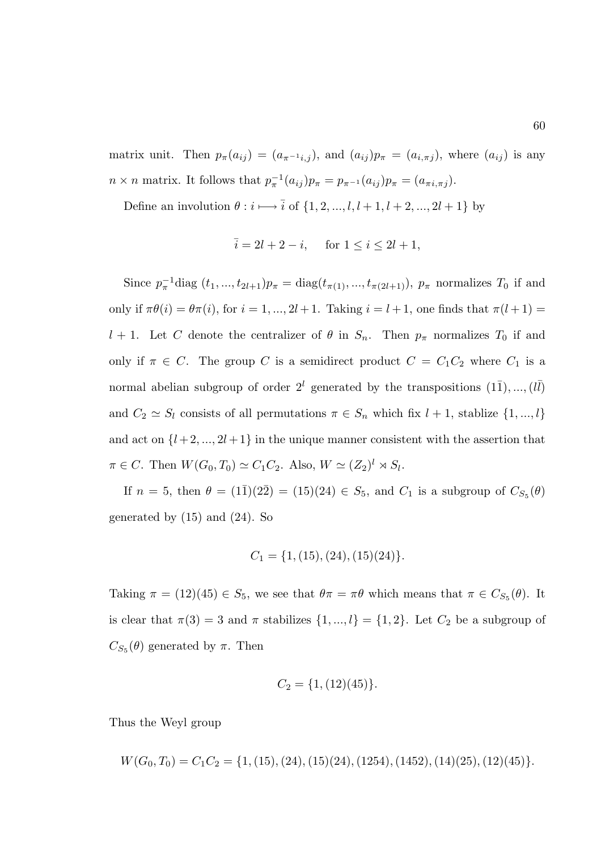matrix unit. Then  $p_{\pi}(a_{ij}) = (a_{\pi^{-1}i,j})$ , and  $(a_{ij})p_{\pi} = (a_{i,\pi j})$ , where  $(a_{ij})$  is any  $n \times n$  matrix. It follows that  $p_{\pi}^{-1}(a_{ij})p_{\pi} = p_{\pi^{-1}}(a_{ij})p_{\pi} = (a_{\pi i, \pi j}).$ 

Define an involution  $\theta : i \longmapsto \overline{i}$  of  $\{1, 2, ..., l, l + 1, l + 2, ..., 2l + 1\}$  by

$$
\bar{i} = 2l + 2 - i
$$
, for  $1 \le i \le 2l + 1$ ,

Since  $p_{\pi}^{-1}$ diag  $(t_1, ..., t_{2l+1})p_{\pi} = \text{diag}(t_{\pi(1)}, ..., t_{\pi(2l+1)}), p_{\pi}$  normalizes  $T_0$  if and only if  $\pi\theta(i) = \theta\pi(i)$ , for  $i = 1, ..., 2l + 1$ . Taking  $i = l + 1$ , one finds that  $\pi(l + 1) =$ l + 1. Let C denote the centralizer of  $\theta$  in  $S_n$ . Then  $p_\pi$  normalizes  $T_0$  if and only if  $\pi \in C$ . The group C is a semidirect product  $C = C_1 C_2$  where  $C_1$  is a normal abelian subgroup of order  $2^l$  generated by the transpositions  $(1\overline{1}), ..., (l\overline{l})$ and  $C_2 \simeq S_l$  consists of all permutations  $\pi \in S_n$  which fix  $l + 1$ , stablize  $\{1, ..., l\}$ and act on  $\{l+2,\ldots,2l+1\}$  in the unique manner consistent with the assertion that  $\pi \in C$ . Then  $W(G_0, T_0) \simeq C_1 C_2$ . Also,  $W \simeq (Z_2)^l \rtimes S_l$ .

If  $n = 5$ , then  $\theta = (1\bar{1})(2\bar{2}) = (15)(24) \in S_5$ , and  $C_1$  is a subgroup of  $C_{S_5}(\theta)$ generated by (15) and (24). So

$$
C_1 = \{1, (15), (24), (15)(24)\}.
$$

Taking  $\pi = (12)(45) \in S_5$ , we see that  $\theta \pi = \pi \theta$  which means that  $\pi \in C_{S_5}(\theta)$ . It is clear that  $\pi(3) = 3$  and  $\pi$  stabilizes  $\{1, ..., l\} = \{1, 2\}$ . Let  $C_2$  be a subgroup of  $C_{S_5}(\theta)$  generated by  $\pi$ . Then

$$
C_2 = \{1, (12)(45)\}.
$$

Thus the Weyl group

$$
W(G_0, T_0) = C_1 C_2 = \{1, (15), (24), (15)(24), (1254), (1452), (14)(25), (12)(45)\}.
$$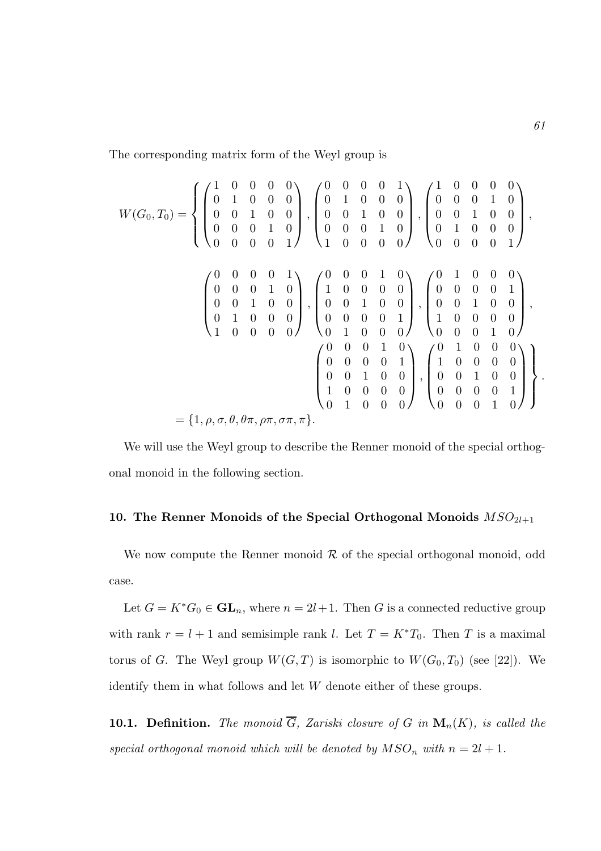The corresponding matrix form of the Weyl group is

$$
W(G_0, T_0) = \left\{ \begin{pmatrix} 1 & 0 & 0 & 0 & 0 \\ 0 & 1 & 0 & 0 & 0 \\ 0 & 0 & 1 & 0 & 0 \\ 0 & 0 & 0 & 1 & 0 \\ 0 & 0 & 0 & 0 & 1 \end{pmatrix}, \begin{pmatrix} 0 & 0 & 0 & 0 & 1 \\ 0 & 1 & 0 & 0 & 0 \\ 0 & 0 & 1 & 0 & 0 \\ 0 & 0 & 0 & 1 & 0 \\ 1 & 0 & 0 & 0 & 0 \end{pmatrix}, \begin{pmatrix} 1 & 0 & 0 & 0 & 0 \\ 0 & 0 & 0 & 1 & 0 \\ 0 & 0 & 1 & 0 & 0 \\ 0 & 1 & 0 & 0 & 0 \\ 0 & 0 & 0 & 1 & 0 \\ 0 & 0 & 0 & 0 & 0 \end{pmatrix}, \begin{pmatrix} 0 & 0 & 0 & 1 & 0 \\ 1 & 0 & 0 & 0 & 0 \\ 0 & 0 & 1 & 0 & 0 \\ 0 & 0 & 1 & 0 & 0 \\ 0 & 0 & 0 & 0 & 1 \end{pmatrix}, \begin{pmatrix} 0 & 1 & 0 & 0 & 0 \\ 0 & 0 & 0 & 0 & 1 \\ 0 & 0 & 1 & 0 & 0 \\ 0 & 0 & 0 & 0 & 1 \\ 0 & 0 & 0 & 0 & 1 \end{pmatrix}, \begin{pmatrix} 0 & 1 & 0 & 0 & 0 \\ 0 & 0 & 0 & 0 & 1 \\ 1 & 0 & 0 & 0 & 0 \\ 0 & 0 & 0 & 1 & 0 \\ 0 & 0 & 0 & 1 & 0 \end{pmatrix}, \begin{pmatrix} 0 & 1 & 0 & 0 & 0 \\ 0 & 0 & 1 & 0 & 0 \\ 0 & 0 & 1 & 0 & 0 \\ 0 & 0 & 1 & 0 & 0 \\ 0 & 0 & 0 & 0 & 1 \\ 0 & 0 & 0 & 0 & 1 \end{pmatrix} \right\}.
$$

$$
= \{1, \rho, \sigma, \theta, \theta\pi, \rho\pi, \sigma\pi, \pi\}. \tag{1.10}
$$

We will use the Weyl group to describe the Renner monoid of the special orthogonal monoid in the following section.

## 10. The Renner Monoids of the Special Orthogonal Monoids  $MSO_{2l+1}$

We now compute the Renner monoid  $R$  of the special orthogonal monoid, odd case.

Let  $G = K^*G_0 \in GL_n$ , where  $n = 2l + 1$ . Then G is a connected reductive group with rank  $r = l + 1$  and semisimple rank l. Let  $T = K^*T_0$ . Then T is a maximal torus of G. The Weyl group  $W(G, T)$  is isomorphic to  $W(G_0, T_0)$  (see [22]). We identify them in what follows and let W denote either of these groups.

**10.1. Definition.** The monoid  $\overline{G}$ , Zariski closure of G in  $\mathbf{M}_n(K)$ , is called the special orthogonal monoid which will be denoted by  $MSO_n$  with  $n = 2l + 1$ .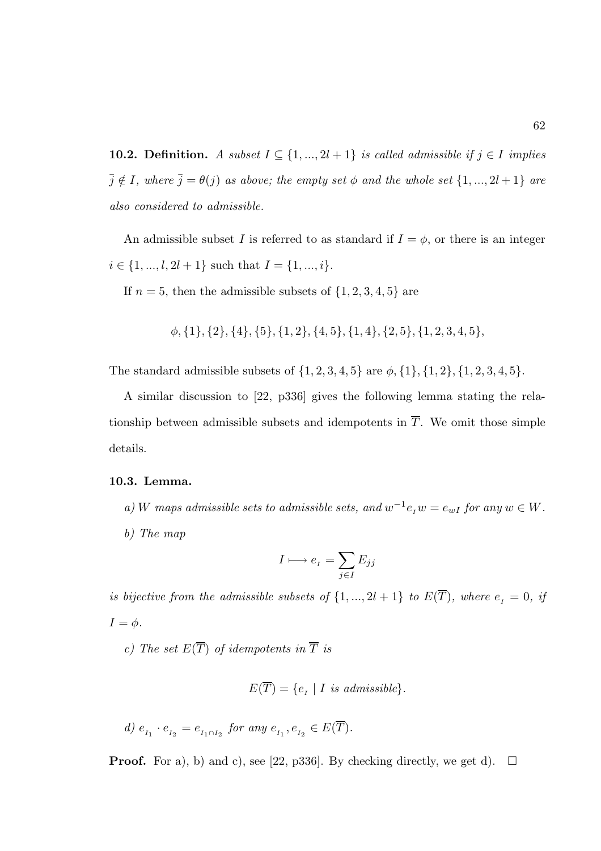**10.2. Definition.** A subset  $I \subseteq \{1, ..., 2l + 1\}$  is called admissible if  $j \in I$  implies  $\bar{j} \notin I$ , where  $\bar{j} = \theta(j)$  as above; the empty set  $\phi$  and the whole set  $\{1, ..., 2l + 1\}$  are also considered to admissible.

An admissible subset I is referred to as standard if  $I = \phi$ , or there is an integer  $i \in \{1, ..., l, 2l + 1\}$  such that  $I = \{1, ..., i\}.$ 

If  $n = 5$ , then the admissible subsets of  $\{1, 2, 3, 4, 5\}$  are

 $\phi$ , {1}, {2}, {4}, {5}, {1, 2}, {4, 5}, {1, 4}, {2, 5}, {1, 2, 3, 4, 5},

The standard admissible subsets of  $\{1, 2, 3, 4, 5\}$  are  $\phi$ ,  $\{1\}$ ,  $\{1, 2\}$ ,  $\{1, 2, 3, 4, 5\}$ .

A similar discussion to [22, p336] gives the following lemma stating the relationship between admissible subsets and idempotents in  $\overline{T}$ . We omit those simple details.

#### 10.3. Lemma.

a) W maps admissible sets to admissible sets, and  $w^{-1}e_iw = e_{wI}$  for any  $w \in W$ . b) The map

$$
I \longmapsto e_I = \sum_{j \in I} E_{jj}
$$

is bijective from the admissible subsets of  $\{1, ..., 2l + 1\}$  to  $E(\overline{T})$ , where  $e_{I} = 0$ , if  $I = \phi$ .

c) The set  $E(\overline{T})$  of idempotents in  $\overline{T}$  is

$$
E(\overline{T}) = \{e_I \mid I \text{ is admissible}\}.
$$

$$
d) e_{I_1} \cdot e_{I_2} = e_{I_1 \cap I_2} \text{ for any } e_{I_1}, e_{I_2} \in E(\overline{T}).
$$

**Proof.** For a), b) and c), see [22, p336]. By checking directly, we get d).  $\Box$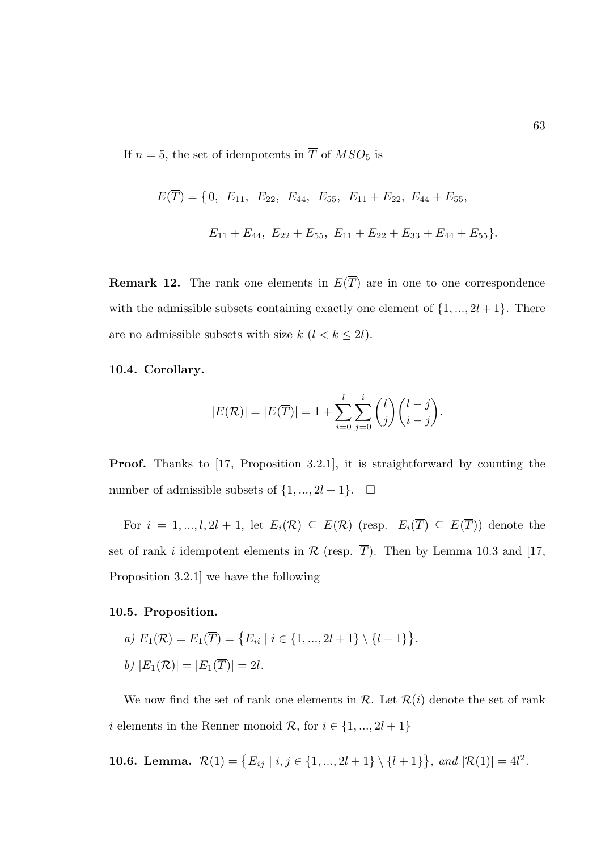If  $n = 5$ , the set of idempotents in  $\overline{T}$  of  $MSO<sub>5</sub>$  is

$$
E(\overline{T}) = \{0, E_{11}, E_{22}, E_{44}, E_{55}, E_{11} + E_{22}, E_{44} + E_{55},
$$
  

$$
E_{11} + E_{44}, E_{22} + E_{55}, E_{11} + E_{22} + E_{33} + E_{44} + E_{55}\}.
$$

**Remark 12.** The rank one elements in  $E(\overline{T})$  are in one to one correspondence with the admissible subsets containing exactly one element of  $\{1, ..., 2l + 1\}$ . There are no admissible subsets with size  $k$   $(l < k \leq 2l).$ 

## 10.4. Corollary.

$$
|E(\mathcal{R})| = |E(\overline{T})| = 1 + \sum_{i=0}^{l} \sum_{j=0}^{i} {l \choose j} {l-j \choose i-j}.
$$

Proof. Thanks to [17, Proposition 3.2.1], it is straightforward by counting the number of admissible subsets of  $\{1, ..., 2l + 1\}$ .  $\Box$ 

For  $i = 1, ..., l, 2l + 1$ , let  $E_i(\mathcal{R}) \subseteq E(\mathcal{R})$  (resp.  $E_i(\overline{T}) \subseteq E(\overline{T})$ ) denote the set of rank i idempotent elements in  $\mathcal R$  (resp.  $\overline{T}$ ). Then by Lemma 10.3 and [17, Proposition 3.2.1] we have the following

#### 10.5. Proposition.

a) 
$$
E_1(\mathcal{R}) = E_1(\overline{T}) = \{E_{ii} | i \in \{1, ..., 2l + 1\} \setminus \{l + 1\}\}.
$$
  
b)  $|E_1(\mathcal{R})| = |E_1(\overline{T})| = 2l.$ 

We now find the set of rank one elements in  $\mathcal{R}$ . Let  $\mathcal{R}(i)$  denote the set of rank i elements in the Renner monoid  $\mathcal{R}$ , for  $i \in \{1, ..., 2l + 1\}$ 

**10.6. Lemma.** 
$$
\mathcal{R}(1) = \{E_{ij} | i, j \in \{1, ..., 2l+1\} \setminus \{l+1\}\}, \text{ and } |\mathcal{R}(1)| = 4l^2.
$$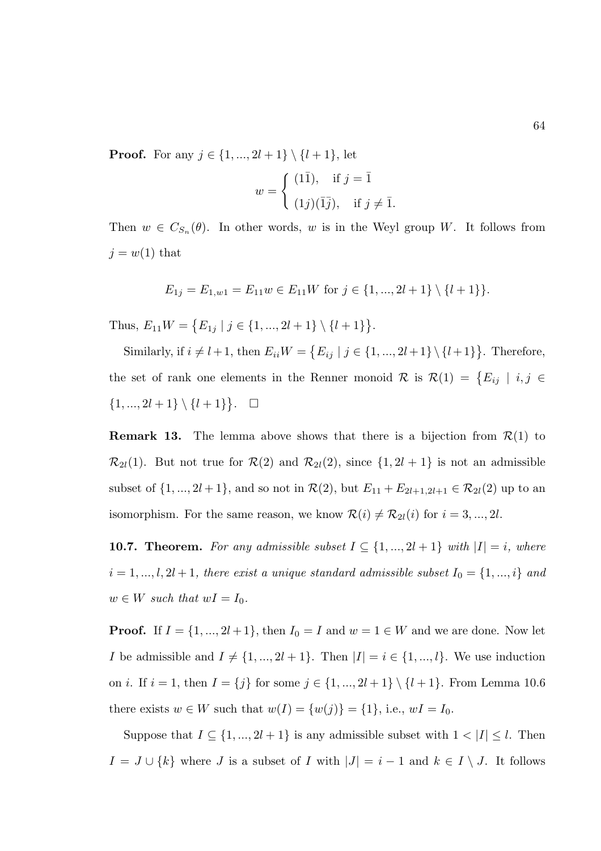**Proof.** For any  $j \in \{1, ..., 2l + 1\} \setminus \{l + 1\}$ , let

$$
w = \begin{cases} (1\overline{1}), & \text{if } j = \overline{1} \\ (1j)(\overline{1}\overline{j}), & \text{if } j \neq \overline{1}. \end{cases}
$$

Then  $w \in C_{S_n}(\theta)$ . In other words, w is in the Weyl group W. It follows from  $j = w(1)$  that

$$
E_{1j} = E_{1,w1} = E_{11}w \in E_{11}W \text{ for } j \in \{1, ..., 2l+1\} \setminus \{l+1\}.
$$

Thus,  $E_{11}W = \{E_{1j} | j \in \{1, ..., 2l+1\} \setminus \{l+1\}\}.$ 

Similarly, if  $i \neq l+1$ , then  $E_{ii}W = \{E_{ij} | j \in \{1, ..., 2l+1\} \setminus \{l+1\}\}\.$  Therefore, the set of rank one elements in the Renner monoid R is  $\mathcal{R}(1) = \{E_{ij} | i, j \in$  $\{1, ..., 2l + 1\} \setminus \{l + 1\}$ .  $\Box$ 

**Remark 13.** The lemma above shows that there is a bijection from  $\mathcal{R}(1)$  to  $\mathcal{R}_{2l}(1)$ . But not true for  $\mathcal{R}(2)$  and  $\mathcal{R}_{2l}(2)$ , since  $\{1, 2l + 1\}$  is not an admissible subset of  $\{1, ..., 2l + 1\}$ , and so not in  $\mathcal{R}(2)$ , but  $E_{11} + E_{2l+1,2l+1} \in \mathcal{R}_{2l}(2)$  up to an isomorphism. For the same reason, we know  $\mathcal{R}(i) \neq \mathcal{R}_{2l}(i)$  for  $i = 3, ..., 2l$ .

**10.7. Theorem.** For any admissible subset  $I \subseteq \{1, ..., 2l + 1\}$  with  $|I| = i$ , where  $i = 1, ..., l, 2l + 1$ , there exist a unique standard admissible subset  $I_0 = \{1, ..., i\}$  and  $w \in W$  such that  $wI = I_0$ .

**Proof.** If  $I = \{1, ..., 2l + 1\}$ , then  $I_0 = I$  and  $w = 1 \in W$  and we are done. Now let *I* be admissible and  $I \neq \{1, ..., 2l + 1\}$ . Then  $|I| = i \in \{1, ..., l\}$ . We use induction on *i*. If  $i = 1$ , then  $I = \{j\}$  for some  $j \in \{1, ..., 2l + 1\} \setminus \{l + 1\}$ . From Lemma 10.6 there exists  $w \in W$  such that  $w(I) = \{w(j)\} = \{1\}$ , i.e.,  $wI = I_0$ .

Suppose that  $I \subseteq \{1, ..., 2l + 1\}$  is any admissible subset with  $1 < |I| \leq l$ . Then  $I = J \cup \{k\}$  where J is a subset of I with  $|J| = i - 1$  and  $k \in I \setminus J$ . It follows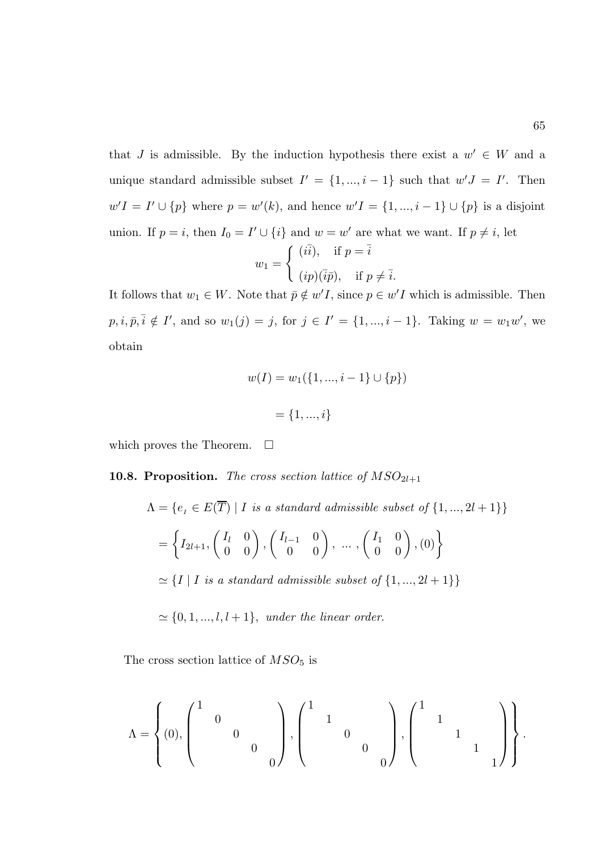that J is admissible. By the induction hypothesis there exist a  $w' \in W$  and a unique standard admissible subset  $I' = \{1, ..., i-1\}$  such that  $w'J = I'$ . Then  $w'I = I' \cup \{p\}$  where  $p = w'(k)$ , and hence  $w'I = \{1, ..., i-1\} \cup \{p\}$  is a disjoint union. If  $p = i$ , then  $I_0 = I' \cup \{i\}$  and  $w = w'$  are what we want. If  $p \neq i$ , let

$$
w_1 = \begin{cases} (i\overline{i}), & \text{if } p = \overline{i} \\ (ip)(\overline{i}\overline{p}), & \text{if } p \neq \overline{i}. \end{cases}
$$

It follows that  $w_1 \in W$ . Note that  $\bar{p} \notin w'I$ , since  $p \in w'I$  which is admissible. Then  $p, i, \bar{p}, \bar{i} \notin I'$ , and so  $w_1(j) = j$ , for  $j \in I' = \{1, ..., i-1\}$ . Taking  $w = w_1w'$ , we obtain

$$
w(I) = w_1(\{1, ..., i - 1\} \cup \{p\})
$$

$$
= \{1, ..., i\}
$$

which proves the Theorem.  $\Box$ 

## **10.8. Proposition.** The cross section lattice of  $MSO_{2l+1}$

$$
\Lambda = \{e_I \in E(\overline{T}) \mid I \text{ is a standard admissible subset of } \{1, ..., 2l+1\}\}
$$

$$
= \left\{ I_{2l+1}, \begin{pmatrix} I_l & 0 \\ 0 & 0 \end{pmatrix}, \begin{pmatrix} I_{l-1} & 0 \\ 0 & 0 \end{pmatrix}, \dots, \begin{pmatrix} I_1 & 0 \\ 0 & 0 \end{pmatrix}, (0) \right\}
$$

$$
\simeq \{I \mid I \text{ is a standard admissible subset of } \{1, ..., 2l+1\}\}
$$

 $\simeq \{0, 1, ..., l, l + 1\}$ , under the linear order.

The cross section lattice of  $MSO<sub>5</sub>$  is

$$
\Lambda = \left\{ (0), \begin{pmatrix} 1 & & & & \\ & 0 & & & \\ & & 0 & & \\ & & & 0 & \\ & & & & 0 \end{pmatrix}, \begin{pmatrix} 1 & & & & \\ & 1 & & & \\ & & 0 & & \\ & & & 0 & \\ & & & & 0 \end{pmatrix}, \begin{pmatrix} 1 & & & & \\ & 1 & & & \\ & & 1 & & \\ & & & 1 & \\ & & & 1 \end{pmatrix} \right\}.
$$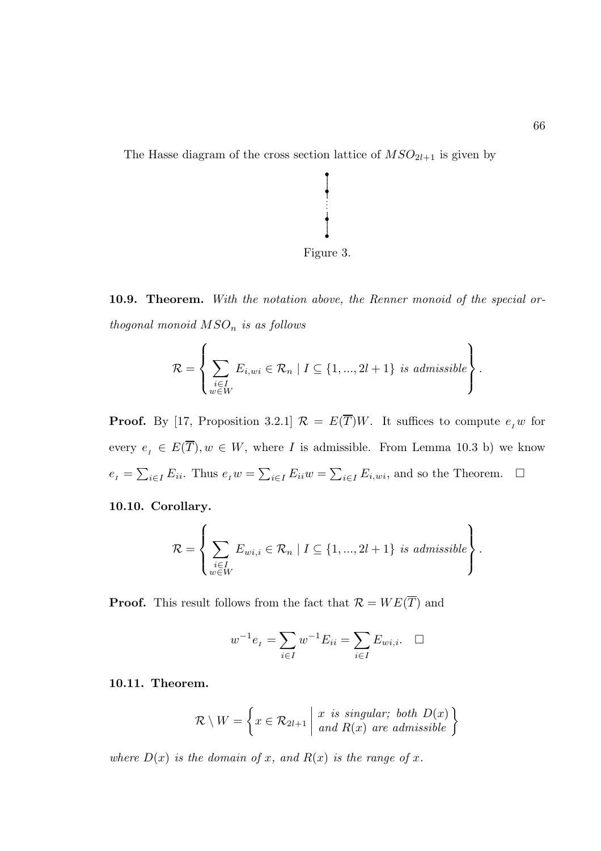The Hasse diagram of the cross section lattice of  $MSO_{2l+1}$  is given by



..

.

• • · · · •

10.9. Theorem. With the notation above, the Renner monoid of the special orthogonal monoid  $MSO_n$  is as follows

$$
\mathcal{R} = \left\{ \sum_{\substack{i \in I \\ w \in W}} E_{i,wi} \in \mathcal{R}_n \mid I \subseteq \{1, ..., 2l+1\} \text{ is admissible} \right\}.
$$

**Proof.** By [17, Proposition 3.2.1]  $\mathcal{R} = E(\overline{T})W$ . It suffices to compute  $e_I w$  for every  $e_I \in E(\overline{T}), w \in W$ , where I is admissible. From Lemma 10.3 b) we know  $e_{I} = \sum_{i \in I} E_{ii}$ . Thus  $e_{I} w = \sum_{i \in I} E_{ii} w = \sum_{i \in I} E_{i,wi}$ , and so the Theorem.  $\Box$ 

# 10.10. Corollary.

$$
\mathcal{R} = \left\{ \sum_{\substack{i \in I \\ w \in W}} E_{wi,i} \in \mathcal{R}_n \mid I \subseteq \{1, ..., 2l+1\} \text{ is admissible} \right\}.
$$

**Proof.** This result follows from the fact that  $\mathcal{R} = WE(\overline{T})$  and

$$
w^{-1}e_{I} = \sum_{i \in I} w^{-1} E_{ii} = \sum_{i \in I} E_{wi,i}. \quad \Box
$$

#### 10.11. Theorem.

$$
\mathcal{R} \setminus W = \left\{ x \in \mathcal{R}_{2l+1} \mid \begin{array}{l} x \text{ is singular; both } D(x) \\ \text{and } R(x) \text{ are admissible} \end{array} \right\}
$$

where  $D(x)$  is the domain of x, and  $R(x)$  is the range of x.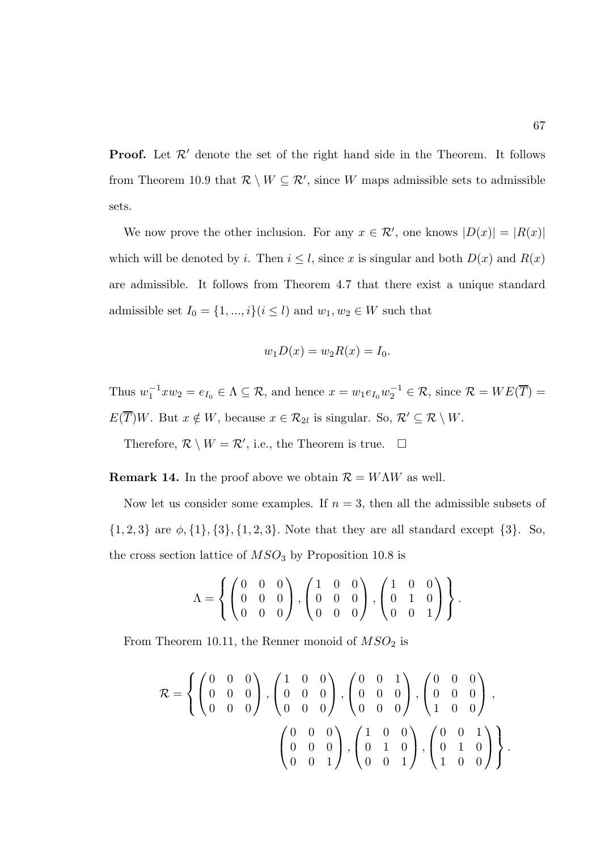**Proof.** Let  $\mathcal{R}'$  denote the set of the right hand side in the Theorem. It follows from Theorem 10.9 that  $\mathcal{R} \setminus W \subseteq \mathcal{R}'$ , since W maps admissible sets to admissible sets.

We now prove the other inclusion. For any  $x \in \mathcal{R}'$ , one knows  $|D(x)| = |R(x)|$ which will be denoted by i. Then  $i \leq l$ , since x is singular and both  $D(x)$  and  $R(x)$ are admissible. It follows from Theorem 4.7 that there exist a unique standard admissible set  $I_0 = \{1, ..., i\} (i \leq l)$  and  $w_1, w_2 \in W$  such that

$$
w_1 D(x) = w_2 R(x) = I_0.
$$

Thus  $w_1^{-1} x w_2 = e_{I_0} \in \Lambda \subseteq \mathcal{R}$ , and hence  $x = w_1 e_{I_0} w_2^{-1} \in \mathcal{R}$ , since  $\mathcal{R} = WE(\overline{T}) =$  $E(\overline{T})W$ . But  $x \notin W$ , because  $x \in \mathcal{R}_{2l}$  is singular. So,  $\mathcal{R}' \subseteq \mathcal{R} \setminus W$ .

Therefore,  $\mathcal{R} \setminus W = \mathcal{R}'$ , i.e., the Theorem is true.  $\Box$ 

**Remark 14.** In the proof above we obtain  $\mathcal{R} = W\Lambda W$  as well.

Now let us consider some examples. If  $n = 3$ , then all the admissible subsets of  $\{1, 2, 3\}$  are  $\phi$ ,  $\{1\}$ ,  $\{3\}$ ,  $\{1, 2, 3\}$ . Note that they are all standard except  $\{3\}$ . So, the cross section lattice of  $MSO<sub>3</sub>$  by Proposition 10.8 is

$$
\Lambda = \left\{ \begin{pmatrix} 0 & 0 & 0 \\ 0 & 0 & 0 \\ 0 & 0 & 0 \end{pmatrix}, \begin{pmatrix} 1 & 0 & 0 \\ 0 & 0 & 0 \\ 0 & 0 & 0 \end{pmatrix}, \begin{pmatrix} 1 & 0 & 0 \\ 0 & 1 & 0 \\ 0 & 0 & 1 \end{pmatrix} \right\}.
$$

From Theorem 10.11, the Renner monoid of  $MSO<sub>2</sub>$  is

$$
\mathcal{R} = \left\{ \begin{pmatrix} 0 & 0 & 0 \\ 0 & 0 & 0 \\ 0 & 0 & 0 \end{pmatrix}, \begin{pmatrix} 1 & 0 & 0 \\ 0 & 0 & 0 \\ 0 & 0 & 0 \end{pmatrix}, \begin{pmatrix} 0 & 0 & 1 \\ 0 & 0 & 0 \\ 0 & 0 & 0 \end{pmatrix}, \begin{pmatrix} 0 & 0 & 0 \\ 0 & 0 & 0 \\ 1 & 0 & 0 \end{pmatrix}, \right\}
$$

$$
\begin{pmatrix} 0 & 0 & 0 \\ 0 & 0 & 0 \\ 0 & 0 & 1 \end{pmatrix}, \begin{pmatrix} 1 & 0 & 0 \\ 0 & 1 & 0 \\ 0 & 0 & 1 \end{pmatrix}, \begin{pmatrix} 0 & 0 & 1 \\ 0 & 1 & 0 \\ 1 & 0 & 0 \end{pmatrix} \right\}.
$$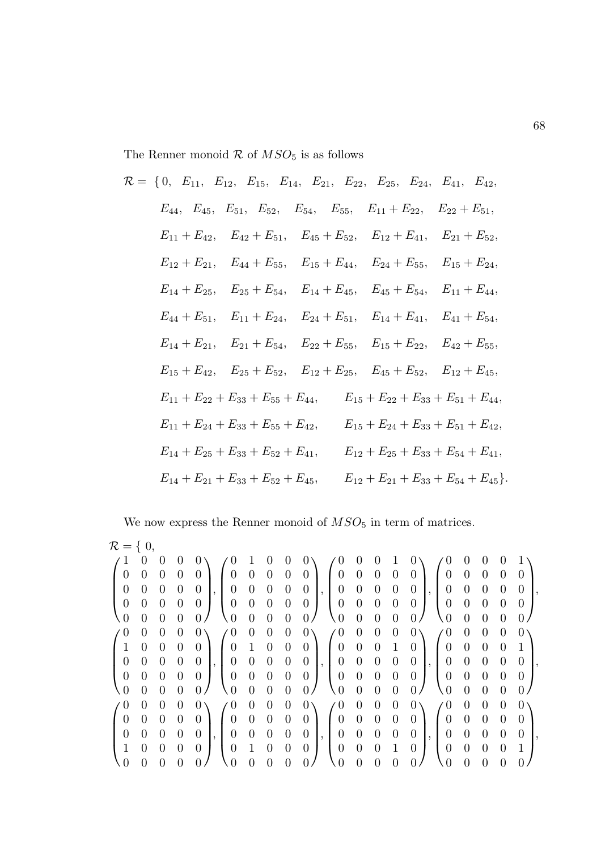The Renner monoid  $\mathcal R$  of  $MSO_5$  is as follows

$$
\mathcal{R} = \{0, E_{11}, E_{12}, E_{15}, E_{14}, E_{21}, E_{22}, E_{25}, E_{24}, E_{41}, E_{42},\nE_{44}, E_{45}, E_{51}, E_{52}, E_{54}, E_{55}, E_{11} + E_{22}, E_{22} + E_{51},\nE_{11} + E_{42}, E_{42} + E_{51}, E_{45} + E_{52}, E_{12} + E_{41}, E_{21} + E_{52},\nE_{12} + E_{21}, E_{44} + E_{55}, E_{15} + E_{44}, E_{24} + E_{55}, E_{15} + E_{24},\nE_{14} + E_{25}, E_{25} + E_{54}, E_{14} + E_{45}, E_{45} + E_{54}, E_{11} + E_{44},\nE_{44} + E_{51}, E_{11} + E_{24}, E_{24} + E_{51}, E_{14} + E_{41}, E_{41} + E_{54},\nE_{14} + E_{21}, E_{21} + E_{54}, E_{22} + E_{55}, E_{15} + E_{22}, E_{42} + E_{55},\nE_{15} + E_{42}, E_{25} + E_{52}, E_{12} + E_{25}, E_{45} + E_{52}, E_{12} + E_{45},\nE_{11} + E_{22} + E_{33} + E_{55} + E_{44}, E_{15} + E_{22} + E_{33} + E_{51} + E_{44},\nE_{11} + E_{24} + E_{33} + E_{55} + E_{42}, E_{15} + E_{24} + E_{33} + E_{51} + E_{42},\nE_{14} + E_{25} + E_{33} + E_{52} + E_{41}, E_{12} + E_{25} + E_{33} + E_{54} + E_{41},\nE_{14} + E_{25} + E_{33} + E_{52} + E_{41}, E_{12} + E_{25} + E_{33} + E_{54} + E_{41},\nE_{14} + E_{21} + E_{33} + E_{52} + E_{45}, E_{12} + E_{
$$

We now express the Renner monoid of  $MSO_5$  in term of matrices.

| $\mathcal{R} = \{ 0, \ldots$ |                  |                  |                  |                                      |                  |                  |                |                  |                  |                  |                  |                |                |                |                  |                  |                  |                  |                  |  |
|------------------------------|------------------|------------------|------------------|--------------------------------------|------------------|------------------|----------------|------------------|------------------|------------------|------------------|----------------|----------------|----------------|------------------|------------------|------------------|------------------|------------------|--|
|                              | U                |                  |                  | $\theta$                             | $\theta$         |                  |                |                  |                  |                  | $\theta$         | $\theta$       |                | $\theta$       | $\theta$         | 0                |                  | $\theta$         |                  |  |
| $\theta$                     | $\overline{0}$   | $\overline{0}$   | $\overline{0}$   | 0                                    | $\overline{0}$   | $\overline{0}$   | $\theta$       | $\theta$         | $\overline{0}$   | $\overline{0}$   | $\boldsymbol{0}$ | $\theta$       | $\theta$       | $\overline{0}$ | $\theta$         | $\boldsymbol{0}$ | $\theta$         | $\theta$         | $\theta$         |  |
| $\overline{0}$               | $\boldsymbol{0}$ | $\overline{0}$   | $\boldsymbol{0}$ | $\theta$<br>$\cdot$                  | $\boldsymbol{0}$ | $\boldsymbol{0}$ | $\theta$       | $\boldsymbol{0}$ | $\boldsymbol{0}$ | $\boldsymbol{0}$ | $\boldsymbol{0}$ | $\theta$       | $\theta$       | $\theta$       | $\boldsymbol{0}$ | $\boldsymbol{0}$ | $\boldsymbol{0}$ | $\boldsymbol{0}$ | $\boldsymbol{0}$ |  |
| $\boldsymbol{0}$             | $\overline{0}$   | $\overline{0}$   | $\overline{0}$   | $\theta$                             | $\boldsymbol{0}$ | $\boldsymbol{0}$ | $\theta$       | $\theta$         | $\overline{0}$   | $\overline{0}$   | $\boldsymbol{0}$ | $\theta$       | $\theta$       | 0              | $\boldsymbol{0}$ | $\boldsymbol{0}$ | $\theta$         | $\boldsymbol{0}$ | $\theta$         |  |
| $\overline{0}$               | $\Omega$         | $\theta$         | $\overline{0}$   | 0                                    | 0.               | $\overline{0}$   | $\theta$       | 0                | 0                | 0                | $\theta$         | $\overline{0}$ | $\theta$       | 0              | $\left( \right)$ | $\overline{0}$   | $\overline{0}$   | $\overline{0}$   | $\Omega$         |  |
| $\theta$                     | $\theta$         | $\boldsymbol{0}$ | $\overline{0}$   | $\overline{0}$                       | $\theta$         | $\overline{0}$   | $\theta$       | $\boldsymbol{0}$ | 0                | $\theta$         | $\boldsymbol{0}$ | $\theta$       | $\theta$       | $\mathbf{0}$   | $\theta$         | $\overline{0}$   | $\boldsymbol{0}$ | $\boldsymbol{0}$ | 0 <sub>1</sub>   |  |
| 1                            | $\boldsymbol{0}$ | $\theta$         | $\overline{0}$   | 0                                    | $\overline{0}$   | $\mathbf{1}$     | $\theta$       | $\theta$         | $\overline{0}$   | $\overline{0}$   | $\boldsymbol{0}$ | $\overline{0}$ | $\mathbf{1}$   | $\overline{0}$ | $\overline{0}$   | $\boldsymbol{0}$ | $\boldsymbol{0}$ | $\theta$         | $\mathbf{1}$     |  |
| $\boldsymbol{0}$             | $\boldsymbol{0}$ | $\theta$         | $\overline{0}$   | $\theta$<br>$\cdot$                  | $\overline{0}$   | $\overline{0}$   | $\theta$       | $\theta$         | $\overline{0}$   | $\overline{0}$   | $\theta$         | $\theta$       | $\theta$       | $\theta$       | $\overline{0}$   | $\overline{0}$   | $\theta$         | $\theta$         | $\overline{0}$   |  |
| $\overline{0}$               | $\theta$         | $\overline{0}$   | $\theta$         | $\theta$                             | $\boldsymbol{0}$ | $\boldsymbol{0}$ | $\theta$       | $\theta$         | $\boldsymbol{0}$ | $\overline{0}$   | $\overline{0}$   | $\overline{0}$ | $\theta$       | 0              | $\overline{0}$   | $\boldsymbol{0}$ | $\theta$         | $\boldsymbol{0}$ | $\overline{0}$   |  |
| $\overline{0}$               | $\overline{0}$   | $\overline{0}$   | $\overline{0}$   | $\overline{0}$                       | $\theta$         | $\overline{0}$   | $\overline{0}$ | $\overline{0}$   | 0                | $\overline{0}$   | $\overline{0}$   | $\overline{0}$ | $\overline{0}$ | $\overline{0}$ | $\overline{0}$   | $\overline{0}$   | $\overline{0}$   | $\overline{0}$   | 0                |  |
| $\theta$                     | $\boldsymbol{0}$ | 0                | $\overline{0}$   | $\overline{0}$                       | $\theta$         | $\overline{0}$   | $\theta$       | $\boldsymbol{0}$ | 0                | $\theta$         | $\boldsymbol{0}$ | $\theta$       | $\theta$       | $\theta$       | $\overline{0}$   | $\overline{0}$   | $\overline{0}$   | $\theta$         | 0 <sub>1</sub>   |  |
| $\theta$                     | $\theta$         | $\overline{0}$   | $\overline{0}$   | $\overline{0}$                       | $\overline{0}$   | $\boldsymbol{0}$ | $\theta$       | $\theta$         | $\overline{0}$   | $\overline{0}$   | $\theta$         | $\overline{0}$ | $\theta$       | 0              | 0                | $\boldsymbol{0}$ | $\overline{0}$   | $\overline{0}$   | $\overline{0}$   |  |
| $\overline{0}$               | $\theta$         | $\overline{0}$   | $\overline{0}$   | $\theta$<br>$\overline{\phantom{a}}$ | $\boldsymbol{0}$ | $\theta$         | $\theta$       | $\theta$         | $\boldsymbol{0}$ | $\overline{0}$   | $\theta$         | $\theta$       | $\theta$       | $\theta$       | $\boldsymbol{0}$ | $\boldsymbol{0}$ | $\theta$         | $\theta$         | $\boldsymbol{0}$ |  |
|                              | $\overline{0}$   | $\theta$         | $\overline{0}$   | $\theta$                             | $\overline{0}$   | $\mathbf{1}$     | $\theta$       | $\overline{0}$   | $\overline{0}$   | $\overline{0}$   | $\overline{0}$   | $\theta$       | 1              | $\overline{0}$ | $\overline{0}$   | $\boldsymbol{0}$ | $\theta$         | $\overline{0}$   | $\mathbf{1}$     |  |
|                              | 0                | 0                | $\Omega$         |                                      | $\Omega$         | $\theta$         | $\Omega$       |                  |                  | $\Omega$         | 0                | $\theta$       | $\Omega$       | 0              | $\theta$         | $\overline{0}$   | $\overline{0}$   | $\theta$         |                  |  |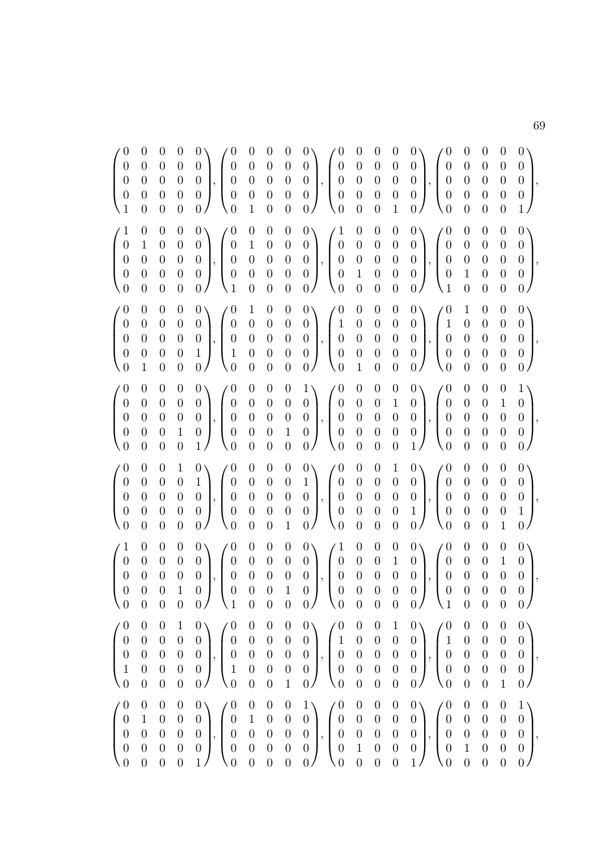| $\begin{pmatrix} 0 \\ 0 \\ 0 \\ 0 \\ 0 \\ 1 \end{pmatrix}$              | $\boldsymbol{0}$<br>$\overline{0}$<br>$\boldsymbol{0}$<br>$\boldsymbol{0}$<br>$\boldsymbol{0}$ | $\begin{array}{c} 0 \\ 0 \end{array}$<br>$\boldsymbol{0}$<br>$\boldsymbol{0}$<br>$\boldsymbol{0}$ | $\begin{matrix}0\\0\end{matrix}$<br>$\boldsymbol{0}$<br>$\boldsymbol{0}$<br>$\theta$       | $\begin{pmatrix} 0 \\ 0 \\ 0 \\ 0 \\ 0 \end{pmatrix}, \begin{pmatrix} 0 \\ 0 \\ 0 \\ 0 \end{pmatrix}$<br>0/<br>$\setminus 0$                                                                    | $\begin{array}{ccc} 0 & 0 \\ 0 & 0 \\ 0 & 0 \\ 0 & 0 \\ \end{array}$<br>$\mathbf{1}$            | $\boldsymbol{0}$                                                                                   |                                                                                  | $\begin{pmatrix} 0 & 0 \\ 0 & 0 \\ 0 & 0 \\ 0 & 0 \\ 0 & 0 \end{pmatrix}, \begin{pmatrix} 0 \\ 0 \\ 0 \\ 0 \\ 0 \\ 0 \end{pmatrix}$ | $\begin{array}{c} 0 \\ 0 \\ 0 \end{array}$<br>$\overline{0}$<br>$\overline{0}$                  | $\begin{array}{c} 0 \\ 0 \\ 0 \end{array}$<br>$\boldsymbol{0}$<br>$\boldsymbol{0}$              | $\begin{array}{c} 0 \\ 0 \\ 0 \end{array}$<br>$\boldsymbol{0}$<br>$\mathbf{1}$                              | $0\lambda$<br>$\begin{pmatrix} 0 \\ 0 \end{pmatrix}$<br>$\begin{pmatrix} 0 \\ 0 \\ 0 \\ 0 \\ 0 \\ 0 \\ 0 \end{pmatrix}$<br>0/<br>$\setminus 0$                  | $\boldsymbol{0}$<br>$\boldsymbol{0}$<br>$\boldsymbol{0}$<br>$\theta$                       | $\begin{array}{c} 0 \\ 0 \\ 0 \end{array}$<br>$\boldsymbol{0}$<br>$\theta$                   | $\begin{matrix} 0\\0\\0 \end{matrix}$<br>$\overline{0}$<br>$\boldsymbol{0}$                     | $\begin{pmatrix} 0 \\ 0 \\ 0 \\ 0 \\ 1 \end{pmatrix},$                                              |
|-------------------------------------------------------------------------|------------------------------------------------------------------------------------------------|---------------------------------------------------------------------------------------------------|--------------------------------------------------------------------------------------------|-------------------------------------------------------------------------------------------------------------------------------------------------------------------------------------------------|-------------------------------------------------------------------------------------------------|----------------------------------------------------------------------------------------------------|----------------------------------------------------------------------------------|-------------------------------------------------------------------------------------------------------------------------------------|-------------------------------------------------------------------------------------------------|-------------------------------------------------------------------------------------------------|-------------------------------------------------------------------------------------------------------------|-----------------------------------------------------------------------------------------------------------------------------------------------------------------|--------------------------------------------------------------------------------------------|----------------------------------------------------------------------------------------------|-------------------------------------------------------------------------------------------------|-----------------------------------------------------------------------------------------------------|
| $\left(\begin{matrix}1\0\0\0\0\0\end{matrix}\right)$                    | $\boldsymbol{0}$<br>$\,1\,$<br>$\boldsymbol{0}$<br>$\overline{0}$<br>$\boldsymbol{0}$          | $\boldsymbol{0}$<br>$\begin{array}{c} 0 \\ 0 \end{array}$<br>$\overline{0}$<br>$\overline{0}$     | $\theta$<br>$\boldsymbol{0}$<br>$\boldsymbol{0}$<br>$\boldsymbol{0}$<br>$\overline{0}$     | $0\setminus$<br>$\theta$<br>$\begin{pmatrix} 0 \\ 0 \\ 0 \\ 0 \\ 0 \end{pmatrix}, \begin{pmatrix} 0 \\ 0 \\ 0 \\ 0 \\ 1 \end{pmatrix}$                                                          | $\boldsymbol{0}$<br>$\mathbf{1}$<br>$\begin{array}{c} 0 \\ 0 \end{array}$<br>$\overline{0}$     | $\begin{bmatrix} 0 \ 0 \ 0 \ 0 \end{bmatrix}$<br>$\overline{0}$                                    |                                                                                  | $\begin{pmatrix} 0 & 0 \\ 0 & 0 \\ 0 & 0 \\ 0 & 0 \\ 0 & 0 \end{pmatrix}, \begin{pmatrix} 1 \\ 0 \\ 0 \\ 0 \\ 0 \\ 0 \end{pmatrix}$ | $\boldsymbol{0}$<br>$\overline{0}$<br>$\begin{array}{c} 0 \\ 1 \end{array}$<br>$\overline{0}$   | $\boldsymbol{0}$<br>$\begin{array}{c} 0 \\ 0 \end{array}$<br>$\overline{0}$<br>$\overline{0}$   | $\begin{array}{c} 0 \\ 0 \\ 0 \end{array}$<br>$\overline{0}$<br>$\boldsymbol{0}$                            | $0\setminus$<br>$\theta$<br>$\begin{pmatrix} 0 \\ 0 \\ 0 \\ 0 \\ 0 \end{pmatrix}, \begin{pmatrix} 0 \\ 0 \\ 0 \\ 1 \end{pmatrix}$                               | $\overline{0}$<br>$\boldsymbol{0}$<br>$\boldsymbol{0}$<br>$\mathbf 1$<br>$\overline{0}$    | $\boldsymbol{0}$<br>$\boldsymbol{0}$<br>$\overline{0}$<br>$\overline{0}$<br>$\overline{0}$   | $\boldsymbol{0}$<br>$\begin{array}{c} 0 \\ 0 \end{array}$<br>$\overline{0}$<br>$\boldsymbol{0}$ | $\begin{pmatrix} 0 \\ 0 \\ 0 \\ 0 \end{pmatrix},$<br>0/                                             |
| $\begin{pmatrix} 0 \\ 0 \\ 0 \\ 0 \\ 0 \end{pmatrix}$                   | $\boldsymbol{0}$<br>$\boldsymbol{0}$<br>$\overline{0}$<br>$\boldsymbol{0}$<br>$\mathbf{1}$     | $\begin{array}{c} 0 \\ 0 \end{array}$<br>$\overline{0}$<br>$\boldsymbol{0}$<br>$\boldsymbol{0}$   | $\boldsymbol{0}$<br>$\boldsymbol{0}$<br>$\boldsymbol{0}$<br>$\boldsymbol{0}$<br>$\theta$   | $0\setminus$<br>$\begin{pmatrix} 0 \\ 0 \\ 0 \\ 1 \end{pmatrix}, \begin{pmatrix} 0 \\ 0 \\ 0 \\ 1 \end{pmatrix}$<br>0 <sup>1</sup><br>$\setminus 0$                                             | $\mathbf{1}$<br>$\boldsymbol{0}$<br>$\boldsymbol{0}$<br>$\overline{0}$<br>$\theta$              | $\begin{array}{c} 0 \\ 0 \\ 0 \end{array}$<br>$\overline{0}$<br>$\boldsymbol{0}$                   |                                                                                  | $\begin{pmatrix} 0 & 0 \\ 0 & 0 \\ 0 & 0 \\ 0 & 0 \\ 0 & 0 \end{pmatrix}, \begin{pmatrix} 0 \\ 1 \\ 0 \\ 0 \\ 0 \\ 0 \end{pmatrix}$ | $\boldsymbol{0}$<br>$\overline{0}$<br>$\overline{0}$<br>$\overline{0}$<br>$\mathbf{1}$          | $\boldsymbol{0}$<br>$\begin{array}{c} 0 \\ 0 \end{array}$<br>$\overline{0}$<br>$\boldsymbol{0}$ | $\begin{array}{c} 0 \\ 0 \\ 0 \end{array}$<br>$\boldsymbol{0}$<br>$\boldsymbol{0}$                          | $0\setminus$<br>$\begin{pmatrix} 0 \\ 0 \\ 0 \\ 0 \\ 0 \\ 0 \end{pmatrix}, \begin{pmatrix} 1 \\ 0 \\ 0 \\ 0 \\ 0 \end{pmatrix}$<br>0/<br>$\setminus 0$          | $\mathbf 1$<br>$\overline{0}$<br>$\boldsymbol{0}$<br>$\boldsymbol{0}$<br>$\theta$          | $\boldsymbol{0}$<br>$\boldsymbol{0}$<br>$\overline{0}$<br>$\overline{0}$<br>$\theta$         | $\boldsymbol{0}$<br>$\begin{array}{c} 0 \\ 0 \end{array}$<br>$\overline{0}$<br>$\boldsymbol{0}$ | $0\setminus$<br>$\left(\begin{array}{c} 0 \\ 0 \\ 0 \end{array}\right)$<br>$\boldsymbol{0}$<br>0/   |
| $\begin{pmatrix} 0 \\ 0 \\ 0 \\ 0 \\ 0 \end{pmatrix}$                   | $\boldsymbol{0}$<br>$\begin{array}{c} 0 \\ 0 \end{array}$<br>$\overline{0}$<br>$\overline{0}$  | $\boldsymbol{0}$<br>$\begin{array}{c} 0 \\ 0 \end{array}$<br>$\overline{0}$<br>$\overline{0}$     | $\boldsymbol{0}$<br>$\boldsymbol{0}$<br>$\overline{0}$<br>$1\,$<br>$\theta$                | $\begin{pmatrix} 0 \\ 0 \\ 0 \\ 0 \\ 1 \end{pmatrix}, \begin{pmatrix} 0 \\ 0 \\ 0 \\ 0 \\ 0 \end{pmatrix}$                                                                                      | $\theta$<br>$\begin{array}{c} 0 \\ 0 \\ 0 \end{array}$<br>$\overline{0}$                        | $\begin{array}{c} 0 \\ 0 \\ 0 \end{array}$<br>$\overline{0}$<br>$\overline{0}$                     |                                                                                  | $\begin{pmatrix} 0 & 1 \\ 0 & 0 \\ 0 & 0 \\ 1 & 0 \\ 0 & 0 \end{pmatrix}, \begin{pmatrix} 0 \\ 0 \\ 0 \\ 0 \\ 0 \\ 0 \end{pmatrix}$ | $\boldsymbol{0}$<br>$\boldsymbol{0}$<br>$\begin{array}{c} 0 \\ 0 \end{array}$<br>$\overline{0}$ | $\boldsymbol{0}$<br>$\begin{array}{c} 0 \\ 0 \end{array}$<br>$\overline{0}$<br>$\boldsymbol{0}$ | $\begin{array}{c} 0 \\ 1 \\ 0 \end{array}$<br>$\boldsymbol{0}$<br>$\boldsymbol{0}$                          | $\begin{pmatrix} 0 \\ 0 \\ 0 \\ 0 \\ 1 \end{pmatrix}, \begin{pmatrix} 0 \\ 0 \\ 0 \\ 0 \\ 0 \end{pmatrix}$                                                      | $\overline{0}$<br>$\boldsymbol{0}$<br>$\boldsymbol{0}$<br>$\overline{0}$<br>$\theta$       | $\boldsymbol{0}$<br>$\boldsymbol{0}$<br>$\overline{0}$<br>$\overline{0}$<br>$\theta$         | $\begin{matrix}0\1\0\end{matrix}$<br>$\overline{0}$<br>$\boldsymbol{0}$                         | $\begin{pmatrix} 1 \\ 0 \\ 0 \\ 0 \end{pmatrix}$<br>$\boldsymbol{0}$<br>0 <sub>0</sub>              |
| $\begin{pmatrix} 0 \\ 0 \\ 0 \\ 0 \\ 0 \end{pmatrix}$                   | $\boldsymbol{0}$<br>$\boldsymbol{0}$<br>$\overline{0}$<br>$\overline{0}$<br>$\overline{0}$     | $\begin{array}{c} 0 \\ 0 \end{array}$<br>$\boldsymbol{0}$<br>$\overline{0}$<br>$\overline{0}$     | $\mathbf{1}$<br>$\boldsymbol{0}$<br>$\boldsymbol{0}$<br>$\boldsymbol{0}$<br>$\overline{0}$ | $\begin{pmatrix} 0 \\ 1 \\ 0 \\ 0 \end{pmatrix}$ , $\begin{pmatrix} 0 \\ 0 \\ 0 \\ 0 \\ 0 \end{pmatrix}$<br>$\setminus 0$<br>0/                                                                 | $\boldsymbol{0}$<br>$\boldsymbol{0}$<br>$\begin{array}{c} 0 \\ 0 \end{array}$<br>$\overline{0}$ | $\boldsymbol{0}$<br>$\begin{array}{c} 0 \\ 0 \\ 0 \end{array}$<br>$\overline{0}$                   |                                                                                  | $\begin{pmatrix} 0 & 0 \\ 0 & 1 \\ 0 & 0 \\ 0 & 0 \\ 1 & 0 \end{pmatrix}, \begin{pmatrix} 0 \\ 0 \\ 0 \\ 0 \\ 0 \\ 0 \end{pmatrix}$ | $\boldsymbol{0}$<br>$\boldsymbol{0}$<br>$\boldsymbol{0}$<br>$\overline{0}$<br>$\overline{0}$    | $\boldsymbol{0}$<br>$\begin{array}{c} 0 \\ 0 \end{array}$<br>$\overline{0}$<br>$\overline{0}$   | $\mathbf{1}$<br>$\begin{bmatrix} 0 \\ 0 \end{bmatrix}$<br>$\boldsymbol{0}$<br>$\overline{0}$                | $0\setminus$<br>$\begin{pmatrix} 0 \\ 0 \\ 1 \end{pmatrix}, \begin{pmatrix} 0 \\ 0 \\ 0 \\ 0 \end{pmatrix}$<br>0/<br>$\setminus 0$                              | $\overline{0}$<br>$\boldsymbol{0}$<br>$\boldsymbol{0}$<br>$\overline{0}$<br>$\overline{0}$ | $\boldsymbol{0}$<br>$\boldsymbol{0}$<br>$\boldsymbol{0}$<br>$\overline{0}$<br>$\overline{0}$ | $\boldsymbol{0}$<br>$\boldsymbol{0}$<br>$\overline{0}$<br>$\overline{0}$<br>$\mathbf{1}$        | $\left( \begin{array}{c} 0 \\ 0 \end{array} \right)$<br>$\begin{array}{c} 0 \\ 1 \end{array}$<br>0/ |
| $\left(\begin{matrix}1\\0\\0\\0\\0\end{matrix}\right)$<br>$\setminus 0$ | $\boldsymbol{0}$<br>$\boldsymbol{0}$<br>$\overline{0}$<br>$\overline{0}$<br>$\boldsymbol{0}$   | $\boldsymbol{0}$<br>$\boldsymbol{0}$<br>$\boldsymbol{0}$<br>$\overline{0}$<br>$\overline{0}$      | $\theta$<br>$\boldsymbol{0}$<br>$\boldsymbol{0}$<br>$\overline{1}$<br>$\boldsymbol{0}$     | $0 \setminus$<br>$\boldsymbol{0}$<br>$\left\{ \begin{array}{c} 0 \\ 0 \\ 0 \\ 0 \end{array} \right.$<br>$\boldsymbol{0}$<br>$\begin{array}{c} 0 \\ 0 \end{array}$<br>$0/$ \1                    | $\overline{0}$<br>$\boldsymbol{0}$<br>$\begin{matrix} 0 \\ 0 \end{matrix}$<br>$\overline{0}$    | $\boldsymbol{0}$<br>$\boldsymbol{0}$<br>$\overline{0}$<br>$\overline{0}$<br>$\boldsymbol{0}$       | $\boldsymbol{0}$<br>$\begin{array}{c} 0 \\ 0 \\ 1 \end{array}$<br>$\overline{0}$ | $\begin{pmatrix} 0 \\ 0 \\ 0 \\ 0 \\ 0 \end{pmatrix}, \begin{pmatrix} 1 \\ 0 \\ 0 \\ 0 \\ 0 \end{pmatrix}$<br>$0/$ $\sqrt{0}$       | $\boldsymbol{0}$<br>$\begin{array}{c} 0 \\ 0 \\ 0 \end{array}$<br>$\overline{0}$                | $\boldsymbol{0}$<br>$\begin{array}{c} 0 \\ 0 \end{array}$<br>$\overline{0}$<br>$\overline{0}$   | $\begin{bmatrix} 0 \\ 1 \\ 0 \\ 0 \end{bmatrix}$<br>$\boldsymbol{0}$                                        | $0\setminus$<br>$\theta$<br>$\begin{pmatrix} 0 \\ 0 \\ 0 \end{pmatrix}$<br>$\boldsymbol{0}$<br>$\left  \begin{array}{c} 0 \\ 0 \end{array} \right $<br>$_0/$ \1 | $\boldsymbol{0}$<br>$\boldsymbol{0}$<br>$\overline{0}$<br>$\overline{0}$<br>$\overline{0}$ | $\boldsymbol{0}$<br>$\boldsymbol{0}$<br>$\overline{0}$<br>$\overline{0}$<br>$\overline{0}$   | $\begin{matrix}0\1\0\end{matrix}$<br>$\overline{0}$<br>$\boldsymbol{0}$                         | $\begin{pmatrix} 0 \\ 0 \\ 0 \\ 0 \end{pmatrix},$<br>0/                                             |
| $\left(\begin{matrix} 0\0\0\0\1\0\end{matrix}\right)$                   | $\boldsymbol{0}$<br>$\boldsymbol{0}$<br>$\boldsymbol{0}$<br>$\overline{0}$<br>$\overline{0}$   | $\boldsymbol{0}$<br>$\begin{array}{c} 0 \\ 0 \\ 0 \end{array}$<br>$\overline{0}$                  | $\mathbf{1}$<br>$\begin{array}{c} 0 \\ 0 \end{array}$<br>$\overline{0}$<br>$\overline{0}$  | $\begin{pmatrix} 0 \\ 0 \\ 0 \\ 0 \\ 0 \end{pmatrix}, \begin{pmatrix} 0 \\ 0 \\ 0 \\ 1 \\ 0 \end{pmatrix}$<br>$\frac{1}{2}$                                                                     | $\boldsymbol{0}$<br>$\begin{array}{c} 0 \\ 0 \\ 0 \\ 0 \end{array}$                             | $\boldsymbol{0}$<br>$\begin{array}{c} 0 \\ 0 \\ 0 \end{array}$<br>$\overline{0}$                   | $\begin{array}{c} 0 \\ 0 \\ 0 \\ 0 \\ 0 \end{array}$<br>$\mathbf{1}$             | $\begin{pmatrix} 0 \\ 0 \\ 0 \\ 0 \\ 0 \end{pmatrix}, \begin{pmatrix} 0 \\ 1 \\ 0 \\ 0 \\ 0 \end{pmatrix}$                          | $\boldsymbol{0}$<br>$\begin{bmatrix} 0 \\ 0 \\ 0 \end{bmatrix}$<br>$\overline{0}$               | $\boldsymbol{0}$<br>$\begin{matrix} 0\\0\\0\\0 \end{matrix}$<br>$\overline{0}$                  | $\mathbf{1}$<br>$\begin{array}{c} 0 \\ 0 \\ 0 \end{array}$<br>$\boldsymbol{0}$                              | $\begin{pmatrix} 0 \\ 0 \\ 0 \\ 0 \\ 0 \end{pmatrix}, \begin{pmatrix} 0 \\ 1 \\ 0 \\ 0 \\ 0 \end{pmatrix}$                                                      | $\overline{0}$<br>$\boldsymbol{0}$<br>$\boldsymbol{0}$<br>$\overline{0}$<br>$\overline{0}$ | $\boldsymbol{0}$<br>$\boldsymbol{0}$<br>$\boldsymbol{0}$<br>$\overline{0}$<br>$\overline{0}$ | $\boldsymbol{0}$<br>$\begin{array}{c} 0 \\ 0 \\ 0 \end{array}$<br>$\mathbf{1}$                  | $\begin{pmatrix} 0 \\ 0 \\ 0 \\ 0 \end{pmatrix},$<br>0/                                             |
| $\begin{pmatrix} 0 \\ 0 \\ 0 \\ 0 \\ 0 \end{pmatrix}$                   | $\boldsymbol{0}$<br>$\,1\,$<br>$\boldsymbol{0}$<br>$\overline{0}$<br>$\overline{0}$            | $\boldsymbol{0}$<br>$\overline{0}$<br>$\begin{array}{c} 0 \\ 0 \end{array}$<br>$\boldsymbol{0}$   | $\boldsymbol{0}$<br>$\boldsymbol{0}$<br>$\begin{array}{c} 0 \\ 0 \\ 0 \end{array}$         | $\theta$<br>$0\setminus$<br>$\left.\rule{0pt}{2.5pt}\right), \left(\begin{matrix} 0 \\ 0 \\ 0 \\ 0 \\ 0 \end{matrix}\right)$<br>$\boldsymbol{0}$<br>$\begin{bmatrix} 0 \\ 0 \\ 1 \end{bmatrix}$ | $\boldsymbol{0}$<br>$\,1$<br>$\begin{array}{c} 0 \\ 0 \end{array}$<br>$\overline{0}$            | $\begin{array}{c} 0 \\ 0 \end{array}$<br>$\begin{array}{c} 0 \\ 0 \end{array}$<br>$\boldsymbol{0}$ | $\begin{matrix}0\\0\\0\\0\end{matrix}$<br>$\boldsymbol{0}$                       | $1\setminus$<br>$\sqrt{0}$<br>$\begin{pmatrix} 0 \\ 0 \\ 0 \\ 0 \end{pmatrix}, \begin{pmatrix} 0 \\ 0 \\ 0 \\ 0 \end{pmatrix}$      | $\boldsymbol{0}$<br>$\boldsymbol{0}$<br>$\begin{array}{c} 0 \\ 1 \end{array}$<br>$\overline{0}$ | $\boldsymbol{0}$<br>$\boldsymbol{0}$<br>$\begin{array}{c} 0 \\ 0 \end{array}$<br>$\overline{0}$ | $\boldsymbol{0}$<br>$\hspace{.1in}0\hspace{.1in}$<br>$\begin{matrix} 0 \\ 0 \end{matrix}$<br>$\overline{0}$ | $0\setminus$<br>$\theta$<br>$\begin{pmatrix} 0 \\ 0 \\ 0 \\ 1 \end{pmatrix}, \begin{pmatrix} 0 \\ 0 \\ 0 \\ 0 \end{pmatrix}$                                    | $\overline{0}$<br>$\boldsymbol{0}$<br>$\boldsymbol{0}$<br>$\mathbf{1}$<br>$\overline{0}$   | $\boldsymbol{0}$<br>$\overline{0}$<br>$\boldsymbol{0}$<br>$\overline{0}$<br>$\overline{0}$   | $\boldsymbol{0}$<br>$\boldsymbol{0}$<br>$\begin{array}{c} 0 \\ 0 \end{array}$<br>$\overline{0}$ | $\begin{pmatrix} 1 \\ 9 \\ 1 \end{pmatrix}$<br>$\boldsymbol{0}$<br>0/                               |

69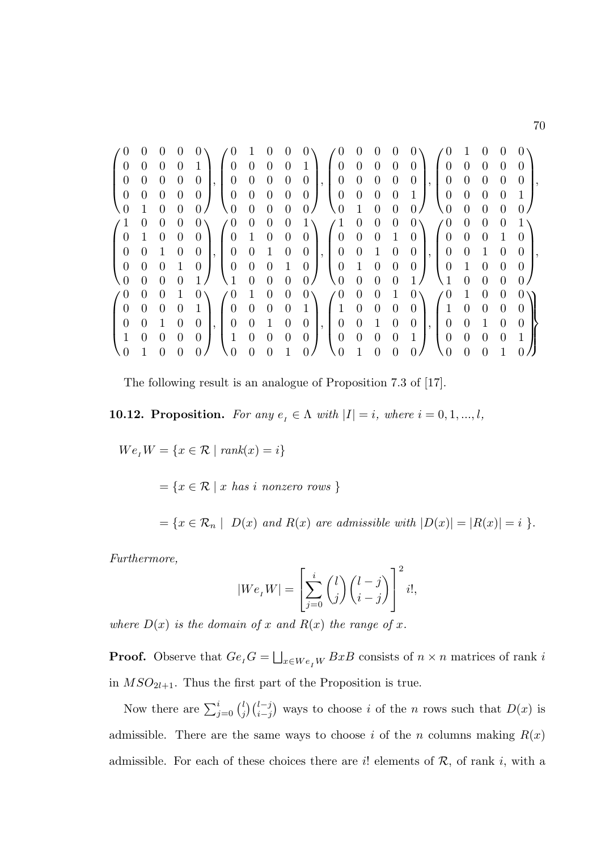|                                                | $\theta$         |                  | $\theta$         | $0\setminus$                         |                                                                                       |                |                     |                  |                | $\angle 0$                                | $\boldsymbol{0}$ |                                  | 0                               | $0\lambda$                                                                                                                                                                                                                                                                                                                                                |                                                |                  |                                   | $\boldsymbol{0}$ | 0 <sub>1</sub>                      |
|------------------------------------------------|------------------|------------------|------------------|--------------------------------------|---------------------------------------------------------------------------------------|----------------|---------------------|------------------|----------------|-------------------------------------------|------------------|----------------------------------|---------------------------------|-----------------------------------------------------------------------------------------------------------------------------------------------------------------------------------------------------------------------------------------------------------------------------------------------------------------------------------------------------------|------------------------------------------------|------------------|-----------------------------------|------------------|-------------------------------------|
|                                                | $0 \quad 0$      | $\overline{0}$   | $0\quad1$        |                                      | $\begin{pmatrix} 0 & 0 & 0 \end{pmatrix}$                                             |                |                     | $\overline{0}$   | $\mathbf{1}$   | $\begin{bmatrix} 0 & 0 \end{bmatrix}$     |                  |                                  |                                 | $0 \quad 0 \quad 0 \mid 0 \quad 0$                                                                                                                                                                                                                                                                                                                        |                                                |                  | $0 \quad 0$                       |                  | $\overline{0}$                      |
| $\boldsymbol{0}$                               | $\overline{0}$   | $\overline{0}$   | $\overline{0}$   | $\overline{0}$                       | $\boldsymbol{0}$                                                                      | $0 \quad 0$    |                     | $\overline{0}$   | $\overline{0}$ |                                           | $0 \quad 0$      | $0 \quad 0$                      |                                 | $\begin{bmatrix} 0 \end{bmatrix}$                                                                                                                                                                                                                                                                                                                         | $\vert \ \vert \ 0 \ \ 0$                      |                  | $\overline{0}$                    | $\overline{0}$   | $\boldsymbol{0}$                    |
| $\overline{0}$                                 | $\boldsymbol{0}$ | $\boldsymbol{0}$ | $\overline{0}$   | $\overline{0}$                       | $\overline{0}$                                                                        | $\overline{0}$ | $\overline{0}$      | $\overline{0}$   | $\overline{0}$ | $0\quad 0$                                |                  | $0 \quad 0 \quad 1$              |                                 |                                                                                                                                                                                                                                                                                                                                                           | $\overline{0}$                                 | $\overline{0}$   | $\theta$                          | $\overline{0}$   | $\cdot$ 1                           |
| $\begin{pmatrix} 0 & 1 \end{pmatrix}$          |                  | $\overline{0}$   | $\overline{0}$   | 0/                                   | $\begin{pmatrix} 0 & 0 & 0 \end{pmatrix}$                                             |                |                     | $\overline{0}$   | 0/             | $\begin{pmatrix} 0 & 1 & 0 \end{pmatrix}$ |                  |                                  | $\overline{0}$                  | 0/                                                                                                                                                                                                                                                                                                                                                        | $\begin{pmatrix} 0 & 0 \end{pmatrix}$          |                  | $\overline{0}$                    | $\overline{0}$   | $\sim 0$                            |
| $\begin{pmatrix} 1 & 0 \\ 0 & 1 \end{pmatrix}$ |                  | $\theta$         | $\theta$         | $0\setminus$                         | $\sqrt{0}$                                                                            | $\overline{0}$ | $\theta$            | $\theta$         | $1\setminus$   | $(1 \ 0)$                                 |                  | $\theta$                         | $\overline{0}$                  | $0\lambda$                                                                                                                                                                                                                                                                                                                                                | $\begin{pmatrix} 0 & 0 \\ 0 & 0 \end{pmatrix}$ |                  | $\theta$                          | $\theta$         | $1\lambda$                          |
|                                                |                  | $\overline{0}$   | $\boldsymbol{0}$ | $\begin{bmatrix} 0 \end{bmatrix}$    | $\begin{bmatrix} 0 & 1 & 0 & 0 \end{bmatrix}$                                         |                |                     |                  |                |                                           |                  |                                  |                                 |                                                                                                                                                                                                                                                                                                                                                           |                                                |                  |                                   | $\overline{1}$   | $\overline{0}$                      |
| $\begin{pmatrix} 0 \\ 0 \end{pmatrix}$         | $0\quad 1$       |                  | $\overline{0}$   | $\begin{array}{c c} 0 & \end{array}$ | $\begin{bmatrix} 0 \end{bmatrix}$                                                     |                | $0 \quad 1 \quad 0$ |                  |                |                                           |                  |                                  |                                 |                                                                                                                                                                                                                                                                                                                                                           |                                                |                  |                                   | $\overline{0}$   | $\overline{0}$                      |
| $\boldsymbol{0}$                               | $\boldsymbol{0}$ | $\boldsymbol{0}$ | $\overline{1}$   | $\overline{0}$                       | $\left(\begin{array}{cccc} 0 & 0 & 0 & 1 & 0 \\ 1 & 0 & 0 & 0 & 0 \end{array}\right)$ |                |                     |                  |                |                                           |                  |                                  |                                 | $\begin{pmatrix} 0 \\ 0 \\ 0 \\ 0 \end{pmatrix}, \begin{pmatrix} 1 & 0 & 0 & 0 & 1 & 0 \\ 0 & 0 & 0 & 1 & 0 & 0 \\ 0 & 0 & 1 & 0 & 0 & 0 \\ 0 & 1 & 0 & 0 & 0 & 0 \end{pmatrix}, \begin{pmatrix} 0 & 0 & 0 & 0 & 0 \\ 0 & 0 & 0 & 1 & 0 & 0 \\ 0 & 0 & 1 & 0 & 0 & 0 \\ 0 & 1 & 0 & 0 & 0 & 0 \end{pmatrix}$<br>$\begin{pmatrix} 0 & 0 & 0 \end{pmatrix}$ |                                                |                  |                                   |                  | $0 \quad 0$                         |
| $\begin{pmatrix} 0 & 0 \end{pmatrix}$          |                  | $\overline{0}$   |                  | $0\quad1/$                           |                                                                                       |                |                     |                  |                | $\begin{pmatrix} 0 & 0 & 0 \end{pmatrix}$ |                  |                                  |                                 | $\begin{bmatrix} 0 & 1 \end{bmatrix}$                                                                                                                                                                                                                                                                                                                     | $\begin{pmatrix} 1 & 0 \end{pmatrix}$          |                  | $\overline{0}$                    |                  | $\begin{matrix} 0 & 0 \end{matrix}$ |
| $\begin{pmatrix} 0 \\ 0 \end{pmatrix}$         | $\theta$         | $\theta$         | $\mathbf{1}$     | $0\lambda$                           | $\angle 0$                                                                            | $\mathbf{1}$   | $\overline{0}$      | $\theta$         | $0\setminus$   | $\angle 0$                                | $\theta$         | $\begin{matrix}0\\0\end{matrix}$ | $\begin{matrix}1\0\end{matrix}$ | $\begin{pmatrix} 0 \\ 0 \end{pmatrix}$ $\begin{pmatrix} 0 \\ 1 \end{pmatrix}$                                                                                                                                                                                                                                                                             |                                                | $\mathbf{1}$     | $\overline{0}$                    | $\boldsymbol{0}$ | $\binom{0}{0}$                      |
|                                                | $\overline{0}$   | $\boldsymbol{0}$ | $\overline{0}$   | $1 \mid 0$                           |                                                                                       | $\overline{0}$ | $\overline{0}$      | $\overline{0}$   | $\sim 1$ .     | $\begin{pmatrix} 1 & 0 \end{pmatrix}$     |                  |                                  |                                 |                                                                                                                                                                                                                                                                                                                                                           |                                                | $\overline{0}$   | $\overline{0}$                    | $\overline{0}$   | $\vert 0 \vert$                     |
| $\boldsymbol{0}$                               | $\overline{0}$   | $\mathbf{1}$     | $\overline{0}$   | $\overline{0}$                       | $\begin{array}{ c c } \hline 0 \\ \hline \end{array}$                                 | $0\quad 1$     |                     | $\overline{0}$   | $\overline{0}$ |                                           | $0 \quad 0$      | $\frac{1}{1}$                    | $\overline{0}$                  | $\overline{0}$                                                                                                                                                                                                                                                                                                                                            | $\vert, \vert$ 0                               | $\overline{0}$   | $\begin{array}{cc} 1 \end{array}$ | $\overline{0}$   | $\overline{0}$                      |
| $^{\prime}$ 1                                  | $\boldsymbol{0}$ | $\theta$         | $\overline{0}$   | $\overline{0}$                       | $\begin{pmatrix} 1 & 0 \end{pmatrix}$                                                 |                | $\overline{0}$      | $\boldsymbol{0}$ | $\overline{0}$ | $0\quad 0$                                |                  | $\overline{0}$                   |                                 | $0 \quad 1 \mid 0$                                                                                                                                                                                                                                                                                                                                        |                                                | $\boldsymbol{0}$ | $\overline{0}$                    | $\overline{0}$   | $\overline{1}$                      |
| $\overline{0}$                                 | $\mathbf{1}$     | $\theta$         | $\theta$         | 0 <sub>1</sub>                       | $\begin{pmatrix} 0 & 0 \end{pmatrix}$                                                 |                | $\overline{0}$      | $\overline{1}$   |                | $\begin{pmatrix} 0 & 1 \end{pmatrix}$     |                  | $\overline{0}$                   | $\overline{0}$                  | 0/                                                                                                                                                                                                                                                                                                                                                        | $\setminus 0$                                  | $\overline{0}$   | $\overline{0}$                    | $\overline{1}$   |                                     |

The following result is an analogue of Proposition 7.3 of [17].

**10.12. Proposition.** For any  $e_i \in \Lambda$  with  $|I| = i$ , where  $i = 0, 1, ..., l$ ,

 $We_{I}W = \{x \in \mathcal{R} \mid rank(x) = i\}$ 

 $=\{x \in \mathcal{R} \mid x \text{ has } i \text{ nonzero rows }\}$ 

 $=\{x \in \mathcal{R}_n \mid D(x) \text{ and } R(x) \text{ are admissible with } |D(x)| = |R(x)| = i \}$ .

Furthermore,

$$
|We_{t}W| = \left[\sum_{j=0}^{i} {l \choose j} {l-j \choose i-j}\right]^{2} i!,
$$

where  $D(x)$  is the domain of x and  $R(x)$  the range of x.

**Proof.** Observe that  $Ge_{I}G = \bigsqcup_{x \in We_{I}W} BxB$  consists of  $n \times n$  matrices of rank i in  $MSO_{2l+1}$ . Thus the first part of the Proposition is true.

Now there are  $\sum_{j=0}^{i} {l \choose j}$  $j \binom{l-j}{i-j}$  ways to choose i of the n rows such that  $D(x)$  is admissible. There are the same ways to choose i of the n columns making  $R(x)$ admissible. For each of these choices there are i! elements of  $\mathcal{R}$ , of rank i, with a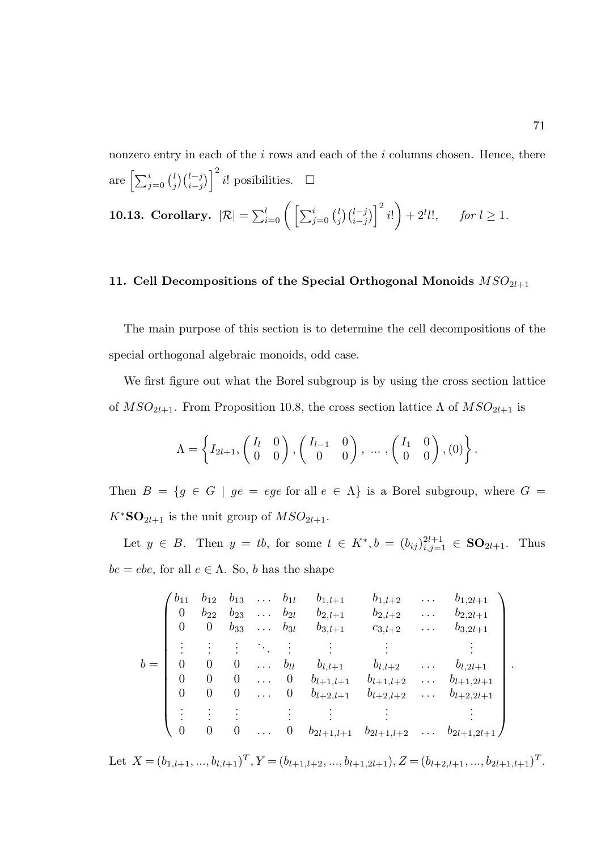nonzero entry in each of the  $i$  rows and each of the  $i$  columns chosen. Hence, there are  $\left[\sum_{j=0}^i\binom{l}{j}\right]$  $\binom{l}{j}\binom{l-j}{i-j}$ <sup>2</sup> *i*! posibilities. □ 10.13. Corollary.  $|\mathcal{R}| = \sum_{i=0}^l \bigg ( \sum_{j=0}^i \binom{l}{j}$  $\binom{l}{j}\binom{l-j}{i-j}^2 i!$  $+ 2^l l!, \quad \text{for } l \geq 1.$ 

# 11. Cell Decompositions of the Special Orthogonal Monoids  $MSO_{2l+1}$

The main purpose of this section is to determine the cell decompositions of the special orthogonal algebraic monoids, odd case.

We first figure out what the Borel subgroup is by using the cross section lattice of  $MSO_{2l+1}$ . From Proposition 10.8, the cross section lattice  $\Lambda$  of  $MSO_{2l+1}$  is

$$
\Lambda = \left\{ I_{2l+1}, \begin{pmatrix} I_l & 0 \\ 0 & 0 \end{pmatrix}, \begin{pmatrix} I_{l-1} & 0 \\ 0 & 0 \end{pmatrix}, \dots, \begin{pmatrix} I_1 & 0 \\ 0 & 0 \end{pmatrix}, (0) \right\}.
$$

Then  $B = \{g \in G \mid ge = ege \text{ for all } e \in \Lambda\}$  is a Borel subgroup, where  $G =$  $K^*$ **SO**<sub>2l+1</sub> is the unit group of  $MSO_{2l+1}$ .

Let  $y \in B$ . Then  $y = tb$ , for some  $t \in K^*$ ,  $b = (b_{ij})_{i,j=1}^{2l+1} \in SO_{2l+1}$ . Thus  $be = ebe$ , for all  $e \in \Lambda$ . So, b has the shape

$$
b = \begin{pmatrix} b_{11} & b_{12} & b_{13} & \dots & b_{1l} & b_{1,l+1} & b_{1,l+2} & \dots & b_{1,2l+1} \\ 0 & b_{22} & b_{23} & \dots & b_{2l} & b_{2,l+1} & b_{2,l+2} & \dots & b_{2,2l+1} \\ 0 & 0 & b_{33} & \dots & b_{3l} & b_{3,l+1} & c_{3,l+2} & \dots & b_{3,2l+1} \\ \vdots & \vdots & \vdots & \ddots & \vdots & \vdots & \vdots & \vdots \\ 0 & 0 & 0 & \dots & b_{ll} & b_{l,l+1} & b_{l,l+2} & \dots & b_{l,2l+1} \\ 0 & 0 & 0 & \dots & 0 & b_{l+1,l+1} & b_{l+1,l+2} & \dots & b_{l+1,2l+1} \\ 0 & 0 & 0 & \dots & 0 & b_{l+2,l+1} & b_{l+2,l+2} & \dots & b_{l+2,2l+1} \\ \vdots & \vdots & \vdots & \vdots & \vdots & \vdots & \vdots \\ 0 & 0 & 0 & \dots & 0 & b_{2l+1,l+1} & b_{2l+1,l+2} & \dots & b_{2l+1,2l+1} \end{pmatrix}
$$

Let  $X = (b_{1,l+1},...,b_{l,l+1})^T$ ,  $Y = (b_{l+1,l+2},...,b_{l+1,2l+1})$ ,  $Z = (b_{l+2,l+1},...,b_{2l+1,l+1})^T$ .

.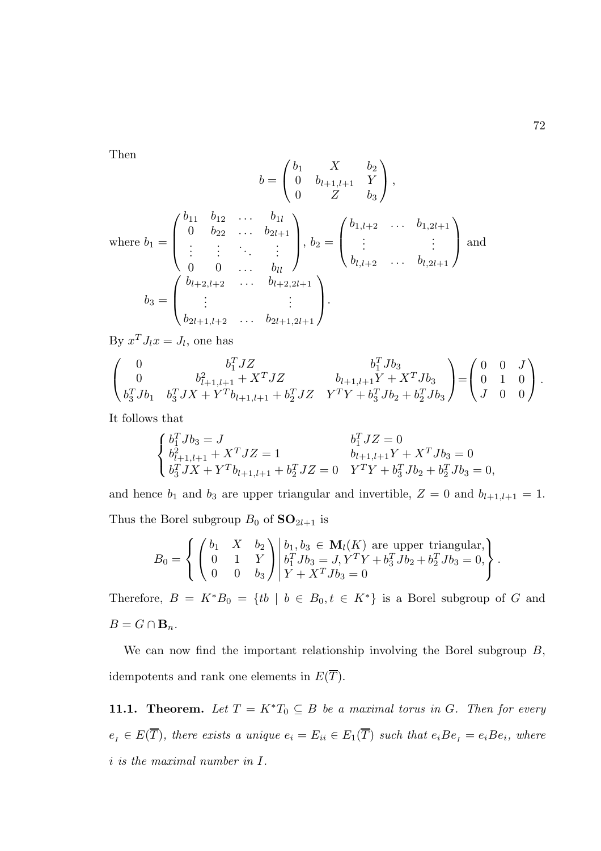Then

$$
b = \begin{pmatrix} b_1 & X & b_2 \\ 0 & b_{l+1,l+1} & Y \\ 0 & Z & b_3 \end{pmatrix},
$$
  
where  $b_1 = \begin{pmatrix} b_{11} & b_{12} & \cdots & b_{1l} \\ 0 & b_{22} & \cdots & b_{2l+1} \\ \vdots & \vdots & \ddots & \vdots \\ 0 & 0 & \cdots & b_{ll} \end{pmatrix}, b_2 = \begin{pmatrix} b_{1,l+2} & \cdots & b_{1,2l+1} \\ \vdots & & \vdots \\ b_{l,l+2} & \cdots & b_{l,2l+1} \end{pmatrix}$  and  $b_3 = \begin{pmatrix} b_{l+2,l+2} & \cdots & b_{l+2,2l+1} \\ \vdots & & \vdots \\ b_{2l+1,l+2} & \cdots & b_{2l+1,2l+1} \end{pmatrix}.$ 

By  $x^T J_l x = J_l$ , one has

$$
\begin{pmatrix}\n0 & b_1^T JZ & b_1^T Jb_3 \\
0 & b_{l+1,l+1}^2 + X^T JZ & b_{l+1,l+1}Y + X^T Jb_3 \\
b_3^T Jb_1 & b_3^T JX + Y^T b_{l+1,l+1} + b_2^T JZ & Y^T Y + b_3^T Jb_2 + b_2^T Jb_3\n\end{pmatrix} = \begin{pmatrix}\n0 & 0 & J \\
0 & 1 & 0 \\
J & 0 & 0\n\end{pmatrix}.
$$

It follows that

$$
\begin{cases}\n b_1^T J b_3 = J & b_1^T J Z = 0 \\
 b_{l+1,l+1}^2 + X^T J Z = 1 & b_{l+1,l+1} Y + X^T J b_3 = 0 \\
 b_3^T J X + Y^T b_{l+1,l+1} + b_2^T J Z = 0 & Y^T Y + b_3^T J b_2 + b_2^T J b_3 = 0,\n\end{cases}
$$

and hence  $b_1$  and  $b_3$  are upper triangular and invertible,  $Z = 0$  and  $b_{l+1,l+1} = 1$ . Thus the Borel subgroup  $B_0$  of  $SO_{2l+1}$  is

$$
B_0 = \left\{ \begin{pmatrix} b_1 & X & b_2 \\ 0 & 1 & Y \\ 0 & 0 & b_3 \end{pmatrix} \middle| \begin{matrix} b_1, b_3 \in \mathbf{M}_l(K) \text{ are upper triangular,} \\ b_1^T J b_3 = J, Y^T Y + b_3^T J b_2 + b_2^T J b_3 = 0, \\ Y + X^T J b_3 = 0 \end{matrix} \right\}.
$$

Therefore,  $B = K^*B_0 = \{tb \mid b \in B_0, t \in K^*\}$  is a Borel subgroup of G and  $B = G \cap \mathbf{B}_n$ .

We can now find the important relationship involving the Borel subgroup  $B$ , idempotents and rank one elements in  $E(\overline{T})$ .

11.1. Theorem. Let  $T = K^*T_0 \subseteq B$  be a maximal torus in G. Then for every  $e_i \in E(\overline{T})$ , there exists a unique  $e_i = E_{ii} \in E_1(\overline{T})$  such that  $e_iBe_i = e_iBe_i$ , where i is the maximal number in I.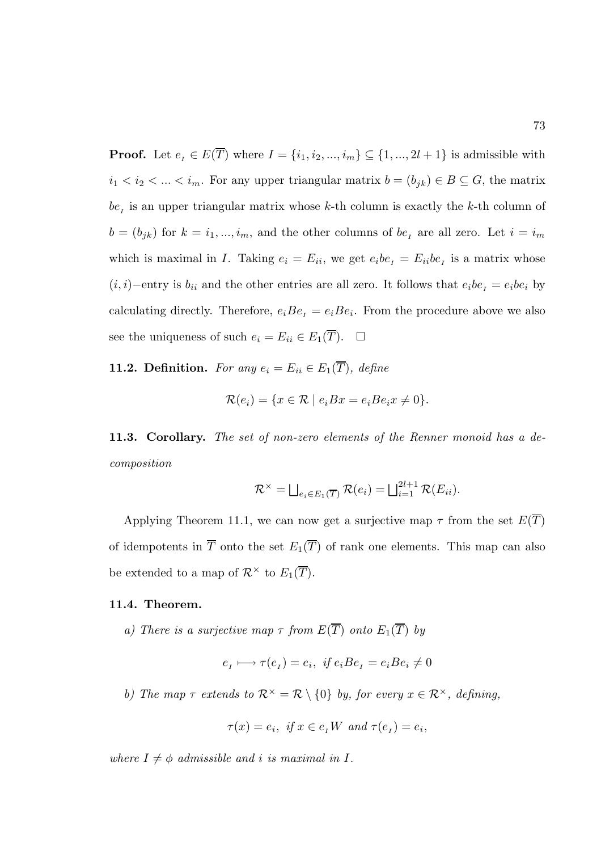**Proof.** Let  $e_i \in E(\overline{T})$  where  $I = \{i_1, i_2, ..., i_m\} \subseteq \{1, ..., 2l + 1\}$  is admissible with  $i_1 < i_2 < \ldots < i_m$ . For any upper triangular matrix  $b = (b_{jk}) \in B \subseteq G$ , the matrix  $be<sub>I</sub>$  is an upper triangular matrix whose k-th column is exactly the k-th column of  $b = (b_{jk})$  for  $k = i_1, ..., i_m$ , and the other columns of  $be_i$  are all zero. Let  $i = i_m$ which is maximal in I. Taking  $e_i = E_{ii}$ , we get  $e_i b e_i = E_{ii} b e_i$  is a matrix whose  $(i, i)$ −entry is  $b_{ii}$  and the other entries are all zero. It follows that  $e_i b e_i = e_i b e_i$  by calculating directly. Therefore,  $e_iBe_i = e_iBe_i$ . From the procedure above we also see the uniqueness of such  $e_i = E_{ii} \in E_1(\overline{T})$ .  $\Box$ 

**11.2. Definition.** For any  $e_i = E_{ii} \in E_1(\overline{T})$ , define

$$
\mathcal{R}(e_i) = \{ x \in \mathcal{R} \mid e_i B x = e_i B e_i x \neq 0 \}.
$$

11.3. Corollary. The set of non-zero elements of the Renner monoid has a decomposition

$$
\mathcal{R}^{\times} = \bigsqcup_{e_i \in E_1(\overline{T})} \mathcal{R}(e_i) = \bigsqcup_{i=1}^{2l+1} \mathcal{R}(E_{ii}).
$$

Applying Theorem 11.1, we can now get a surjective map  $\tau$  from the set  $E(\overline{T})$ of idempotents in  $\overline{T}$  onto the set  $E_1(\overline{T})$  of rank one elements. This map can also be extended to a map of  $\mathcal{R}^{\times}$  to  $E_1(\overline{T})$ .

## 11.4. Theorem.

a) There is a surjective map  $\tau$  from  $E(\overline{T})$  onto  $E_1(\overline{T})$  by

$$
e_{I} \longmapsto \tau(e_{I}) = e_{i}, \ \text{if } e_{i}Be_{I} = e_{i}Be_{i} \neq 0
$$

b) The map  $\tau$  extends to  $\mathcal{R}^{\times} = \mathcal{R} \setminus \{0\}$  by, for every  $x \in \mathcal{R}^{\times}$ , defining,

$$
\tau(x) = e_i, \text{ if } x \in e_i W \text{ and } \tau(e_i) = e_i,
$$

where  $I \neq \phi$  admissible and i is maximal in I.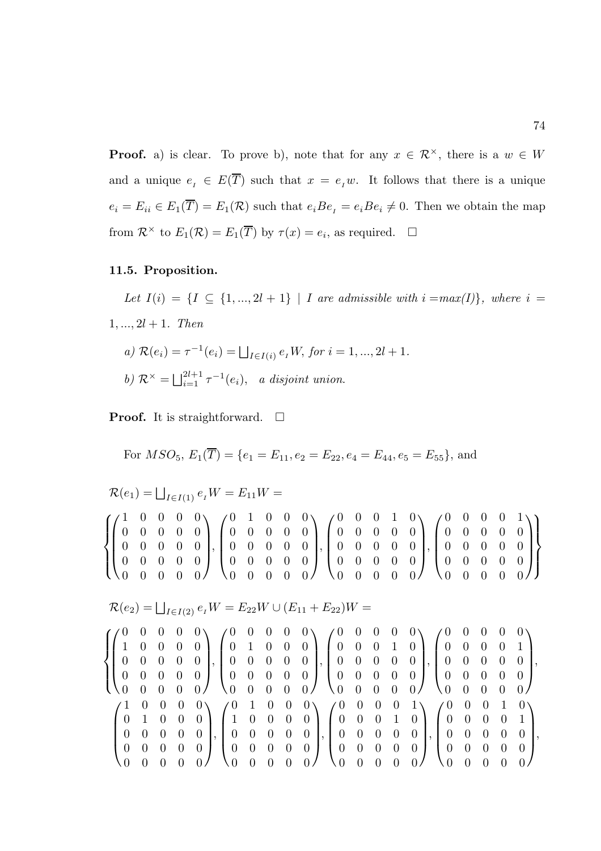**Proof.** a) is clear. To prove b), note that for any  $x \in \mathcal{R}^{\times}$ , there is a  $w \in W$ and a unique  $e_I \in E(\overline{T})$  such that  $x = e_I w$ . It follows that there is a unique  $e_i = E_{ii} \in E_1(\overline{T}) = E_1(\mathcal{R})$  such that  $e_i B e_i = e_i B e_i \neq 0$ . Then we obtain the map from  $\mathcal{R}^{\times}$  to  $E_1(\mathcal{R}) = E_1(\overline{T})$  by  $\tau(x) = e_i$ , as required.  $\Box$ 

# 11.5. Proposition.

Let  $I(i) = \{I \subseteq \{1, ..., 2l + 1\} \mid I \text{ are admissible with } i = max(I)\}\$ , where  $i =$  $1, ..., 2l + 1$ . Then

a) 
$$
\mathcal{R}(e_i) = \tau^{-1}(e_i) = \bigsqcup_{I \in I(i)} e_I W
$$
, for  $i = 1, ..., 2l + 1$ .  
b)  $\mathcal{R}^{\times} = \bigsqcup_{i=1}^{2l+1} \tau^{-1}(e_i)$ , a disjoint union.

**Proof.** It is straightforward.  $\Box$ 

For 
$$
MSO_5
$$
,  $E_1(\overline{T}) = \{e_1 = E_{11}, e_2 = E_{22}, e_4 = E_{44}, e_5 = E_{55}\}$ , and

 $\mathcal{R}(e_1) = \bigsqcup_{I \in I(1)} e_I W = E_{11} W =$ 

| $(1\ 0\ 0\ 0\ 0\ \sqrt{0\ 1\ 0\ 0\ 0}$ $(0\ 0\ 0\ 1\ 0\ \sqrt{0\ 0\ 0\ 1})$                                                                                                                                                                                    |  |  |  |  |  |  |  |  |  |  |  |  |
|----------------------------------------------------------------------------------------------------------------------------------------------------------------------------------------------------------------------------------------------------------------|--|--|--|--|--|--|--|--|--|--|--|--|
|                                                                                                                                                                                                                                                                |  |  |  |  |  |  |  |  |  |  |  |  |
| $\{ 0 \t0 \t0 \t0 \t0 \t1, 0 \t0 \t0 \t1, 0 \t0 \t1 \t1 \t0 \t0 \t0 \t0 \t1, 0 \t0 \t0 \t0 \t1 \}$                                                                                                                                                             |  |  |  |  |  |  |  |  |  |  |  |  |
|                                                                                                                                                                                                                                                                |  |  |  |  |  |  |  |  |  |  |  |  |
| $\{ \begin{pmatrix} 0 & 0 & 0 & 0 \\ 0 & 0 & 0 & 0 \end{pmatrix}, \begin{pmatrix} 0 & 0 & 0 & 0 \\ 0 & 0 & 0 & 0 \end{pmatrix}, \begin{pmatrix} 0 & 0 & 0 & 0 \\ 0 & 0 & 0 & 0 \end{pmatrix}, \begin{pmatrix} 0 & 0 & 0 & 0 \\ 0 & 0 & 0 & 0 \end{pmatrix} \}$ |  |  |  |  |  |  |  |  |  |  |  |  |

$$
\mathcal{R}(e_2) = \bigsqcup_{I \in I(2)} e_I W = E_{22} W \cup (E_{11} + E_{22}) W =
$$

$$
\begin{Bmatrix}\n\begin{pmatrix}\n0 & 0 & 0 & 0 & 0 & 0 \\
1 & 0 & 0 & 0 & 0 & 0 \\
0 & 0 & 0 & 0 & 0 & 0 \\
0 & 0 & 0 & 0 & 0 & 0\n\end{pmatrix}, \begin{pmatrix}\n0 & 1 & 0 & 0 & 0 & 0 \\
0 & 1 & 0 & 0 & 0 & 0 \\
0 & 0 & 0 & 0 & 0 & 0 \\
0 & 0 & 0 & 0 & 0 & 0\n\end{pmatrix}, \begin{pmatrix}\n0 & 0 & 0 & 0 & 0 & 0 \\
0 & 0 & 0 & 1 & 0 & 0 \\
0 & 0 & 0 & 0 & 0 & 0 \\
0 & 0 & 0 & 0 & 0 & 0\n\end{pmatrix}, \begin{pmatrix}\n0 & 0 & 0 & 0 & 0 & 0 \\
0 & 0 & 0 & 1 & 0 & 0 \\
0 & 0 & 0 & 0 & 0 & 0 \\
0 & 0 & 0 & 0 & 0 & 0\n\end{pmatrix}, \begin{pmatrix}\n0 & 0 & 0 & 0 & 0 & 0 \\
0 & 0 & 0 & 0 & 0 & 0 \\
0 & 0 & 0 & 0 & 0 & 0 \\
0 & 0 & 0 & 0 & 0 & 0 \\
0 & 0 & 0 & 0 & 0 & 0\n\end{pmatrix}, \begin{pmatrix}\n0 & 0 & 0 & 0 & 1 & 0 \\
0 & 0 & 0 & 0 & 0 & 0 \\
0 & 0 & 0 & 0 & 0 & 0 \\
0 & 0 & 0 & 0 & 0 & 0 \\
0 & 0 & 0 & 0 & 0 & 0\n\end{pmatrix}, \begin{pmatrix}\n0 & 0 & 0 & 0 & 1 & 0 \\
0 & 0 & 0 & 0 & 0 & 1 \\
0 & 0 & 0 & 0 & 0 & 0 \\
0 & 0 & 0 & 0 & 0 & 0 \\
0 & 0 & 0 & 0 & 0 & 0\n\end{pmatrix}, \begin{pmatrix}\n0 & 0 & 0 & 0 & 0 & 0 \\
0 & 0 & 0 & 0 & 0 & 0 \\
0 & 0 & 0 & 0 & 0 & 0 \\
0 & 0 & 0 & 0 & 0 & 0\n\end{pmatrix},
$$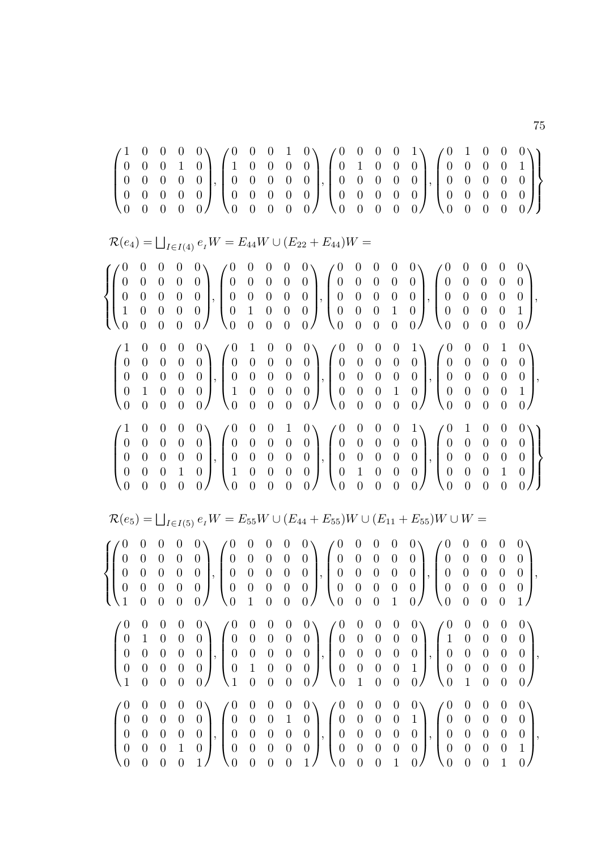|                                                                                                              |                                                                                  |                                                                                    |                                                                                |                                                                                                            |                                                                             |  |                                                                                                                                                                                                                                                                                                                                                                         |  |  |                                                                                                                                                    |                                                                                          |                                                                                                  |                                                                                            | $\begin{pmatrix} 1 & 0 & 0 & 0 & 0\ 0 & 0 & 0 & 1 & 0\ 0 & 0 & 0 & 0 & 0\ 0 & 0 & 0 & 0 & 0\ 0 & 0 & 0 & 0 & 0 \end{pmatrix}\hspace{-0.2cm}, \begin{pmatrix} 0 & 0 & 0 & 1 & 0\ 1 & 0 & 0 & 0 & 0\ 0 & 0 & 0 & 0 & 0\ 0 & 0 & 0 & 0 & 0\ 0 & 0 & 0 & 0 & 0 \end{pmatrix}\hspace{-0.2cm}, \begin{pmatrix} 0 & 0 & 0 & 0 & 1\ 0 & 1 & 0 & 0$                              |
|--------------------------------------------------------------------------------------------------------------|----------------------------------------------------------------------------------|------------------------------------------------------------------------------------|--------------------------------------------------------------------------------|------------------------------------------------------------------------------------------------------------|-----------------------------------------------------------------------------|--|-------------------------------------------------------------------------------------------------------------------------------------------------------------------------------------------------------------------------------------------------------------------------------------------------------------------------------------------------------------------------|--|--|----------------------------------------------------------------------------------------------------------------------------------------------------|------------------------------------------------------------------------------------------|--------------------------------------------------------------------------------------------------|--------------------------------------------------------------------------------------------|-------------------------------------------------------------------------------------------------------------------------------------------------------------------------------------------------------------------------------------------------------------------------------------------------------------------------------------------------------------------------|
|                                                                                                              |                                                                                  |                                                                                    |                                                                                |                                                                                                            |                                                                             |  | $\mathcal{R}(e_4) = \bigsqcup_{I \in I(4)} e_I W = E_{44} W \cup (E_{22} + E_{44}) W =$                                                                                                                                                                                                                                                                                 |  |  |                                                                                                                                                    |                                                                                          |                                                                                                  |                                                                                            |                                                                                                                                                                                                                                                                                                                                                                         |
|                                                                                                              |                                                                                  |                                                                                    |                                                                                |                                                                                                            |                                                                             |  | $\left\{\begin{pmatrix} 0 & 0 & 0 & 0 & 0 \\ 0 & 0 & 0 & 0 & 0 \\ 0 & 0 & 0 & 0 & 0 \\ 1 & 0 & 0 & 0 & 0 \\ 0 & 0 & 0 & 0 & 0 \end{pmatrix}\hspace{-0.15cm}, \begin{pmatrix} 0 & 0 & 0 & 0 & 0 \\ 0 & 0 & 0 & 0 & 0 \\ 0 & 0 & 0 & 0 & 0 \\ 0 & 1 & 0 & 0 & 0 \\ 0 & 0 & 0 & 0 & 0 \end{pmatrix}\hspace{-0.15cm}, \begin{pmatrix} 0 & 0 & 0 & 0 & 0 \\ 0 & 0 &$         |  |  |                                                                                                                                                    |                                                                                          |                                                                                                  |                                                                                            |                                                                                                                                                                                                                                                                                                                                                                         |
| $\left(\begin{array}{cccc} 1 & 0 & 0 \\ 0 & 0 & 0 \\ 0 & 0 & 0 \\ 0 & 1 & 0 \\ 0 & 0 & 0 \end{array}\right)$ |                                                                                  |                                                                                    |                                                                                |                                                                                                            |                                                                             |  | $\begin{pmatrix} 0 & 0 \\ 0 & 0 \\ 0 & 0 \\ 0 & 0 \\ 0 & 0 \\ \end{pmatrix}, \begin{pmatrix} 0 & 1 & 0 & 0 & 0 \\ 0 & 0 & 0 & 0 & 0 \\ 0 & 0 & 0 & 0 & 0 \\ 1 & 0 & 0 & 0 & 0 \\ 0 & 0 & 0 & 0 & 0 \\ \end{pmatrix}, \begin{pmatrix} 0 & 0 & 0 & 0 & 1 \\ 0 & 0 & 0 & 0 & 0 \\ 0 & 0 & 0 & 0 & 0 \\ 0 & 0 & 0 & 1 & 0 \\ 0 & 0 & 0 & 0 & 0 \\ \end{pmatrix}, \begin{pm$ |  |  |                                                                                                                                                    |                                                                                          |                                                                                                  |                                                                                            |                                                                                                                                                                                                                                                                                                                                                                         |
| $\left(\begin{array}{cccc} 0 & 0 & 0 \ 0 & 0 & 0 \ 0 & 0 & 0 \end{array}\right)$<br>$\overline{0}$           | $\boldsymbol{0}$<br>$\overline{0}$                                               | $\boldsymbol{0}$<br>$\overline{0}$                                                 |                                                                                |                                                                                                            |                                                                             |  |                                                                                                                                                                                                                                                                                                                                                                         |  |  |                                                                                                                                                    |                                                                                          |                                                                                                  |                                                                                            | $\begin{pmatrix} 0 & 0 \\ 0 & 0 \\ 0 & 0 \\ 1 & 0 \\ 0 & 0 \\ \end{pmatrix}, \begin{pmatrix} 0 & 0 & 0 & 1 & 0 \\ 0 & 0 & 0 & 0 & 0 \\ 0 & 0 & 0 & 0 & 0 \\ 1 & 0 & 0 & 0 & 0 \\ 0 & 0 & 0 & 0 & 0 \\ \end{pmatrix}, \begin{pmatrix} 0 & 0 & 0 & 0 & 1 \\ 0 & 0 & 0 & 0 & 0 \\ 0 & 0 & 0 & 0 & 0 \\ 0 & 1 & 0 & 0 & 0 \\ 0 & 0 & 0 & 0 & 0 \\ \end{pmatrix}, \begin{pm$ |
|                                                                                                              |                                                                                  |                                                                                    |                                                                                |                                                                                                            |                                                                             |  | $\mathcal{R}(e_5) = \bigsqcup_{I \in I(5)} e_I W = E_{55} W \cup (E_{44} + E_{55}) W \cup (E_{11} + E_{55}) W \cup W =$                                                                                                                                                                                                                                                 |  |  |                                                                                                                                                    |                                                                                          |                                                                                                  |                                                                                            |                                                                                                                                                                                                                                                                                                                                                                         |
|                                                                                                              |                                                                                  |                                                                                    |                                                                                |                                                                                                            |                                                                             |  | $\left\{\begin{pmatrix} 0 & 0 & 0 & 0 & 0 \\ 0 & 0 & 0 & 0 & 0 \\ 0 & 0 & 0 & 0 & 0 \\ 0 & 0 & 0 & 0 & 0 \\ 1 & 0 & 0 & 0 & 0 \end{pmatrix}\hspace{-0.15cm}, \begin{pmatrix} 0 & 0 & 0 & 0 & 0 \\ 0 & 0 & 0 & 0 & 0 \\ 0 & 0 & 0 & 0 & 0 \\ 0 & 0 & 0 & 0 & 0 \\ 0 & 1 & 0 & 0 & 0 \end{pmatrix}\hspace{-0.15cm}, \begin{pmatrix} 0 & 0 & 0 & 0 & 0 \\ 0 & 0 &$         |  |  |                                                                                                                                                    |                                                                                          |                                                                                                  |                                                                                            |                                                                                                                                                                                                                                                                                                                                                                         |
| $\left(\begin{matrix} 0 \\ 0 \\ 0 \\ 0 \\ 1 \end{matrix}\right)$                                             | $\boldsymbol{0}$<br>$\begin{array}{c} 1 \\ 0 \\ 0 \end{array}$<br>$\overline{0}$ | $\boldsymbol{0}$<br>$\begin{array}{c} 0 \\ 0 \\ 0 \end{array}$<br>$\boldsymbol{0}$ | $\begin{array}{c} 0 \\ 0 \\ 0 \\ 0 \end{array}$<br>$\overline{0}$              |                                                                                                            |                                                                             |  | $\begin{pmatrix} 0 \\ 0 \\ 0 \\ 0 \\ 0 \end{pmatrix}, \begin{pmatrix} 0 & 0 & 0 & 0 & 0 \\ 0 & 0 & 0 & 0 & 0 \\ 0 & 0 & 0 & 0 & 0 \\ 0 & 1 & 0 & 0 & 0 \\ 1 & 0 & 0 & 0 & 0 \end{pmatrix}, \begin{pmatrix} 0 & 0 & 0 & 0 & 0 \\ 0 & 0 & 0 & 0 & 0 \\ 0 & 0 & 0 & 0 & 0 \\ 0 & 0 & 0 & 0 & 1 \\ 0 & 1 & 0 & 0 & 0 \end{pmatrix}, \begin{pmatrix} 0 & 0 \\ 1 & 0 \\ 0 & $ |  |  |                                                                                                                                                    |                                                                                          | $\boldsymbol{0}$<br>$\begin{array}{ccc} 0 & 0 \\ 0 & 0 \\ 0 & 0 \end{array}$<br>$\boldsymbol{0}$ | $\boldsymbol{0}$<br>$\boldsymbol{0}$                                                       | 0 <sub>0</sub><br>$\boldsymbol{0}$<br>$\begin{bmatrix} 0 \\ 0 \\ 0 \end{bmatrix}$<br>0/                                                                                                                                                                                                                                                                                 |
| $\left(\begin{smallmatrix} 0\0\0\0\0\0\end{smallmatrix}\right)$                                              | $\boldsymbol{0}$<br>$\boldsymbol{0}$<br>$\begin{matrix} 0 \\ 0 \end{matrix}$     | $\begin{bmatrix} 0 \ 0 \ 0 \ 0 \end{bmatrix}$<br>$\boldsymbol{0}$                  | $\overline{0}$<br>$\begin{array}{c} 0 \\ 0 \\ 1 \end{array}$<br>$\overline{0}$ | $\begin{pmatrix} 0 \\ 0 \\ 0 \\ 0 \\ 1 \end{pmatrix}, \begin{pmatrix} 0 \\ 0 \\ 0 \\ 0 \\ 0 \end{pmatrix}$ | $\boldsymbol{0}$<br>$\begin{matrix} 0\\0\\0 \end{matrix}$<br>$\overline{0}$ |  | $\begin{pmatrix} 0 & 0 & 0 \\ 0 & 1 & 0 \\ 0 & 0 & 0 \\ 0 & 0 & 0 \\ 0 & 0 & 1 \end{pmatrix}, \begin{pmatrix} 0 & 0 \\ 0 & 0 \\ 0 & 0 \\ 0 & 0 \\ 0 & 0 \end{pmatrix}$                                                                                                                                                                                                  |  |  | $\begin{pmatrix} 0 & 0 & 0 \\ 0 & 0 & 1 \\ 0 & 0 & 0 \\ 0 & 0 & 0 \\ 0 & 1 & 0 \end{pmatrix}, \begin{pmatrix} 0 \\ 0 \\ 0 \\ 0 \\ 0 \end{pmatrix}$ | $\boldsymbol{0}$<br>$\overline{0}$<br>$\begin{matrix}0\\0\end{matrix}$<br>$\overline{0}$ | $\begin{array}{c} 0 \\ 0 \end{array}$<br>$\begin{array}{c} 0 \\ 0 \end{array}$<br>$\overline{0}$ | $\boldsymbol{0}$<br>$\boldsymbol{0}$<br>$\boldsymbol{0}$<br>$\overline{0}$<br>$\mathbf{1}$ | 0 <sub>1</sub><br>$\boldsymbol{0}$<br>$\begin{array}{c} 0 \\ 1 \end{array}$<br>0/                                                                                                                                                                                                                                                                                       |

75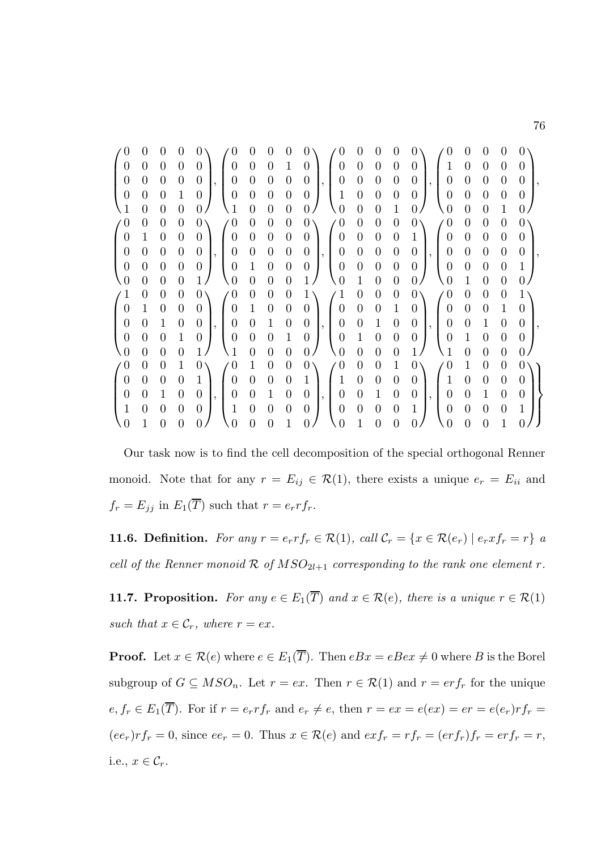| $\Omega$       | $\mathbf{0}$ |                  | $\mathbf{0}$   | 0<br>$^{(1)}$              | $\mathbf{0}$   |                  | $\mathbf{0}$     | $\mathbf{0}$                         | $\Omega$         |                | 0                | 0 | 0<br>$\mathbf{0}$                | 0                | $\mathbf{0}$     | $\theta$         | $\theta$     |
|----------------|--------------|------------------|----------------|----------------------------|----------------|------------------|------------------|--------------------------------------|------------------|----------------|------------------|---|----------------------------------|------------------|------------------|------------------|--------------|
| $\overline{0}$ | 0            | $\overline{0}$   | $\theta$       | 0<br>0                     | 0              | $\theta$         | 1                | $\left( \right)$                     | 0                | $\overline{0}$ | $\boldsymbol{0}$ | 0 | 1<br>0                           | $\theta$         | $\overline{0}$   | $\boldsymbol{0}$ | $\theta$     |
| $\overline{0}$ | 0            | $\theta$         | $\Omega$       | 0<br>0                     | 0              | 0                | $\overline{0}$   | $\overline{0}$                       | 0                | $\Omega$       | $\boldsymbol{0}$ | 0 | $\overline{0}$<br>$\theta$       | $\boldsymbol{0}$ | $\boldsymbol{0}$ | $\overline{0}$   | $\Omega$     |
| $\overline{0}$ | 0            | $\overline{0}$   | 1              | 0<br>0                     | $\overline{0}$ | $\overline{0}$   | $\overline{0}$   | $\theta$                             |                  | $\theta$       | 0                | 0 | $\overline{0}$<br>$\overline{0}$ | $\overline{0}$   | $\overline{0}$   | $\overline{0}$   | 0            |
|                | 0            | 0                | 0              | 0                          | 0              | 0                | $\overline{0}$   | 0                                    | $\theta$         | 0              | 0                |   | 0<br>0                           | 0                | 0                |                  |              |
| $\theta$       | 0            | $\theta$         | $\theta$       | $\theta$<br>0              | $\overline{0}$ | $\boldsymbol{0}$ | $\overline{0}$   | $\theta$                             | $\theta$         | $\theta$       | $\boldsymbol{0}$ | 0 | 0<br>$\theta$                    | $\theta$         | $\boldsymbol{0}$ | $\boldsymbol{0}$ |              |
| $\overline{0}$ | 1            | $\theta$         | $\theta$       | 0<br>0                     | $\overline{0}$ | $\overline{0}$   | $\overline{0}$   | $\Omega$                             | 0                | $\overline{0}$ | $\overline{0}$   | 0 | 1<br>0                           | $\boldsymbol{0}$ | $\overline{0}$   | $\overline{0}$   | 0            |
| $\overline{0}$ | 0            | $\theta$         | $\theta$       | 0<br>0                     | $\overline{0}$ | $\Omega$         | $\overline{0}$   | $\theta$                             | $\overline{0}$   | $\theta$       | $\overline{0}$   | 0 | $\overline{0}$<br>$\theta$       | $\overline{0}$   | $\overline{0}$   | $\overline{0}$   | $\Omega$     |
| $\overline{0}$ | 0            | $\theta$         | $\overline{0}$ | 0<br>0                     | 1              | $\Omega$         | $\overline{0}$   | $\theta$                             | $\overline{0}$   | $\theta$       | $\overline{0}$   | 0 | $\overline{0}$<br>$\overline{0}$ | $\overline{0}$   | $\overline{0}$   | $\overline{0}$   | 1            |
| $\theta$       | 0            | 0                | $\Omega$       | $\overline{0}$             | $\overline{0}$ | 0                | $\overline{0}$   | 1                                    | $\overline{0}$   | 1              | $\overline{0}$   | 0 | 0<br>$\theta$                    | 1                | $\theta$         | 0                |              |
| $\mathbf{1}$   | 0            | $\overline{0}$   | $\theta$       | $\overline{0}$<br>$\theta$ | 0              | $\theta$         | $\boldsymbol{0}$ | 1                                    | 1                | $\overline{0}$ | $\boldsymbol{0}$ | 0 | $\theta$<br>$\theta$             | $\overline{0}$   | $\overline{0}$   | $\overline{0}$   | 1            |
| $\theta$       | 1            | $\overline{0}$   | $\overline{0}$ | 0<br>0                     | 1              | $\overline{0}$   | $\overline{0}$   | 0                                    | 0                | $\overline{0}$ | $\overline{0}$   | 1 | $\overline{0}$<br>$\overline{0}$ | $\overline{0}$   | $\overline{0}$   |                  | $\theta$     |
| $\overline{0}$ | 0            |                  | $\theta$       | 0<br>0                     | $\overline{0}$ | 1                | $\overline{0}$   | $\theta$                             | 0                | $\theta$       | 1                | 0 | $\overline{0}$<br>$\overline{0}$ | $\overline{0}$   | 1                | $\overline{0}$   | $\Omega$     |
| $\theta$       | 0            | $\left( \right)$ | 1              | 0<br>$^{(1)}$              | $\overline{0}$ | 0                | $\mathbf 1$      | $\theta$                             | $\overline{0}$   | 1              | 0                | 0 | $\overline{0}$<br>$\overline{0}$ | 1                | $\overline{0}$   | $\overline{0}$   | 0            |
| $\overline{0}$ | 0            | $\left( \right)$ | $\Omega$       | 1                          | $\overline{0}$ | 0                | $\theta$         | $\theta$                             | $\theta$         | $\Omega$       | 0                | 0 | 1<br>1                           | $\theta$         | 0                | $\overline{0}$   | $\mathbf{0}$ |
| $\theta$       | 0            | $\theta$         | 1              | $\left( \right)$<br>0      | 1              | $\theta$         | $\boldsymbol{0}$ | $\theta$                             | $\theta$         | $\theta$       | $\boldsymbol{0}$ | 1 | 0<br>$\theta$                    | 1                | $\boldsymbol{0}$ | $\overline{0}$   |              |
| $\theta$       | 0            | $\theta$         | $\theta$       | $\theta$                   | $\overline{0}$ | $\overline{0}$   | $\overline{0}$   | 1                                    | 1                | $\overline{0}$ | $\overline{0}$   | 0 | $\overline{0}$<br>1              | $\overline{0}$   | $\overline{0}$   | $\boldsymbol{0}$ | $\theta$     |
| $\overline{0}$ | 0            |                  | $\theta$       | 0<br>$\overline{0}$        | $\overline{0}$ | 1                | $\overline{0}$   | $\theta$<br>$\overline{\phantom{a}}$ | $\overline{0}$   | $\theta$       | 1                | 0 | $\overline{0}$<br>$\theta$       | $\overline{0}$   | $\mathbf 1$      | $\overline{0}$   | $\theta$     |
| 1              | 0            | $\theta$         | $\overline{0}$ | 1<br>$\theta$              | $\overline{0}$ | 0                | $\overline{0}$   | 0                                    | $\overline{0}$   | $\theta$       | $\overline{0}$   | 0 | 1<br>$\overline{0}$              | $\overline{0}$   | $\overline{0}$   | $\overline{0}$   | 1            |
| $\theta$       |              |                  | $\theta$       | 0<br>$\mathbf{0}$          | 0              |                  |                  |                                      | $\left( \right)$ |                | 0                |   | 0<br>$\left( \right)$            | 0                | 0                |                  |              |

Our task now is to find the cell decomposition of the special orthogonal Renner monoid. Note that for any  $r = E_{ij} \in \mathcal{R}(1)$ , there exists a unique  $e_r = E_{ii}$  and  $f_r = E_{jj}$  in  $E_1(\overline{T})$  such that  $r = e_r r f_r$ .

**11.6. Definition.** For any  $r = e_r r f_r \in \mathcal{R}(1)$ , call  $\mathcal{C}_r = \{x \in \mathcal{R}(e_r) \mid e_r x f_r = r\}$  a cell of the Renner monoid  $\mathcal R$  of  $MSO_{2l+1}$  corresponding to the rank one element r.

**11.7. Proposition.** For any  $e \in E_1(\overline{T})$  and  $x \in \mathcal{R}(e)$ , there is a unique  $r \in \mathcal{R}(1)$ such that  $x \in \mathcal{C}_r$ , where  $r = e x$ .

**Proof.** Let  $x \in \mathcal{R}(e)$  where  $e \in E_1(\overline{T})$ . Then  $eBx = eBex \neq 0$  where B is the Borel subgroup of  $G \subseteq MSO_n$ . Let  $r = ex$ . Then  $r \in \mathcal{R}(1)$  and  $r = erf_r$  for the unique  $e, f_r \in E_1(\overline{T})$ . For if  $r = e_r r f_r$  and  $e_r \neq e$ , then  $r = e x = e(ex) = er = e(e_r)r f_r =$  $(ee_r)r f_r = 0$ , since  $ee_r = 0$ . Thus  $x \in \mathcal{R}(e)$  and  $ex f_r = rf_r = (er f_r) f_r = erf_r = r$ , i.e.,  $x \in \mathcal{C}_r$ .

76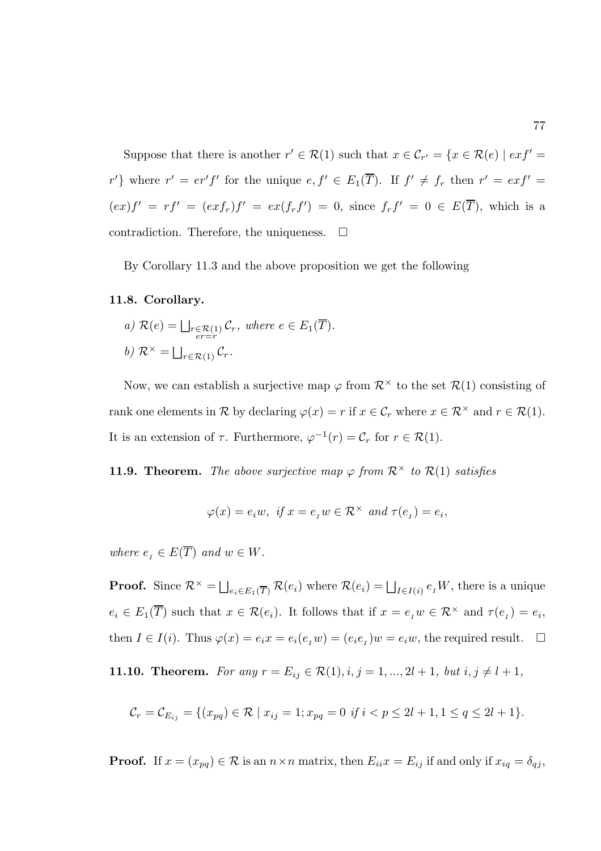Suppose that there is another  $r' \in \mathcal{R}(1)$  such that  $x \in \mathcal{C}_{r'} = \{x \in \mathcal{R}(e) \mid ext' = 0\}$ r'} where  $r' = er' f'$  for the unique  $e, f' \in E_1(\overline{T})$ . If  $f' \neq f_r$  then  $r' = ex f' =$  $(ex)f' = rf' = (exf_r)f' = ex(f_rf') = 0$ , since  $f_rf' = 0 \in E(\overline{T})$ , which is a contradiction. Therefore, the uniqueness.  $\Box$ 

By Corollary 11.3 and the above proposition we get the following

#### 11.8. Corollary.

a) 
$$
\mathcal{R}(e) = \bigsqcup_{\substack{r \in \mathcal{R}(1) \\ er = r}} \mathcal{C}_r
$$
, where  $e \in E_1(\overline{T})$ .  
b)  $\mathcal{R}^{\times} = \bigsqcup_{r \in \mathcal{R}(1)} \mathcal{C}_r$ .

Now, we can establish a surjective map  $\varphi$  from  $\mathcal{R}^{\times}$  to the set  $\mathcal{R}(1)$  consisting of rank one elements in R by declaring  $\varphi(x) = r$  if  $x \in \mathcal{C}_r$  where  $x \in \mathcal{R}^\times$  and  $r \in \mathcal{R}(1)$ . It is an extension of  $\tau$ . Furthermore,  $\varphi^{-1}(r) = \mathcal{C}_r$  for  $r \in \mathcal{R}(1)$ .

**11.9. Theorem.** The above surjective map  $\varphi$  from  $\mathcal{R}^{\times}$  to  $\mathcal{R}(1)$  satisfies

$$
\varphi(x) = e_i w, \text{ if } x = e_I w \in \mathcal{R}^\times \text{ and } \tau(e_I) = e_i,
$$

where  $e_i \in E(\overline{T})$  and  $w \in W$ .

**Proof.** Since  $\mathcal{R}^{\times} = \bigsqcup_{e_i \in E_1(\overline{T})} \mathcal{R}(e_i)$  where  $\mathcal{R}(e_i) = \bigsqcup_{I \in I(i)} e_I W$ , there is a unique  $e_i \in E_1(\overline{T})$  such that  $x \in \mathcal{R}(e_i)$ . It follows that if  $x = e_i w \in \mathcal{R}^\times$  and  $\tau(e_i) = e_i$ , then  $I \in I(i)$ . Thus  $\varphi(x) = e_i x = e_i(e_i w) = (e_i e_i) w = e_i w$ , the required result.  $\Box$ 

11.10. Theorem. For any  $r = E_{ij} \in \mathcal{R}(1), i, j = 1, ..., 2l + 1$ , but  $i, j \neq l + 1$ ,

$$
\mathcal{C}_r = \mathcal{C}_{E_{ij}} = \{ (x_{pq}) \in \mathcal{R} \mid x_{ij} = 1; x_{pq} = 0 \text{ if } i < p \le 2l+1, 1 \le q \le 2l+1 \}.
$$

**Proof.** If  $x = (x_{pq}) \in \mathcal{R}$  is an  $n \times n$  matrix, then  $E_{ii}x = E_{ij}$  if and only if  $x_{iq} = \delta_{qj}$ ,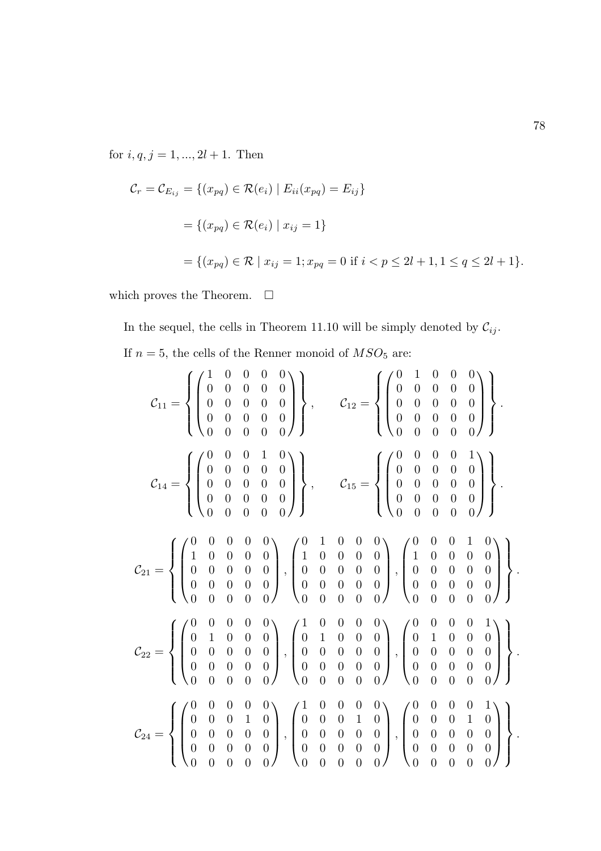for  $i, q, j = 1, ..., 2l + 1$ . Then

$$
\mathcal{C}_r = \mathcal{C}_{E_{ij}} = \{ (x_{pq}) \in \mathcal{R}(e_i) \mid E_{ii}(x_{pq}) = E_{ij} \}
$$
  
=  $\{ (x_{pq}) \in \mathcal{R}(e_i) \mid x_{ij} = 1 \}$   
=  $\{ (x_{pq}) \in \mathcal{R} \mid x_{ij} = 1; x_{pq} = 0 \text{ if } i < p \le 2l + 1, 1 \le q \le 2l + 1 \}.$ 

which proves the Theorem.  $\Box$ 

In the sequel, the cells in Theorem 11.10 will be simply denoted by  $\mathcal{C}_{ij}.$ If  $n=5,$  the cells of the Renner monoid of  $MSO_{5}$  are:

$$
\mathcal{C}_{11} = \left\{ \begin{pmatrix} 1 & 0 & 0 & 0 & 0 \\ 0 & 0 & 0 & 0 & 0 \\ 0 & 0 & 0 & 0 & 0 \\ 0 & 0 & 0 & 0 & 0 \\ 0 & 0 & 0 & 0 & 0 \\ 0 & 0 & 0 & 0 & 0 \\ 0 & 0 & 0 & 0 & 0 \\ 0 & 0 & 0 & 0 & 0 \\ 0 & 0 & 0 & 0 & 0 \\ 0 & 0 & 0 & 0 & 0 \\ 0 & 0 & 0 & 0 & 0 \\ 0 & 0 & 0 & 0 & 0 \\ 0 & 0 & 0 & 0 & 0 \\ 0 & 0 & 0 & 0 & 0 \\ 0 & 0 & 0 & 0 & 0 \\ 0 & 0 & 0 & 0 & 0 \\ 0 & 0 & 0 & 0 & 0 \\ 0 & 0 & 0 & 0 & 0 \\ 0 & 0 & 0 & 0 & 0 \\ 0 & 0 & 0 & 0 & 0 \\ 0 & 0 & 0 & 0 & 0 \\ 0 & 0 & 0 & 0 & 0 \\ 0 & 0 & 0 & 0 & 0 \\ 0 & 0 & 0 & 0 & 0 \\ 0 & 0 & 0 & 0 & 0 \\ 0 & 0 & 0 & 0 & 0 \\ 0 & 0 & 0 & 0 & 0 \\ 0 & 0 & 0 & 0 & 0 \\ 0 & 0 & 0 & 0 & 0 \\ 0 & 0 & 0 & 0 & 0 \\ 0 & 0 & 0 & 0 & 0 \\ 0 & 0 & 0 & 0 & 0 \\ 0 & 0 & 0 & 0 & 0 \\ 0 & 0 & 0 & 0 & 0 \\ 0 & 0 & 0 & 0 & 0 \\ 0 & 0 & 0 & 0 & 0 \\ 0 & 0 & 0 & 0 & 0 \\ 0 & 0 & 0 & 0 & 0 \\ 0 & 0 & 0 & 0 & 0 \\ 0 & 0 & 0 & 0 & 0 \\ 0 & 0 & 0 & 0 & 0 \\ 0 & 0 & 0 & 0 & 0 \\ 0 & 0 & 0 & 0 & 0 \\ 0 & 0 & 0 & 0 & 0 \\ 0 & 0 & 0 & 0 & 0 \\ 0 & 0 & 0 & 0 & 0 \\ 0 & 0 & 0 & 0 & 0 \\ 0 & 0 & 0 & 0 & 0 \\ 0 & 0 & 0 & 0 & 0 \\ 0 & 0
$$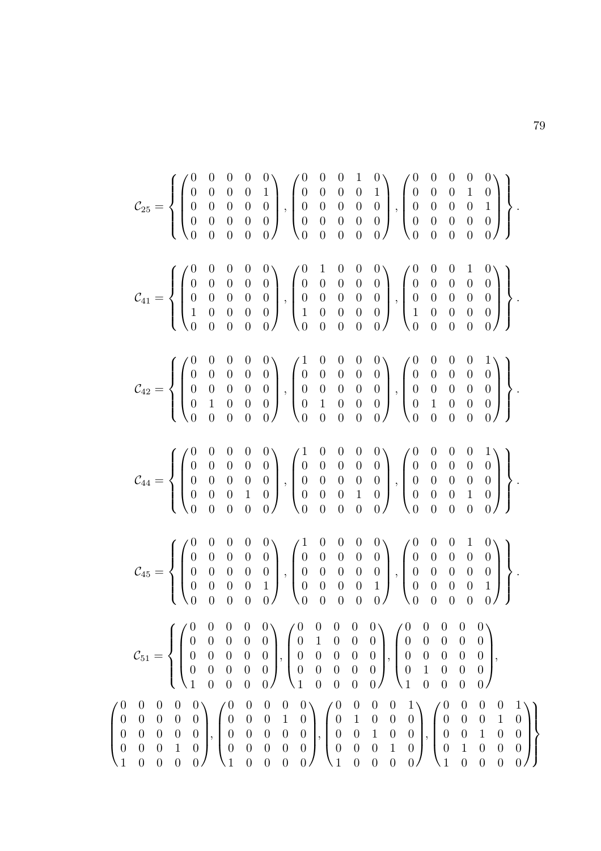$$
\mathcal{C}_{25} = \left\{\begin{pmatrix} 0 & 0 & 0 & 0 & 0 \\ 0 & 0 & 0 & 0 & 1 \\ 0 & 0 & 0 & 0 & 0 \\ 0 & 0 & 0 & 0 & 0 \\ 0 & 0 & 0 & 0 & 0 \\ 0 & 0 & 0 & 0 & 0 \\ 0 & 0 & 0 & 0 & 0 \\ 0 & 0 & 0 & 0 & 0 \\ 0 & 0 & 0 & 0 & 0 \\ 0 & 0 & 0 & 0 & 0 \\ 0 & 0 & 0 & 0 & 0 \\ 0 & 0 & 0 & 0 & 0 \\ 0 & 0 & 0 & 0 & 0 \\ 0 & 0 & 0 & 0 & 0 \\ 0 & 0 & 0 & 0 & 0 \\ 0 & 0 & 0 & 0 & 0 \\ 0 & 0 & 0 & 0 & 0 \\ 0 & 0 & 0 & 0 & 0 \\ 0 & 0 & 0 & 0 & 0 \\ 0 & 0 & 0 & 0 & 0 \\ 0 & 0 & 0 & 0 & 0 \\ 0 & 0 & 0 & 0 & 0 \\ 0 & 0 & 0 & 0 & 0 \\ 0 & 0 & 0 & 0 & 0 \\ 0 & 0 & 0 & 0 & 0 \\ 0 & 0 & 0 & 0 & 0 \\ 0 & 0 & 0 & 0 & 0 \\ 0 & 0 & 0 & 0 & 0 \\ 0 & 0 & 0 & 0 & 0 \\ 0 & 0 & 0 & 0 & 0 \\ 0 & 0 & 0 & 0 & 0 \\ 0 & 0 & 0 & 0 & 0 \\ 0 & 0 & 0 & 0 & 0 \\ 0 & 0 & 0 & 0 & 0 \\ 0 & 0 & 0 & 0 & 0 \\ 0 & 0 & 0 & 0 & 0 \\ 0 & 0 & 0 & 0 & 0 \\ 0 & 0 & 0 & 0 & 0 \\ 0 & 0 & 0 & 0 & 0 \\ 0 & 0 & 0 & 0 & 0 \\ 0 & 0 & 0 & 0 & 0 \\ 0 & 0 & 0 & 0 & 0 \\ 0 & 0 & 0 & 0 & 0 \\ 0 & 0 & 0 & 0 & 0 \\ 0 & 0 & 0 & 0 & 0 \\ 0 & 0 & 0 & 0 & 0 \\ 0 & 0 & 0 & 0 & 0 \\ 0 & 0 & 0 & 0 & 0 \\ 0 & 0 & 0 & 0 & 0 \\ 0 & 0 &
$$

 $\sqrt{ }$ 

 $\overline{\phantom{a}}$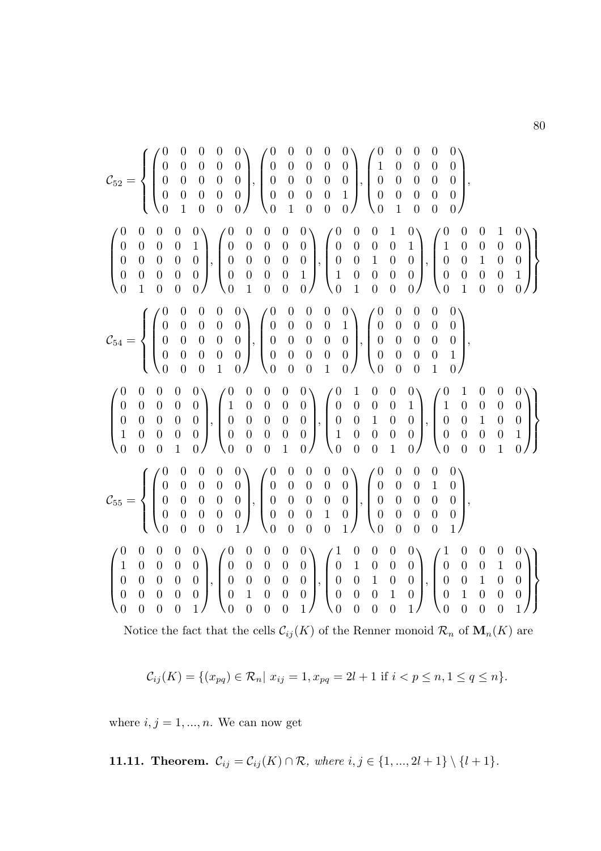Notice the fact that the cells  $\mathcal{C}_{ij}(K)$  of the Renner monoid  $\mathcal{R}_n$  of  $\mathbf{M}_n(K)$  are

$$
\mathcal{C}_{ij}(K) = \{(x_{pq}) \in \mathcal{R}_n | x_{ij} = 1, x_{pq} = 2l + 1 \text{ if } i < p \le n, 1 \le q \le n\}.
$$

where  $i, j = 1, ..., n$ . We can now get

**11.11. Theorem.** 
$$
C_{ij} = C_{ij}(K) \cap \mathcal{R}
$$
, where  $i, j \in \{1, ..., 2l + 1\} \setminus \{l + 1\}$ .

80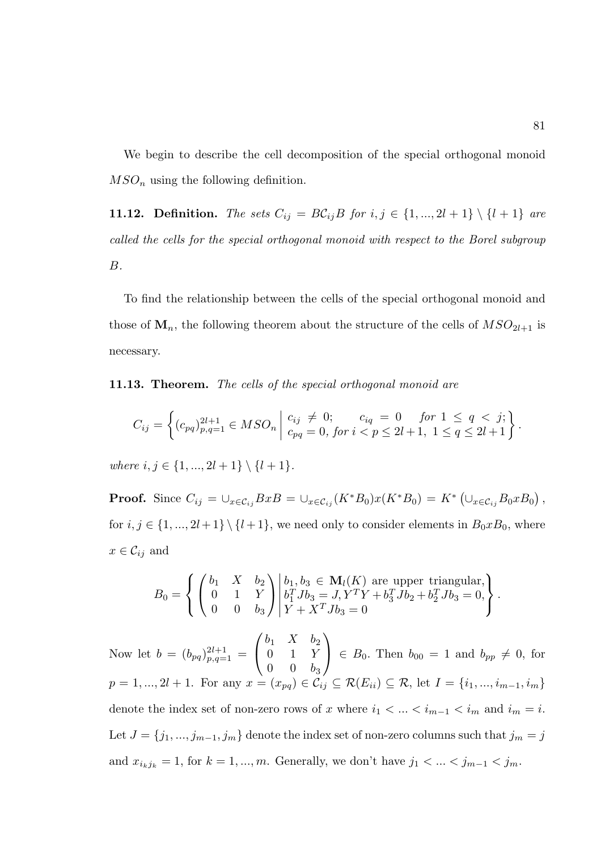We begin to describe the cell decomposition of the special orthogonal monoid  $MSO_n$  using the following definition.

11.12. Definition. The sets  $C_{ij} = B\mathcal{C}_{ij}B$  for  $i, j \in \{1, ..., 2l + 1\} \setminus \{l + 1\}$  are called the cells for the special orthogonal monoid with respect to the Borel subgroup B.

To find the relationship between the cells of the special orthogonal monoid and those of  $M_n$ , the following theorem about the structure of the cells of  $MSO_{2l+1}$  is necessary.

11.13. Theorem. The cells of the special orthogonal monoid are

$$
C_{ij} = \left\{ (c_{pq})_{p,q=1}^{2l+1} \in MSO_n \mid \begin{array}{l} c_{ij} \neq 0; & c_{iq} = 0 \quad \text{for } 1 \leq q < j; \\ c_{pq} = 0, \text{for } i < p \leq 2l+1, \ 1 \leq q \leq 2l+1 \end{array} \right\}.
$$

where  $i, j \in \{1, ..., 2l + 1\} \setminus \{l + 1\}.$ 

**Proof.** Since  $C_{ij} = \bigcup_{x \in \mathcal{C}_{ij}} BxB = \bigcup_{x \in \mathcal{C}_{ij}} (K^*B_0)x(K^*B_0) = K^* \left( \bigcup_{x \in \mathcal{C}_{ij}} B_0xB_0 \right),$ for  $i, j \in \{1, ..., 2l+1\} \setminus \{l+1\}$ , we need only to consider elements in  $B_0 x B_0$ , where  $x \in \mathcal{C}_{ij}$  and

$$
B_0 = \left\{ \begin{pmatrix} b_1 & X & b_2 \\ 0 & 1 & Y \\ 0 & 0 & b_3 \end{pmatrix} \middle| \begin{matrix} b_1, b_3 \in \mathbf{M}_l(K) \text{ are upper triangular,} \\ b_1^T J b_3 = J, Y^T Y + b_3^T J b_2 + b_2^T J b_3 = 0, \\ Y + X^T J b_3 = 0 \end{matrix} \right\}.
$$

Now let  $b = (b_{pq})_{p,q=1}^{2l+1} =$  $\sqrt{ }$  $\overline{1}$  $b_1$  X  $b_2$ 0 1 Y  $0 \t 0 \t b_3$  $\setminus$  $\Big\} \in B_0$ . Then  $b_{00} = 1$  and  $b_{pp} \neq 0$ , for  $p = 1, ..., 2l + 1$ . For any  $x = (x_{pq}) \in C_{ij} \subseteq \mathcal{R}(E_{ii}) \subseteq \mathcal{R}$ , let  $I = \{i_1, ..., i_{m-1}, i_m\}$ denote the index set of non-zero rows of x where  $i_1 < \ldots < i_{m-1} < i_m$  and  $i_m = i.$ Let  $J = \{j_1,...,j_{m-1},j_m\}$  denote the index set of non-zero columns such that  $j_m = j$ and  $x_{i_kj_k} = 1$ , for  $k = 1, ..., m$ . Generally, we don't have  $j_1 < ... < j_{m-1} < j_m$ .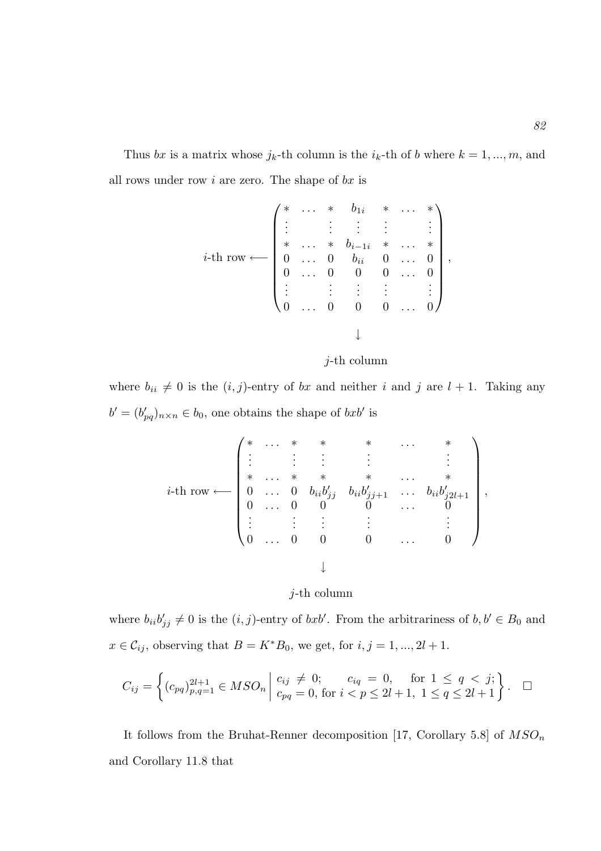Thus bx is a matrix whose  $j_k$ -th column is the  $i_k$ -th of b where  $k = 1, ..., m$ , and all rows under row  $i$  are zero. The shape of  $bx$  is

$$
i\text{-th row} \longleftarrow \begin{pmatrix} * & \dots & * & b_{1i} & * & \dots & * \\ \vdots & & \vdots & & \vdots & & \vdots \\ * & \dots & * & b_{i-1i} & * & \dots & * \\ 0 & \dots & 0 & b_{ii} & 0 & \dots & 0 \\ 0 & \dots & 0 & 0 & 0 & \dots & 0 \\ \vdots & & \vdots & & \vdots & & \vdots \\ 0 & \dots & 0 & 0 & 0 & \dots & 0 \end{pmatrix},
$$

j-th column

where  $b_{ii} \neq 0$  is the  $(i, j)$ -entry of bx and neither i and j are  $l + 1$ . Taking any  $b' = (b'_{pq})_{n \times n} \in b_0$ , one obtains the shape of  $bxb'$  is

$$
i\text{-th row} \longleftarrow \begin{pmatrix} * & \cdots & * & * & * & \cdots & * \\ \vdots & \vdots & \vdots & & \vdots & & \vdots \\ * & \cdots & * & * & * & \cdots & * \\ 0 & \cdots & 0 & b_{ii}b'_{jj} & b_{ii}b'_{jj+1} & \cdots & b_{ii}b'_{j2l+1} \\ 0 & \cdots & 0 & 0 & 0 & \cdots & 0 \\ \vdots & \vdots & \vdots & & \vdots & & \vdots \\ 0 & \cdots & 0 & 0 & 0 & \cdots & 0 \end{pmatrix},
$$

# $j$ -th column

where  $b_{ii}b'_{jj} \neq 0$  is the  $(i, j)$ -entry of  $bxb'$ . From the arbitrariness of  $b, b' \in B_0$  and  $x \in \mathcal{C}_{ij}$ , observing that  $B = K^*B_0$ , we get, for  $i, j = 1, ..., 2l + 1$ .

$$
C_{ij} = \left\{ (c_{pq})_{p,q=1}^{2l+1} \in MSO_n \mid \begin{array}{l} c_{ij} \neq 0; & c_{iq} = 0, \text{ for } 1 \leq q < j; \\ c_{pq} = 0, \text{ for } i < p \leq 2l+1, \ 1 \leq q \leq 2l+1 \end{array} \right\}.
$$

It follows from the Bruhat-Renner decomposition [17, Corollary 5.8] of  $MSO_n$ and Corollary 11.8 that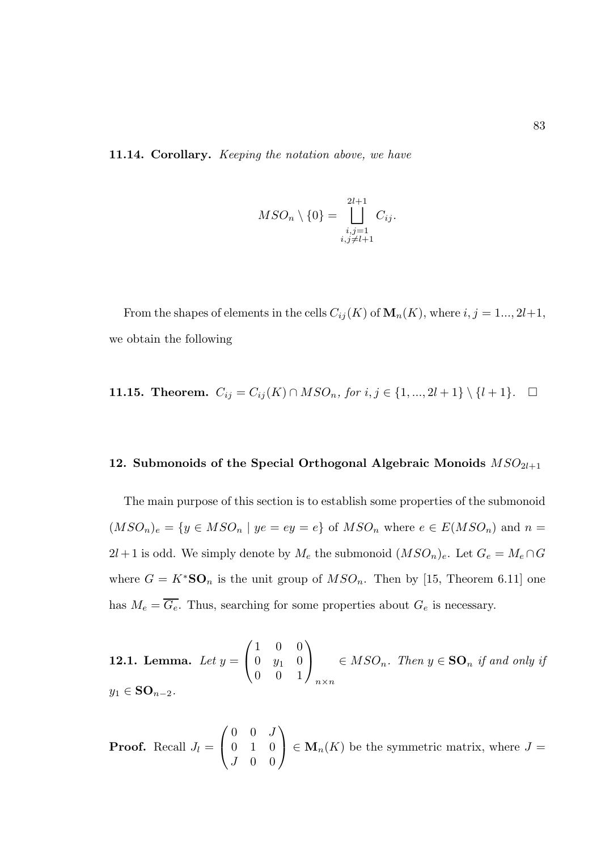11.14. Corollary. Keeping the notation above, we have

$$
MSO_n \setminus \{0\} = \bigsqcup_{\substack{i,j=1 \\ i,j \neq l+1}}^{2l+1} C_{ij}.
$$

From the shapes of elements in the cells  $C_{ij}(K)$  of  $\mathbf{M}_n(K)$ , where  $i, j = 1, \ldots, 2l+1$ , we obtain the following

**11.15. Theorem.** 
$$
C_{ij} = C_{ij}(K) \cap MSO_n
$$
, for  $i, j \in \{1, ..., 2l + 1\} \setminus \{l + 1\}$ .  $\Box$ 

# 12. Submonoids of the Special Orthogonal Algebraic Monoids  $MSO_{2l+1}$

The main purpose of this section is to establish some properties of the submonoid  $(MSO_n)_e = \{y \in MSO_n \mid ye = ey = e\}$  of  $MSO_n$  where  $e \in E(MSO_n)$  and  $n =$  $2l+1$  is odd. We simply denote by  $M_e$  the submonoid  $(MSO_n)_e$ . Let  $G_e = M_e \cap G$ where  $G = K^*S\mathbf{O}_n$  is the unit group of  $MSO_n$ . Then by [15, Theorem 6.11] one has  $M_e = \overline{G_e}$ . Thus, searching for some properties about  $G_e$  is necessary.

**12.1. Lemma.** Let 
$$
y = \begin{pmatrix} 1 & 0 & 0 \\ 0 & y_1 & 0 \\ 0 & 0 & 1 \end{pmatrix}_{n \times n} \in MSO_n
$$
. Then  $y \in \mathbf{SO}_n$  if and only if  $y_1 \in \mathbf{SO}_{n-2}$ .

**Proof.** Recall 
$$
J_l = \begin{pmatrix} 0 & 0 & J \\ 0 & 1 & 0 \\ J & 0 & 0 \end{pmatrix} \in M_n(K)
$$
 be the symmetric matrix, where  $J =$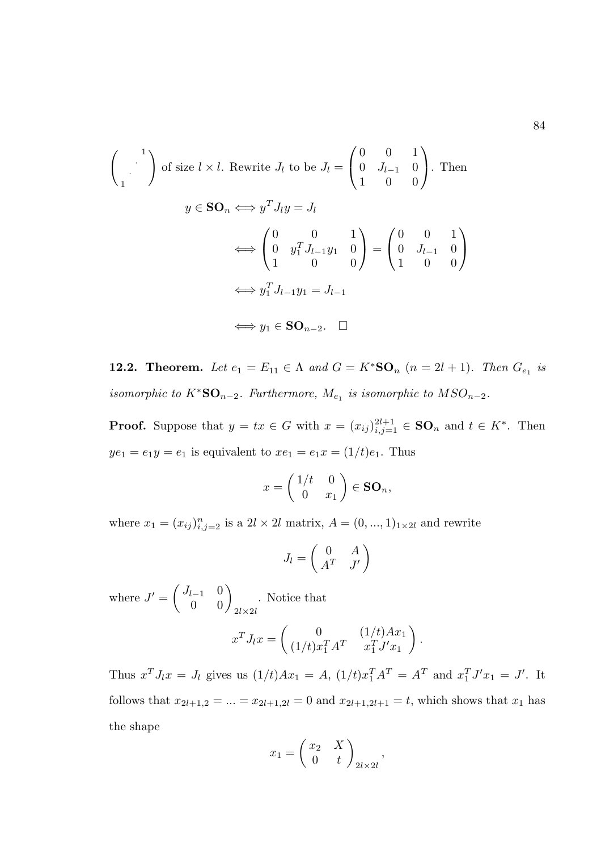$$
\begin{pmatrix}\n1 \\
\cdot \\
1\n\end{pmatrix} \text{ of size } l \times l. \text{ Rewrite } J_l \text{ to be } J_l = \begin{pmatrix} 0 & 0 & 1 \\
0 & J_{l-1} & 0 \\
1 & 0 & 0 \end{pmatrix}. \text{ Then}
$$
\n
$$
y \in \mathbf{SO}_n \Longleftrightarrow y^T J_l y = J_l
$$
\n
$$
\Longleftrightarrow \begin{pmatrix} 0 & 0 & 1 \\
0 & y_1^T J_{l-1} y_1 & 0 \\
1 & 0 & 0 \end{pmatrix} = \begin{pmatrix} 0 & 0 & 1 \\
0 & J_{l-1} & 0 \\
1 & 0 & 0 \end{pmatrix}
$$
\n
$$
\Longleftrightarrow y_1^T J_{l-1} y_1 = J_{l-1}
$$
\n
$$
\Longleftrightarrow y_1 \in \mathbf{SO}_{n-2}. \quad \square
$$

**12.2. Theorem.** Let  $e_1 = E_{11} \in \Lambda$  and  $G = K^* \mathbf{SO}_n$   $(n = 2l + 1)$ . Then  $G_{e_1}$  is isomorphic to  $K^*S\mathbb{O}_{n-2}$ . Furthermore,  $M_{e_1}$  is isomorphic to  $MSO_{n-2}$ .

**Proof.** Suppose that  $y = tx \in G$  with  $x = (x_{ij})_{i,j=1}^{2l+1} \in \mathbf{SO}_n$  and  $t \in K^*$ . Then  $ye_1 = e_1y = e_1$  is equivalent to  $xe_1 = e_1x = (1/t)e_1$ . Thus

$$
x = \begin{pmatrix} 1/t & 0 \\ 0 & x_1 \end{pmatrix} \in \mathbf{SO}_n,
$$

where  $x_1 = (x_{ij})_{i,j=2}^n$  is a  $2l \times 2l$  matrix,  $A = (0, ..., 1)_{1 \times 2l}$  and rewrite

$$
J_l = \begin{pmatrix} 0 & A \\ A^T & J' \end{pmatrix}
$$

where  $J' = \begin{pmatrix} J_{l-1} & 0 \\ 0 & 0 \end{pmatrix}_{2l \times 2l}$ . Notice that

$$
x^{T} J_{l} x = \begin{pmatrix} 0 & (1/t)Ax_{1} \\ (1/t)x_{1}^{T} A^{T} & x_{1}^{T} J' x_{1} \end{pmatrix}
$$

.

Thus  $x^T J_l x = J_l$  gives us  $(1/t)Ax_1 = A$ ,  $(1/t)x_1^T A^T = A^T$  and  $x_1^T J' x_1 = J'$ . It follows that  $x_{2l+1,2} = ... = x_{2l+1,2l} = 0$  and  $x_{2l+1,2l+1} = t$ , which shows that  $x_1$  has the shape

$$
x_1 = \begin{pmatrix} x_2 & X \\ 0 & t \end{pmatrix}_{2l \times 2l},
$$

84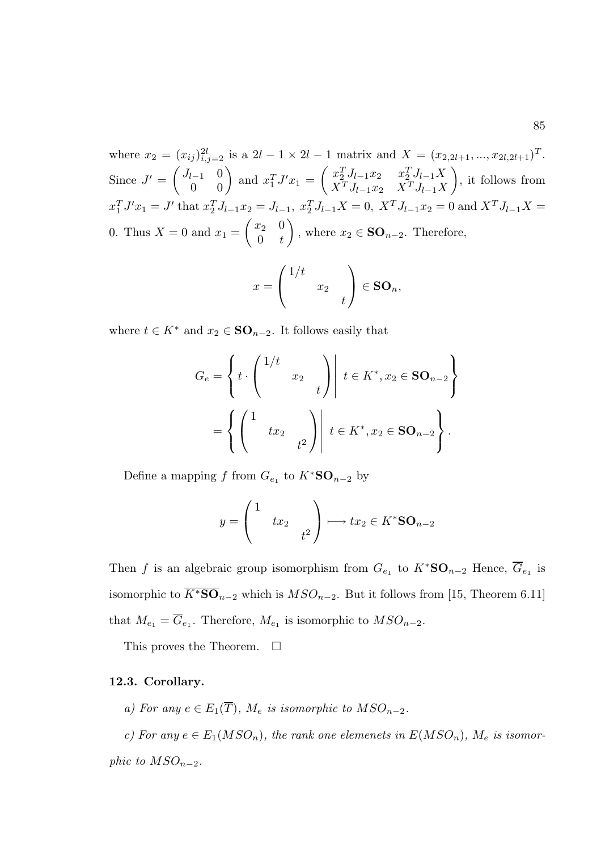where  $x_2 = (x_{ij})_{i,j=2}^{2l}$  is a  $2l - 1 \times 2l - 1$  matrix and  $X = (x_{2,2l+1},...,x_{2l,2l+1})^T$ . Since  $J' = \begin{pmatrix} J_{l-1} & 0 \ 0 & 0 \end{pmatrix}$  and  $x_1^T J' x_1 = \begin{pmatrix} x_2^T J_{l-1} x_2 & x_2^T J_{l-1} X \ X^T J_{l-1} x_2 & X^T J_{l-1} X \end{pmatrix}$  $X^T J_{l-1} x_2$   $X^T J_{l-1} X$  $\setminus$ , it follows from  $x_1^T J' x_1 = J'$  that  $x_2^T J_{l-1} x_2 = J_{l-1}, x_2^T J_{l-1} X = 0, X^T J_{l-1} x_2 = 0$  and  $X^T J_{l-1} X =$ 0. Thus  $X = 0$  and  $x_1 =$  $\begin{pmatrix} x_2 & 0 \end{pmatrix}$  $0 \quad t$  $\setminus$ , where  $x_2 \in \mathbf{SO}_{n-2}$ . Therefore,

$$
x = \begin{pmatrix} 1/t & & \\ & x_2 & \\ & & t \end{pmatrix} \in SO_n,
$$

where  $t \in K^*$  and  $x_2 \in \mathbf{SO}_{n-2}$ . It follows easily that

$$
G_e = \left\{ t \cdot \begin{pmatrix} 1/t & & \\ & x_2 & \\ & & t \end{pmatrix} \middle| t \in K^*, x_2 \in \mathbf{SO}_{n-2} \right\}
$$

$$
= \left\{ \begin{pmatrix} 1 & & \\ & tx_2 & \\ & & t^2 \end{pmatrix} \middle| t \in K^*, x_2 \in \mathbf{SO}_{n-2} \right\}.
$$

Define a mapping f from  $G_{e_1}$  to  $K^*S\mathbf{O}_{n-2}$  by

$$
y = \begin{pmatrix} 1 & & \\ & tx_2 & \\ & & t^2 \end{pmatrix} \longmapsto tx_2 \in K^*S\mathbf{O}_{n-2}
$$

Then f is an algebraic group isomorphism from  $G_{e_1}$  to  $K^*S\mathbf{O}_{n-2}$  Hence,  $\overline{G}_{e_1}$  is isomorphic to  $\overline{K^*S\mathbf{O}}_{n-2}$  which is  $MSO_{n-2}$ . But it follows from [15, Theorem 6.11] that  $M_{e_1} = G_{e_1}$ . Therefore,  $M_{e_1}$  is isomorphic to  $MSO_{n-2}$ .

This proves the Theorem.  $\Box$ 

## 12.3. Corollary.

a) For any  $e \in E_1(\overline{T})$ ,  $M_e$  is isomorphic to  $MSO_{n-2}$ .

c) For any  $e \in E_1(MSO_n)$ , the rank one elemenets in  $E(MSO_n)$ ,  $M_e$  is isomorphic to  $MSO_{n-2}$ .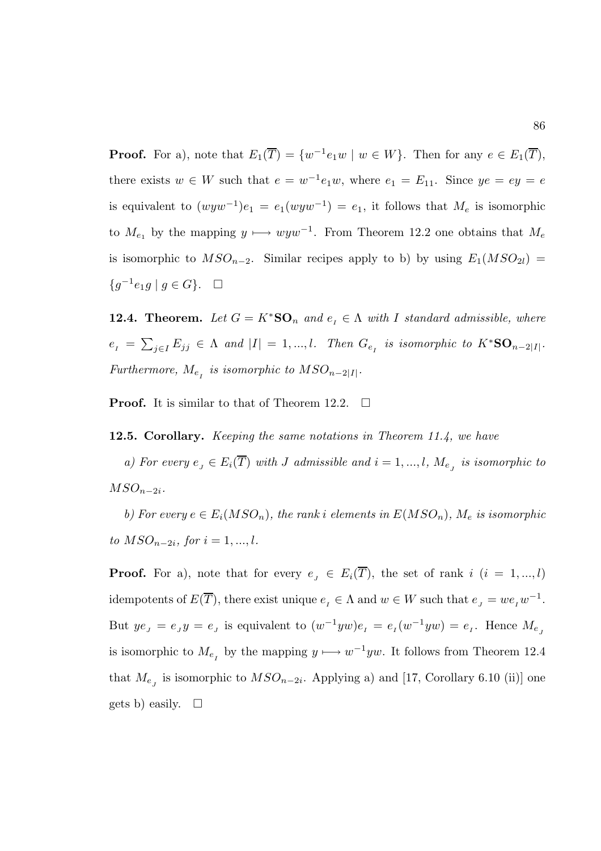**Proof.** For a), note that  $E_1(\overline{T}) = \{w^{-1}e_1w \mid w \in W\}$ . Then for any  $e \in E_1(\overline{T})$ , there exists  $w \in W$  such that  $e = w^{-1}e_1w$ , where  $e_1 = E_{11}$ . Since  $ye = ey = e$ is equivalent to  $(wyw^{-1})e_1 = e_1(wyw^{-1}) = e_1$ , it follows that  $M_e$  is isomorphic to  $M_{e_1}$  by the mapping  $y \mapsto wyw^{-1}$ . From Theorem 12.2 one obtains that  $M_e$ is isomorphic to  $MSO_{n-2}$ . Similar recipes apply to b) by using  $E_1(MSO_{2l}) =$ { $g^{-1}e_1g \mid g \in G$ }. □

**12.4. Theorem.** Let  $G = K^*S\mathbf{O}_n$  and  $e_I \in \Lambda$  with I standard admissible, where  $e_{I} = \sum_{j\in I} E_{jj} \in \Lambda$  and  $|I| = 1, ..., l$ . Then  $G_{e_{I}}$  is isomorphic to  $K^*S O_{n-2|I|}$ . Furthermore,  $M_{e_{I}}$  is isomorphic to  $MSO_{n-2|I|}$ .

**Proof.** It is similar to that of Theorem 12.2.  $\Box$ 

12.5. Corollary. *Keeping the same notations in Theorem 11.4, we have* 

a) For every  $e_j \in E_i(T)$  with J admissible and  $i = 1, ..., l$ ,  $M_{e_j}$  is isomorphic to  $MSO_{n-2i}$ .

b) For every  $e \in E_i(MSO_n)$ , the rank i elements in  $E(MSO_n)$ ,  $M_e$  is isomorphic to  $MSO_{n-2i}$ , for  $i = 1, ..., l$ .

**Proof.** For a), note that for every  $e_j \in E_i(\overline{T})$ , the set of rank i  $(i = 1, ..., l)$ idempotents of  $E(\overline{T})$ , there exist unique  $e_I \in \Lambda$  and  $w \in W$  such that  $e_J = w e_I w^{-1}$ . But  $ye_j = e_j y = e_j$  is equivalent to  $(w^{-1}yw)e_i = e_i(w^{-1}yw) = e_i$ . Hence  $M_{e_j}$ is isomorphic to  $M_{e_I}$  by the mapping  $y \longmapsto w^{-1}yw$ . It follows from Theorem 12.4 that  $M_{e_j}$  is isomorphic to  $MSO_{n-2i}$ . Applying a) and [17, Corollary 6.10 (ii)] one gets b) easily.  $\square$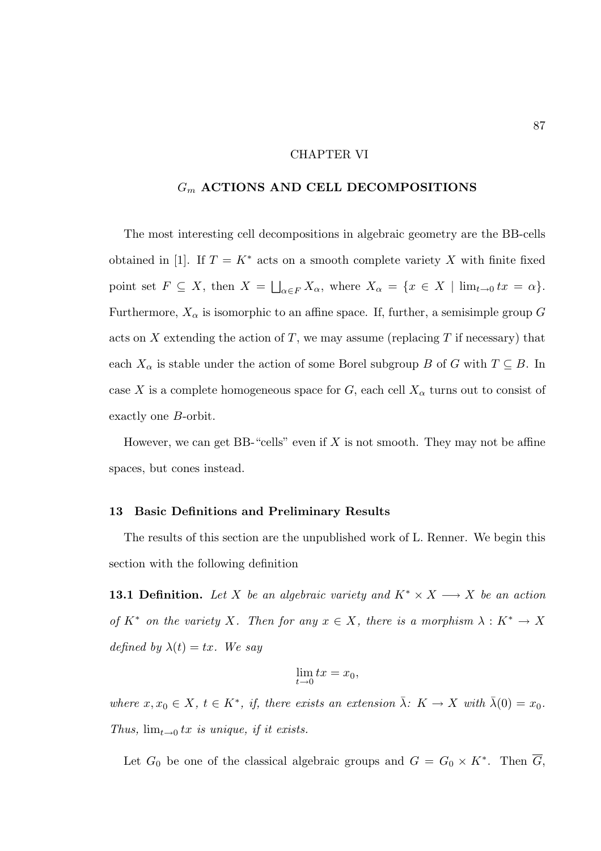# CHAPTER VI

# $G_m$  ACTIONS AND CELL DECOMPOSITIONS

The most interesting cell decompositions in algebraic geometry are the BB-cells obtained in [1]. If  $T = K^*$  acts on a smooth complete variety X with finite fixed point set  $F \subseteq X$ , then  $X = \bigsqcup_{\alpha \in F} X_{\alpha}$ , where  $X_{\alpha} = \{x \in X \mid \lim_{t \to 0} tx = \alpha\}.$ Furthermore,  $X_{\alpha}$  is isomorphic to an affine space. If, further, a semisimple group G acts on X extending the action of T, we may assume (replacing  $T$  if necessary) that each  $X_{\alpha}$  is stable under the action of some Borel subgroup B of G with  $T \subseteq B$ . In case X is a complete homogeneous space for G, each cell  $X_{\alpha}$  turns out to consist of exactly one B-orbit.

However, we can get BB-"cells" even if  $X$  is not smooth. They may not be affine spaces, but cones instead.

#### 13 Basic Definitions and Preliminary Results

The results of this section are the unpublished work of L. Renner. We begin this section with the following definition

**13.1 Definition.** Let X be an algebraic variety and  $K^* \times X \longrightarrow X$  be an action of  $K^*$  on the variety X. Then for any  $x \in X$ , there is a morphism  $\lambda: K^* \to X$ defined by  $\lambda(t) = tx$ . We say

$$
\lim_{t \to 0} tx = x_0,
$$

where  $x, x_0 \in X$ ,  $t \in K^*$ , if, there exists an extension  $\bar{\lambda}$ :  $K \to X$  with  $\bar{\lambda}(0) = x_0$ . Thus,  $\lim_{t\to 0} tx$  is unique, if it exists.

Let  $G_0$  be one of the classical algebraic groups and  $G = G_0 \times K^*$ . Then  $\overline{G}_2$ ,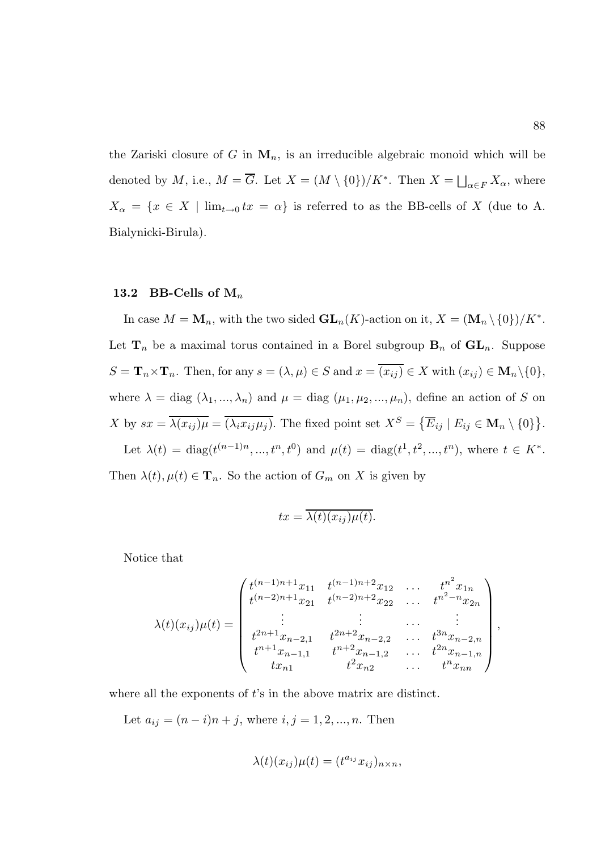the Zariski closure of G in  $M_n$ , is an irreducible algebraic monoid which will be denoted by M, i.e.,  $M = \overline{G}$ . Let  $X = (M \setminus \{0\})/K^*$ . Then  $X = \bigsqcup_{\alpha \in F} X_{\alpha}$ , where  $X_{\alpha} = \{x \in X \mid \lim_{t \to 0} tx = \alpha\}$  is referred to as the BB-cells of X (due to A. Bialynicki-Birula).

# 13.2 BB-Cells of  $M_n$

In case  $M = \mathbf{M}_n$ , with the two sided  $\mathbf{GL}_n(K)$ -action on it,  $X = (\mathbf{M}_n \setminus \{0\})/K^*$ . Let  $\mathbf{T}_n$  be a maximal torus contained in a Borel subgroup  $\mathbf{B}_n$  of  $\mathbf{GL}_n$ . Suppose  $S = \mathbf{T}_n \times \mathbf{T}_n$ . Then, for any  $s = (\lambda, \mu) \in S$  and  $x = \overline{(x_{ij})} \in X$  with  $(x_{ij}) \in \mathbf{M}_n \setminus \{0\}$ , where  $\lambda = \text{diag}(\lambda_1, ..., \lambda_n)$  and  $\mu = \text{diag}(\mu_1, \mu_2, ..., \mu_n)$ , define an action of S on X by  $sx = \overline{\lambda(x_{ij})\mu} = \overline{(\lambda_i x_{ij} \mu_j)}$ . The fixed point set  $X^S = \{ \overline{E}_{ij} \mid E_{ij} \in \mathbf{M}_n \setminus \{0\} \}.$ Let  $\lambda(t) = \text{diag}(t^{(n-1)n}, ..., t^n, t^0)$  and  $\mu(t) = \text{diag}(t^1, t^2, ..., t^n)$ , where  $t \in K^*$ .

Then  $\lambda(t)$ ,  $\mu(t) \in \mathbf{T}_n$ . So the action of  $G_m$  on X is given by

$$
tx = \overline{\lambda(t)(x_{ij})\mu(t)}.
$$

Notice that

$$
\lambda(t)(x_{ij})\mu(t) = \begin{pmatrix} t^{(n-1)n+1}x_{11} & t^{(n-1)n+2}x_{12} & \dots & t^{n^2}x_{1n} \\ t^{(n-2)n+1}x_{21} & t^{(n-2)n+2}x_{22} & \dots & t^{n^2-n}x_{2n} \\ \vdots & \vdots & \dots & \vdots \\ t^{2n+1}x_{n-2,1} & t^{2n+2}x_{n-2,2} & \dots & t^{3n}x_{n-2,n} \\ t^{n+1}x_{n-1,1} & t^{n+2}x_{n-1,2} & \dots & t^{2n}x_{n-1,n} \\ tx_{n1} & t^{2}x_{n2} & \dots & t^{n}x_{nn} \end{pmatrix},
$$

where all the exponents of t's in the above matrix are distinct.

Let  $a_{ij} = (n - i)n + j$ , where  $i, j = 1, 2, ..., n$ . Then

$$
\lambda(t)(x_{ij})\mu(t) = (t^{a_{ij}}x_{ij})_{n \times n},
$$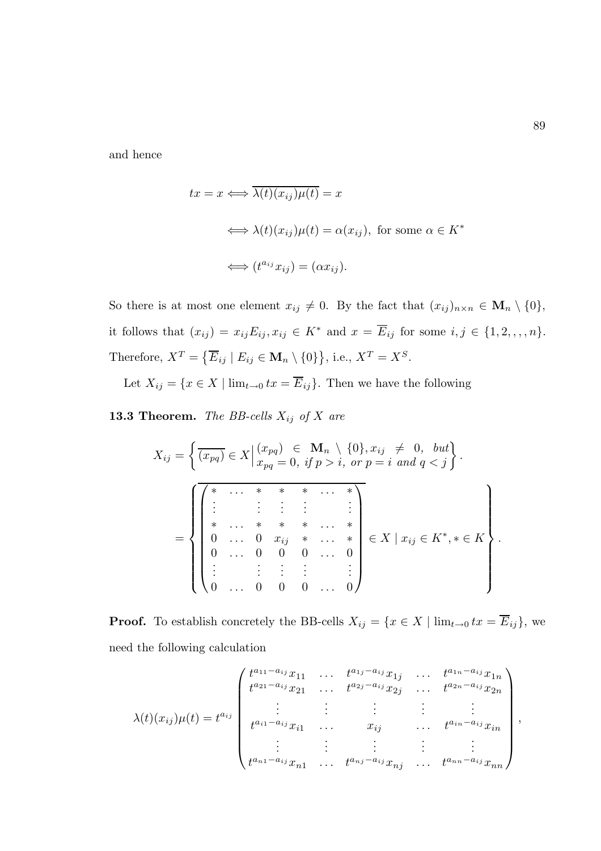and hence

$$
tx = x \Longleftrightarrow \overline{\lambda(t)(x_{ij})\mu(t)} = x
$$
  

$$
\Longleftrightarrow \lambda(t)(x_{ij})\mu(t) = \alpha(x_{ij}), \text{ for some } \alpha \in K^*
$$
  

$$
\Longleftrightarrow (t^{a_{ij}}x_{ij}) = (\alpha x_{ij}).
$$

So there is at most one element  $x_{ij} \neq 0$ . By the fact that  $(x_{ij})_{n \times n} \in \mathbf{M}_n \setminus \{0\},$ it follows that  $(x_{ij}) = x_{ij}E_{ij}, x_{ij} \in K^*$  and  $x = \overline{E}_{ij}$  for some  $i, j \in \{1, 2, \ldots, n\}.$ Therefore,  $X^T = \{ \overline{E}_{ij} \mid E_{ij} \in \mathbf{M}_n \setminus \{0\} \},$  i.e.,  $X^T = X^S$ .

Let  $X_{ij} = \{x \in X \mid \lim_{t \to 0} tx = \overline{E}_{ij}\}.$  Then we have the following

**13.3 Theorem.** The BB-cells  $X_{ij}$  of X are

$$
X_{ij} = \left\{ \overline{(x_{pq})} \in X \middle| \begin{aligned} x_{pq} &= 0, \text{ if } p > i, \text{ or } p = i \text{ and } q < j \end{aligned} \right\}.
$$
\n
$$
= \left\{ \begin{aligned} \overline{\left( \begin{array}{cccc} * & \dots & * & * & \dots & * \\ \vdots & \vdots & \vdots & \vdots & \vdots \\ * & \dots & * & * & \dots & * \\ 0 & \dots & 0 & x_{ij} & * & \dots & * \\ 0 & \dots & 0 & 0 & \dots & 0 \\ \vdots & \vdots & \vdots & \vdots & \vdots & \vdots \\ 0 & \dots & 0 & 0 & \dots & 0 \end{array} \right\} \in X \mid x_{ij} \in K^*, * \in K \right\}
$$

**Proof.** To establish concretely the BB-cells  $X_{ij} = \{x \in X \mid \lim_{t \to 0} tx = \overline{E}_{ij}\}\)$ , we need the following calculation

$$
\lambda(t)(x_{ij})\mu(t) = t^{a_{ij}} \begin{pmatrix} t^{a_{11}-a_{ij}}x_{11} & \cdots & t^{a_{1j}-a_{ij}}x_{1j} & \cdots & t^{a_{1n}-a_{ij}}x_{1n} \\ t^{a_{21}-a_{ij}}x_{21} & \cdots & t^{a_{2j}-a_{ij}}x_{2j} & \cdots & t^{a_{2n}-a_{ij}}x_{2n} \\ \vdots & \vdots & \vdots & \ddots & \vdots \\ t^{a_{i1}-a_{ij}}x_{i1} & \cdots & x_{ij} & \cdots & t^{a_{in}-a_{ij}}x_{in} \\ \vdots & \vdots & \vdots & \vdots & \vdots \\ t^{a_{n1}-a_{ij}}x_{n1} & \cdots & t^{a_{nj}-a_{ij}}x_{nj} & \cdots & t^{a_{nn}-a_{ij}}x_{nn} \end{pmatrix},
$$

.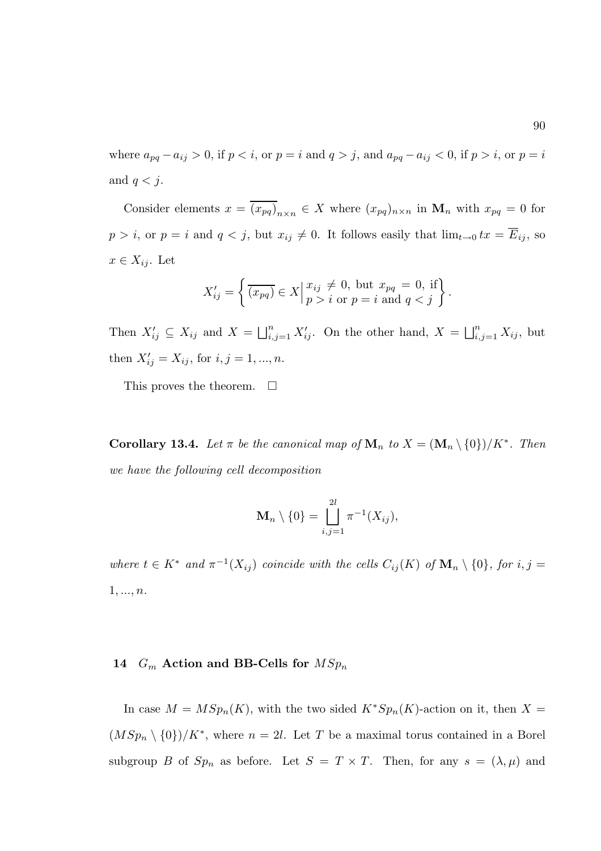where  $a_{pq} - a_{ij} > 0$ , if  $p < i$ , or  $p = i$  and  $q > j$ , and  $a_{pq} - a_{ij} < 0$ , if  $p > i$ , or  $p = i$ and  $q < j$ .

Consider elements  $x = (x_{pq})_{n \times n} \in X$  where  $(x_{pq})_{n \times n}$  in  $\mathbf{M}_n$  with  $x_{pq} = 0$  for  $p > i$ , or  $p = i$  and  $q < j$ , but  $x_{ij} \neq 0$ . It follows easily that  $\lim_{t\to 0} tx = \overline{E}_{ij}$ , so  $x \in X_{ij}$ . Let

$$
X'_{ij} = \left\{ \overline{(x_{pq})} \in X \middle| \begin{matrix} x_{ij} \neq 0, \text{ but } x_{pq} = 0, \text{ if} \\ p > i \text{ or } p = i \text{ and } q < j \end{matrix} \right\}.
$$

Then  $X'_{ij} \subseteq X_{ij}$  and  $X = \bigsqcup_{i,j=1}^n X'_{ij}$ . On the other hand,  $X = \bigsqcup_{i,j=1}^n X_{ij}$ , but then  $X'_{ij} = X_{ij}$ , for  $i, j = 1, ..., n$ .

This proves the theorem.  $\square$ 

**Corollary 13.4.** Let  $\pi$  be the canonical map of  $\mathbf{M}_n$  to  $X = (\mathbf{M}_n \setminus \{0\})/K^*$ . Then we have the following cell decomposition

$$
\mathbf{M}_n \setminus \{0\} = \bigsqcup_{i,j=1}^{2l} \pi^{-1}(X_{ij}),
$$

where  $t \in K^*$  and  $\pi^{-1}(X_{ij})$  coincide with the cells  $C_{ij}(K)$  of  $\mathbf{M}_n \setminus \{0\}$ , for  $i, j =$  $1, ..., n$ .

# 14  $G_m$  Action and BB-Cells for  $MSp_n$

In case  $M = MSp_n(K)$ , with the two sided  $K^*Sp_n(K)$ -action on it, then  $X =$  $(MSp_n \setminus \{0\})/K^*$ , where  $n = 2l$ . Let T be a maximal torus contained in a Borel subgroup B of  $Sp_n$  as before. Let  $S = T \times T$ . Then, for any  $s = (\lambda, \mu)$  and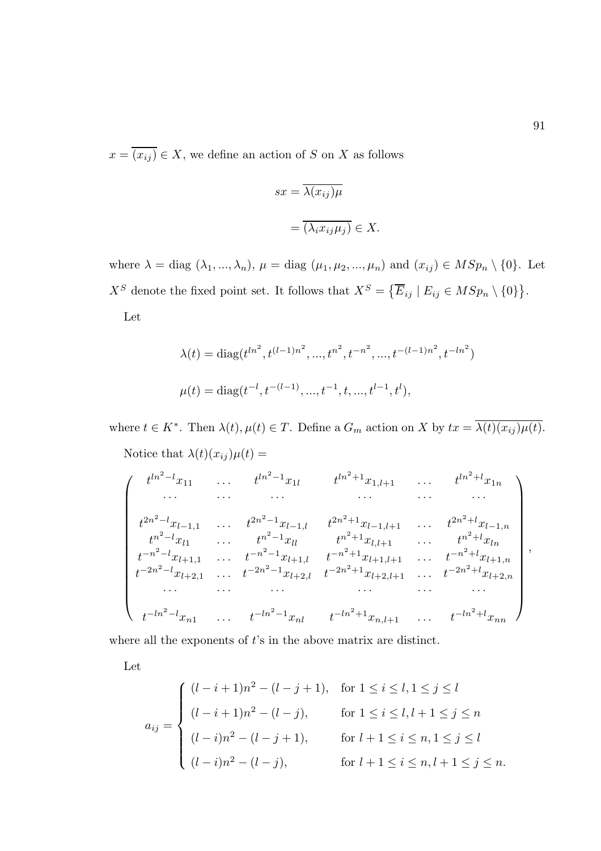$x = \overline{(x_{ij})} \in X$ , we define an action of S on X as follows

$$
sx = \overline{\lambda(x_{ij})\mu}
$$

$$
= \overline{(\lambda_i x_{ij}\mu_j)} \in X.
$$

where  $\lambda = \text{diag}(\lambda_1, ..., \lambda_n)$ ,  $\mu = \text{diag}(\mu_1, \mu_2, ..., \mu_n)$  and  $(x_{ij}) \in MSp_n \setminus \{0\}$ . Let  $X^S$  denote the fixed point set. It follows that  $X^S = \{ \overline{E}_{ij} \mid E_{ij} \in MSp_n \setminus \{0\} \}.$ Let

$$
\lambda(t) = \text{diag}(t^{ln^2}, t^{(l-1)n^2}, \dots, t^{n^2}, t^{-n^2}, \dots, t^{-(l-1)n^2}, t^{-ln^2})
$$
  

$$
\mu(t) = \text{diag}(t^{-l}, t^{-(l-1)}, \dots, t^{-1}, t, \dots, t^{l-1}, t^l),
$$

where  $t \in K^*$ . Then  $\lambda(t)$ ,  $\mu(t) \in T$ . Define a  $G_m$  action on X by  $tx = \overline{\lambda(t)(x_{ij})\mu(t)}$ . Notice that  $\lambda(t)(x_{ij})\mu(t) =$ 

$$
\begin{pmatrix}\n t^{ln^2 - l}x_{11} & \cdots & t^{ln^2 - 1}x_{1l} & t^{ln^2 + 1}x_{1,l+1} & \cdots & t^{ln^2 + l}x_{1n} \\
 \cdots & \cdots & \cdots & \cdots & \cdots \\
 t^{2n^2 - l}x_{l-1,1} & \cdots & t^{2n^2 - 1}x_{l-1,l} & t^{2n^2 + 1}x_{l-1,l+1} & \cdots & t^{2n^2 + l}x_{l-1,n} \\
 t^{n^2 - l}x_{l1} & \cdots & t^{n^2 - 1}x_{ll} & t^{n^2 + 1}x_{l,l+1} & \cdots & t^{n^2 + l}x_{ln} \\
 t^{-n^2 - l}x_{l+1,1} & \cdots & t^{-n^2 - 1}x_{l+1,l} & t^{-n^2 + 1}x_{l+1,l+1} & \cdots & t^{-n^2 + l}x_{l+1,n} \\
 t^{-2n^2 - l}x_{l+2,1} & \cdots & t^{-2n^2 - 1}x_{l+2,l} & t^{-2n^2 + 1}x_{l+2,l+1} & \cdots & t^{-2n^2 + l}x_{l+2,n} \\
 \cdots & \cdots & \cdots & \cdots & \cdots \\
 t^{-ln^2 - l}x_{n1} & \cdots & t^{-ln^2 - 1}x_{nl} & t^{-ln^2 + 1}x_{n,l+1} & \cdots & t^{-ln^2 + l}x_{nn}\n\end{pmatrix},
$$

where all the exponents of  $t$ 's in the above matrix are distinct.

Let

$$
a_{ij} = \begin{cases} (l-i+1)n^2 - (l-j+1), & \text{for } 1 \le i \le l, 1 \le j \le l \\ (l-i+1)n^2 - (l-j), & \text{for } 1 \le i \le l, l+1 \le j \le n \\ (l-i)n^2 - (l-j+1), & \text{for } l+1 \le i \le n, 1 \le j \le l \\ (l-i)n^2 - (l-j), & \text{for } l+1 \le i \le n, l+1 \le j \le n. \end{cases}
$$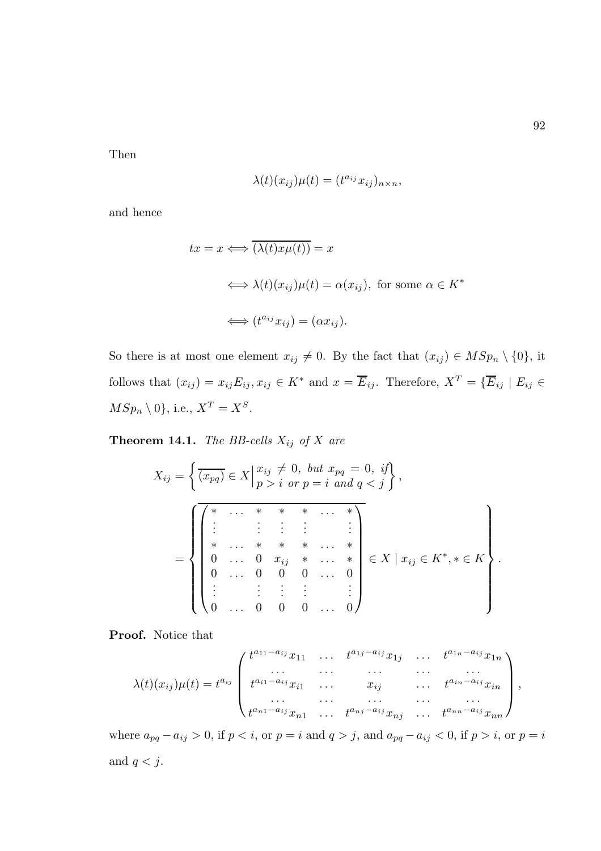Then

$$
\lambda(t)(x_{ij})\mu(t) = (t^{a_{ij}}x_{ij})_{n \times n},
$$

and hence

$$
tx = x \Longleftrightarrow \overline{(\lambda(t)x\mu(t))} = x
$$
  

$$
\Longleftrightarrow \lambda(t)(x_{ij})\mu(t) = \alpha(x_{ij}), \text{ for some } \alpha \in K^*
$$
  

$$
\Longleftrightarrow (t^{a_{ij}}x_{ij}) = (\alpha x_{ij}).
$$

So there is at most one element  $x_{ij} \neq 0$ . By the fact that  $(x_{ij}) \in MSp_n \setminus \{0\}$ , it follows that  $(x_{ij}) = x_{ij}E_{ij}$ ,  $x_{ij} \in K^*$  and  $x = \overline{E}_{ij}$ . Therefore,  $X^T = \{ \overline{E}_{ij} \mid E_{ij} \in$  $MSp_n \setminus 0$ , i.e.,  $X^T = X^S$ .

**Theorem 14.1.** The BB-cells  $X_{ij}$  of X are

$$
X_{ij} = \left\{ \overline{(x_{pq})} \in X \middle| \begin{aligned} x_{ij} &\neq 0, \text{ but } x_{pq} = 0, \text{ if} \\ p &> i \text{ or } p = i \text{ and } q < j \end{aligned} \right\},
$$
  

$$
= \left\{ \left\{ \begin{aligned} \overline{\left( \begin{aligned} * & \cdots & * & * & * & \cdots & * \\ \vdots & & \vdots & \vdots & & \vdots \\ * & \cdots & * & * & * & \cdots & * \\ 0 & \cdots & 0 & x_{ij} & * & \cdots & * \\ 0 & \cdots & 0 & 0 & \cdots & 0 \\ \vdots & & \vdots & \vdots & & \vdots & & \vdots \\ 0 & \cdots & 0 & 0 & 0 & \cdots & 0 \end{aligned} \right\} \in X \mid x_{ij} \in K^*, * \in K \right\}
$$

Proof. Notice that

$$
\lambda(t)(x_{ij})\mu(t) = t^{a_{ij}} \begin{pmatrix} t^{a_{11}-a_{ij}}x_{11} & \cdots & t^{a_{1j}-a_{ij}}x_{1j} & \cdots & t^{a_{1n}-a_{ij}}x_{1n} \\ \vdots & \vdots & \ddots & \vdots & \vdots \\ t^{a_{i1}-a_{ij}}x_{i1} & \cdots & x_{ij} & \cdots & t^{a_{in}-a_{ij}}x_{in} \\ \vdots & \vdots & \ddots & \vdots & \vdots \\ t^{a_{n1}-a_{ij}}x_{n1} & \cdots & t^{a_{nj}-a_{ij}}x_{nj} & \cdots & t^{a_{nn}-a_{ij}}x_{nn} \end{pmatrix},
$$

where  $a_{pq} - a_{ij} > 0$ , if  $p < i$ , or  $p = i$  and  $q > j$ , and  $a_{pq} - a_{ij} < 0$ , if  $p > i$ , or  $p = i$ and  $q < j$ .

.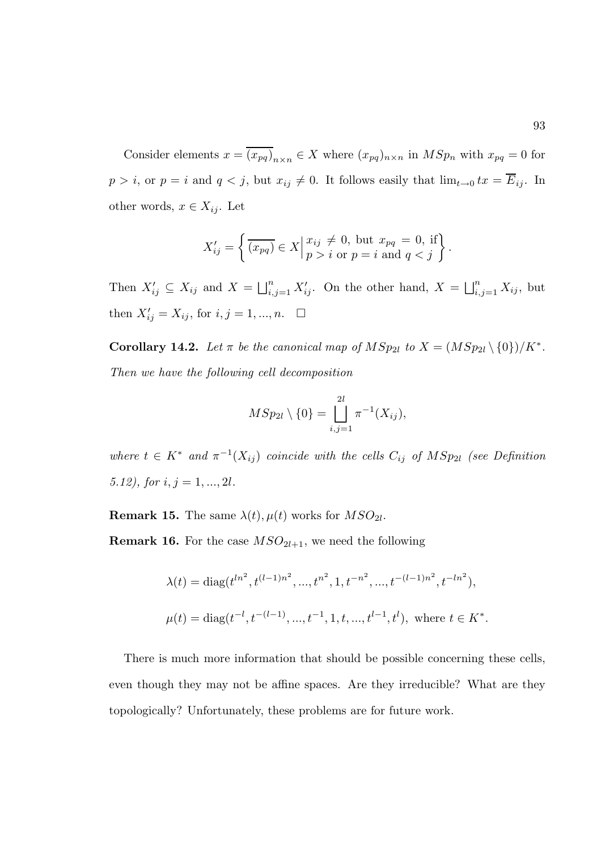Consider elements  $x = \overline{(x_{pq})}_{n \times n} \in X$  where  $(x_{pq})_{n \times n}$  in  $MSp_n$  with  $x_{pq} = 0$  for  $p > i$ , or  $p = i$  and  $q < j$ , but  $x_{ij} \neq 0$ . It follows easily that  $\lim_{t\to 0} tx = \overline{E}_{ij}$ . In other words,  $x \in X_{ij}$ . Let

$$
X'_{ij} = \left\{ \overline{(x_{pq})} \in X \middle| \begin{matrix} x_{ij} \neq 0, \text{ but } x_{pq} = 0, \text{ if} \\ p > i \text{ or } p = i \text{ and } q < j \end{matrix} \right\}.
$$

Then  $X'_{ij} \subseteq X_{ij}$  and  $X = \bigsqcup_{i,j=1}^n X'_{ij}$ . On the other hand,  $X = \bigsqcup_{i,j=1}^n X_{ij}$ , but then  $X'_{ij} = X_{ij}$ , for  $i, j = 1, ..., n$ .  $\Box$ 

**Corollary 14.2.** Let  $\pi$  be the canonical map of  $MSp_{2l}$  to  $X = (MSp_{2l} \setminus \{0\})/K^*$ . Then we have the following cell decomposition

$$
MSp_{2l} \setminus \{0\} = \bigsqcup_{i,j=1}^{2l} \pi^{-1}(X_{ij}),
$$

where  $t \in K^*$  and  $\pi^{-1}(X_{ij})$  coincide with the cells  $C_{ij}$  of  $MSp_{2l}$  (see Definition 5.12), for  $i, j = 1, ..., 2l$ .

**Remark 15.** The same  $\lambda(t)$ ,  $\mu(t)$  works for  $MSO_{2l}$ .

**Remark 16.** For the case  $MSO_{2l+1}$ , we need the following

$$
\lambda(t) = \text{diag}(t^{ln^2}, t^{(l-1)n^2}, \dots, t^{n^2}, 1, t^{-n^2}, \dots, t^{-(l-1)n^2}, t^{-ln^2}),
$$
  

$$
\mu(t) = \text{diag}(t^{-l}, t^{-(l-1)}, \dots, t^{-1}, 1, t, \dots, t^{l-1}, t^l), \text{ where } t \in K^*.
$$

There is much more information that should be possible concerning these cells, even though they may not be affine spaces. Are they irreducible? What are they topologically? Unfortunately, these problems are for future work.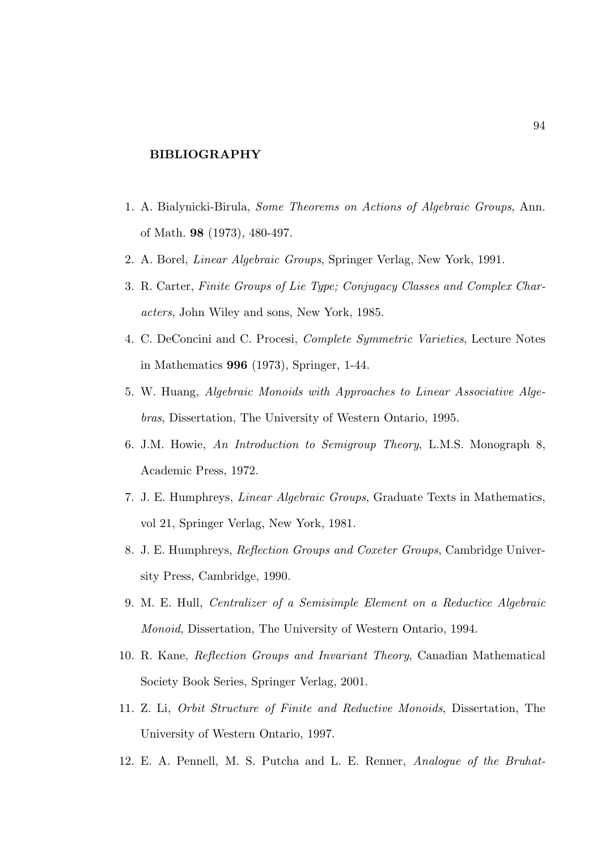# BIBLIOGRAPHY

- 1. A. Bialynicki-Birula, Some Theorems on Actions of Algebraic Groups, Ann. of Math. 98 (1973), 480-497.
- 2. A. Borel, Linear Algebraic Groups, Springer Verlag, New York, 1991.
- 3. R. Carter, Finite Groups of Lie Type; Conjugacy Classes and Complex Characters, John Wiley and sons, New York, 1985.
- 4. C. DeConcini and C. Procesi, Complete Symmetric Varieties, Lecture Notes in Mathematics 996 (1973), Springer, 1-44.
- 5. W. Huang, Algebraic Monoids with Approaches to Linear Associative Algebras, Dissertation, The University of Western Ontario, 1995.
- 6. J.M. Howie, An Introduction to Semigroup Theory, L.M.S. Monograph 8, Academic Press, 1972.
- 7. J. E. Humphreys, Linear Algebraic Groups, Graduate Texts in Mathematics, vol 21, Springer Verlag, New York, 1981.
- 8. J. E. Humphreys, Reflection Groups and Coxeter Groups, Cambridge University Press, Cambridge, 1990.
- 9. M. E. Hull, Centralizer of a Semisimple Element on a Reductice Algebraic Monoid, Dissertation, The University of Western Ontario, 1994.
- 10. R. Kane, Reflection Groups and Invariant Theory, Canadian Mathematical Society Book Series, Springer Verlag, 2001.
- 11. Z. Li, Orbit Structure of Finite and Reductive Monoids, Dissertation, The University of Western Ontario, 1997.
- 12. E. A. Pennell, M. S. Putcha and L. E. Renner, Analogue of the Bruhat-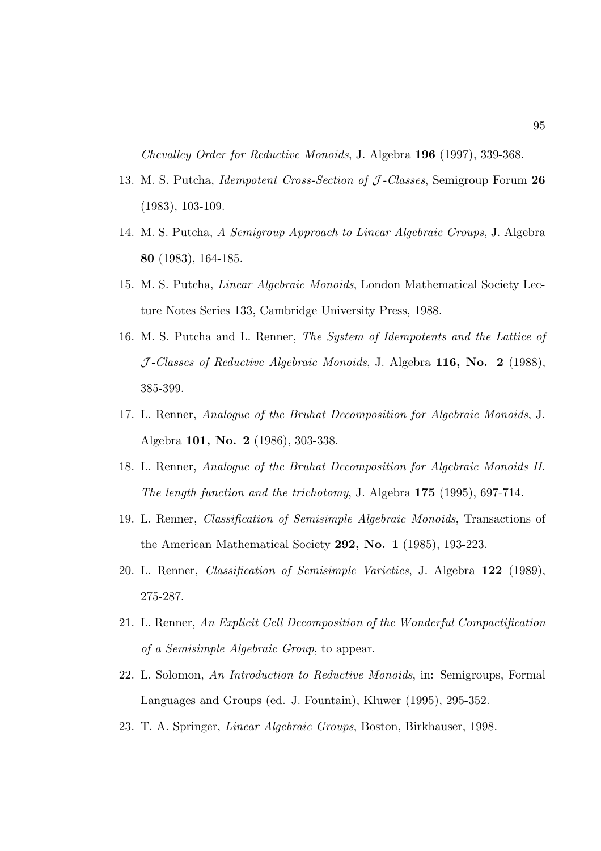Chevalley Order for Reductive Monoids, J. Algebra 196 (1997), 339-368.

- 13. M. S. Putcha, *Idempotent Cross-Section of J Classes*, Semigroup Forum 26 (1983), 103-109.
- 14. M. S. Putcha, A Semigroup Approach to Linear Algebraic Groups, J. Algebra 80 (1983), 164-185.
- 15. M. S. Putcha, Linear Algebraic Monoids, London Mathematical Society Lecture Notes Series 133, Cambridge University Press, 1988.
- 16. M. S. Putcha and L. Renner, The System of Idempotents and the Lattice of  $J$ -Classes of Reductive Algebraic Monoids, J. Algebra 116, No. 2 (1988), 385-399.
- 17. L. Renner, Analogue of the Bruhat Decomposition for Algebraic Monoids, J. Algebra 101, No. 2 (1986), 303-338.
- 18. L. Renner, Analogue of the Bruhat Decomposition for Algebraic Monoids II. The length function and the trichotomy, J. Algebra 175 (1995), 697-714.
- 19. L. Renner, Classification of Semisimple Algebraic Monoids, Transactions of the American Mathematical Society 292, No. 1 (1985), 193-223.
- 20. L. Renner, Classification of Semisimple Varieties, J. Algebra 122 (1989), 275-287.
- 21. L. Renner, An Explicit Cell Decomposition of the Wonderful Compactification of a Semisimple Algebraic Group, to appear.
- 22. L. Solomon, An Introduction to Reductive Monoids, in: Semigroups, Formal Languages and Groups (ed. J. Fountain), Kluwer (1995), 295-352.
- 23. T. A. Springer, Linear Algebraic Groups, Boston, Birkhauser, 1998.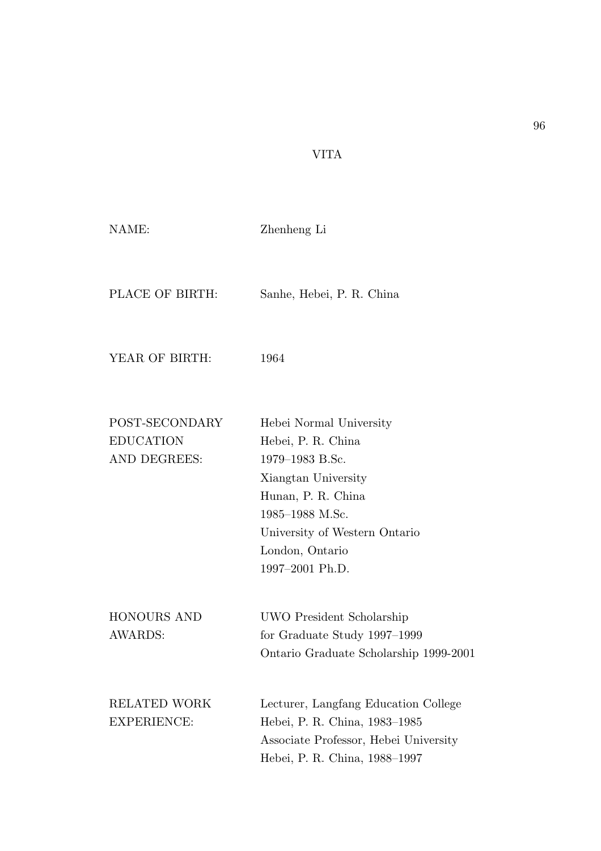# VITA

| NAME:                                              | Zhenheng Li                                                                                                                                                                                             |
|----------------------------------------------------|---------------------------------------------------------------------------------------------------------------------------------------------------------------------------------------------------------|
| PLACE OF BIRTH:                                    | Sanhe, Hebei, P. R. China                                                                                                                                                                               |
| YEAR OF BIRTH:                                     | 1964                                                                                                                                                                                                    |
| POST-SECONDARY<br><b>EDUCATION</b><br>AND DEGREES: | Hebei Normal University<br>Hebei, P. R. China<br>1979-1983 B.Sc.<br>Xiangtan University<br>Hunan, P. R. China<br>1985–1988 M.Sc.<br>University of Western Ontario<br>London, Ontario<br>1997-2001 Ph.D. |
| <b>HONOURS AND</b><br><b>AWARDS:</b>               | UWO President Scholarship<br>for Graduate Study 1997–1999<br>Ontario Graduate Scholarship 1999-2001                                                                                                     |
| <b>RELATED WORK</b><br><b>EXPERIENCE:</b>          | Lecturer, Langfang Education College<br>Hebei, P. R. China, 1983-1985<br>Associate Professor, Hebei University<br>Hebei, P. R. China, 1988–1997                                                         |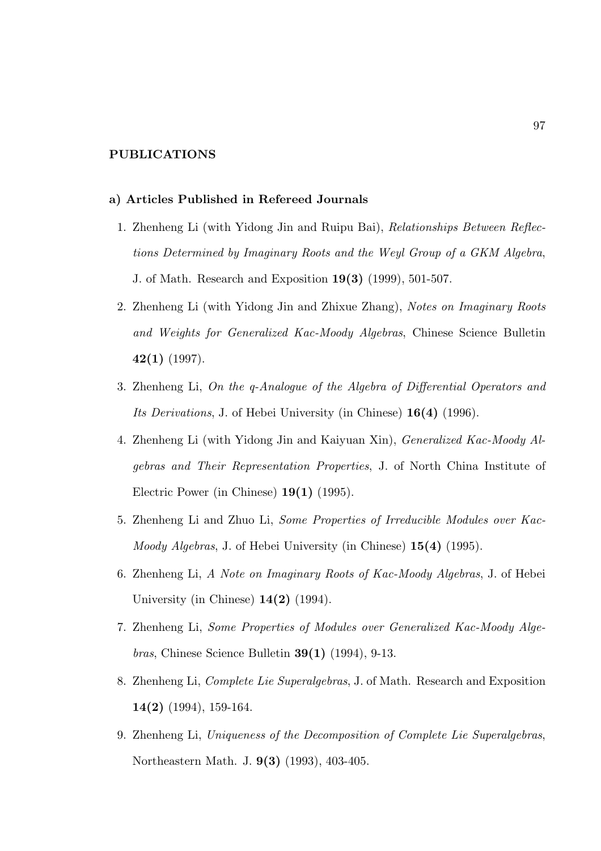## PUBLICATIONS

#### a) Articles Published in Refereed Journals

- 1. Zhenheng Li (with Yidong Jin and Ruipu Bai), Relationships Between Reflections Determined by Imaginary Roots and the Weyl Group of a GKM Algebra, J. of Math. Research and Exposition 19(3) (1999), 501-507.
- 2. Zhenheng Li (with Yidong Jin and Zhixue Zhang), Notes on Imaginary Roots and Weights for Generalized Kac-Moody Algebras, Chinese Science Bulletin  $42(1)$  (1997).
- 3. Zhenheng Li, On the q-Analogue of the Algebra of Differential Operators and Its Derivations, J. of Hebei University (in Chinese) 16(4) (1996).
- 4. Zhenheng Li (with Yidong Jin and Kaiyuan Xin), Generalized Kac-Moody Algebras and Their Representation Properties, J. of North China Institute of Electric Power (in Chinese) 19(1) (1995).
- 5. Zhenheng Li and Zhuo Li, Some Properties of Irreducible Modules over Kac-Moody Algebras, J. of Hebei University (in Chinese) 15(4) (1995).
- 6. Zhenheng Li, A Note on Imaginary Roots of Kac-Moody Algebras, J. of Hebei University (in Chinese)  $14(2)$  (1994).
- 7. Zhenheng Li, Some Properties of Modules over Generalized Kac-Moody Alge*bras*, Chinese Science Bulletin  $39(1)$  (1994), 9-13.
- 8. Zhenheng Li, Complete Lie Superalgebras, J. of Math. Research and Exposition 14(2) (1994), 159-164.
- 9. Zhenheng Li, Uniqueness of the Decomposition of Complete Lie Superalgebras, Northeastern Math. J. 9(3) (1993), 403-405.